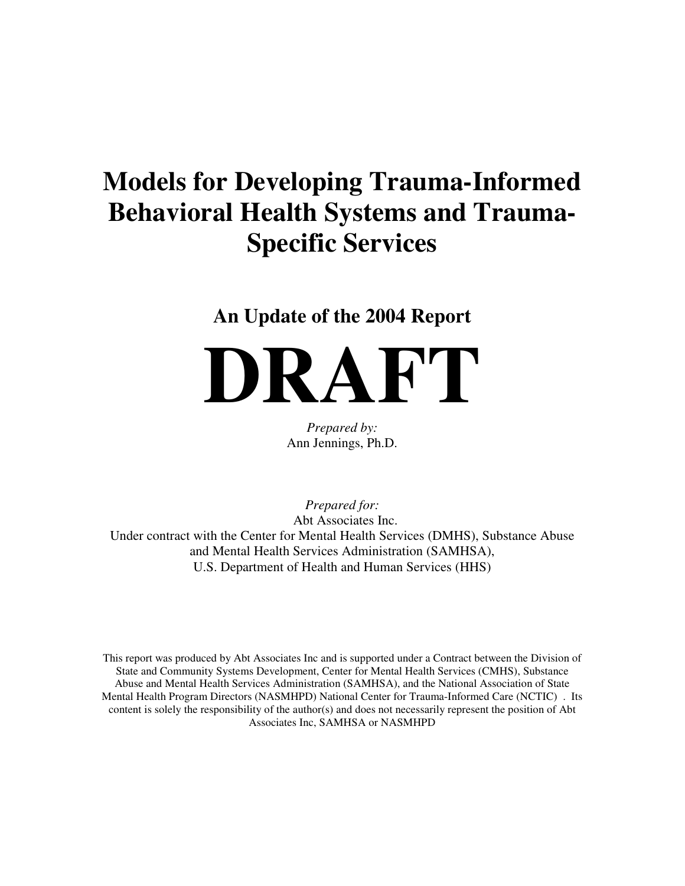# **Models for Developing Trauma-Informed Behavioral Health Systems and Trauma-Specific Services**

**An Update of the 2004 Report**



*Prepared by:* Ann Jennings, Ph.D.

*Prepared for:* Abt Associates Inc. Under contract with the Center for Mental Health Services (DMHS), Substance Abuse and Mental Health Services Administration (SAMHSA), U.S. Department of Health and Human Services (HHS)

This report was produced by Abt Associates Inc and is supported under a Contract between the Division of State and Community Systems Development, Center for Mental Health Services (CMHS), Substance Abuse and Mental Health Services Administration (SAMHSA), and the National Association of State Mental Health Program Directors (NASMHPD) National Center for Trauma-Informed Care (NCTIC) . Its content is solely the responsibility of the author(s) and does not necessarily represent the position of Abt Associates Inc, SAMHSA or NASMHPD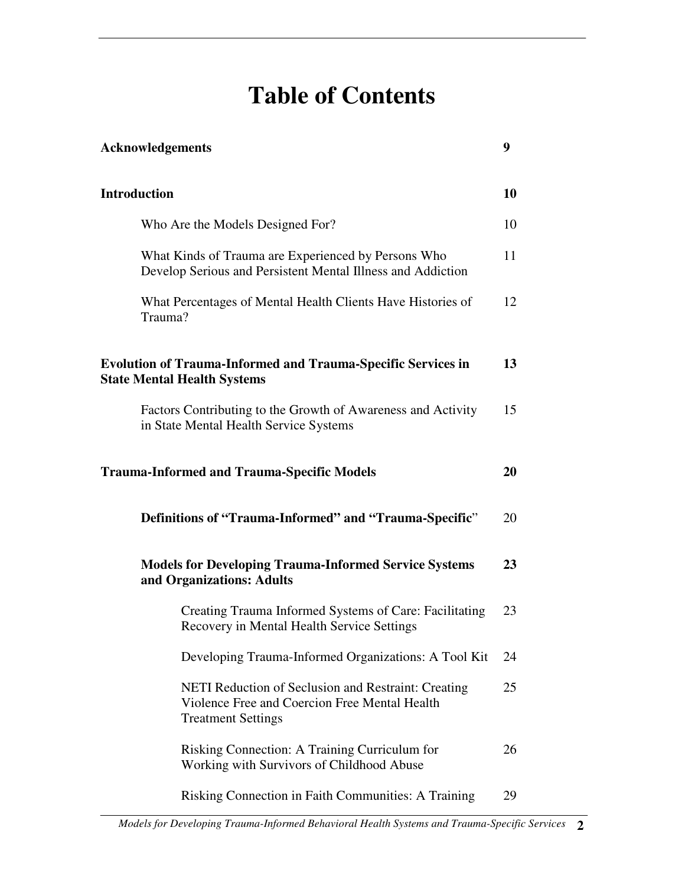# **Table of Contents**

| <b>Acknowledgements</b>                                                                                                           |    |
|-----------------------------------------------------------------------------------------------------------------------------------|----|
| <b>Introduction</b>                                                                                                               | 10 |
| Who Are the Models Designed For?                                                                                                  | 10 |
| What Kinds of Trauma are Experienced by Persons Who<br>Develop Serious and Persistent Mental Illness and Addiction                | 11 |
| What Percentages of Mental Health Clients Have Histories of<br>Trauma?                                                            | 12 |
| <b>Evolution of Trauma-Informed and Trauma-Specific Services in</b><br><b>State Mental Health Systems</b>                         | 13 |
| Factors Contributing to the Growth of Awareness and Activity<br>in State Mental Health Service Systems                            | 15 |
| <b>Trauma-Informed and Trauma-Specific Models</b>                                                                                 | 20 |
| Definitions of "Trauma-Informed" and "Trauma-Specific"                                                                            | 20 |
| <b>Models for Developing Trauma-Informed Service Systems</b><br>and Organizations: Adults                                         | 23 |
| Creating Trauma Informed Systems of Care: Facilitating<br>Recovery in Mental Health Service Settings                              | 23 |
| Developing Trauma-Informed Organizations: A Tool Kit                                                                              | 24 |
| NETI Reduction of Seclusion and Restraint: Creating<br>Violence Free and Coercion Free Mental Health<br><b>Treatment Settings</b> | 25 |
| Risking Connection: A Training Curriculum for<br>Working with Survivors of Childhood Abuse                                        | 26 |
| Risking Connection in Faith Communities: A Training                                                                               | 29 |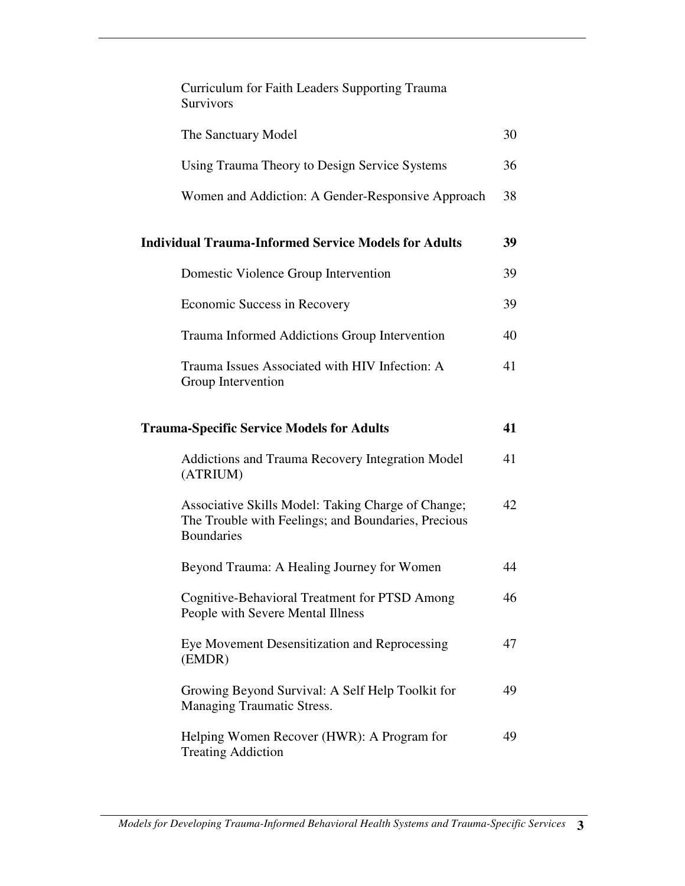| Curriculum for Faith Leaders Supporting Trauma<br>Survivors                                                                    |    |
|--------------------------------------------------------------------------------------------------------------------------------|----|
| The Sanctuary Model                                                                                                            | 30 |
| Using Trauma Theory to Design Service Systems                                                                                  | 36 |
| Women and Addiction: A Gender-Responsive Approach                                                                              | 38 |
| <b>Individual Trauma-Informed Service Models for Adults</b>                                                                    | 39 |
| Domestic Violence Group Intervention                                                                                           | 39 |
| Economic Success in Recovery                                                                                                   | 39 |
| Trauma Informed Addictions Group Intervention                                                                                  | 40 |
| Trauma Issues Associated with HIV Infection: A<br>Group Intervention                                                           | 41 |
| <b>Trauma-Specific Service Models for Adults</b>                                                                               | 41 |
| Addictions and Trauma Recovery Integration Model<br>(ATRIUM)                                                                   | 41 |
| Associative Skills Model: Taking Charge of Change;<br>The Trouble with Feelings; and Boundaries, Precious<br><b>Boundaries</b> | 42 |
| Beyond Trauma: A Healing Journey for Women                                                                                     | 44 |
| Cognitive-Behavioral Treatment for PTSD Among<br>People with Severe Mental Illness                                             | 46 |
| Eye Movement Desensitization and Reprocessing<br>(EMDR)                                                                        | 47 |
| Growing Beyond Survival: A Self Help Toolkit for<br><b>Managing Traumatic Stress.</b>                                          | 49 |
| Helping Women Recover (HWR): A Program for<br><b>Treating Addiction</b>                                                        | 49 |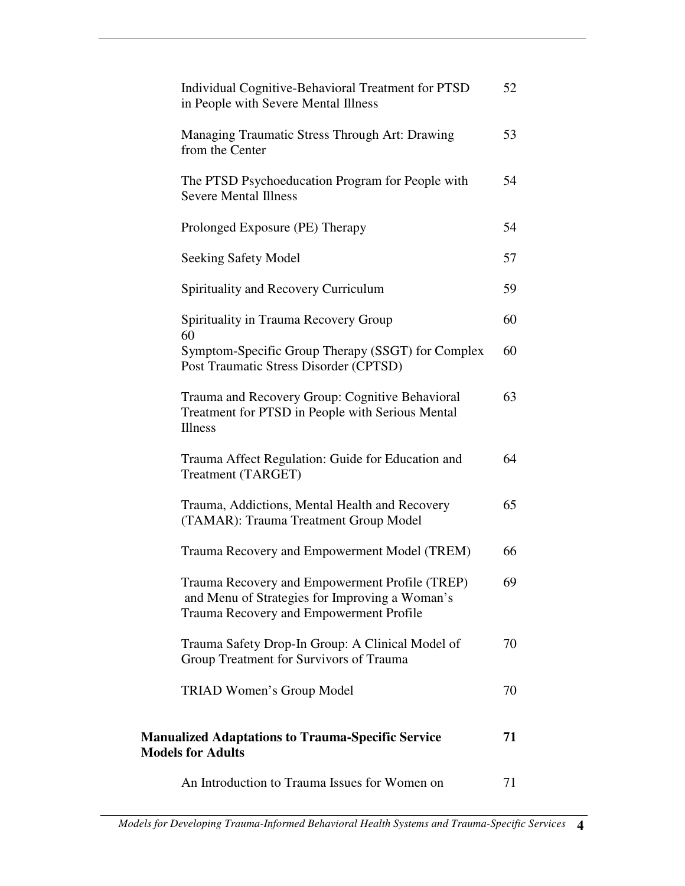| Individual Cognitive-Behavioral Treatment for PTSD<br>in People with Severe Mental Illness                                                  | 52 |
|---------------------------------------------------------------------------------------------------------------------------------------------|----|
| Managing Traumatic Stress Through Art: Drawing<br>from the Center                                                                           | 53 |
| The PTSD Psychoeducation Program for People with<br><b>Severe Mental Illness</b>                                                            | 54 |
| Prolonged Exposure (PE) Therapy                                                                                                             | 54 |
| Seeking Safety Model                                                                                                                        | 57 |
| Spirituality and Recovery Curriculum                                                                                                        | 59 |
| Spirituality in Trauma Recovery Group                                                                                                       | 60 |
| 60<br>Symptom-Specific Group Therapy (SSGT) for Complex<br>Post Traumatic Stress Disorder (CPTSD)                                           | 60 |
| Trauma and Recovery Group: Cognitive Behavioral<br>Treatment for PTSD in People with Serious Mental<br><b>Illness</b>                       | 63 |
| Trauma Affect Regulation: Guide for Education and<br>Treatment (TARGET)                                                                     | 64 |
| Trauma, Addictions, Mental Health and Recovery<br>(TAMAR): Trauma Treatment Group Model                                                     | 65 |
| Trauma Recovery and Empowerment Model (TREM)                                                                                                | 66 |
| Trauma Recovery and Empowerment Profile (TREP)<br>and Menu of Strategies for Improving a Woman's<br>Trauma Recovery and Empowerment Profile | 69 |
| Trauma Safety Drop-In Group: A Clinical Model of<br>Group Treatment for Survivors of Trauma                                                 | 70 |
| TRIAD Women's Group Model                                                                                                                   | 70 |
| <b>Manualized Adaptations to Trauma-Specific Service</b><br><b>Models for Adults</b>                                                        | 71 |
| An Introduction to Trauma Issues for Women on                                                                                               | 71 |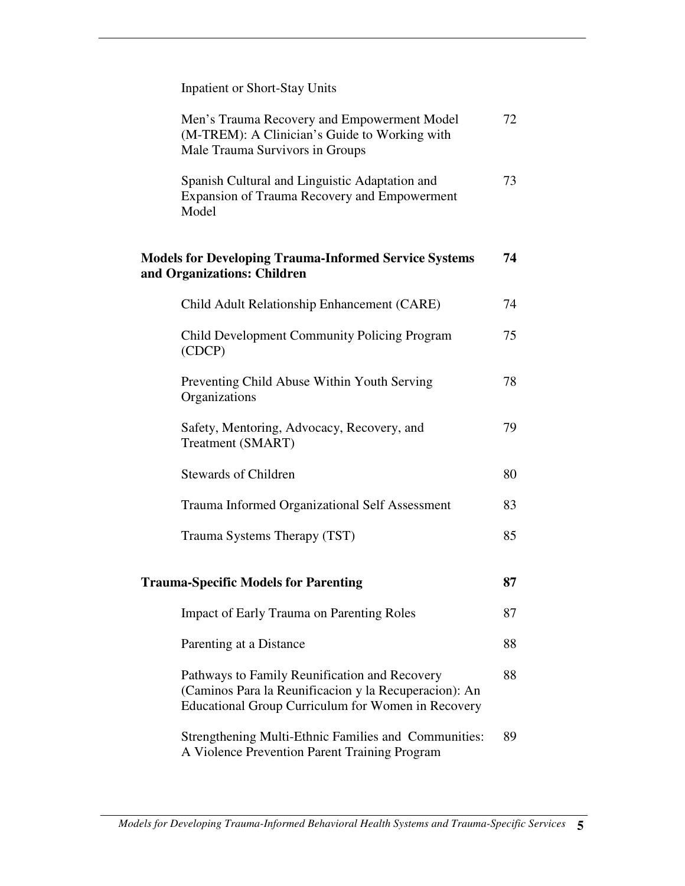| <b>Inpatient or Short-Stay Units</b>                                                                                                                         |    |
|--------------------------------------------------------------------------------------------------------------------------------------------------------------|----|
| Men's Trauma Recovery and Empowerment Model<br>(M-TREM): A Clinician's Guide to Working with<br>Male Trauma Survivors in Groups                              | 72 |
| Spanish Cultural and Linguistic Adaptation and<br><b>Expansion of Trauma Recovery and Empowerment</b><br>Model                                               | 73 |
| <b>Models for Developing Trauma-Informed Service Systems</b><br>and Organizations: Children                                                                  | 74 |
| Child Adult Relationship Enhancement (CARE)                                                                                                                  | 74 |
| <b>Child Development Community Policing Program</b><br>(CDCP)                                                                                                | 75 |
| Preventing Child Abuse Within Youth Serving<br>Organizations                                                                                                 | 78 |
| Safety, Mentoring, Advocacy, Recovery, and<br>Treatment (SMART)                                                                                              | 79 |
| <b>Stewards of Children</b>                                                                                                                                  | 80 |
| <b>Trauma Informed Organizational Self Assessment</b>                                                                                                        | 83 |
| Trauma Systems Therapy (TST)                                                                                                                                 | 85 |
| <b>Trauma-Specific Models for Parenting</b>                                                                                                                  | 87 |
| Impact of Early Trauma on Parenting Roles                                                                                                                    | 87 |
| Parenting at a Distance                                                                                                                                      | 88 |
| Pathways to Family Reunification and Recovery<br>(Caminos Para la Reunificacion y la Recuperacion): An<br>Educational Group Curriculum for Women in Recovery | 88 |
| Strengthening Multi-Ethnic Families and Communities:<br>A Violence Prevention Parent Training Program                                                        | 89 |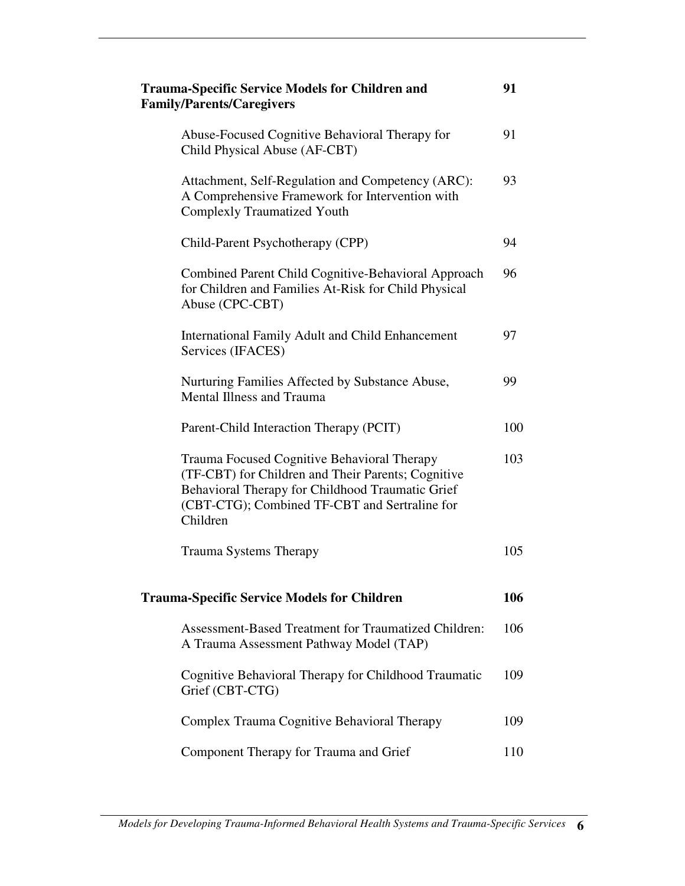| <b>Trauma-Specific Service Models for Children and</b><br><b>Family/Parents/Caregivers</b>                                                                                                                         | 91  |
|--------------------------------------------------------------------------------------------------------------------------------------------------------------------------------------------------------------------|-----|
| Abuse-Focused Cognitive Behavioral Therapy for<br>Child Physical Abuse (AF-CBT)                                                                                                                                    | 91  |
| Attachment, Self-Regulation and Competency (ARC):<br>A Comprehensive Framework for Intervention with<br><b>Complexly Traumatized Youth</b>                                                                         | 93  |
| Child-Parent Psychotherapy (CPP)                                                                                                                                                                                   | 94  |
| Combined Parent Child Cognitive-Behavioral Approach<br>for Children and Families At-Risk for Child Physical<br>Abuse (CPC-CBT)                                                                                     | 96  |
| International Family Adult and Child Enhancement<br>Services (IFACES)                                                                                                                                              | 97  |
| Nurturing Families Affected by Substance Abuse,<br><b>Mental Illness and Trauma</b>                                                                                                                                | 99  |
| Parent-Child Interaction Therapy (PCIT)                                                                                                                                                                            | 100 |
| Trauma Focused Cognitive Behavioral Therapy<br>(TF-CBT) for Children and Their Parents; Cognitive<br>Behavioral Therapy for Childhood Traumatic Grief<br>(CBT-CTG); Combined TF-CBT and Sertraline for<br>Children | 103 |
| Trauma Systems Therapy                                                                                                                                                                                             | 105 |
| <b>Trauma-Specific Service Models for Children</b>                                                                                                                                                                 | 106 |
| Assessment-Based Treatment for Traumatized Children:<br>A Trauma Assessment Pathway Model (TAP)                                                                                                                    | 106 |
| Cognitive Behavioral Therapy for Childhood Traumatic<br>Grief (CBT-CTG)                                                                                                                                            | 109 |
| Complex Trauma Cognitive Behavioral Therapy                                                                                                                                                                        | 109 |
| Component Therapy for Trauma and Grief                                                                                                                                                                             | 110 |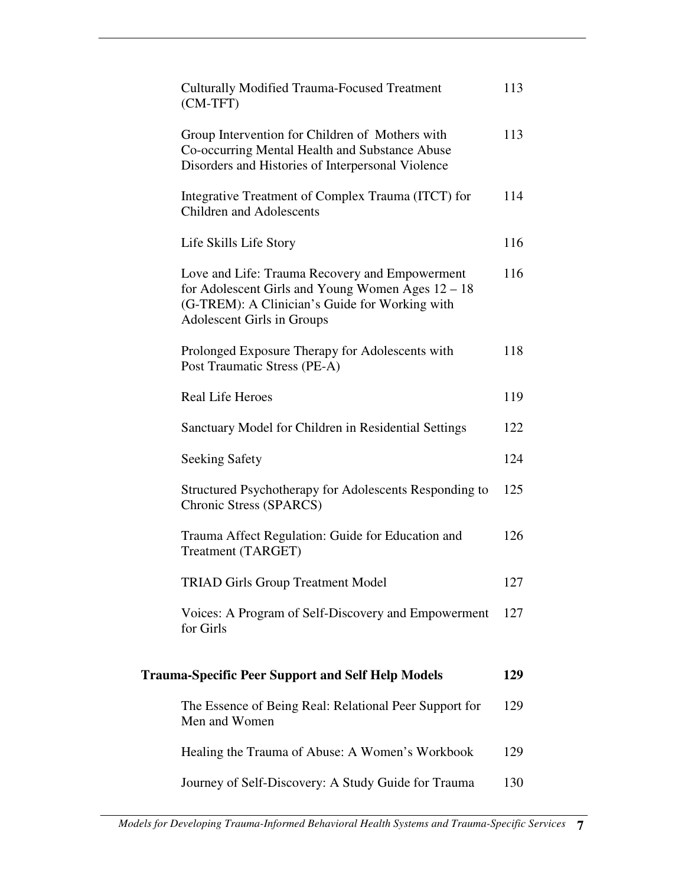| <b>Culturally Modified Trauma-Focused Treatment</b><br>$(CM-TFT)$                                                                                                                            | 113 |
|----------------------------------------------------------------------------------------------------------------------------------------------------------------------------------------------|-----|
| Group Intervention for Children of Mothers with<br>Co-occurring Mental Health and Substance Abuse<br>Disorders and Histories of Interpersonal Violence                                       | 113 |
| Integrative Treatment of Complex Trauma (ITCT) for<br><b>Children and Adolescents</b>                                                                                                        | 114 |
| Life Skills Life Story                                                                                                                                                                       | 116 |
| Love and Life: Trauma Recovery and Empowerment<br>for Adolescent Girls and Young Women Ages $12 - 18$<br>(G-TREM): A Clinician's Guide for Working with<br><b>Adolescent Girls in Groups</b> | 116 |
| Prolonged Exposure Therapy for Adolescents with<br>Post Traumatic Stress (PE-A)                                                                                                              | 118 |
| <b>Real Life Heroes</b>                                                                                                                                                                      | 119 |
| Sanctuary Model for Children in Residential Settings                                                                                                                                         | 122 |
| <b>Seeking Safety</b>                                                                                                                                                                        | 124 |
| Structured Psychotherapy for Adolescents Responding to<br>Chronic Stress (SPARCS)                                                                                                            | 125 |
| Trauma Affect Regulation: Guide for Education and<br>Treatment (TARGET)                                                                                                                      | 126 |
| <b>TRIAD Girls Group Treatment Model</b>                                                                                                                                                     | 127 |
| Voices: A Program of Self-Discovery and Empowerment<br>for Girls                                                                                                                             | 127 |
| <b>Trauma-Specific Peer Support and Self Help Models</b>                                                                                                                                     | 129 |
| The Essence of Being Real: Relational Peer Support for<br>Men and Women                                                                                                                      | 129 |
| Healing the Trauma of Abuse: A Women's Workbook                                                                                                                                              | 129 |
| Journey of Self-Discovery: A Study Guide for Trauma                                                                                                                                          | 130 |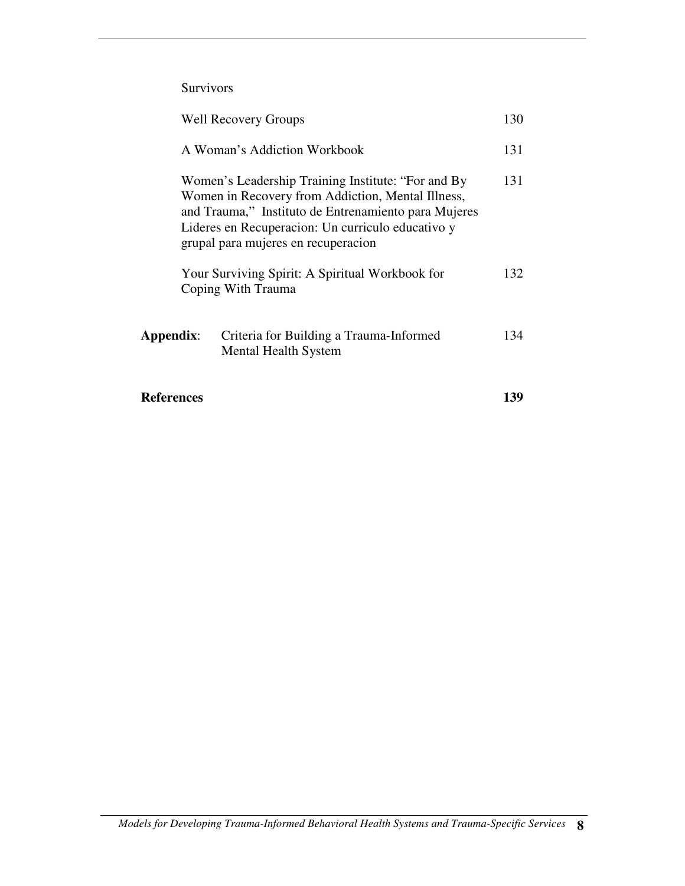Survivors

|            | <b>Well Recovery Groups</b>                                                                                                                                                                                                                                 | 130 |
|------------|-------------------------------------------------------------------------------------------------------------------------------------------------------------------------------------------------------------------------------------------------------------|-----|
|            | A Woman's Addiction Workbook                                                                                                                                                                                                                                | 131 |
|            | Women's Leadership Training Institute: "For and By<br>Women in Recovery from Addiction, Mental Illness,<br>and Trauma," Instituto de Entrenamiento para Mujeres<br>Lideres en Recuperacion: Un curriculo educativo y<br>grupal para mujeres en recuperacion | 131 |
|            | Your Surviving Spirit: A Spiritual Workbook for<br>Coping With Trauma                                                                                                                                                                                       | 132 |
| Appendix:  | Criteria for Building a Trauma-Informed<br><b>Mental Health System</b>                                                                                                                                                                                      | 134 |
| References |                                                                                                                                                                                                                                                             | 139 |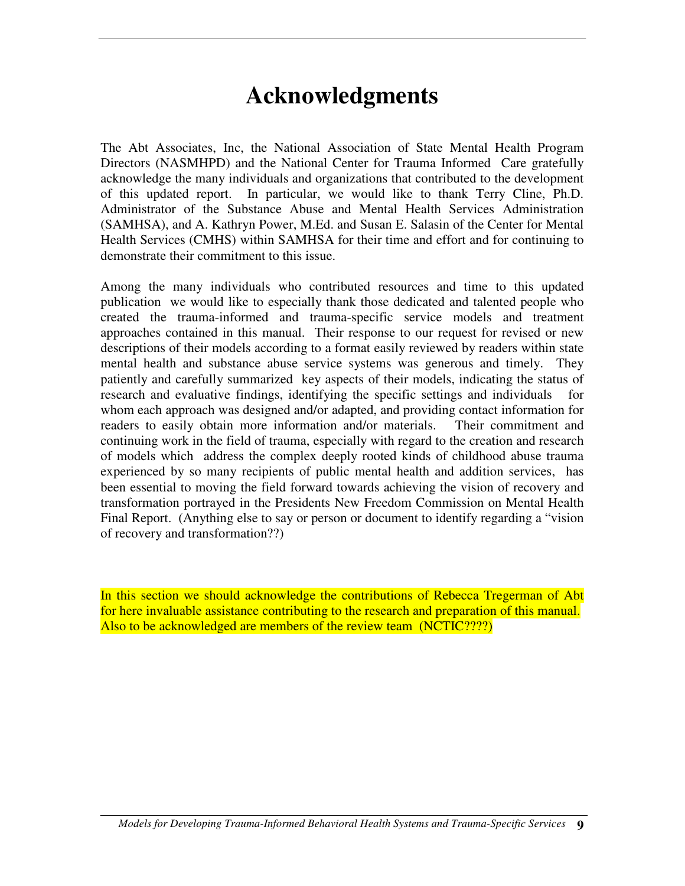## **Acknowledgments**

The Abt Associates, Inc, the National Association of State Mental Health Program Directors (NASMHPD) and the National Center for Trauma Informed Care gratefully acknowledge the many individuals and organizations that contributed to the development of this updated report. In particular, we would like to thank Terry Cline, Ph.D. Administrator of the Substance Abuse and Mental Health Services Administration (SAMHSA), and A. Kathryn Power, M.Ed. and Susan E. Salasin of the Center for Mental Health Services (CMHS) within SAMHSA for their time and effort and for continuing to demonstrate their commitment to this issue.

Among the many individuals who contributed resources and time to this updated publication we would like to especially thank those dedicated and talented people who created the trauma-informed and trauma-specific service models and treatment approaches contained in this manual. Their response to our request for revised or new descriptions of their models according to a format easily reviewed by readers within state mental health and substance abuse service systems was generous and timely. They patiently and carefully summarized key aspects of their models, indicating the status of research and evaluative findings, identifying the specific settings and individuals for whom each approach was designed and/or adapted, and providing contact information for readers to easily obtain more information and/or materials. Their commitment and continuing work in the field of trauma, especially with regard to the creation and research of models which address the complex deeply rooted kinds of childhood abuse trauma experienced by so many recipients of public mental health and addition services, has been essential to moving the field forward towards achieving the vision of recovery and transformation portrayed in the Presidents New Freedom Commission on Mental Health Final Report. (Anything else to say or person or document to identify regarding a "vision of recovery and transformation??)

In this section we should acknowledge the contributions of Rebecca Tregerman of Abt for here invaluable assistance contributing to the research and preparation of this manual. Also to be acknowledged are members of the review team (NCTIC????)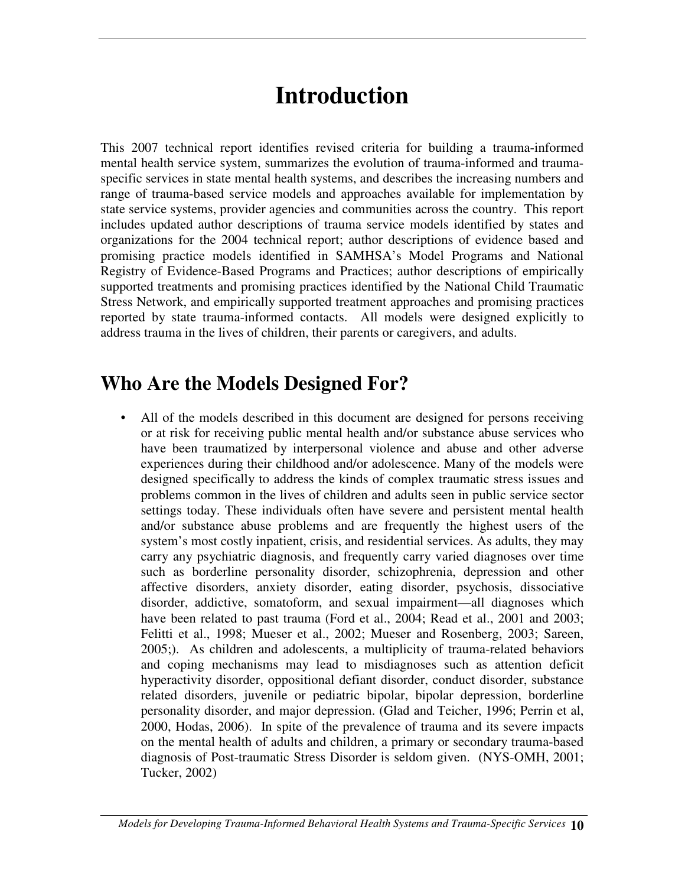## **Introduction**

This 2007 technical report identifies revised criteria for building a trauma-informed mental health service system, summarizes the evolution of trauma-informed and traumaspecific services in state mental health systems, and describes the increasing numbers and range of trauma-based service models and approaches available for implementation by state service systems, provider agencies and communities across the country. This report includes updated author descriptions of trauma service models identified by states and organizations for the 2004 technical report; author descriptions of evidence based and promising practice models identified in SAMHSA's Model Programs and National Registry of Evidence-Based Programs and Practices; author descriptions of empirically supported treatments and promising practices identified by the National Child Traumatic Stress Network, and empirically supported treatment approaches and promising practices reported by state trauma-informed contacts. All models were designed explicitly to address trauma in the lives of children, their parents or caregivers, and adults.

### **Who Are the Models Designed For?**

• All of the models described in this document are designed for persons receiving or at risk for receiving public mental health and/or substance abuse services who have been traumatized by interpersonal violence and abuse and other adverse experiences during their childhood and/or adolescence. Many of the models were designed specifically to address the kinds of complex traumatic stress issues and problems common in the lives of children and adults seen in public service sector settings today. These individuals often have severe and persistent mental health and/or substance abuse problems and are frequently the highest users of the system's most costly inpatient, crisis, and residential services. As adults, they may carry any psychiatric diagnosis, and frequently carry varied diagnoses over time such as borderline personality disorder, schizophrenia, depression and other affective disorders, anxiety disorder, eating disorder, psychosis, dissociative disorder, addictive, somatoform, and sexual impairment—all diagnoses which have been related to past trauma (Ford et al., 2004; Read et al., 2001 and 2003; Felitti et al., 1998; Mueser et al., 2002; Mueser and Rosenberg, 2003; Sareen, 2005;). As children and adolescents, a multiplicity of trauma-related behaviors and coping mechanisms may lead to misdiagnoses such as attention deficit hyperactivity disorder, oppositional defiant disorder, conduct disorder, substance related disorders, juvenile or pediatric bipolar, bipolar depression, borderline personality disorder, and major depression. (Glad and Teicher, 1996; Perrin et al, 2000, Hodas, 2006). In spite of the prevalence of trauma and its severe impacts on the mental health of adults and children, a primary or secondary trauma-based diagnosis of Post-traumatic Stress Disorder is seldom given. (NYS-OMH, 2001; Tucker, 2002)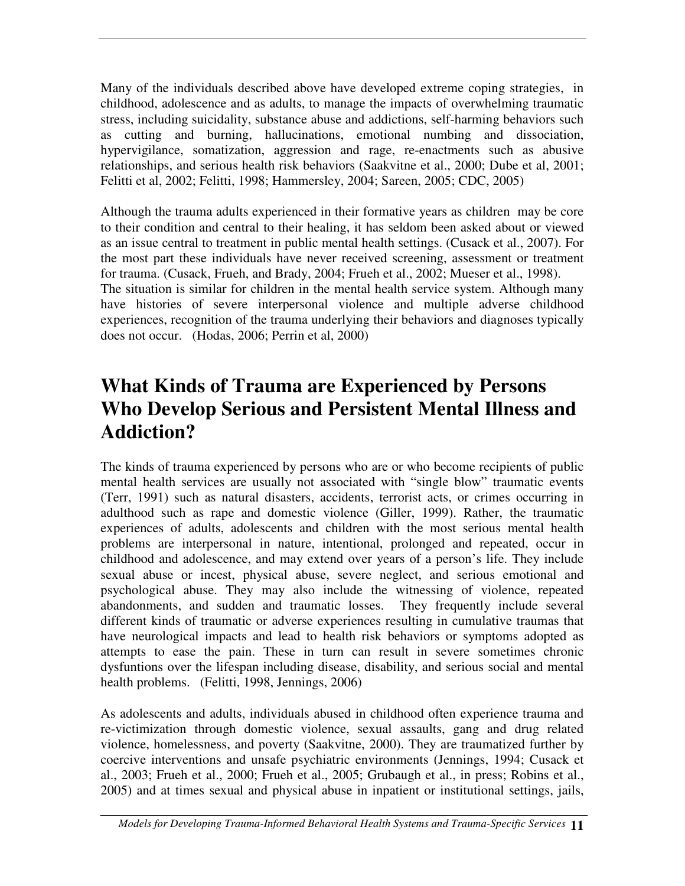Many of the individuals described above have developed extreme coping strategies, in childhood, adolescence and as adults, to manage the impacts of overwhelming traumatic stress, including suicidality, substance abuse and addictions, self-harming behaviors such as cutting and burning, hallucinations, emotional numbing and dissociation, hypervigilance, somatization, aggression and rage, re-enactments such as abusive relationships, and serious health risk behaviors (Saakvitne et al., 2000; Dube et al, 2001; Felitti et al, 2002; Felitti, 1998; Hammersley, 2004; Sareen, 2005; CDC, 2005)

Although the trauma adults experienced in their formative years as children may be core to their condition and central to their healing, it has seldom been asked about or viewed as an issue central to treatment in public mental health settings. (Cusack et al., 2007). For the most part these individuals have never received screening, assessment or treatment for trauma. (Cusack, Frueh, and Brady, 2004; Frueh et al., 2002; Mueser et al., 1998). The situation is similar for children in the mental health service system. Although many have histories of severe interpersonal violence and multiple adverse childhood experiences, recognition of the trauma underlying their behaviors and diagnoses typically does not occur. (Hodas, 2006; Perrin et al, 2000)

### **What Kinds of Trauma are Experienced by Persons Who Develop Serious and Persistent Mental Illness and Addiction?**

The kinds of trauma experienced by persons who are or who become recipients of public mental health services are usually not associated with "single blow" traumatic events (Terr, 1991) such as natural disasters, accidents, terrorist acts, or crimes occurring in adulthood such as rape and domestic violence (Giller, 1999). Rather, the traumatic experiences of adults, adolescents and children with the most serious mental health problems are interpersonal in nature, intentional, prolonged and repeated, occur in childhood and adolescence, and may extend over years of a person's life. They include sexual abuse or incest, physical abuse, severe neglect, and serious emotional and psychological abuse. They may also include the witnessing of violence, repeated abandonments, and sudden and traumatic losses. They frequently include several different kinds of traumatic or adverse experiences resulting in cumulative traumas that have neurological impacts and lead to health risk behaviors or symptoms adopted as attempts to ease the pain. These in turn can result in severe sometimes chronic dysfuntions over the lifespan including disease, disability, and serious social and mental health problems. (Felitti, 1998, Jennings, 2006)

As adolescents and adults, individuals abused in childhood often experience trauma and re-victimization through domestic violence, sexual assaults, gang and drug related violence, homelessness, and poverty (Saakvitne, 2000). They are traumatized further by coercive interventions and unsafe psychiatric environments (Jennings, 1994; Cusack et al., 2003; Frueh et al., 2000; Frueh et al., 2005; Grubaugh et al., in press; Robins et al., 2005) and at times sexual and physical abuse in inpatient or institutional settings, jails,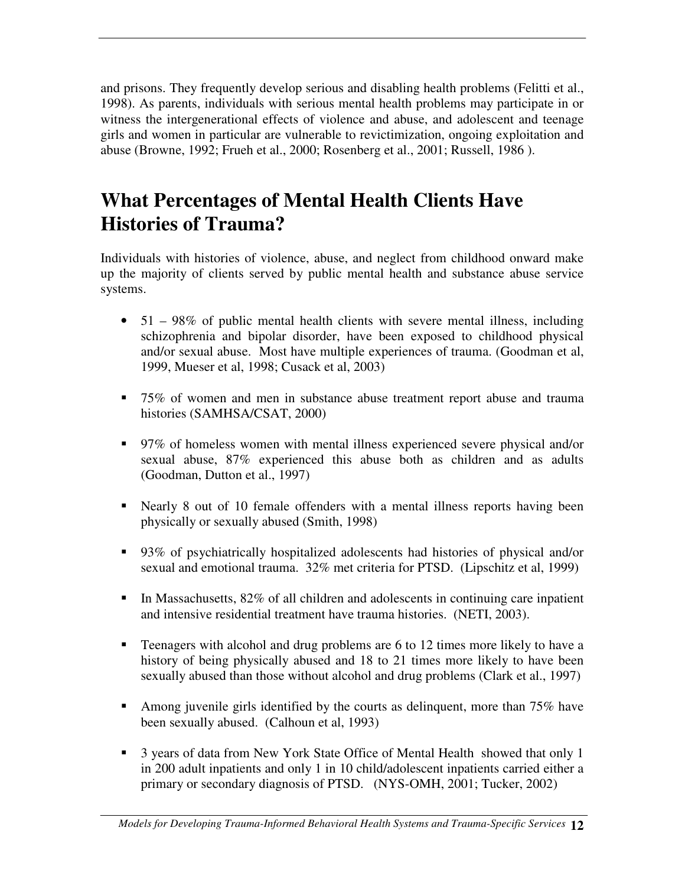and prisons. They frequently develop serious and disabling health problems (Felitti et al., 1998). As parents, individuals with serious mental health problems may participate in or witness the intergenerational effects of violence and abuse, and adolescent and teenage girls and women in particular are vulnerable to revictimization, ongoing exploitation and abuse (Browne, 1992; Frueh et al., 2000; Rosenberg et al., 2001; Russell, 1986 ).

## **What Percentages of Mental Health Clients Have Histories of Trauma?**

Individuals with histories of violence, abuse, and neglect from childhood onward make up the majority of clients served by public mental health and substance abuse service systems.

- 51 98% of public mental health clients with severe mental illness, including schizophrenia and bipolar disorder, have been exposed to childhood physical and/or sexual abuse. Most have multiple experiences of trauma. (Goodman et al, 1999, Mueser et al, 1998; Cusack et al, 2003)
- 75% of women and men in substance abuse treatment report abuse and trauma histories (SAMHSA/CSAT, 2000)
- 97% of homeless women with mental illness experienced severe physical and/or sexual abuse, 87% experienced this abuse both as children and as adults (Goodman, Dutton et al., 1997)
- Nearly 8 out of 10 female offenders with a mental illness reports having been physically or sexually abused (Smith, 1998)
- 93% of psychiatrically hospitalized adolescents had histories of physical and/or sexual and emotional trauma. 32% met criteria for PTSD. (Lipschitz et al, 1999)
- In Massachusetts, 82% of all children and adolescents in continuing care inpatient and intensive residential treatment have trauma histories. (NETI, 2003).
- **Teenagers with alcohol and drug problems are 6 to 12 times more likely to have a** history of being physically abused and 18 to 21 times more likely to have been sexually abused than those without alcohol and drug problems (Clark et al., 1997)
- Among juvenile girls identified by the courts as delinquent, more than 75% have been sexually abused. (Calhoun et al, 1993)
- 3 years of data from New York State Office of Mental Health showed that only 1 in 200 adult inpatients and only 1 in 10 child/adolescent inpatients carried either a primary or secondary diagnosis of PTSD. (NYS-OMH, 2001; Tucker, 2002)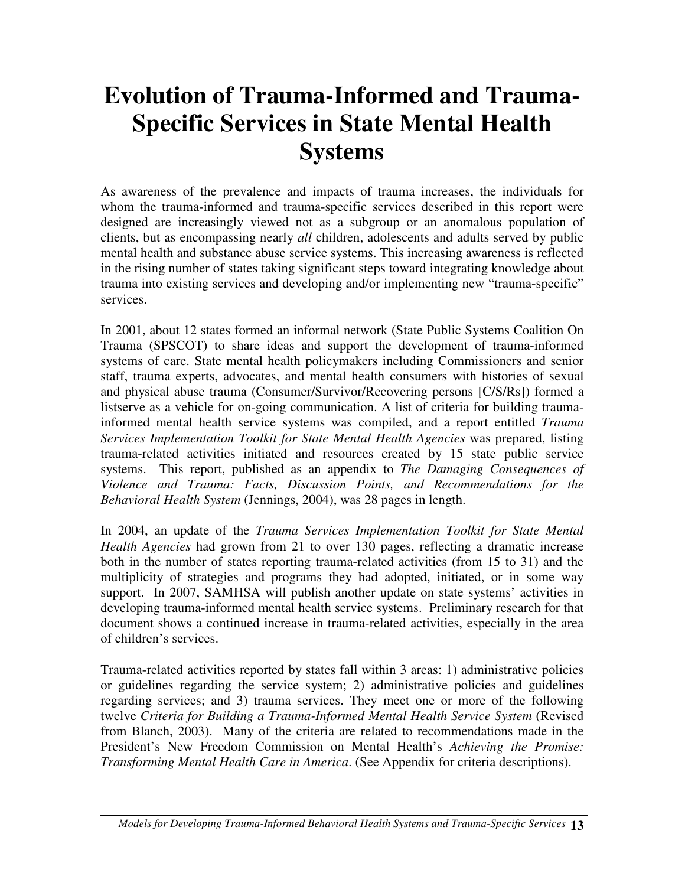# **Evolution of Trauma-Informed and Trauma-Specific Services in State Mental Health Systems**

As awareness of the prevalence and impacts of trauma increases, the individuals for whom the trauma-informed and trauma-specific services described in this report were designed are increasingly viewed not as a subgroup or an anomalous population of clients, but as encompassing nearly *all* children, adolescents and adults served by public mental health and substance abuse service systems. This increasing awareness is reflected in the rising number of states taking significant steps toward integrating knowledge about trauma into existing services and developing and/or implementing new "trauma-specific" services.

In 2001, about 12 states formed an informal network (State Public Systems Coalition On Trauma (SPSCOT) to share ideas and support the development of trauma-informed systems of care. State mental health policymakers including Commissioners and senior staff, trauma experts, advocates, and mental health consumers with histories of sexual and physical abuse trauma (Consumer/Survivor/Recovering persons [C/S/Rs]) formed a listserve as a vehicle for on-going communication. A list of criteria for building traumainformed mental health service systems was compiled, and a report entitled *Trauma Services Implementation Toolkit for State Mental Health Agencies* was prepared, listing trauma-related activities initiated and resources created by 15 state public service systems. This report, published as an appendix to *The Damaging Consequences of Violence and Trauma: Facts, Discussion Points, and Recommendations for the Behavioral Health System* (Jennings, 2004), was 28 pages in length.

In 2004, an update of the *Trauma Services Implementation Toolkit for State Mental Health Agencies* had grown from 21 to over 130 pages, reflecting a dramatic increase both in the number of states reporting trauma-related activities (from 15 to 31) and the multiplicity of strategies and programs they had adopted, initiated, or in some way support. In 2007, SAMHSA will publish another update on state systems' activities in developing trauma-informed mental health service systems. Preliminary research for that document shows a continued increase in trauma-related activities, especially in the area of children's services.

Trauma-related activities reported by states fall within 3 areas: 1) administrative policies or guidelines regarding the service system; 2) administrative policies and guidelines regarding services; and 3) trauma services. They meet one or more of the following twelve *Criteria for Building a Trauma-Informed Mental Health Service System* (Revised from Blanch, 2003). Many of the criteria are related to recommendations made in the President's New Freedom Commission on Mental Health's *Achieving the Promise: Transforming Mental Health Care in America*. (See Appendix for criteria descriptions).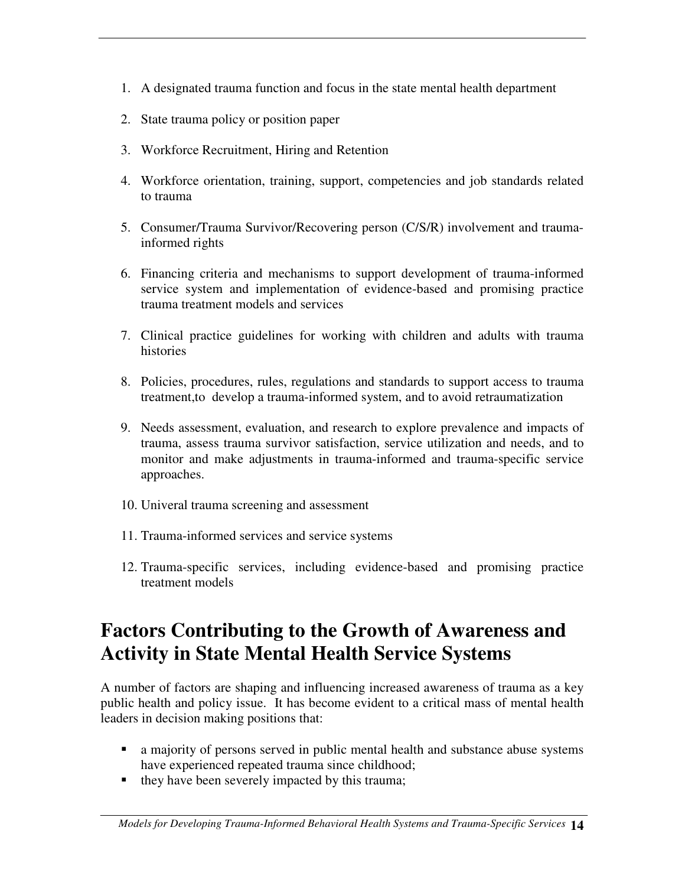- 1. A designated trauma function and focus in the state mental health department
- 2. State trauma policy or position paper
- 3. Workforce Recruitment, Hiring and Retention
- 4. Workforce orientation, training, support, competencies and job standards related to trauma
- 5. Consumer/Trauma Survivor/Recovering person (C/S/R) involvement and traumainformed rights
- 6. Financing criteria and mechanisms to support development of trauma-informed service system and implementation of evidence-based and promising practice trauma treatment models and services
- 7. Clinical practice guidelines for working with children and adults with trauma histories
- 8. Policies, procedures, rules, regulations and standards to support access to trauma treatment,to develop a trauma-informed system, and to avoid retraumatization
- 9. Needs assessment, evaluation, and research to explore prevalence and impacts of trauma, assess trauma survivor satisfaction, service utilization and needs, and to monitor and make adjustments in trauma-informed and trauma-specific service approaches.
- 10. Univeral trauma screening and assessment
- 11. Trauma-informed services and service systems
- 12. Trauma-specific services, including evidence-based and promising practice treatment models

## **Factors Contributing to the Growth of Awareness and Activity in State Mental Health Service Systems**

A number of factors are shaping and influencing increased awareness of trauma as a key public health and policy issue. It has become evident to a critical mass of mental health leaders in decision making positions that:

- a majority of persons served in public mental health and substance abuse systems have experienced repeated trauma since childhood;
- they have been severely impacted by this trauma;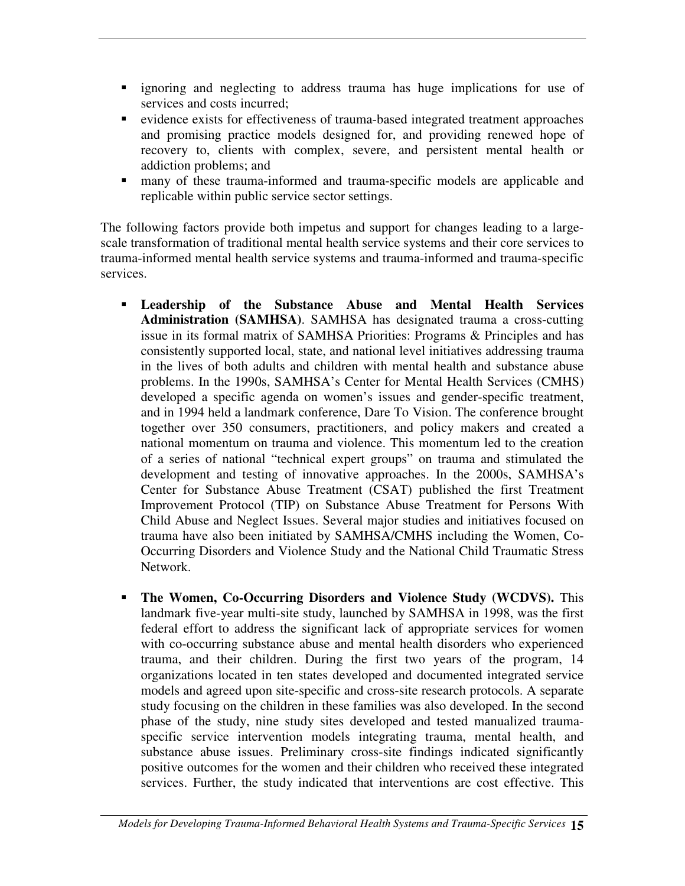- **ignoring and neglecting to address trauma has huge implications for use of** services and costs incurred;
- evidence exists for effectiveness of trauma-based integrated treatment approaches and promising practice models designed for, and providing renewed hope of recovery to, clients with complex, severe, and persistent mental health or addiction problems; and
- many of these trauma-informed and trauma-specific models are applicable and replicable within public service sector settings.

The following factors provide both impetus and support for changes leading to a largescale transformation of traditional mental health service systems and their core services to trauma-informed mental health service systems and trauma-informed and trauma-specific services.

- **Leadership of the Substance Abuse and Mental Health Services Administration (SAMHSA)**. SAMHSA has designated trauma a cross-cutting issue in its formal matrix of SAMHSA Priorities: Programs & Principles and has consistently supported local, state, and national level initiatives addressing trauma in the lives of both adults and children with mental health and substance abuse problems. In the 1990s, SAMHSA's Center for Mental Health Services (CMHS) developed a specific agenda on women's issues and gender-specific treatment, and in 1994 held a landmark conference, Dare To Vision. The conference brought together over 350 consumers, practitioners, and policy makers and created a national momentum on trauma and violence. This momentum led to the creation of a series of national "technical expert groups" on trauma and stimulated the development and testing of innovative approaches. In the 2000s, SAMHSA's Center for Substance Abuse Treatment (CSAT) published the first Treatment Improvement Protocol (TIP) on Substance Abuse Treatment for Persons With Child Abuse and Neglect Issues. Several major studies and initiatives focused on trauma have also been initiated by SAMHSA/CMHS including the Women, Co-Occurring Disorders and Violence Study and the National Child Traumatic Stress Network.
- **The Women, Co-Occurring Disorders and Violence Study (WCDVS).** This landmark five-year multi-site study, launched by SAMHSA in 1998, was the first federal effort to address the significant lack of appropriate services for women with co-occurring substance abuse and mental health disorders who experienced trauma, and their children. During the first two years of the program, 14 organizations located in ten states developed and documented integrated service models and agreed upon site-specific and cross-site research protocols. A separate study focusing on the children in these families was also developed. In the second phase of the study, nine study sites developed and tested manualized traumaspecific service intervention models integrating trauma, mental health, and substance abuse issues. Preliminary cross-site findings indicated significantly positive outcomes for the women and their children who received these integrated services. Further, the study indicated that interventions are cost effective. This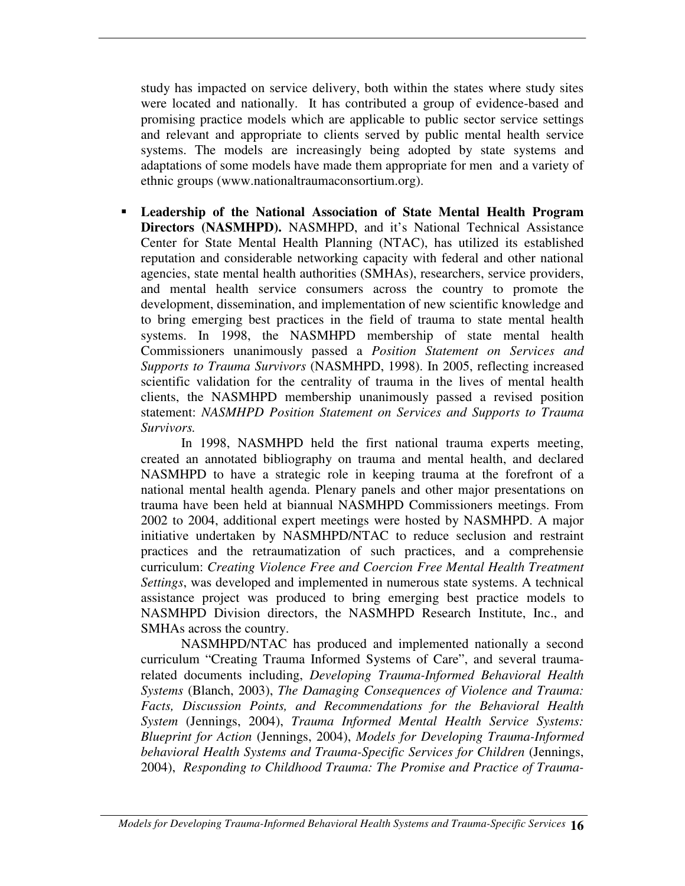study has impacted on service delivery, both within the states where study sites were located and nationally. It has contributed a group of evidence-based and promising practice models which are applicable to public sector service settings and relevant and appropriate to clients served by public mental health service systems. The models are increasingly being adopted by state systems and adaptations of some models have made them appropriate for men and a variety of ethnic groups (www.nationaltraumaconsortium.org).

 **Leadership of the National Association of State Mental Health Program Directors (NASMHPD).** NASMHPD, and it's National Technical Assistance Center for State Mental Health Planning (NTAC), has utilized its established reputation and considerable networking capacity with federal and other national agencies, state mental health authorities (SMHAs), researchers, service providers, and mental health service consumers across the country to promote the development, dissemination, and implementation of new scientific knowledge and to bring emerging best practices in the field of trauma to state mental health systems. In 1998, the NASMHPD membership of state mental health Commissioners unanimously passed a *Position Statement on Services and Supports to Trauma Survivors* (NASMHPD, 1998). In 2005, reflecting increased scientific validation for the centrality of trauma in the lives of mental health clients, the NASMHPD membership unanimously passed a revised position statement: *NASMHPD Position Statement on Services and Supports to Trauma Survivors.*

In 1998, NASMHPD held the first national trauma experts meeting, created an annotated bibliography on trauma and mental health, and declared NASMHPD to have a strategic role in keeping trauma at the forefront of a national mental health agenda. Plenary panels and other major presentations on trauma have been held at biannual NASMHPD Commissioners meetings. From 2002 to 2004, additional expert meetings were hosted by NASMHPD. A major initiative undertaken by NASMHPD/NTAC to reduce seclusion and restraint practices and the retraumatization of such practices, and a comprehensie curriculum: *Creating Violence Free and Coercion Free Mental Health Treatment Settings*, was developed and implemented in numerous state systems. A technical assistance project was produced to bring emerging best practice models to NASMHPD Division directors, the NASMHPD Research Institute, Inc., and SMHAs across the country.

NASMHPD/NTAC has produced and implemented nationally a second curriculum "Creating Trauma Informed Systems of Care", and several traumarelated documents including, *Developing Trauma-Informed Behavioral Health Systems* (Blanch, 2003), *The Damaging Consequences of Violence and Trauma: Facts, Discussion Points, and Recommendations for the Behavioral Health System* (Jennings, 2004), *Trauma Informed Mental Health Service Systems: Blueprint for Action* (Jennings, 2004), *Models for Developing Trauma-Informed behavioral Health Systems and Trauma-Specific Services for Children* (Jennings, 2004), *Responding to Childhood Trauma: The Promise and Practice of Trauma-*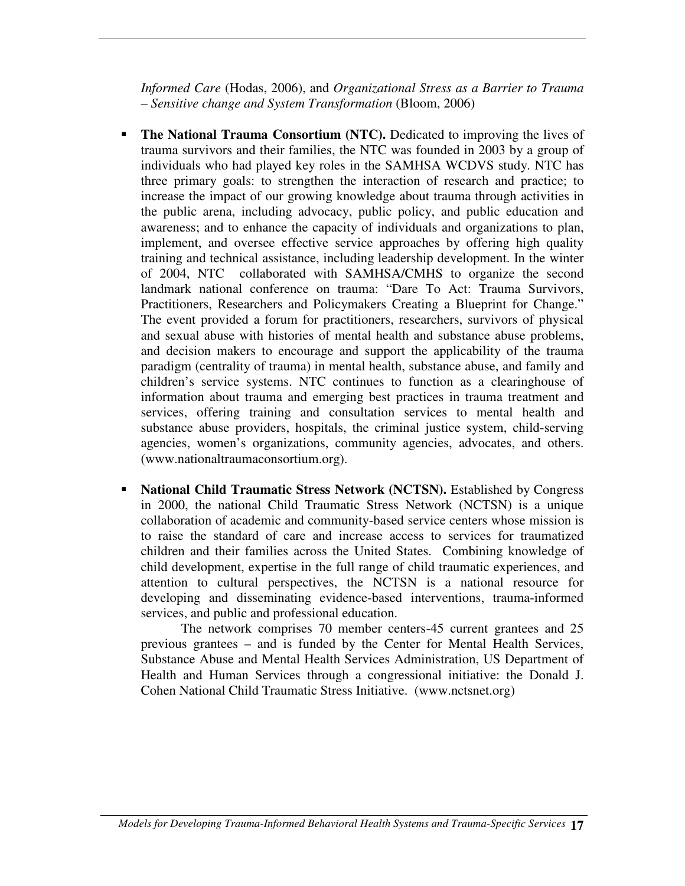*Informed Care* (Hodas, 2006), and *Organizational Stress as a Barrier to Trauma – Sensitive change and System Transformation* (Bloom, 2006)

- **The National Trauma Consortium (NTC).** Dedicated to improving the lives of trauma survivors and their families, the NTC was founded in 2003 by a group of individuals who had played key roles in the SAMHSA WCDVS study. NTC has three primary goals: to strengthen the interaction of research and practice; to increase the impact of our growing knowledge about trauma through activities in the public arena, including advocacy, public policy, and public education and awareness; and to enhance the capacity of individuals and organizations to plan, implement, and oversee effective service approaches by offering high quality training and technical assistance, including leadership development. In the winter of 2004, NTC collaborated with SAMHSA/CMHS to organize the second landmark national conference on trauma: "Dare To Act: Trauma Survivors, Practitioners, Researchers and Policymakers Creating a Blueprint for Change." The event provided a forum for practitioners, researchers, survivors of physical and sexual abuse with histories of mental health and substance abuse problems, and decision makers to encourage and support the applicability of the trauma paradigm (centrality of trauma) in mental health, substance abuse, and family and children's service systems. NTC continues to function as a clearinghouse of information about trauma and emerging best practices in trauma treatment and services, offering training and consultation services to mental health and substance abuse providers, hospitals, the criminal justice system, child-serving agencies, women's organizations, community agencies, advocates, and others. (www.nationaltraumaconsortium.org).
- **National Child Traumatic Stress Network (NCTSN).** Established by Congress in 2000, the national Child Traumatic Stress Network (NCTSN) is a unique collaboration of academic and community-based service centers whose mission is to raise the standard of care and increase access to services for traumatized children and their families across the United States. Combining knowledge of child development, expertise in the full range of child traumatic experiences, and attention to cultural perspectives, the NCTSN is a national resource for developing and disseminating evidence-based interventions, trauma-informed services, and public and professional education.

The network comprises 70 member centers-45 current grantees and 25 previous grantees – and is funded by the Center for Mental Health Services, Substance Abuse and Mental Health Services Administration, US Department of Health and Human Services through a congressional initiative: the Donald J. Cohen National Child Traumatic Stress Initiative. (www.nctsnet.org)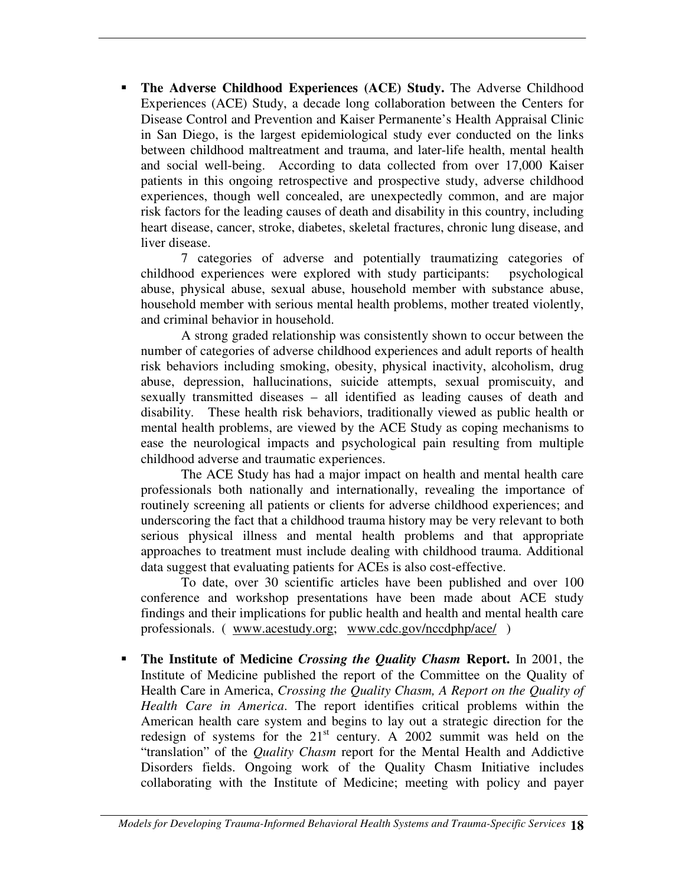**The Adverse Childhood Experiences (ACE) Study.** The Adverse Childhood Experiences (ACE) Study, a decade long collaboration between the Centers for Disease Control and Prevention and Kaiser Permanente's Health Appraisal Clinic in San Diego, is the largest epidemiological study ever conducted on the links between childhood maltreatment and trauma, and later-life health, mental health and social well-being. According to data collected from over 17,000 Kaiser patients in this ongoing retrospective and prospective study, adverse childhood experiences, though well concealed, are unexpectedly common, and are major risk factors for the leading causes of death and disability in this country, including heart disease, cancer, stroke, diabetes, skeletal fractures, chronic lung disease, and liver disease.

7 categories of adverse and potentially traumatizing categories of childhood experiences were explored with study participants: psychological abuse, physical abuse, sexual abuse, household member with substance abuse, household member with serious mental health problems, mother treated violently, and criminal behavior in household.

A strong graded relationship was consistently shown to occur between the number of categories of adverse childhood experiences and adult reports of health risk behaviors including smoking, obesity, physical inactivity, alcoholism, drug abuse, depression, hallucinations, suicide attempts, sexual promiscuity, and sexually transmitted diseases – all identified as leading causes of death and disability. These health risk behaviors, traditionally viewed as public health or mental health problems, are viewed by the ACE Study as coping mechanisms to ease the neurological impacts and psychological pain resulting from multiple childhood adverse and traumatic experiences.

The ACE Study has had a major impact on health and mental health care professionals both nationally and internationally, revealing the importance of routinely screening all patients or clients for adverse childhood experiences; and underscoring the fact that a childhood trauma history may be very relevant to both serious physical illness and mental health problems and that appropriate approaches to treatment must include dealing with childhood trauma. Additional data suggest that evaluating patients for ACEs is also cost-effective.

To date, over 30 scientific articles have been published and over 100 conference and workshop presentations have been made about ACE study findings and their implications for public health and health and mental health care professionals. ( www.acestudy.org; www.cdc.gov/nccdphp/ace/ )

 **The Institute of Medicine** *Crossing the Quality Chasm* **Report.** In 2001, the Institute of Medicine published the report of the Committee on the Quality of Health Care in America, *Crossing the Quality Chasm, A Report on the Quality of Health Care in America*. The report identifies critical problems within the American health care system and begins to lay out a strategic direction for the redesign of systems for the  $21<sup>st</sup>$  century. A 2002 summit was held on the "translation" of the *Quality Chasm* report for the Mental Health and Addictive Disorders fields. Ongoing work of the Quality Chasm Initiative includes collaborating with the Institute of Medicine; meeting with policy and payer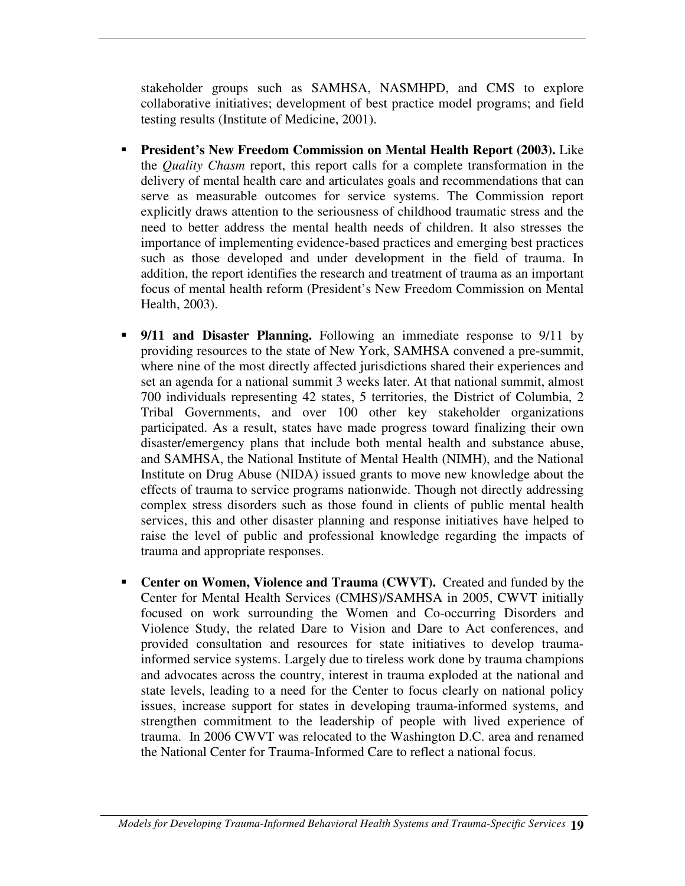stakeholder groups such as SAMHSA, NASMHPD, and CMS to explore collaborative initiatives; development of best practice model programs; and field testing results (Institute of Medicine, 2001).

- **President's New Freedom Commission on Mental Health Report (2003).** Like the *Quality Chasm* report, this report calls for a complete transformation in the delivery of mental health care and articulates goals and recommendations that can serve as measurable outcomes for service systems. The Commission report explicitly draws attention to the seriousness of childhood traumatic stress and the need to better address the mental health needs of children. It also stresses the importance of implementing evidence-based practices and emerging best practices such as those developed and under development in the field of trauma. In addition, the report identifies the research and treatment of trauma as an important focus of mental health reform (President's New Freedom Commission on Mental Health, 2003).
- **9/11 and Disaster Planning.** Following an immediate response to 9/11 by providing resources to the state of New York, SAMHSA convened a pre-summit, where nine of the most directly affected jurisdictions shared their experiences and set an agenda for a national summit 3 weeks later. At that national summit, almost 700 individuals representing 42 states, 5 territories, the District of Columbia, 2 Tribal Governments, and over 100 other key stakeholder organizations participated. As a result, states have made progress toward finalizing their own disaster/emergency plans that include both mental health and substance abuse, and SAMHSA, the National Institute of Mental Health (NIMH), and the National Institute on Drug Abuse (NIDA) issued grants to move new knowledge about the effects of trauma to service programs nationwide. Though not directly addressing complex stress disorders such as those found in clients of public mental health services, this and other disaster planning and response initiatives have helped to raise the level of public and professional knowledge regarding the impacts of trauma and appropriate responses.
- **Center on Women, Violence and Trauma (CWVT).** Created and funded by the Center for Mental Health Services (CMHS)/SAMHSA in 2005, CWVT initially focused on work surrounding the Women and Co-occurring Disorders and Violence Study, the related Dare to Vision and Dare to Act conferences, and provided consultation and resources for state initiatives to develop traumainformed service systems. Largely due to tireless work done by trauma champions and advocates across the country, interest in trauma exploded at the national and state levels, leading to a need for the Center to focus clearly on national policy issues, increase support for states in developing trauma-informed systems, and strengthen commitment to the leadership of people with lived experience of trauma. In 2006 CWVT was relocated to the Washington D.C. area and renamed the National Center for Trauma-Informed Care to reflect a national focus.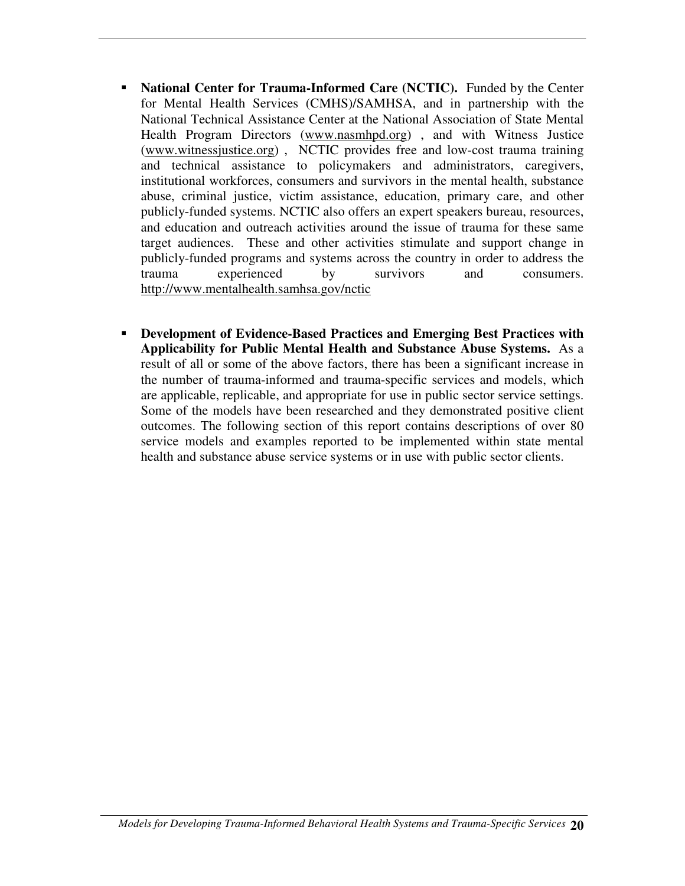- **National Center for Trauma-Informed Care (NCTIC).** Funded by the Center for Mental Health Services (CMHS)/SAMHSA, and in partnership with the National Technical Assistance Center at the National Association of State Mental Health Program Directors (www.nasmhpd.org) , and with Witness Justice (www.witnessjustice.org) , NCTIC provides free and low-cost trauma training and technical assistance to policymakers and administrators, caregivers, institutional workforces, consumers and survivors in the mental health, substance abuse, criminal justice, victim assistance, education, primary care, and other publicly-funded systems. NCTIC also offers an expert speakers bureau, resources, and education and outreach activities around the issue of trauma for these same target audiences. These and other activities stimulate and support change in publicly-funded programs and systems across the country in order to address the trauma experienced by survivors and consumers. http://www.mentalhealth.samhsa.gov/nctic
- **Development of Evidence-Based Practices and Emerging Best Practices with Applicability for Public Mental Health and Substance Abuse Systems.** As a result of all or some of the above factors, there has been a significant increase in the number of trauma-informed and trauma-specific services and models, which are applicable, replicable, and appropriate for use in public sector service settings. Some of the models have been researched and they demonstrated positive client outcomes. The following section of this report contains descriptions of over 80 service models and examples reported to be implemented within state mental health and substance abuse service systems or in use with public sector clients.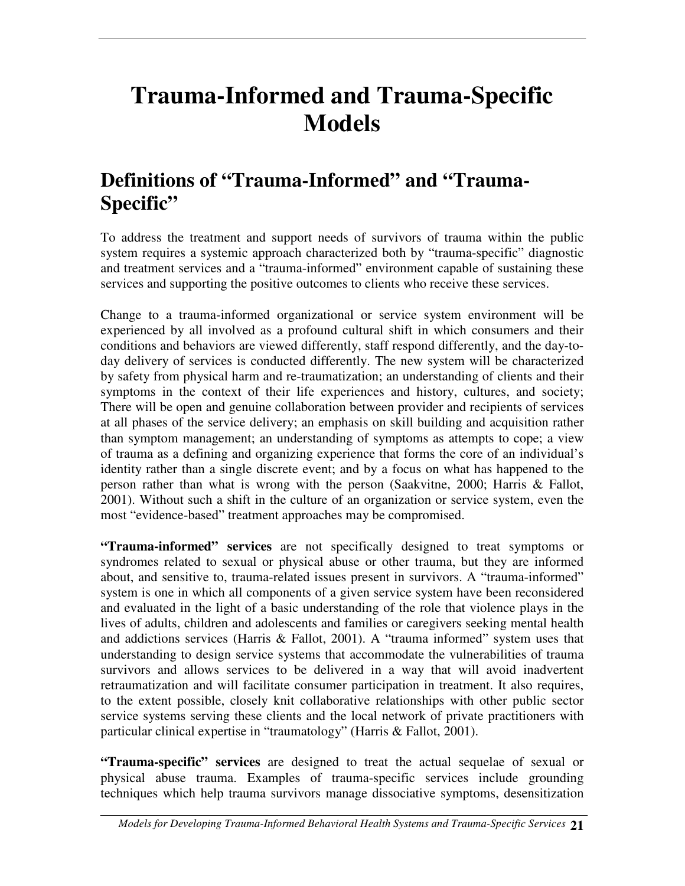# **Trauma-Informed and Trauma-Specific Models**

### **Definitions of "Trauma-Informed" and "Trauma-Specific"**

To address the treatment and support needs of survivors of trauma within the public system requires a systemic approach characterized both by "trauma-specific" diagnostic and treatment services and a "trauma-informed" environment capable of sustaining these services and supporting the positive outcomes to clients who receive these services.

Change to a trauma-informed organizational or service system environment will be experienced by all involved as a profound cultural shift in which consumers and their conditions and behaviors are viewed differently, staff respond differently, and the day-today delivery of services is conducted differently. The new system will be characterized by safety from physical harm and re-traumatization; an understanding of clients and their symptoms in the context of their life experiences and history, cultures, and society; There will be open and genuine collaboration between provider and recipients of services at all phases of the service delivery; an emphasis on skill building and acquisition rather than symptom management; an understanding of symptoms as attempts to cope; a view of trauma as a defining and organizing experience that forms the core of an individual's identity rather than a single discrete event; and by a focus on what has happened to the person rather than what is wrong with the person (Saakvitne, 2000; Harris & Fallot, 2001). Without such a shift in the culture of an organization or service system, even the most "evidence-based" treatment approaches may be compromised.

**"Trauma-informed" services** are not specifically designed to treat symptoms or syndromes related to sexual or physical abuse or other trauma, but they are informed about, and sensitive to, trauma-related issues present in survivors. A "trauma-informed" system is one in which all components of a given service system have been reconsidered and evaluated in the light of a basic understanding of the role that violence plays in the lives of adults, children and adolescents and families or caregivers seeking mental health and addictions services (Harris & Fallot, 2001). A "trauma informed" system uses that understanding to design service systems that accommodate the vulnerabilities of trauma survivors and allows services to be delivered in a way that will avoid inadvertent retraumatization and will facilitate consumer participation in treatment. It also requires, to the extent possible, closely knit collaborative relationships with other public sector service systems serving these clients and the local network of private practitioners with particular clinical expertise in "traumatology" (Harris & Fallot, 2001).

**"Trauma-specific" services** are designed to treat the actual sequelae of sexual or physical abuse trauma. Examples of trauma-specific services include grounding techniques which help trauma survivors manage dissociative symptoms, desensitization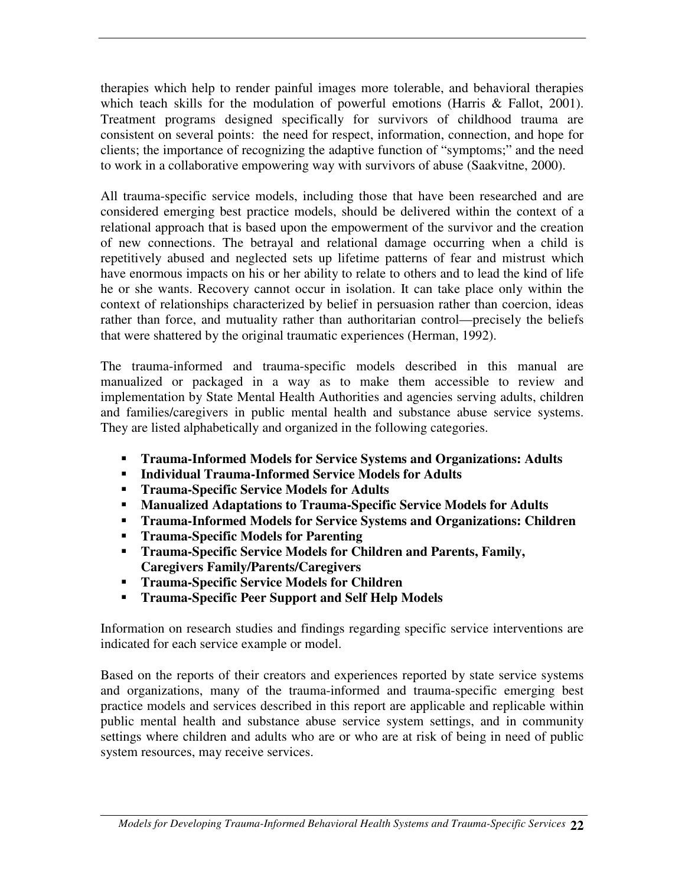therapies which help to render painful images more tolerable, and behavioral therapies which teach skills for the modulation of powerful emotions (Harris  $\&$  Fallot, 2001). Treatment programs designed specifically for survivors of childhood trauma are consistent on several points: the need for respect, information, connection, and hope for clients; the importance of recognizing the adaptive function of "symptoms;" and the need to work in a collaborative empowering way with survivors of abuse (Saakvitne, 2000).

All trauma-specific service models, including those that have been researched and are considered emerging best practice models, should be delivered within the context of a relational approach that is based upon the empowerment of the survivor and the creation of new connections. The betrayal and relational damage occurring when a child is repetitively abused and neglected sets up lifetime patterns of fear and mistrust which have enormous impacts on his or her ability to relate to others and to lead the kind of life he or she wants. Recovery cannot occur in isolation. It can take place only within the context of relationships characterized by belief in persuasion rather than coercion, ideas rather than force, and mutuality rather than authoritarian control—precisely the beliefs that were shattered by the original traumatic experiences (Herman, 1992).

The trauma-informed and trauma-specific models described in this manual are manualized or packaged in a way as to make them accessible to review and implementation by State Mental Health Authorities and agencies serving adults, children and families/caregivers in public mental health and substance abuse service systems. They are listed alphabetically and organized in the following categories.

- **Trauma-Informed Models for Service Systems and Organizations: Adults**
- **Individual Trauma-Informed Service Models for Adults**
- **Trauma-Specific Service Models for Adults**
- **Manualized Adaptations to Trauma-Specific Service Models for Adults**
- **Trauma-Informed Models for Service Systems and Organizations: Children**
- **Trauma-Specific Models for Parenting**
- **Trauma-Specific Service Models for Children and Parents, Family, Caregivers Family/Parents/Caregivers**
- **Trauma-Specific Service Models for Children**
- **Trauma-Specific Peer Support and Self Help Models**

Information on research studies and findings regarding specific service interventions are indicated for each service example or model.

Based on the reports of their creators and experiences reported by state service systems and organizations, many of the trauma-informed and trauma-specific emerging best practice models and services described in this report are applicable and replicable within public mental health and substance abuse service system settings, and in community settings where children and adults who are or who are at risk of being in need of public system resources, may receive services.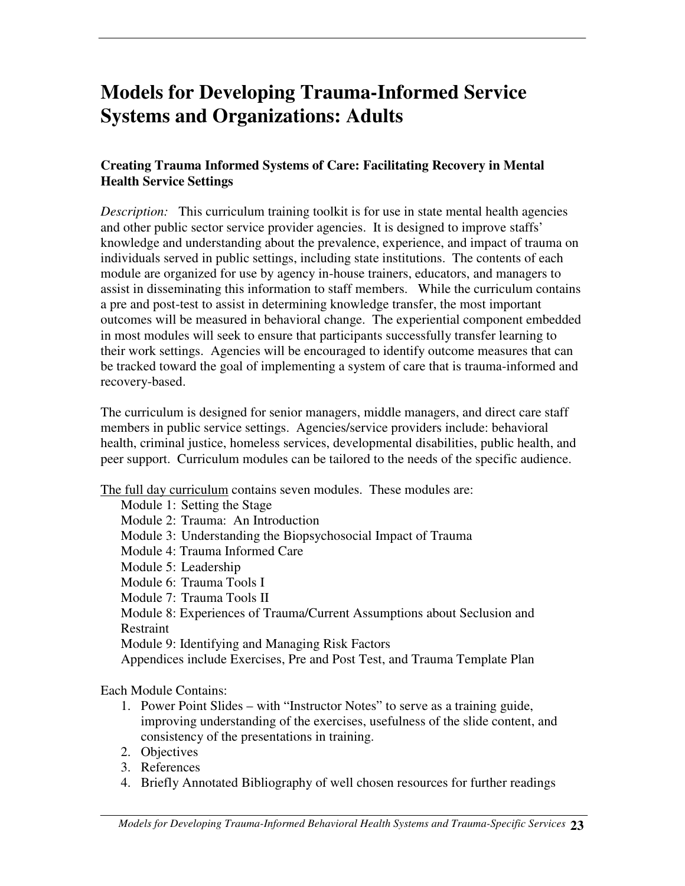## **Models for Developing Trauma-Informed Service Systems and Organizations: Adults**

#### **Creating Trauma Informed Systems of Care: Facilitating Recovery in Mental Health Service Settings**

*Description:* This curriculum training toolkit is for use in state mental health agencies and other public sector service provider agencies. It is designed to improve staffs' knowledge and understanding about the prevalence, experience, and impact of trauma on individuals served in public settings, including state institutions. The contents of each module are organized for use by agency in-house trainers, educators, and managers to assist in disseminating this information to staff members. While the curriculum contains a pre and post-test to assist in determining knowledge transfer, the most important outcomes will be measured in behavioral change. The experiential component embedded in most modules will seek to ensure that participants successfully transfer learning to their work settings. Agencies will be encouraged to identify outcome measures that can be tracked toward the goal of implementing a system of care that is trauma-informed and recovery-based.

The curriculum is designed for senior managers, middle managers, and direct care staff members in public service settings. Agencies/service providers include: behavioral health, criminal justice, homeless services, developmental disabilities, public health, and peer support. Curriculum modules can be tailored to the needs of the specific audience.

The full day curriculum contains seven modules. These modules are:

| Module 1: Setting the Stage                                               |
|---------------------------------------------------------------------------|
| Module 2: Trauma: An Introduction                                         |
| Module 3: Understanding the Biopsychosocial Impact of Trauma              |
| Module 4: Trauma Informed Care                                            |
| Module 5: Leadership                                                      |
| Module 6: Trauma Tools I                                                  |
| Module 7: Trauma Tools II                                                 |
| Module 8: Experiences of Trauma/Current Assumptions about Seclusion and   |
| Restraint                                                                 |
| Module 9: Identifying and Managing Risk Factors                           |
| Appendices include Exercises, Pre and Post Test, and Trauma Template Plan |

#### Each Module Contains:

- 1. Power Point Slides with "Instructor Notes" to serve as a training guide, improving understanding of the exercises, usefulness of the slide content, and consistency of the presentations in training.
- 2. Objectives
- 3. References
- 4. Briefly Annotated Bibliography of well chosen resources for further readings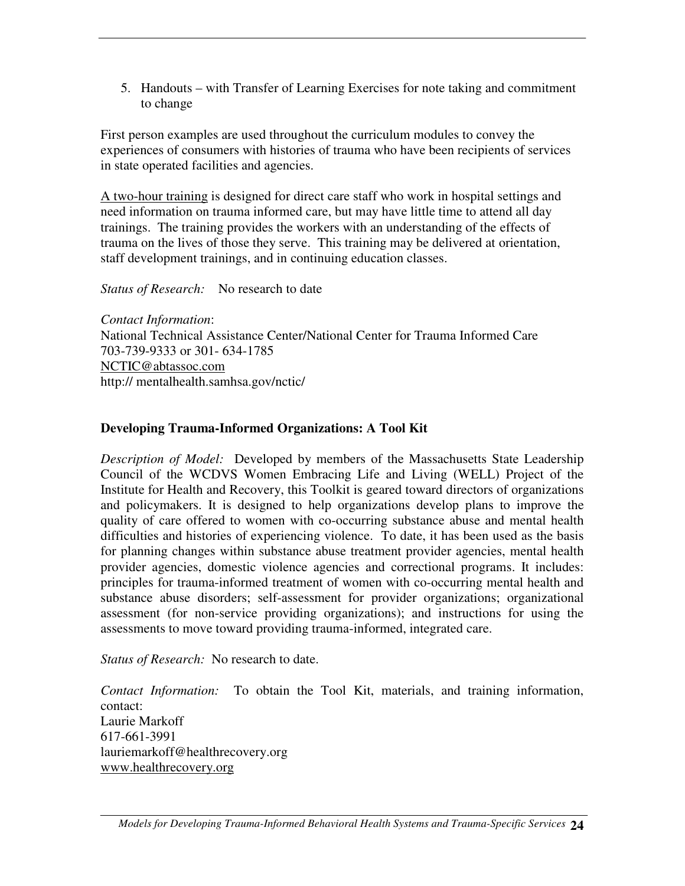5. Handouts – with Transfer of Learning Exercises for note taking and commitment to change

First person examples are used throughout the curriculum modules to convey the experiences of consumers with histories of trauma who have been recipients of services in state operated facilities and agencies.

A two-hour training is designed for direct care staff who work in hospital settings and need information on trauma informed care, but may have little time to attend all day trainings. The training provides the workers with an understanding of the effects of trauma on the lives of those they serve. This training may be delivered at orientation, staff development trainings, and in continuing education classes.

*Status of Research:* No research to date

*Contact Information*: National Technical Assistance Center/National Center for Trauma Informed Care 703-739-9333 or 301- 634-1785 NCTIC@abtassoc.com http:// mentalhealth.samhsa.gov/nctic/

#### **Developing Trauma-Informed Organizations: A Tool Kit**

*Description of Model:* Developed by members of the Massachusetts State Leadership Council of the WCDVS Women Embracing Life and Living (WELL) Project of the Institute for Health and Recovery, this Toolkit is geared toward directors of organizations and policymakers. It is designed to help organizations develop plans to improve the quality of care offered to women with co-occurring substance abuse and mental health difficulties and histories of experiencing violence. To date, it has been used as the basis for planning changes within substance abuse treatment provider agencies, mental health provider agencies, domestic violence agencies and correctional programs. It includes: principles for trauma-informed treatment of women with co-occurring mental health and substance abuse disorders; self-assessment for provider organizations; organizational assessment (for non-service providing organizations); and instructions for using the assessments to move toward providing trauma-informed, integrated care.

*Status of Research:* No research to date.

*Contact Information:* To obtain the Tool Kit, materials, and training information, contact: Laurie Markoff 617-661-3991 lauriemarkoff@healthrecovery.org www.healthrecovery.org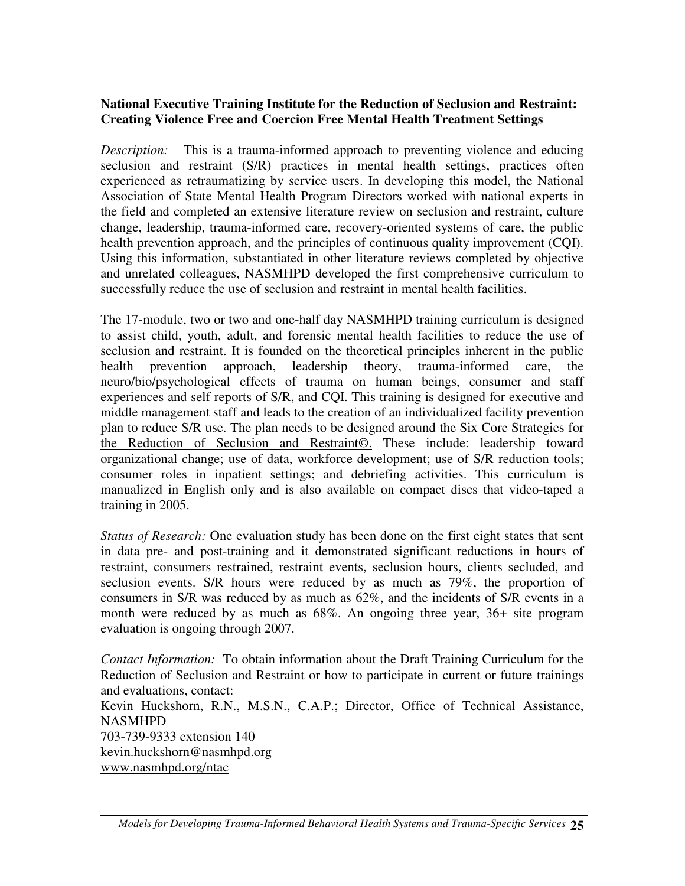#### **National Executive Training Institute for the Reduction of Seclusion and Restraint: Creating Violence Free and Coercion Free Mental Health Treatment Settings**

*Description:* This is a trauma-informed approach to preventing violence and educing seclusion and restraint (S/R) practices in mental health settings, practices often experienced as retraumatizing by service users. In developing this model, the National Association of State Mental Health Program Directors worked with national experts in the field and completed an extensive literature review on seclusion and restraint, culture change, leadership, trauma-informed care, recovery-oriented systems of care, the public health prevention approach, and the principles of continuous quality improvement (CQI). Using this information, substantiated in other literature reviews completed by objective and unrelated colleagues, NASMHPD developed the first comprehensive curriculum to successfully reduce the use of seclusion and restraint in mental health facilities.

The 17-module, two or two and one-half day NASMHPD training curriculum is designed to assist child, youth, adult, and forensic mental health facilities to reduce the use of seclusion and restraint. It is founded on the theoretical principles inherent in the public health prevention approach, leadership theory, trauma-informed care, the neuro/bio/psychological effects of trauma on human beings, consumer and staff experiences and self reports of S/R, and CQI. This training is designed for executive and middle management staff and leads to the creation of an individualized facility prevention plan to reduce S/R use. The plan needs to be designed around the Six Core Strategies for the Reduction of Seclusion and Restraint©. These include: leadership toward organizational change; use of data, workforce development; use of S/R reduction tools; consumer roles in inpatient settings; and debriefing activities. This curriculum is manualized in English only and is also available on compact discs that video-taped a training in 2005.

*Status of Research:* One evaluation study has been done on the first eight states that sent in data pre- and post-training and it demonstrated significant reductions in hours of restraint, consumers restrained, restraint events, seclusion hours, clients secluded, and seclusion events. S/R hours were reduced by as much as 79%, the proportion of consumers in S/R was reduced by as much as 62%, and the incidents of S/R events in a month were reduced by as much as 68%. An ongoing three year, 36+ site program evaluation is ongoing through 2007.

*Contact Information:* To obtain information about the Draft Training Curriculum for the Reduction of Seclusion and Restraint or how to participate in current or future trainings and evaluations, contact: Kevin Huckshorn, R.N., M.S.N., C.A.P.; Director, Office of Technical Assistance, NASMHPD 703-739-9333 extension 140 kevin.huckshorn@nasmhpd.org www.nasmhpd.org/ntac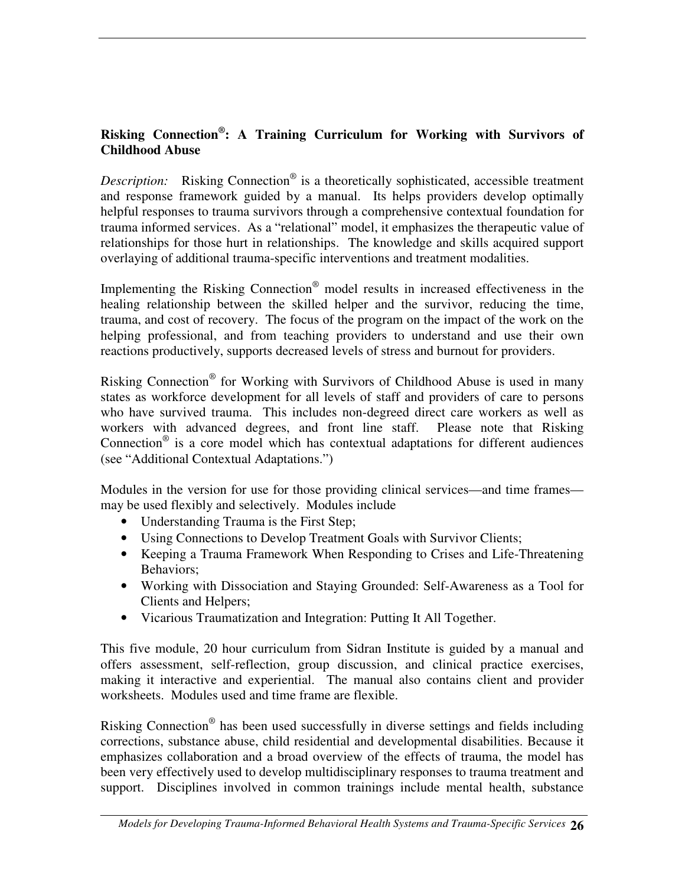#### **Risking Connection ® : A Training Curriculum for Working with Survivors of Childhood Abuse**

*Description:* Risking Connection ® is a theoretically sophisticated, accessible treatment and response framework guided by a manual. Its helps providers develop optimally helpful responses to trauma survivors through a comprehensive contextual foundation for trauma informed services. As a "relational" model, it emphasizes the therapeutic value of relationships for those hurt in relationships. The knowledge and skills acquired support overlaying of additional trauma-specific interventions and treatment modalities.

Implementing the Risking Connection<sup>®</sup> model results in increased effectiveness in the healing relationship between the skilled helper and the survivor, reducing the time, trauma, and cost of recovery. The focus of the program on the impact of the work on the helping professional, and from teaching providers to understand and use their own reactions productively, supports decreased levels of stress and burnout for providers.

Risking Connection® for Working with Survivors of Childhood Abuse is used in many states as workforce development for all levels of staff and providers of care to persons who have survived trauma. This includes non-degreed direct care workers as well as workers with advanced degrees, and front line staff. Please note that Risking Connection<sup>®</sup> is a core model which has contextual adaptations for different audiences (see "Additional Contextual Adaptations.")

Modules in the version for use for those providing clinical services—and time frames may be used flexibly and selectively. Modules include

- Understanding Trauma is the First Step;
- Using Connections to Develop Treatment Goals with Survivor Clients;
- Keeping a Trauma Framework When Responding to Crises and Life-Threatening Behaviors;
- Working with Dissociation and Staying Grounded: Self-Awareness as a Tool for Clients and Helpers;
- Vicarious Traumatization and Integration: Putting It All Together.

This five module, 20 hour curriculum from Sidran Institute is guided by a manual and offers assessment, self-reflection, group discussion, and clinical practice exercises, making it interactive and experiential. The manual also contains client and provider worksheets. Modules used and time frame are flexible.

Risking Connection ® has been used successfully in diverse settings and fields including corrections, substance abuse, child residential and developmental disabilities. Because it emphasizes collaboration and a broad overview of the effects of trauma, the model has been very effectively used to develop multidisciplinary responses to trauma treatment and support. Disciplines involved in common trainings include mental health, substance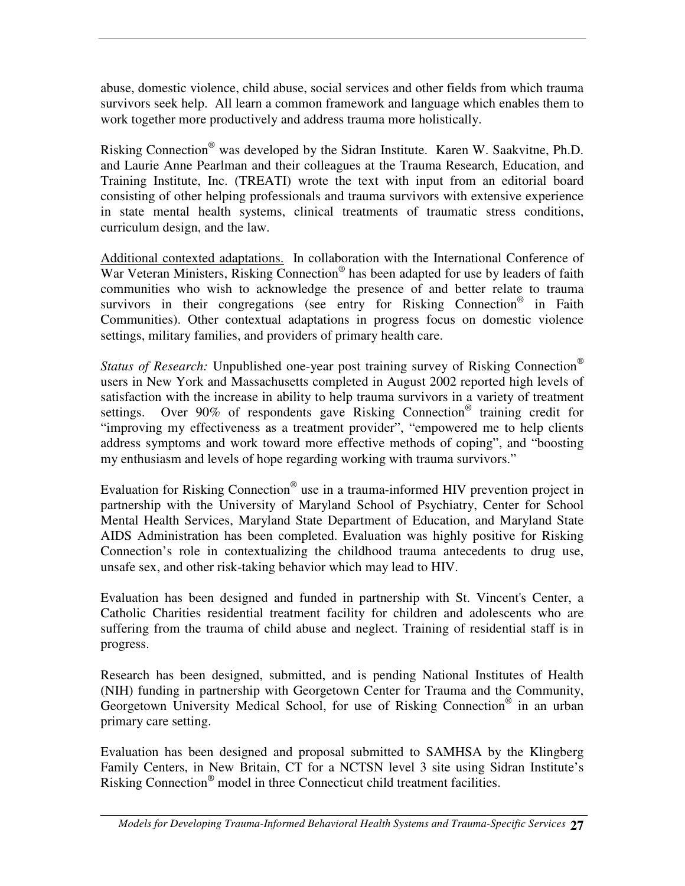abuse, domestic violence, child abuse, social services and other fields from which trauma survivors seek help. All learn a common framework and language which enables them to work together more productively and address trauma more holistically.

Risking Connection® was developed by the Sidran Institute. Karen W. Saakvitne, Ph.D. and Laurie Anne Pearlman and their colleagues at the Trauma Research, Education, and Training Institute, Inc. (TREATI) wrote the text with input from an editorial board consisting of other helping professionals and trauma survivors with extensive experience in state mental health systems, clinical treatments of traumatic stress conditions, curriculum design, and the law.

Additional contexted adaptations. In collaboration with the International Conference of War Veteran Ministers, Risking Connection® has been adapted for use by leaders of faith communities who wish to acknowledge the presence of and better relate to trauma survivors in their congregations (see entry for Risking Connection® in Faith Communities). Other contextual adaptations in progress focus on domestic violence settings, military families, and providers of primary health care.

*Status of Research:* Unpublished one-year post training survey of Risking Connection ® users in New York and Massachusetts completed in August 2002 reported high levels of satisfaction with the increase in ability to help trauma survivors in a variety of treatment settings. Over 90% of respondents gave Risking Connection® training credit for "improving my effectiveness as a treatment provider", "empowered me to help clients address symptoms and work toward more effective methods of coping", and "boosting my enthusiasm and levels of hope regarding working with trauma survivors."

Evaluation for Risking Connection® use in a trauma-informed HIV prevention project in partnership with the University of Maryland School of Psychiatry, Center for School Mental Health Services, Maryland State Department of Education, and Maryland State AIDS Administration has been completed. Evaluation was highly positive for Risking Connection's role in contextualizing the childhood trauma antecedents to drug use, unsafe sex, and other risk-taking behavior which may lead to HIV.

Evaluation has been designed and funded in partnership with St. Vincent's Center, a Catholic Charities residential treatment facility for children and adolescents who are suffering from the trauma of child abuse and neglect. Training of residential staff is in progress.

Research has been designed, submitted, and is pending National Institutes of Health (NIH) funding in partnership with Georgetown Center for Trauma and the Community, Georgetown University Medical School, for use of Risking Connection ® in an urban primary care setting.

Evaluation has been designed and proposal submitted to SAMHSA by the Klingberg Family Centers, in New Britain, CT for a NCTSN level 3 site using Sidran Institute's Risking Connection ® model in three Connecticut child treatment facilities.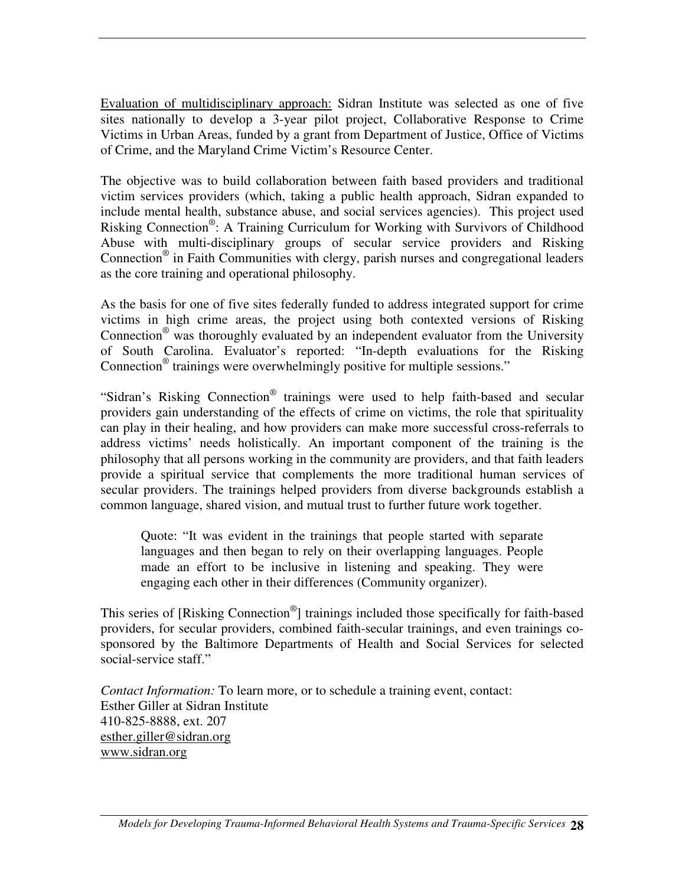Evaluation of multidisciplinary approach: Sidran Institute was selected as one of five sites nationally to develop a 3-year pilot project, Collaborative Response to Crime Victims in Urban Areas, funded by a grant from Department of Justice, Office of Victims of Crime, and the Maryland Crime Victim's Resource Center.

The objective was to build collaboration between faith based providers and traditional victim services providers (which, taking a public health approach, Sidran expanded to include mental health, substance abuse, and social services agencies). This project used Risking Connection®: A Training Curriculum for Working with Survivors of Childhood Abuse with multi-disciplinary groups of secular service providers and Risking Connection ® in Faith Communities with clergy, parish nurses and congregational leaders as the core training and operational philosophy.

As the basis for one of five sites federally funded to address integrated support for crime victims in high crime areas, the project using both contexted versions of Risking Connection<sup>®</sup> was thoroughly evaluated by an independent evaluator from the University of South Carolina. Evaluator's reported: "In-depth evaluations for the Risking Connection<sup>®</sup> trainings were overwhelmingly positive for multiple sessions."

"Sidran's Risking Connection ® trainings were used to help faith-based and secular providers gain understanding of the effects of crime on victims, the role that spirituality can play in their healing, and how providers can make more successful cross-referrals to address victims' needs holistically. An important component of the training is the philosophy that all persons working in the community are providers, and that faith leaders provide a spiritual service that complements the more traditional human services of secular providers. The trainings helped providers from diverse backgrounds establish a common language, shared vision, and mutual trust to further future work together.

Quote: "It was evident in the trainings that people started with separate languages and then began to rely on their overlapping languages. People made an effort to be inclusive in listening and speaking. They were engaging each other in their differences (Community organizer).

This series of [Risking Connection<sup>®</sup>] trainings included those specifically for faith-based providers, for secular providers, combined faith-secular trainings, and even trainings cosponsored by the Baltimore Departments of Health and Social Services for selected social-service staff."

*Contact Information:* To learn more, or to schedule a training event, contact: Esther Giller at Sidran Institute 410-825-8888, ext. 207 esther.giller@sidran.org www.sidran.org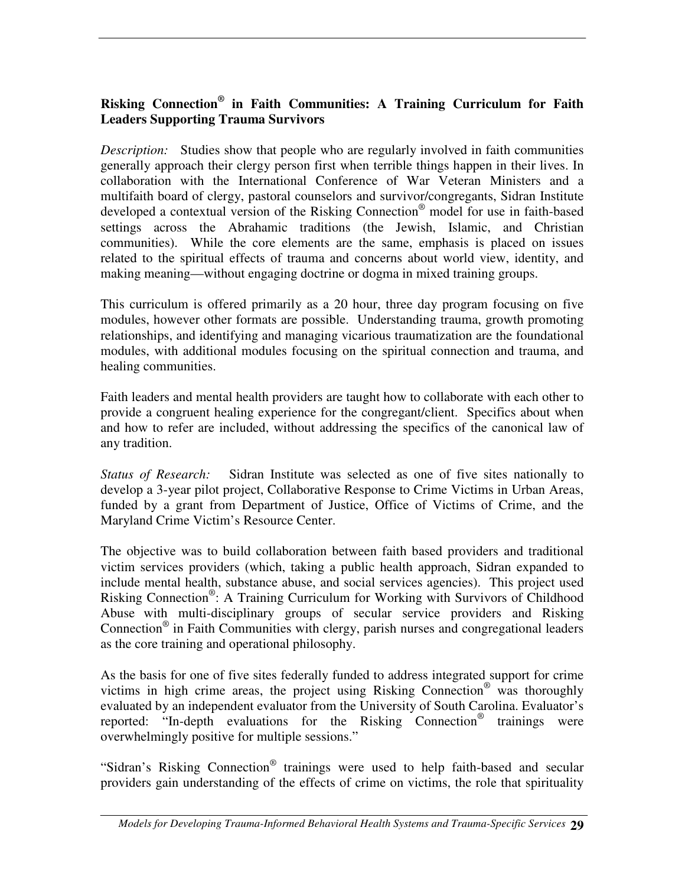#### **Risking Connection ® in Faith Communities: A Training Curriculum for Faith Leaders Supporting Trauma Survivors**

*Description:* Studies show that people who are regularly involved in faith communities generally approach their clergy person first when terrible things happen in their lives. In collaboration with the International Conference of War Veteran Ministers and a multifaith board of clergy, pastoral counselors and survivor/congregants, Sidran Institute developed a contextual version of the Risking Connection ® model for use in faith-based settings across the Abrahamic traditions (the Jewish, Islamic, and Christian communities). While the core elements are the same, emphasis is placed on issues related to the spiritual effects of trauma and concerns about world view, identity, and making meaning—without engaging doctrine or dogma in mixed training groups.

This curriculum is offered primarily as a 20 hour, three day program focusing on five modules, however other formats are possible. Understanding trauma, growth promoting relationships, and identifying and managing vicarious traumatization are the foundational modules, with additional modules focusing on the spiritual connection and trauma, and healing communities.

Faith leaders and mental health providers are taught how to collaborate with each other to provide a congruent healing experience for the congregant/client. Specifics about when and how to refer are included, without addressing the specifics of the canonical law of any tradition.

*Status of Research:* Sidran Institute was selected as one of five sites nationally to develop a 3-year pilot project, Collaborative Response to Crime Victims in Urban Areas, funded by a grant from Department of Justice, Office of Victims of Crime, and the Maryland Crime Victim's Resource Center.

The objective was to build collaboration between faith based providers and traditional victim services providers (which, taking a public health approach, Sidran expanded to include mental health, substance abuse, and social services agencies). This project used Risking Connection®: A Training Curriculum for Working with Survivors of Childhood Abuse with multi-disciplinary groups of secular service providers and Risking Connection ® in Faith Communities with clergy, parish nurses and congregational leaders as the core training and operational philosophy.

As the basis for one of five sites federally funded to address integrated support for crime victims in high crime areas, the project using Risking Connection® was thoroughly evaluated by an independent evaluator from the University of South Carolina. Evaluator's reported: "In-depth evaluations for the Risking Connection<sup>®</sup> trainings were overwhelmingly positive for multiple sessions."

"Sidran's Risking Connection ® trainings were used to help faith-based and secular providers gain understanding of the effects of crime on victims, the role that spirituality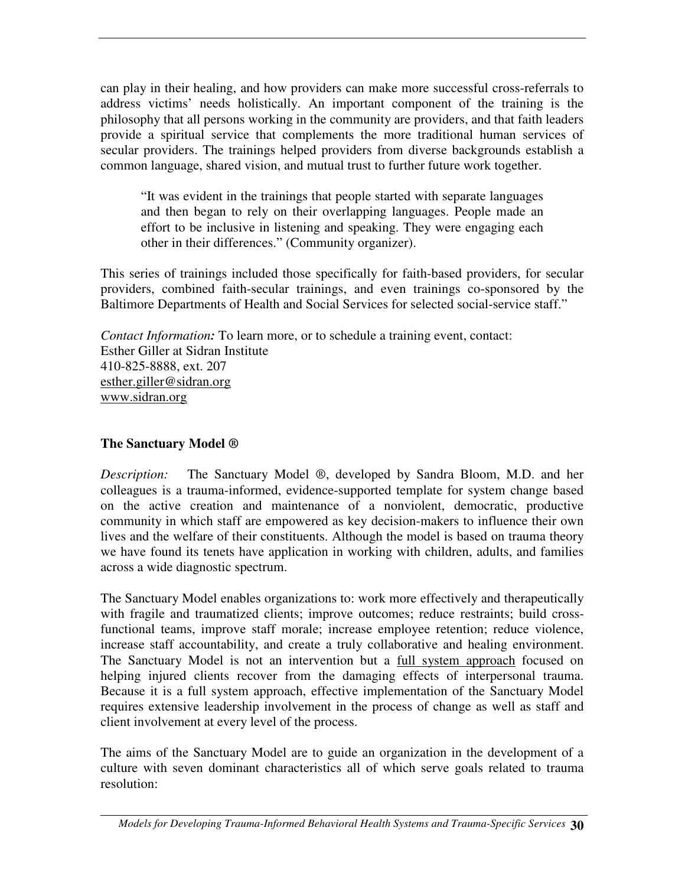can play in their healing, and how providers can make more successful cross-referrals to address victims' needs holistically. An important component of the training is the philosophy that all persons working in the community are providers, and that faith leaders provide a spiritual service that complements the more traditional human services of secular providers. The trainings helped providers from diverse backgrounds establish a common language, shared vision, and mutual trust to further future work together.

"It was evident in the trainings that people started with separate languages and then began to rely on their overlapping languages. People made an effort to be inclusive in listening and speaking. They were engaging each other in their differences." (Community organizer).

This series of trainings included those specifically for faith-based providers, for secular providers, combined faith-secular trainings, and even trainings co-sponsored by the Baltimore Departments of Health and Social Services for selected social-service staff."

*Contact Information:* To learn more, or to schedule a training event, contact: Esther Giller at Sidran Institute 410-825-8888, ext. 207 esther.giller@sidran.org www.sidran.org

#### **The Sanctuary Model ®**

*Description:* The Sanctuary Model ®, developed by Sandra Bloom, M.D. and her colleagues is a trauma-informed, evidence-supported template for system change based on the active creation and maintenance of a nonviolent, democratic, productive community in which staff are empowered as key decision-makers to influence their own lives and the welfare of their constituents. Although the model is based on trauma theory we have found its tenets have application in working with children, adults, and families across a wide diagnostic spectrum.

The Sanctuary Model enables organizations to: work more effectively and therapeutically with fragile and traumatized clients; improve outcomes; reduce restraints; build crossfunctional teams, improve staff morale; increase employee retention; reduce violence, increase staff accountability, and create a truly collaborative and healing environment. The Sanctuary Model is not an intervention but a full system approach focused on helping injured clients recover from the damaging effects of interpersonal trauma. Because it is a full system approach, effective implementation of the Sanctuary Model requires extensive leadership involvement in the process of change as well as staff and client involvement at every level of the process.

The aims of the Sanctuary Model are to guide an organization in the development of a culture with seven dominant characteristics all of which serve goals related to trauma resolution: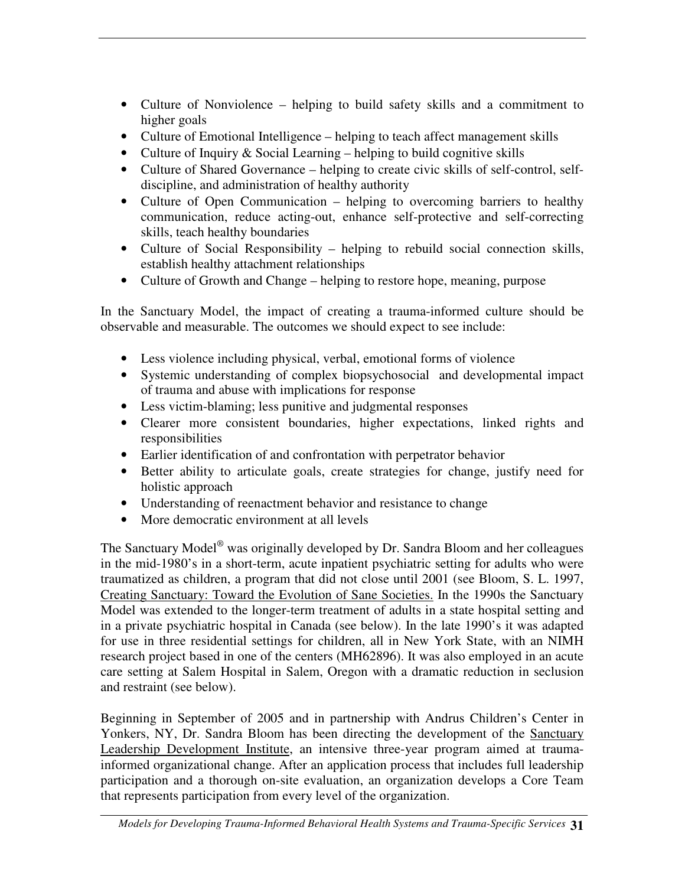- Culture of Nonviolence helping to build safety skills and a commitment to higher goals
- Culture of Emotional Intelligence helping to teach affect management skills
- Culture of Inquiry & Social Learning helping to build cognitive skills
- Culture of Shared Governance helping to create civic skills of self-control, selfdiscipline, and administration of healthy authority
- Culture of Open Communication helping to overcoming barriers to healthy communication, reduce acting-out, enhance self-protective and self-correcting skills, teach healthy boundaries
- Culture of Social Responsibility helping to rebuild social connection skills, establish healthy attachment relationships
- Culture of Growth and Change helping to restore hope, meaning, purpose

In the Sanctuary Model, the impact of creating a trauma-informed culture should be observable and measurable. The outcomes we should expect to see include:

- Less violence including physical, verbal, emotional forms of violence
- Systemic understanding of complex biopsychosocial and developmental impact of trauma and abuse with implications for response
- Less victim-blaming; less punitive and judgmental responses
- Clearer more consistent boundaries, higher expectations, linked rights and responsibilities
- Earlier identification of and confrontation with perpetrator behavior
- Better ability to articulate goals, create strategies for change, justify need for holistic approach
- Understanding of reenactment behavior and resistance to change
- More democratic environment at all levels

The Sanctuary Model<sup>®</sup> was originally developed by Dr. Sandra Bloom and her colleagues in the mid-1980's in a short-term, acute inpatient psychiatric setting for adults who were traumatized as children, a program that did not close until 2001 (see Bloom, S. L. 1997, Creating Sanctuary: Toward the Evolution of Sane Societies. In the 1990s the Sanctuary Model was extended to the longer-term treatment of adults in a state hospital setting and in a private psychiatric hospital in Canada (see below). In the late 1990's it was adapted for use in three residential settings for children, all in New York State, with an NIMH research project based in one of the centers (MH62896). It was also employed in an acute care setting at Salem Hospital in Salem, Oregon with a dramatic reduction in seclusion and restraint (see below).

Beginning in September of 2005 and in partnership with Andrus Children's Center in Yonkers, NY, Dr. Sandra Bloom has been directing the development of the Sanctuary Leadership Development Institute, an intensive three-year program aimed at traumainformed organizational change. After an application process that includes full leadership participation and a thorough on-site evaluation, an organization develops a Core Team that represents participation from every level of the organization.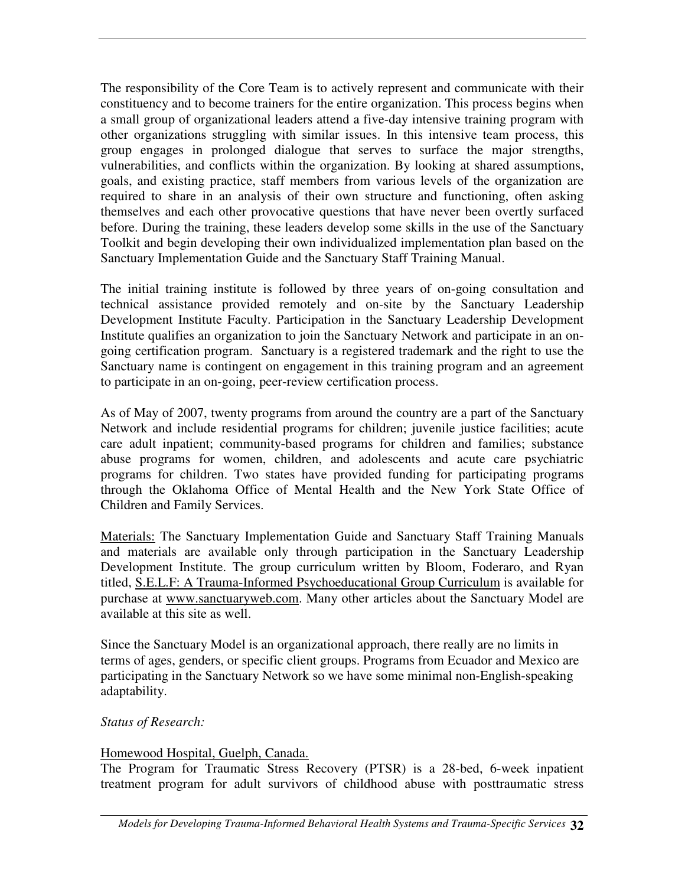The responsibility of the Core Team is to actively represent and communicate with their constituency and to become trainers for the entire organization. This process begins when a small group of organizational leaders attend a five-day intensive training program with other organizations struggling with similar issues. In this intensive team process, this group engages in prolonged dialogue that serves to surface the major strengths, vulnerabilities, and conflicts within the organization. By looking at shared assumptions, goals, and existing practice, staff members from various levels of the organization are required to share in an analysis of their own structure and functioning, often asking themselves and each other provocative questions that have never been overtly surfaced before. During the training, these leaders develop some skills in the use of the Sanctuary Toolkit and begin developing their own individualized implementation plan based on the Sanctuary Implementation Guide and the Sanctuary Staff Training Manual.

The initial training institute is followed by three years of on-going consultation and technical assistance provided remotely and on-site by the Sanctuary Leadership Development Institute Faculty. Participation in the Sanctuary Leadership Development Institute qualifies an organization to join the Sanctuary Network and participate in an ongoing certification program. Sanctuary is a registered trademark and the right to use the Sanctuary name is contingent on engagement in this training program and an agreement to participate in an on-going, peer-review certification process.

As of May of 2007, twenty programs from around the country are a part of the Sanctuary Network and include residential programs for children; juvenile justice facilities; acute care adult inpatient; community-based programs for children and families; substance abuse programs for women, children, and adolescents and acute care psychiatric programs for children. Two states have provided funding for participating programs through the Oklahoma Office of Mental Health and the New York State Office of Children and Family Services.

Materials: The Sanctuary Implementation Guide and Sanctuary Staff Training Manuals and materials are available only through participation in the Sanctuary Leadership Development Institute. The group curriculum written by Bloom, Foderaro, and Ryan titled, S.E.L.F: A Trauma-Informed Psychoeducational Group Curriculum is available for purchase at www.sanctuaryweb.com. Many other articles about the Sanctuary Model are available at this site as well.

Since the Sanctuary Model is an organizational approach, there really are no limits in terms of ages, genders, or specific client groups. Programs from Ecuador and Mexico are participating in the Sanctuary Network so we have some minimal non-English-speaking adaptability.

#### *Status of Research:*

#### Homewood Hospital, Guelph, Canada.

The Program for Traumatic Stress Recovery (PTSR) is a 28-bed, 6-week inpatient treatment program for adult survivors of childhood abuse with posttraumatic stress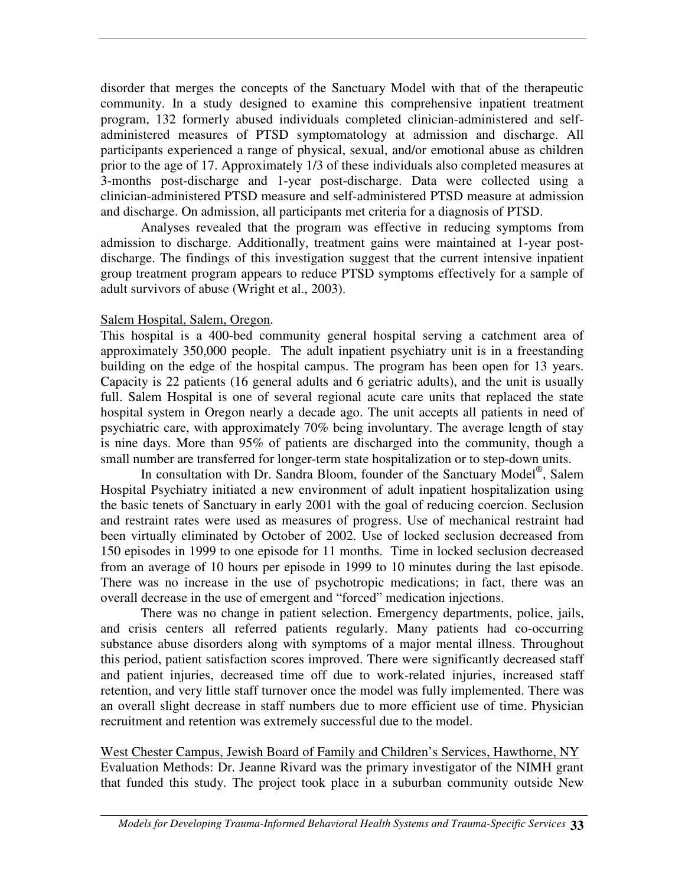disorder that merges the concepts of the Sanctuary Model with that of the therapeutic community. In a study designed to examine this comprehensive inpatient treatment program, 132 formerly abused individuals completed clinician-administered and selfadministered measures of PTSD symptomatology at admission and discharge. All participants experienced a range of physical, sexual, and/or emotional abuse as children prior to the age of 17. Approximately 1/3 of these individuals also completed measures at 3-months post-discharge and 1-year post-discharge. Data were collected using a clinician-administered PTSD measure and self-administered PTSD measure at admission and discharge. On admission, all participants met criteria for a diagnosis of PTSD.

Analyses revealed that the program was effective in reducing symptoms from admission to discharge. Additionally, treatment gains were maintained at 1-year postdischarge. The findings of this investigation suggest that the current intensive inpatient group treatment program appears to reduce PTSD symptoms effectively for a sample of adult survivors of abuse (Wright et al., 2003).

#### Salem Hospital, Salem, Oregon.

This hospital is a 400-bed community general hospital serving a catchment area of approximately 350,000 people. The adult inpatient psychiatry unit is in a freestanding building on the edge of the hospital campus. The program has been open for 13 years. Capacity is 22 patients (16 general adults and 6 geriatric adults), and the unit is usually full. Salem Hospital is one of several regional acute care units that replaced the state hospital system in Oregon nearly a decade ago. The unit accepts all patients in need of psychiatric care, with approximately 70% being involuntary. The average length of stay is nine days. More than 95% of patients are discharged into the community, though a small number are transferred for longer-term state hospitalization or to step-down units.

In consultation with Dr. Sandra Bloom, founder of the Sanctuary Model®, Salem Hospital Psychiatry initiated a new environment of adult inpatient hospitalization using the basic tenets of Sanctuary in early 2001 with the goal of reducing coercion. Seclusion and restraint rates were used as measures of progress. Use of mechanical restraint had been virtually eliminated by October of 2002. Use of locked seclusion decreased from 150 episodes in 1999 to one episode for 11 months. Time in locked seclusion decreased from an average of 10 hours per episode in 1999 to 10 minutes during the last episode. There was no increase in the use of psychotropic medications; in fact, there was an overall decrease in the use of emergent and "forced" medication injections.

There was no change in patient selection. Emergency departments, police, jails, and crisis centers all referred patients regularly. Many patients had co-occurring substance abuse disorders along with symptoms of a major mental illness. Throughout this period, patient satisfaction scores improved. There were significantly decreased staff and patient injuries, decreased time off due to work-related injuries, increased staff retention, and very little staff turnover once the model was fully implemented. There was an overall slight decrease in staff numbers due to more efficient use of time. Physician recruitment and retention was extremely successful due to the model.

West Chester Campus, Jewish Board of Family and Children's Services, Hawthorne, NY Evaluation Methods: Dr. Jeanne Rivard was the primary investigator of the NIMH grant that funded this study. The project took place in a suburban community outside New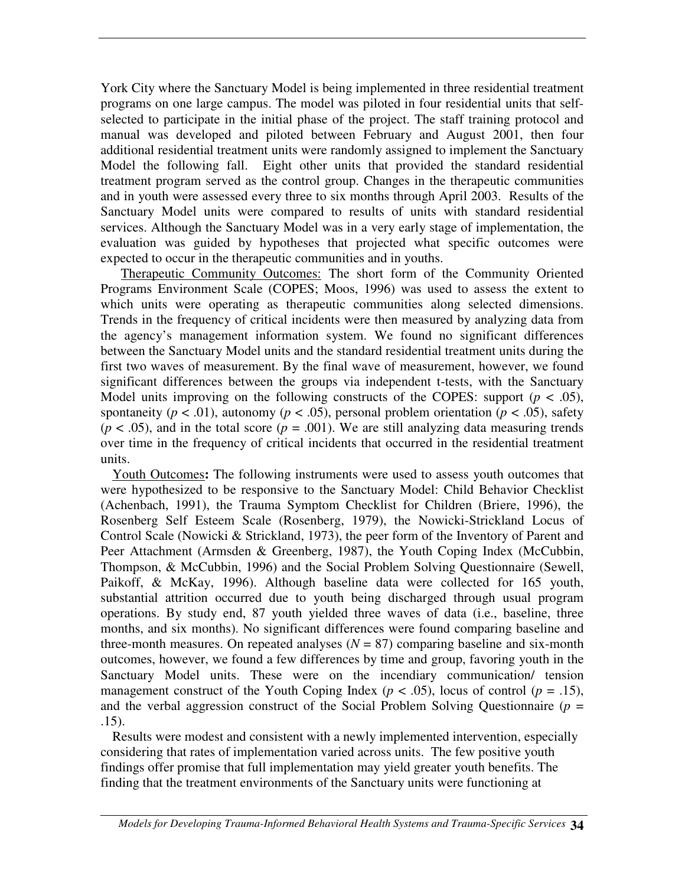York City where the Sanctuary Model is being implemented in three residential treatment programs on one large campus. The model was piloted in four residential units that selfselected to participate in the initial phase of the project. The staff training protocol and manual was developed and piloted between February and August 2001, then four additional residential treatment units were randomly assigned to implement the Sanctuary Model the following fall. Eight other units that provided the standard residential treatment program served as the control group. Changes in the therapeutic communities and in youth were assessed every three to six months through April 2003. Results of the Sanctuary Model units were compared to results of units with standard residential services. Although the Sanctuary Model was in a very early stage of implementation, the evaluation was guided by hypotheses that projected what specific outcomes were expected to occur in the therapeutic communities and in youths.

Therapeutic Community Outcomes: The short form of the Community Oriented Programs Environment Scale (COPES; Moos, 1996) was used to assess the extent to which units were operating as therapeutic communities along selected dimensions. Trends in the frequency of critical incidents were then measured by analyzing data from the agency's management information system. We found no significant differences between the Sanctuary Model units and the standard residential treatment units during the first two waves of measurement. By the final wave of measurement, however, we found significant differences between the groups via independent t-tests, with the Sanctuary Model units improving on the following constructs of the COPES: support ( $p < .05$ ), spontaneity ( $p < .01$ ), autonomy ( $p < .05$ ), personal problem orientation ( $p < .05$ ), safety  $(p < .05)$ , and in the total score  $(p = .001)$ . We are still analyzing data measuring trends over time in the frequency of critical incidents that occurred in the residential treatment units.

Youth Outcomes**:** The following instruments were used to assess youth outcomes that were hypothesized to be responsive to the Sanctuary Model: Child Behavior Checklist (Achenbach, 1991), the Trauma Symptom Checklist for Children (Briere, 1996), the Rosenberg Self Esteem Scale (Rosenberg, 1979), the Nowicki-Strickland Locus of Control Scale (Nowicki & Strickland, 1973), the peer form of the Inventory of Parent and Peer Attachment (Armsden & Greenberg, 1987), the Youth Coping Index (McCubbin, Thompson, & McCubbin, 1996) and the Social Problem Solving Questionnaire (Sewell, Paikoff, & McKay, 1996). Although baseline data were collected for 165 youth, substantial attrition occurred due to youth being discharged through usual program operations. By study end, 87 youth yielded three waves of data (i.e., baseline, three months, and six months). No significant differences were found comparing baseline and three-month measures. On repeated analyses  $(N = 87)$  comparing baseline and six-month outcomes, however, we found a few differences by time and group, favoring youth in the Sanctuary Model units. These were on the incendiary communication/ tension management construct of the Youth Coping Index ( $p < .05$ ), locus of control ( $p = .15$ ), and the verbal aggression construct of the Social Problem Solving Questionnaire ( $p =$ .15).

Results were modest and consistent with a newly implemented intervention, especially considering that rates of implementation varied across units. The few positive youth findings offer promise that full implementation may yield greater youth benefits. The finding that the treatment environments of the Sanctuary units were functioning at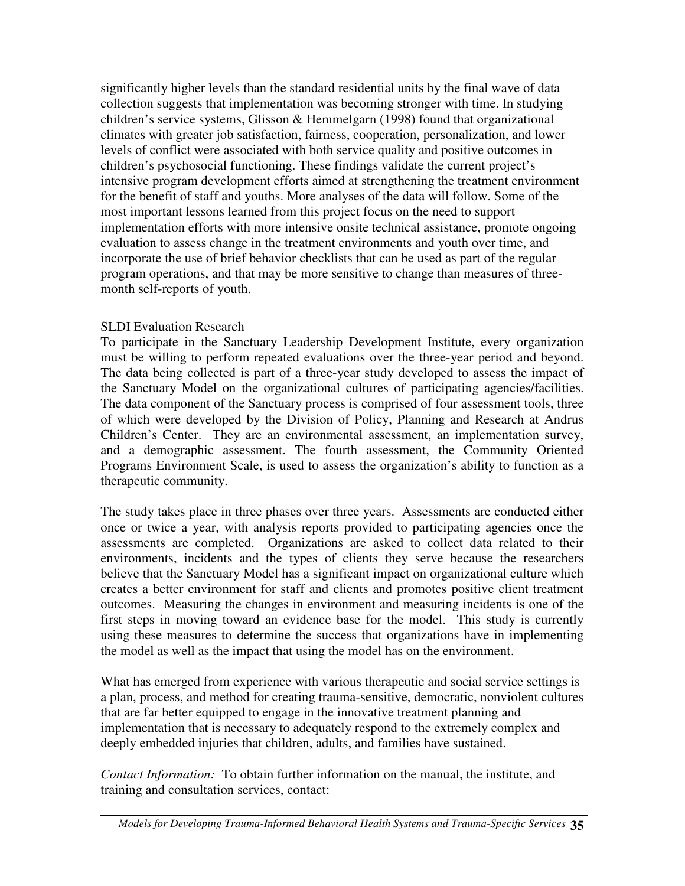significantly higher levels than the standard residential units by the final wave of data collection suggests that implementation was becoming stronger with time. In studying children's service systems, Glisson & Hemmelgarn (1998) found that organizational climates with greater job satisfaction, fairness, cooperation, personalization, and lower levels of conflict were associated with both service quality and positive outcomes in children's psychosocial functioning. These findings validate the current project's intensive program development efforts aimed at strengthening the treatment environment for the benefit of staff and youths. More analyses of the data will follow. Some of the most important lessons learned from this project focus on the need to support implementation efforts with more intensive onsite technical assistance, promote ongoing evaluation to assess change in the treatment environments and youth over time, and incorporate the use of brief behavior checklists that can be used as part of the regular program operations, and that may be more sensitive to change than measures of threemonth self-reports of youth.

#### SLDI Evaluation Research

To participate in the Sanctuary Leadership Development Institute, every organization must be willing to perform repeated evaluations over the three-year period and beyond. The data being collected is part of a three-year study developed to assess the impact of the Sanctuary Model on the organizational cultures of participating agencies/facilities. The data component of the Sanctuary process is comprised of four assessment tools, three of which were developed by the Division of Policy, Planning and Research at Andrus Children's Center. They are an environmental assessment, an implementation survey, and a demographic assessment. The fourth assessment, the Community Oriented Programs Environment Scale, is used to assess the organization's ability to function as a therapeutic community.

The study takes place in three phases over three years. Assessments are conducted either once or twice a year, with analysis reports provided to participating agencies once the assessments are completed. Organizations are asked to collect data related to their environments, incidents and the types of clients they serve because the researchers believe that the Sanctuary Model has a significant impact on organizational culture which creates a better environment for staff and clients and promotes positive client treatment outcomes. Measuring the changes in environment and measuring incidents is one of the first steps in moving toward an evidence base for the model. This study is currently using these measures to determine the success that organizations have in implementing the model as well as the impact that using the model has on the environment.

What has emerged from experience with various therapeutic and social service settings is a plan, process, and method for creating trauma-sensitive, democratic, nonviolent cultures that are far better equipped to engage in the innovative treatment planning and implementation that is necessary to adequately respond to the extremely complex and deeply embedded injuries that children, adults, and families have sustained.

*Contact Information:* To obtain further information on the manual, the institute, and training and consultation services, contact: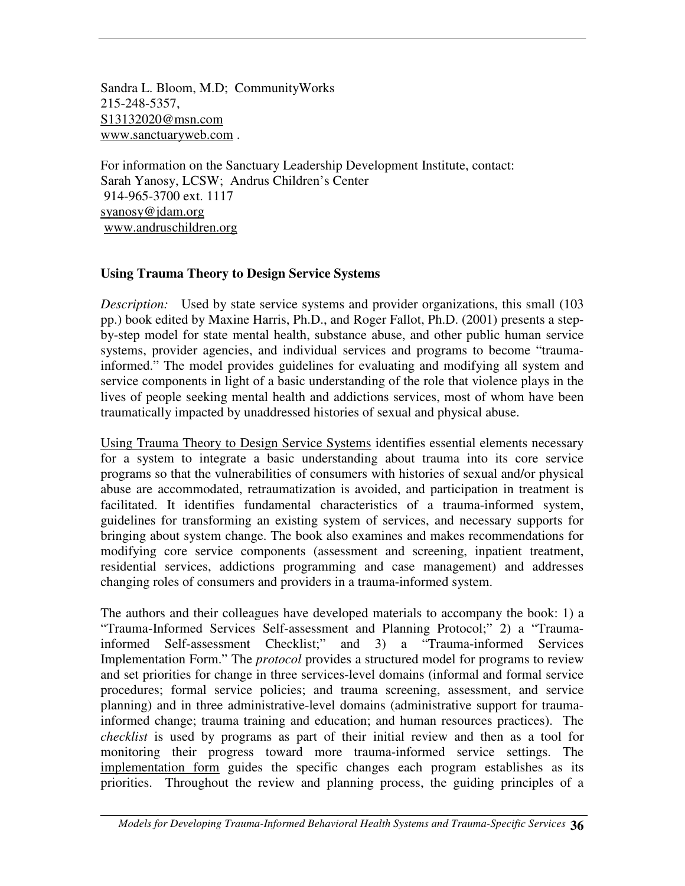Sandra L. Bloom, M.D; CommunityWorks 215-248-5357, S13132020@msn.com www.sanctuaryweb.com .

For information on the Sanctuary Leadership Development Institute, contact: Sarah Yanosy, LCSW; Andrus Children's Center 914-965-3700 ext. 1117 syanosy@jdam.org www.andruschildren.org

#### **Using Trauma Theory to Design Service Systems**

*Description:* Used by state service systems and provider organizations, this small (103) pp.) book edited by Maxine Harris, Ph.D., and Roger Fallot, Ph.D. (2001) presents a stepby-step model for state mental health, substance abuse, and other public human service systems, provider agencies, and individual services and programs to become "traumainformed." The model provides guidelines for evaluating and modifying all system and service components in light of a basic understanding of the role that violence plays in the lives of people seeking mental health and addictions services, most of whom have been traumatically impacted by unaddressed histories of sexual and physical abuse.

Using Trauma Theory to Design Service Systems identifies essential elements necessary for a system to integrate a basic understanding about trauma into its core service programs so that the vulnerabilities of consumers with histories of sexual and/or physical abuse are accommodated, retraumatization is avoided, and participation in treatment is facilitated. It identifies fundamental characteristics of a trauma-informed system, guidelines for transforming an existing system of services, and necessary supports for bringing about system change. The book also examines and makes recommendations for modifying core service components (assessment and screening, inpatient treatment, residential services, addictions programming and case management) and addresses changing roles of consumers and providers in a trauma-informed system.

The authors and their colleagues have developed materials to accompany the book: 1) a "Trauma-Informed Services Self-assessment and Planning Protocol;" 2) a "Traumainformed Self-assessment Checklist;" and 3) a "Trauma-informed Services Implementation Form." The *protocol* provides a structured model for programs to review and set priorities for change in three services-level domains (informal and formal service procedures; formal service policies; and trauma screening, assessment, and service planning) and in three administrative-level domains (administrative support for traumainformed change; trauma training and education; and human resources practices). The *checklist* is used by programs as part of their initial review and then as a tool for monitoring their progress toward more trauma-informed service settings. The implementation form guides the specific changes each program establishes as its priorities. Throughout the review and planning process, the guiding principles of a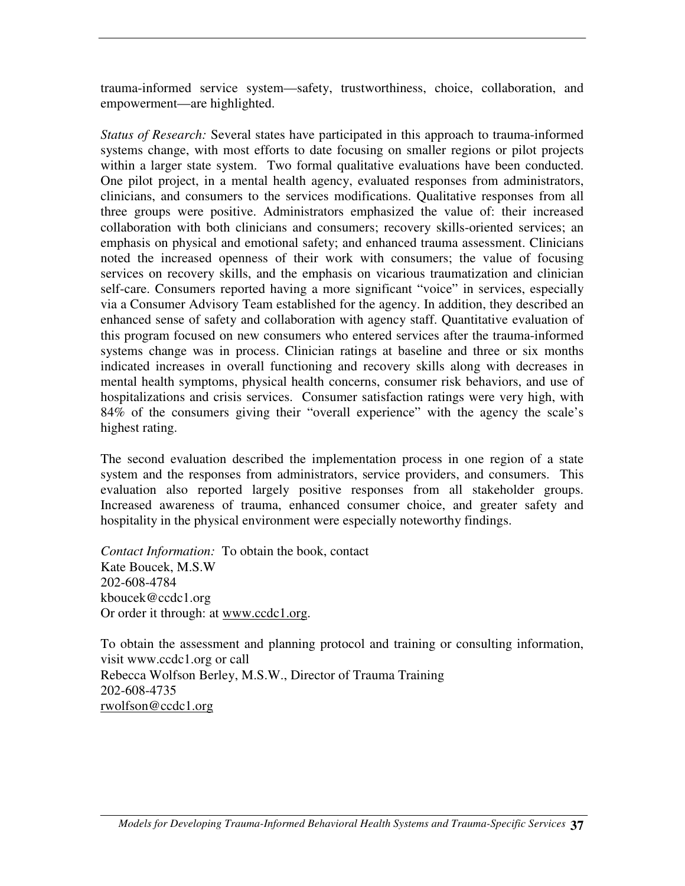trauma-informed service system—safety, trustworthiness, choice, collaboration, and empowerment—are highlighted.

*Status of Research:* Several states have participated in this approach to trauma-informed systems change, with most efforts to date focusing on smaller regions or pilot projects within a larger state system. Two formal qualitative evaluations have been conducted. One pilot project, in a mental health agency, evaluated responses from administrators, clinicians, and consumers to the services modifications. Qualitative responses from all three groups were positive. Administrators emphasized the value of: their increased collaboration with both clinicians and consumers; recovery skills-oriented services; an emphasis on physical and emotional safety; and enhanced trauma assessment. Clinicians noted the increased openness of their work with consumers; the value of focusing services on recovery skills, and the emphasis on vicarious traumatization and clinician self-care. Consumers reported having a more significant "voice" in services, especially via a Consumer Advisory Team established for the agency. In addition, they described an enhanced sense of safety and collaboration with agency staff. Quantitative evaluation of this program focused on new consumers who entered services after the trauma-informed systems change was in process. Clinician ratings at baseline and three or six months indicated increases in overall functioning and recovery skills along with decreases in mental health symptoms, physical health concerns, consumer risk behaviors, and use of hospitalizations and crisis services. Consumer satisfaction ratings were very high, with 84% of the consumers giving their "overall experience" with the agency the scale's highest rating.

The second evaluation described the implementation process in one region of a state system and the responses from administrators, service providers, and consumers. This evaluation also reported largely positive responses from all stakeholder groups. Increased awareness of trauma, enhanced consumer choice, and greater safety and hospitality in the physical environment were especially noteworthy findings.

*Contact Information:* To obtain the book, contact Kate Boucek, M.S.W 202-608-4784 kboucek@ccdc1.org Or order it through: at www.ccdc1.org.

To obtain the assessment and planning protocol and training or consulting information, visit www.ccdc1.org or call Rebecca Wolfson Berley, M.S.W., Director of Trauma Training 202-608-4735 rwolfson@ccdc1.org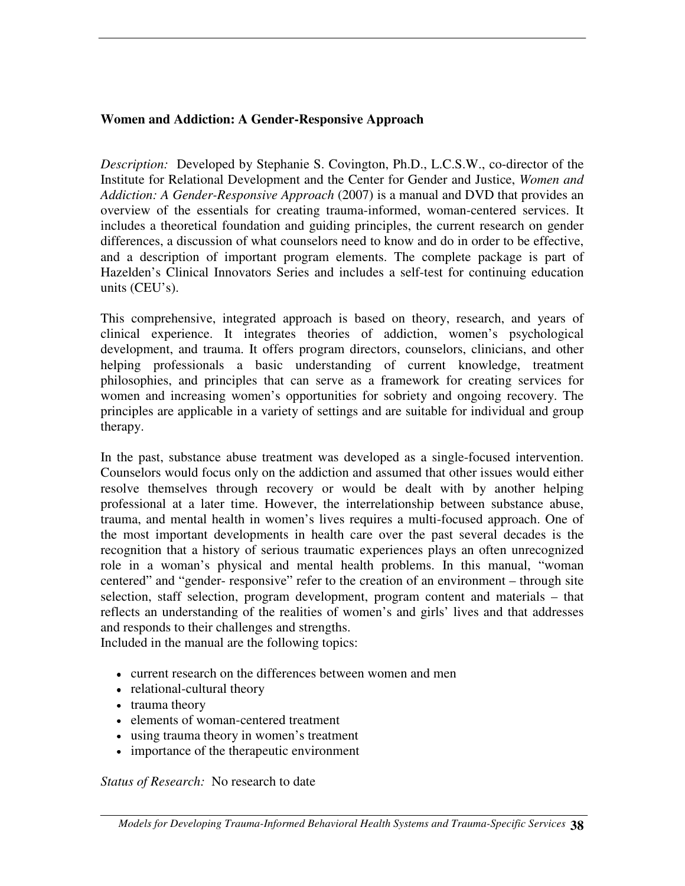## **Women and Addiction: A Gender-Responsive Approach**

*Description:* Developed by Stephanie S. Covington, Ph.D., L.C.S.W., co-director of the Institute for Relational Development and the Center for Gender and Justice, *Women and Addiction: A Gender-Responsive Approach* (2007) is a manual and DVD that provides an overview of the essentials for creating trauma-informed, woman-centered services. It includes a theoretical foundation and guiding principles, the current research on gender differences, a discussion of what counselors need to know and do in order to be effective, and a description of important program elements. The complete package is part of Hazelden's Clinical Innovators Series and includes a self-test for continuing education units (CEU's).

This comprehensive, integrated approach is based on theory, research, and years of clinical experience. It integrates theories of addiction, women's psychological development, and trauma. It offers program directors, counselors, clinicians, and other helping professionals a basic understanding of current knowledge, treatment philosophies, and principles that can serve as a framework for creating services for women and increasing women's opportunities for sobriety and ongoing recovery. The principles are applicable in a variety of settings and are suitable for individual and group therapy.

In the past, substance abuse treatment was developed as a single-focused intervention. Counselors would focus only on the addiction and assumed that other issues would either resolve themselves through recovery or would be dealt with by another helping professional at a later time. However, the interrelationship between substance abuse, trauma, and mental health in women's lives requires a multi-focused approach. One of the most important developments in health care over the past several decades is the recognition that a history of serious traumatic experiences plays an often unrecognized role in a woman's physical and mental health problems. In this manual, "woman centered" and "gender- responsive" refer to the creation of an environment – through site selection, staff selection, program development, program content and materials – that reflects an understanding of the realities of women's and girls' lives and that addresses and responds to their challenges and strengths.

Included in the manual are the following topics:

- current research on the differences between women and men
- relational-cultural theory
- trauma theory
- elements of woman-centered treatment
- using trauma theory in women's treatment
- importance of the therapeutic environment

*Status of Research:* No research to date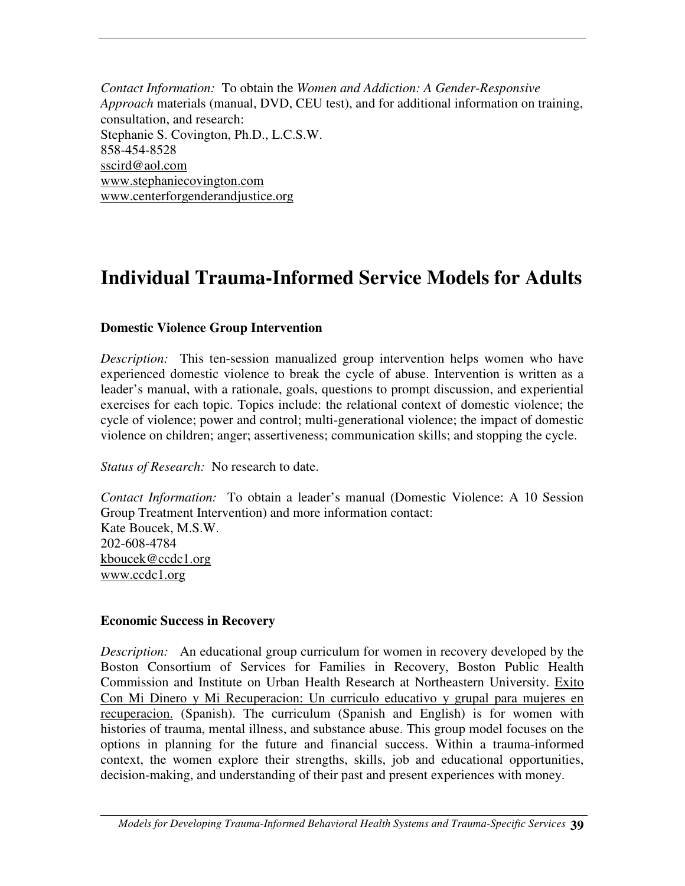*Contact Information:* To obtain the *Women and Addiction: A Gender-Responsive Approach* materials (manual, DVD, CEU test), and for additional information on training, consultation, and research: Stephanie S. Covington, Ph.D., L.C.S.W. 858-454-8528 sscird@aol.com www.stephaniecovington.com www.centerforgenderandjustice.org

# **Individual Trauma-Informed Service Models for Adults**

## **Domestic Violence Group Intervention**

*Description:* This ten-session manualized group intervention helps women who have experienced domestic violence to break the cycle of abuse. Intervention is written as a leader's manual, with a rationale, goals, questions to prompt discussion, and experiential exercises for each topic. Topics include: the relational context of domestic violence; the cycle of violence; power and control; multi-generational violence; the impact of domestic violence on children; anger; assertiveness; communication skills; and stopping the cycle.

*Status of Research:* No research to date.

*Contact Information:* To obtain a leader's manual (Domestic Violence: A 10 Session Group Treatment Intervention) and more information contact: Kate Boucek, M.S.W. 202-608-4784 kboucek@ccdc1.org www.ccdc1.org

#### **Economic Success in Recovery**

*Description:* An educational group curriculum for women in recovery developed by the Boston Consortium of Services for Families in Recovery, Boston Public Health Commission and Institute on Urban Health Research at Northeastern University. Exito Con Mi Dinero y Mi Recuperacion: Un curriculo educativo y grupal para mujeres en recuperacion. (Spanish). The curriculum (Spanish and English) is for women with histories of trauma, mental illness, and substance abuse. This group model focuses on the options in planning for the future and financial success. Within a trauma-informed context, the women explore their strengths, skills, job and educational opportunities, decision-making, and understanding of their past and present experiences with money.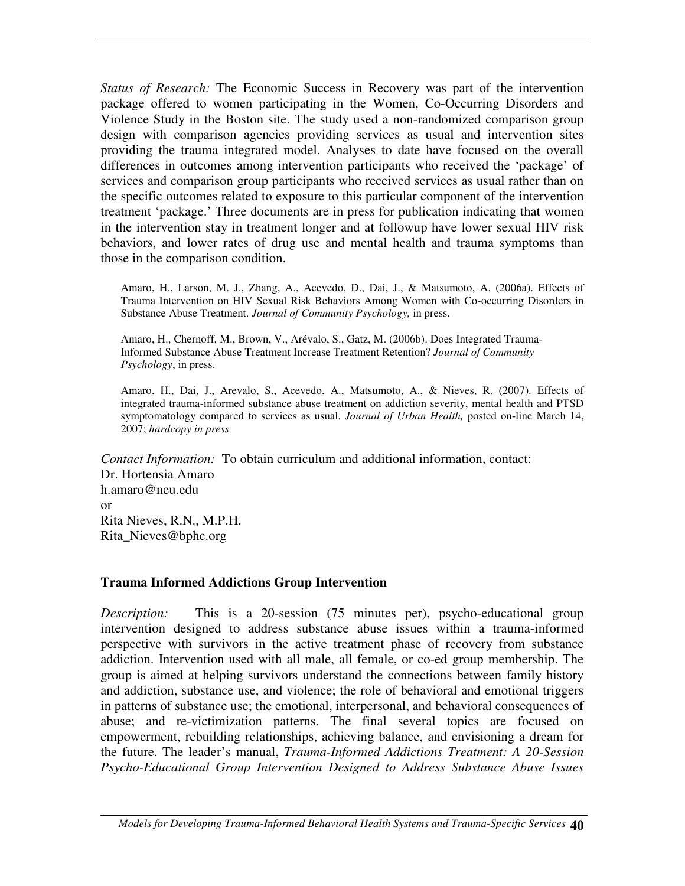*Status of Research:* The Economic Success in Recovery was part of the intervention package offered to women participating in the Women, Co-Occurring Disorders and Violence Study in the Boston site. The study used a non-randomized comparison group design with comparison agencies providing services as usual and intervention sites providing the trauma integrated model. Analyses to date have focused on the overall differences in outcomes among intervention participants who received the 'package' of services and comparison group participants who received services as usual rather than on the specific outcomes related to exposure to this particular component of the intervention treatment 'package.' Three documents are in press for publication indicating that women in the intervention stay in treatment longer and at followup have lower sexual HIV risk behaviors, and lower rates of drug use and mental health and trauma symptoms than those in the comparison condition.

Amaro, H., Larson, M. J., Zhang, A., Acevedo, D., Dai, J., & Matsumoto, A. (2006a). Effects of Trauma Intervention on HIV Sexual Risk Behaviors Among Women with Co-occurring Disorders in Substance Abuse Treatment. *Journal of Community Psychology,* in press.

Amaro, H., Chernoff, M., Brown, V., Arévalo, S., Gatz, M. (2006b). Does Integrated Trauma-Informed Substance Abuse Treatment Increase Treatment Retention? *Journal of Community Psychology*, in press.

Amaro, H., Dai, J., Arevalo, S., Acevedo, A., Matsumoto, A., & Nieves, R. (2007). Effects of integrated trauma-informed substance abuse treatment on addiction severity, mental health and PTSD symptomatology compared to services as usual. *Journal of Urban Health,* posted on-line March 14, 2007; *hardcopy in press*

*Contact Information:* To obtain curriculum and additional information, contact: Dr. Hortensia Amaro h.amaro@neu.edu or Rita Nieves, R.N., M.P.H. Rita\_Nieves@bphc.org

#### **Trauma Informed Addictions Group Intervention**

*Description:* This is a 20-session (75 minutes per), psycho-educational group intervention designed to address substance abuse issues within a trauma-informed perspective with survivors in the active treatment phase of recovery from substance addiction. Intervention used with all male, all female, or co-ed group membership. The group is aimed at helping survivors understand the connections between family history and addiction, substance use, and violence; the role of behavioral and emotional triggers in patterns of substance use; the emotional, interpersonal, and behavioral consequences of abuse; and re-victimization patterns. The final several topics are focused on empowerment, rebuilding relationships, achieving balance, and envisioning a dream for the future. The leader's manual, *Trauma-Informed Addictions Treatment: A 20-Session Psycho-Educational Group Intervention Designed to Address Substance Abuse Issues*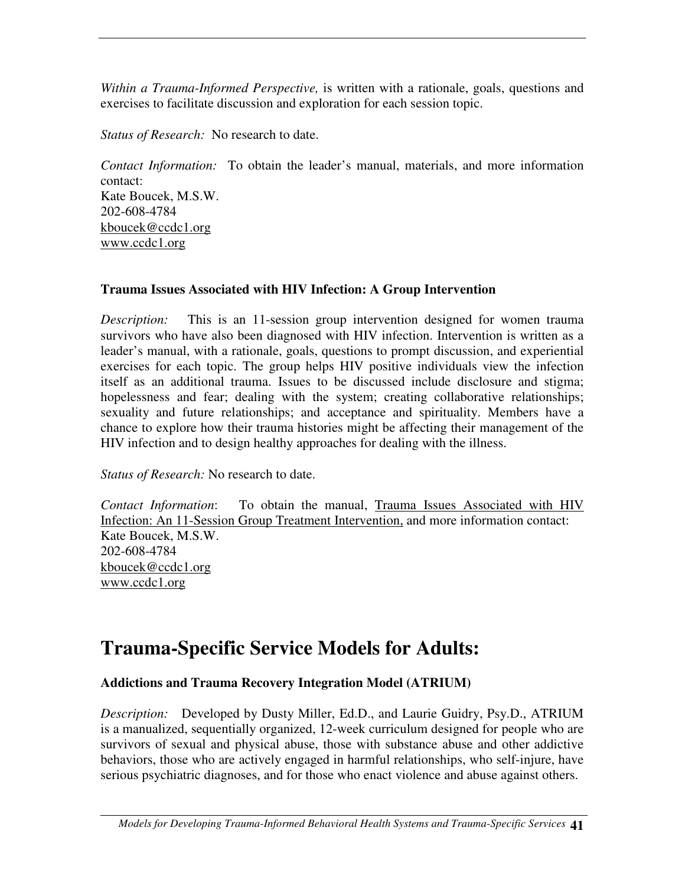*Within a Trauma-Informed Perspective,* is written with a rationale, goals, questions and exercises to facilitate discussion and exploration for each session topic.

*Status of Research:* No research to date.

*Contact Information:* To obtain the leader's manual, materials, and more information contact: Kate Boucek, M.S.W. 202-608-4784 kboucek@ccdc1.org www.ccdc1.org

# **Trauma Issues Associated with HIV Infection: A Group Intervention**

*Description:* This is an 11-session group intervention designed for women trauma survivors who have also been diagnosed with HIV infection. Intervention is written as a leader's manual, with a rationale, goals, questions to prompt discussion, and experiential exercises for each topic. The group helps HIV positive individuals view the infection itself as an additional trauma. Issues to be discussed include disclosure and stigma; hopelessness and fear; dealing with the system; creating collaborative relationships; sexuality and future relationships; and acceptance and spirituality. Members have a chance to explore how their trauma histories might be affecting their management of the HIV infection and to design healthy approaches for dealing with the illness.

*Status of Research:* No research to date.

*Contact Information*: To obtain the manual, Trauma Issues Associated with HIV Infection: An 11-Session Group Treatment Intervention, and more information contact: Kate Boucek, M.S.W. 202-608-4784 kboucek@ccdc1.org www.ccdc1.org

# **Trauma-Specific Service Models for Adults:**

# **Addictions and Trauma Recovery Integration Model (ATRIUM)**

*Description:* Developed by Dusty Miller, Ed.D., and Laurie Guidry, Psy.D., ATRIUM is a manualized, sequentially organized, 12-week curriculum designed for people who are survivors of sexual and physical abuse, those with substance abuse and other addictive behaviors, those who are actively engaged in harmful relationships, who self-injure, have serious psychiatric diagnoses, and for those who enact violence and abuse against others.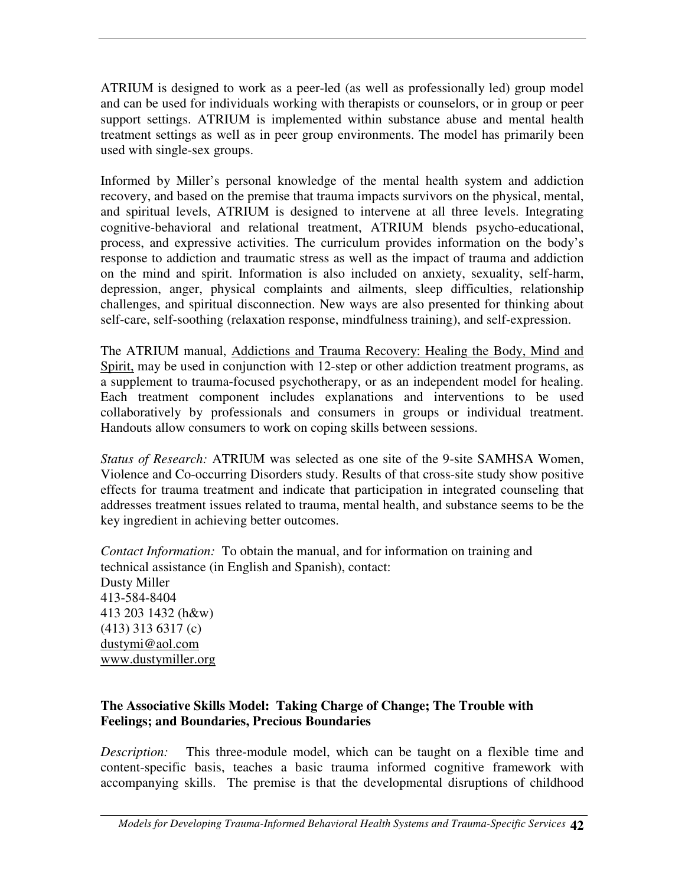ATRIUM is designed to work as a peer-led (as well as professionally led) group model and can be used for individuals working with therapists or counselors, or in group or peer support settings. ATRIUM is implemented within substance abuse and mental health treatment settings as well as in peer group environments. The model has primarily been used with single-sex groups.

Informed by Miller's personal knowledge of the mental health system and addiction recovery, and based on the premise that trauma impacts survivors on the physical, mental, and spiritual levels, ATRIUM is designed to intervene at all three levels. Integrating cognitive-behavioral and relational treatment, ATRIUM blends psycho-educational, process, and expressive activities. The curriculum provides information on the body's response to addiction and traumatic stress as well as the impact of trauma and addiction on the mind and spirit. Information is also included on anxiety, sexuality, self-harm, depression, anger, physical complaints and ailments, sleep difficulties, relationship challenges, and spiritual disconnection. New ways are also presented for thinking about self-care, self-soothing (relaxation response, mindfulness training), and self-expression.

The ATRIUM manual, Addictions and Trauma Recovery: Healing the Body, Mind and Spirit, may be used in conjunction with 12-step or other addiction treatment programs, as a supplement to trauma-focused psychotherapy, or as an independent model for healing. Each treatment component includes explanations and interventions to be used collaboratively by professionals and consumers in groups or individual treatment. Handouts allow consumers to work on coping skills between sessions.

*Status of Research:* ATRIUM was selected as one site of the 9-site SAMHSA Women, Violence and Co-occurring Disorders study. Results of that cross-site study show positive effects for trauma treatment and indicate that participation in integrated counseling that addresses treatment issues related to trauma, mental health, and substance seems to be the key ingredient in achieving better outcomes.

*Contact Information:* To obtain the manual, and for information on training and technical assistance (in English and Spanish), contact: Dusty Miller 413-584-8404 413 203 1432 (h&w) (413) 313 6317 (c) dustymi@aol.com www.dustymiller.org

## **The Associative Skills Model: Taking Charge of Change; The Trouble with Feelings; and Boundaries, Precious Boundaries**

*Description:* This three-module model, which can be taught on a flexible time and content-specific basis, teaches a basic trauma informed cognitive framework with accompanying skills. The premise is that the developmental disruptions of childhood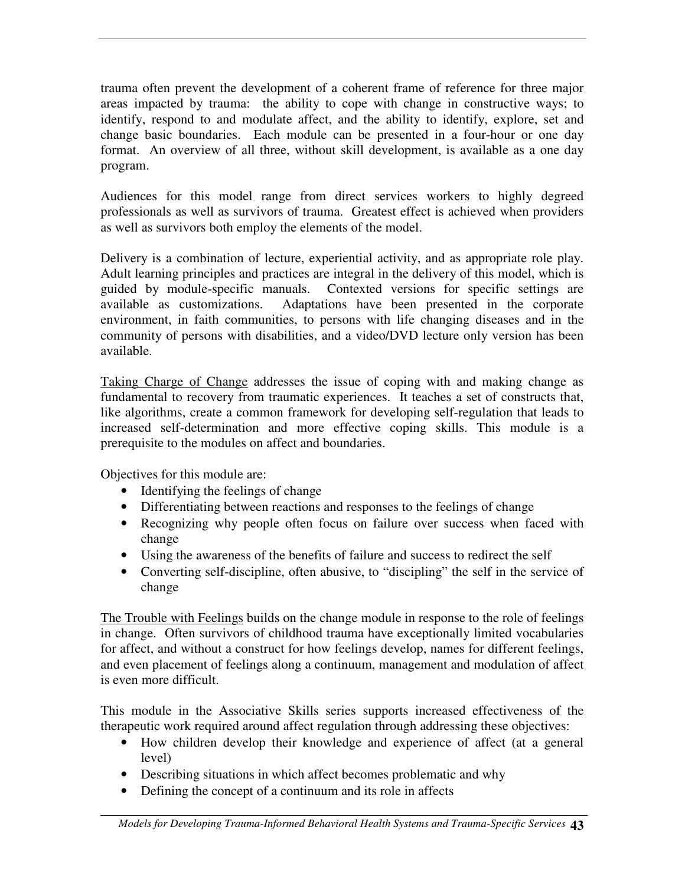trauma often prevent the development of a coherent frame of reference for three major areas impacted by trauma: the ability to cope with change in constructive ways; to identify, respond to and modulate affect, and the ability to identify, explore, set and change basic boundaries. Each module can be presented in a four-hour or one day format. An overview of all three, without skill development, is available as a one day program.

Audiences for this model range from direct services workers to highly degreed professionals as well as survivors of trauma. Greatest effect is achieved when providers as well as survivors both employ the elements of the model.

Delivery is a combination of lecture, experiential activity, and as appropriate role play. Adult learning principles and practices are integral in the delivery of this model, which is guided by module-specific manuals. Contexted versions for specific settings are available as customizations. Adaptations have been presented in the corporate environment, in faith communities, to persons with life changing diseases and in the community of persons with disabilities, and a video/DVD lecture only version has been available.

Taking Charge of Change addresses the issue of coping with and making change as fundamental to recovery from traumatic experiences. It teaches a set of constructs that, like algorithms, create a common framework for developing self-regulation that leads to increased self-determination and more effective coping skills. This module is a prerequisite to the modules on affect and boundaries.

Objectives for this module are:

- Identifying the feelings of change
- Differentiating between reactions and responses to the feelings of change
- Recognizing why people often focus on failure over success when faced with change
- Using the awareness of the benefits of failure and success to redirect the self
- Converting self-discipline, often abusive, to "discipling" the self in the service of change

The Trouble with Feelings builds on the change module in response to the role of feelings in change. Often survivors of childhood trauma have exceptionally limited vocabularies for affect, and without a construct for how feelings develop, names for different feelings, and even placement of feelings along a continuum, management and modulation of affect is even more difficult.

This module in the Associative Skills series supports increased effectiveness of the therapeutic work required around affect regulation through addressing these objectives:

- How children develop their knowledge and experience of affect (at a general level)
- Describing situations in which affect becomes problematic and why
- Defining the concept of a continuum and its role in affects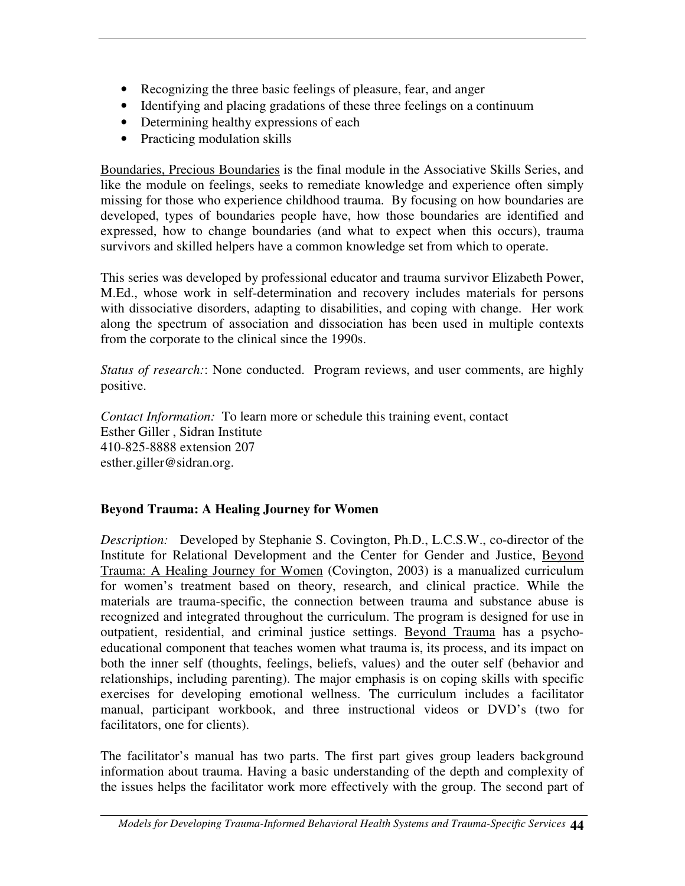- Recognizing the three basic feelings of pleasure, fear, and anger
- Identifying and placing gradations of these three feelings on a continuum
- Determining healthy expressions of each
- Practicing modulation skills

Boundaries, Precious Boundaries is the final module in the Associative Skills Series, and like the module on feelings, seeks to remediate knowledge and experience often simply missing for those who experience childhood trauma. By focusing on how boundaries are developed, types of boundaries people have, how those boundaries are identified and expressed, how to change boundaries (and what to expect when this occurs), trauma survivors and skilled helpers have a common knowledge set from which to operate.

This series was developed by professional educator and trauma survivor Elizabeth Power, M.Ed., whose work in self-determination and recovery includes materials for persons with dissociative disorders, adapting to disabilities, and coping with change. Her work along the spectrum of association and dissociation has been used in multiple contexts from the corporate to the clinical since the 1990s.

*Status of research:*: None conducted. Program reviews, and user comments, are highly positive.

*Contact Information:* To learn more or schedule this training event, contact Esther Giller , Sidran Institute 410-825-8888 extension 207 esther.giller@sidran.org.

# **Beyond Trauma: A Healing Journey for Women**

*Description:* Developed by Stephanie S. Covington, Ph.D., L.C.S.W., co-director of the Institute for Relational Development and the Center for Gender and Justice, Beyond Trauma: A Healing Journey for Women (Covington, 2003) is a manualized curriculum for women's treatment based on theory, research, and clinical practice. While the materials are trauma-specific, the connection between trauma and substance abuse is recognized and integrated throughout the curriculum. The program is designed for use in outpatient, residential, and criminal justice settings. Beyond Trauma has a psychoeducational component that teaches women what trauma is, its process, and its impact on both the inner self (thoughts, feelings, beliefs, values) and the outer self (behavior and relationships, including parenting). The major emphasis is on coping skills with specific exercises for developing emotional wellness. The curriculum includes a facilitator manual, participant workbook, and three instructional videos or DVD's (two for facilitators, one for clients).

The facilitator's manual has two parts. The first part gives group leaders background information about trauma. Having a basic understanding of the depth and complexity of the issues helps the facilitator work more effectively with the group. The second part of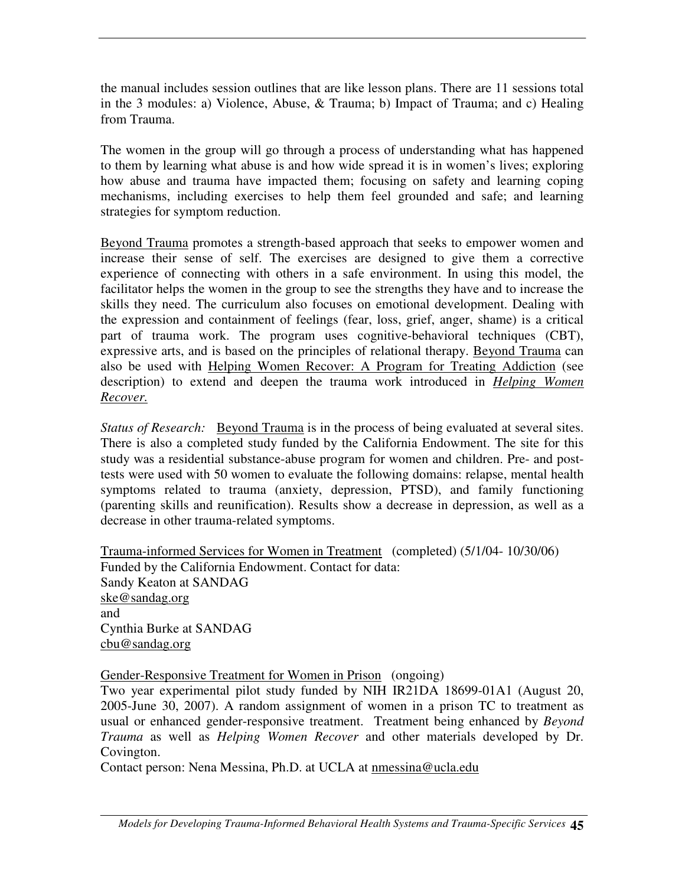the manual includes session outlines that are like lesson plans. There are 11 sessions total in the 3 modules: a) Violence, Abuse, & Trauma; b) Impact of Trauma; and c) Healing from Trauma.

The women in the group will go through a process of understanding what has happened to them by learning what abuse is and how wide spread it is in women's lives; exploring how abuse and trauma have impacted them; focusing on safety and learning coping mechanisms, including exercises to help them feel grounded and safe; and learning strategies for symptom reduction.

Beyond Trauma promotes a strength-based approach that seeks to empower women and increase their sense of self. The exercises are designed to give them a corrective experience of connecting with others in a safe environment. In using this model, the facilitator helps the women in the group to see the strengths they have and to increase the skills they need. The curriculum also focuses on emotional development. Dealing with the expression and containment of feelings (fear, loss, grief, anger, shame) is a critical part of trauma work. The program uses cognitive-behavioral techniques (CBT), expressive arts, and is based on the principles of relational therapy. Beyond Trauma can also be used with Helping Women Recover: A Program for Treating Addiction (see description) to extend and deepen the trauma work introduced in *Helping Women Recover.*

*Status of Research:* Beyond Trauma is in the process of being evaluated at several sites. There is also a completed study funded by the California Endowment. The site for this study was a residential substance-abuse program for women and children. Pre- and posttests were used with 50 women to evaluate the following domains: relapse, mental health symptoms related to trauma (anxiety, depression, PTSD), and family functioning (parenting skills and reunification). Results show a decrease in depression, as well as a decrease in other trauma-related symptoms.

Trauma-informed Services for Women in Treatment (completed) (5/1/04- 10/30/06) Funded by the California Endowment. Contact for data: Sandy Keaton at SANDAG ske@sandag.org and Cynthia Burke at SANDAG cbu@sandag.org

Gender-Responsive Treatment for Women in Prison (ongoing)

Two year experimental pilot study funded by NIH IR21DA 18699-01A1 (August 20, 2005-June 30, 2007). A random assignment of women in a prison TC to treatment as usual or enhanced gender-responsive treatment. Treatment being enhanced by *Beyond Trauma* as well as *Helping Women Recover* and other materials developed by Dr. Covington.

Contact person: Nena Messina, Ph.D. at UCLA at nmessina@ucla.edu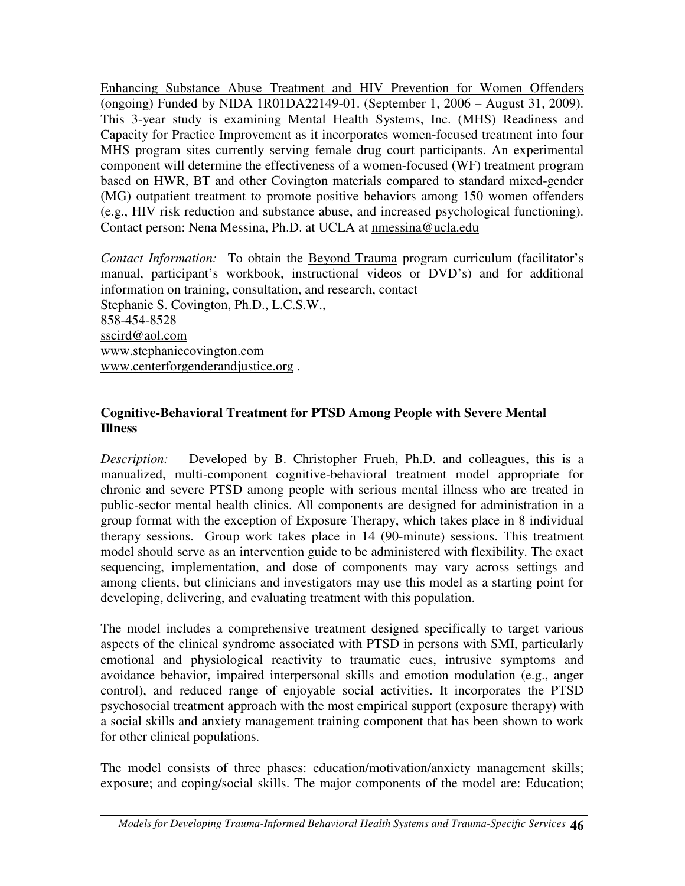Enhancing Substance Abuse Treatment and HIV Prevention for Women Offenders (ongoing) Funded by NIDA 1R01DA22149-01. (September 1, 2006 – August 31, 2009). This 3-year study is examining Mental Health Systems, Inc. (MHS) Readiness and Capacity for Practice Improvement as it incorporates women-focused treatment into four MHS program sites currently serving female drug court participants. An experimental component will determine the effectiveness of a women-focused (WF) treatment program based on HWR, BT and other Covington materials compared to standard mixed-gender (MG) outpatient treatment to promote positive behaviors among 150 women offenders (e.g., HIV risk reduction and substance abuse, and increased psychological functioning). Contact person: Nena Messina, Ph.D. at UCLA at nmessina@ucla.edu

*Contact Information:* To obtain the Beyond Trauma program curriculum (facilitator's manual, participant's workbook, instructional videos or DVD's) and for additional information on training, consultation, and research, contact Stephanie S. Covington, Ph.D., L.C.S.W., 858-454-8528 sscird@aol.com www.stephaniecovington.com www.centerforgenderandjustice.org .

# **Cognitive-Behavioral Treatment for PTSD Among People with Severe Mental Illness**

*Description:* Developed by B. Christopher Frueh, Ph.D. and colleagues, this is a manualized, multi-component cognitive-behavioral treatment model appropriate for chronic and severe PTSD among people with serious mental illness who are treated in public-sector mental health clinics. All components are designed for administration in a group format with the exception of Exposure Therapy, which takes place in 8 individual therapy sessions. Group work takes place in 14 (90-minute) sessions. This treatment model should serve as an intervention guide to be administered with flexibility. The exact sequencing, implementation, and dose of components may vary across settings and among clients, but clinicians and investigators may use this model as a starting point for developing, delivering, and evaluating treatment with this population.

The model includes a comprehensive treatment designed specifically to target various aspects of the clinical syndrome associated with PTSD in persons with SMI, particularly emotional and physiological reactivity to traumatic cues, intrusive symptoms and avoidance behavior, impaired interpersonal skills and emotion modulation (e.g., anger control), and reduced range of enjoyable social activities. It incorporates the PTSD psychosocial treatment approach with the most empirical support (exposure therapy) with a social skills and anxiety management training component that has been shown to work for other clinical populations.

The model consists of three phases: education/motivation/anxiety management skills; exposure; and coping/social skills. The major components of the model are: Education;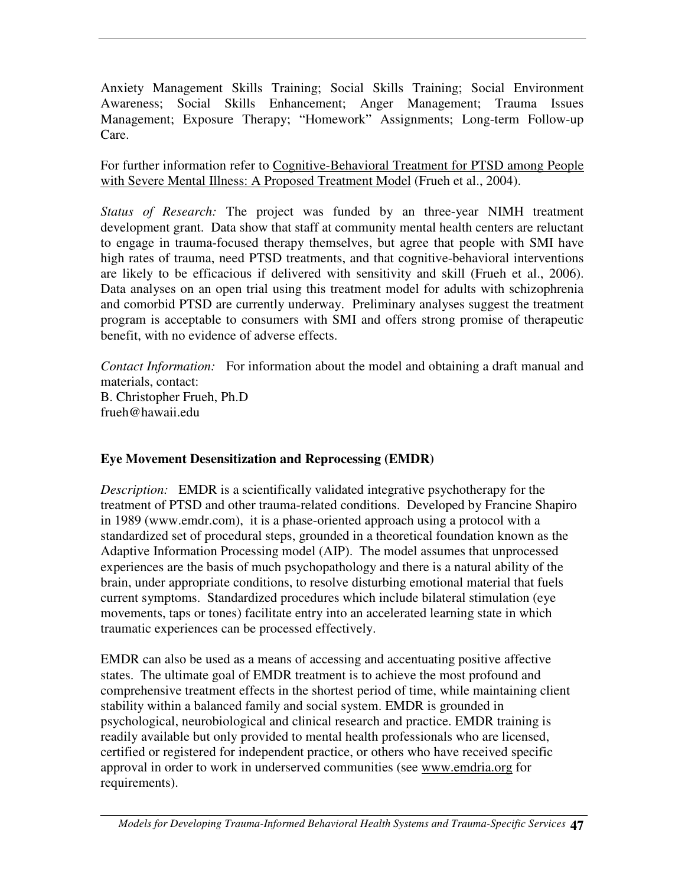Anxiety Management Skills Training; Social Skills Training; Social Environment Awareness; Social Skills Enhancement; Anger Management; Trauma Issues Management; Exposure Therapy; "Homework" Assignments; Long-term Follow-up Care.

For further information refer to Cognitive-Behavioral Treatment for PTSD among People with Severe Mental Illness: A Proposed Treatment Model (Frueh et al., 2004).

*Status of Research:* The project was funded by an three-year NIMH treatment development grant. Data show that staff at community mental health centers are reluctant to engage in trauma-focused therapy themselves, but agree that people with SMI have high rates of trauma, need PTSD treatments, and that cognitive-behavioral interventions are likely to be efficacious if delivered with sensitivity and skill (Frueh et al., 2006). Data analyses on an open trial using this treatment model for adults with schizophrenia and comorbid PTSD are currently underway. Preliminary analyses suggest the treatment program is acceptable to consumers with SMI and offers strong promise of therapeutic benefit, with no evidence of adverse effects.

*Contact Information:* For information about the model and obtaining a draft manual and materials, contact: B. Christopher Frueh, Ph.D frueh@hawaii.edu

# **Eye Movement Desensitization and Reprocessing (EMDR)**

*Description:* EMDR is a scientifically validated integrative psychotherapy for the treatment of PTSD and other trauma-related conditions. Developed by Francine Shapiro in 1989 (www.emdr.com), it is a phase-oriented approach using a protocol with a standardized set of procedural steps, grounded in a theoretical foundation known as the Adaptive Information Processing model (AIP). The model assumes that unprocessed experiences are the basis of much psychopathology and there is a natural ability of the brain, under appropriate conditions, to resolve disturbing emotional material that fuels current symptoms. Standardized procedures which include bilateral stimulation (eye movements, taps or tones) facilitate entry into an accelerated learning state in which traumatic experiences can be processed effectively.

EMDR can also be used as a means of accessing and accentuating positive affective states. The ultimate goal of EMDR treatment is to achieve the most profound and comprehensive treatment effects in the shortest period of time, while maintaining client stability within a balanced family and social system. EMDR is grounded in psychological, neurobiological and clinical research and practice. EMDR training is readily available but only provided to mental health professionals who are licensed, certified or registered for independent practice, or others who have received specific approval in order to work in underserved communities (see www.emdria.org for requirements).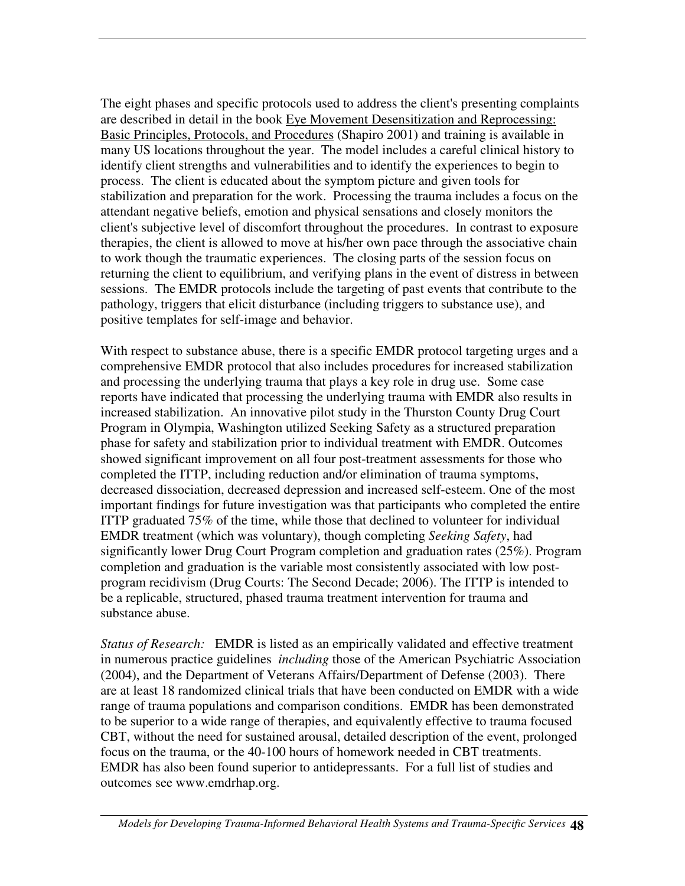The eight phases and specific protocols used to address the client's presenting complaints are described in detail in the book Eye Movement Desensitization and Reprocessing: Basic Principles, Protocols, and Procedures (Shapiro 2001) and training is available in many US locations throughout the year. The model includes a careful clinical history to identify client strengths and vulnerabilities and to identify the experiences to begin to process. The client is educated about the symptom picture and given tools for stabilization and preparation for the work. Processing the trauma includes a focus on the attendant negative beliefs, emotion and physical sensations and closely monitors the client's subjective level of discomfort throughout the procedures. In contrast to exposure therapies, the client is allowed to move at his/her own pace through the associative chain to work though the traumatic experiences. The closing parts of the session focus on returning the client to equilibrium, and verifying plans in the event of distress in between sessions. The EMDR protocols include the targeting of past events that contribute to the pathology, triggers that elicit disturbance (including triggers to substance use), and positive templates for self-image and behavior.

With respect to substance abuse, there is a specific EMDR protocol targeting urges and a comprehensive EMDR protocol that also includes procedures for increased stabilization and processing the underlying trauma that plays a key role in drug use. Some case reports have indicated that processing the underlying trauma with EMDR also results in increased stabilization. An innovative pilot study in the Thurston County Drug Court Program in Olympia, Washington utilized Seeking Safety as a structured preparation phase for safety and stabilization prior to individual treatment with EMDR. Outcomes showed significant improvement on all four post-treatment assessments for those who completed the ITTP, including reduction and/or elimination of trauma symptoms, decreased dissociation, decreased depression and increased self-esteem. One of the most important findings for future investigation was that participants who completed the entire ITTP graduated 75% of the time, while those that declined to volunteer for individual EMDR treatment (which was voluntary), though completing *Seeking Safety*, had significantly lower Drug Court Program completion and graduation rates (25%). Program completion and graduation is the variable most consistently associated with low postprogram recidivism (Drug Courts: The Second Decade; 2006). The ITTP is intended to be a replicable, structured, phased trauma treatment intervention for trauma and substance abuse.

*Status of Research:* EMDR is listed as an empirically validated and effective treatment in numerous practice guidelines *including* those of the American Psychiatric Association (2004), and the Department of Veterans Affairs/Department of Defense (2003). There are at least 18 randomized clinical trials that have been conducted on EMDR with a wide range of trauma populations and comparison conditions. EMDR has been demonstrated to be superior to a wide range of therapies, and equivalently effective to trauma focused CBT, without the need for sustained arousal, detailed description of the event, prolonged focus on the trauma, or the 40-100 hours of homework needed in CBT treatments. EMDR has also been found superior to antidepressants. For a full list of studies and outcomes see www.emdrhap.org.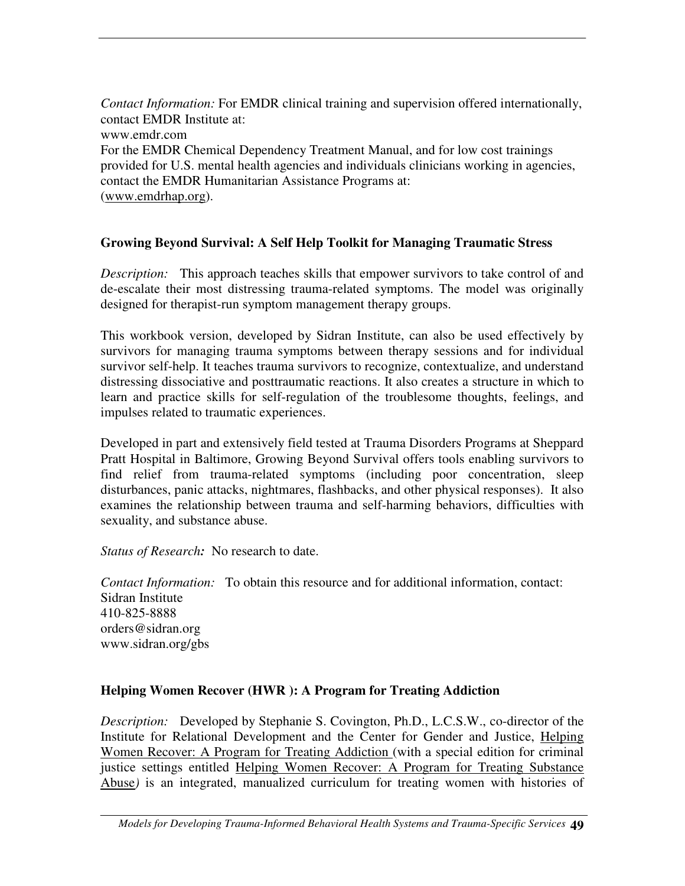*Contact Information:* For EMDR clinical training and supervision offered internationally, contact EMDR Institute at: www.emdr.com For the EMDR Chemical Dependency Treatment Manual, and for low cost trainings provided for U.S. mental health agencies and individuals clinicians working in agencies, contact the EMDR Humanitarian Assistance Programs at: (www.emdrhap.org).

# **Growing Beyond Survival: A Self Help Toolkit for Managing Traumatic Stress**

*Description:* This approach teaches skills that empower survivors to take control of and de-escalate their most distressing trauma-related symptoms. The model was originally designed for therapist-run symptom management therapy groups.

This workbook version, developed by Sidran Institute, can also be used effectively by survivors for managing trauma symptoms between therapy sessions and for individual survivor self-help. It teaches trauma survivors to recognize, contextualize, and understand distressing dissociative and posttraumatic reactions. It also creates a structure in which to learn and practice skills for self-regulation of the troublesome thoughts, feelings, and impulses related to traumatic experiences.

Developed in part and extensively field tested at Trauma Disorders Programs at Sheppard Pratt Hospital in Baltimore, Growing Beyond Survival offers tools enabling survivors to find relief from trauma-related symptoms (including poor concentration, sleep disturbances, panic attacks, nightmares, flashbacks, and other physical responses). It also examines the relationship between trauma and self-harming behaviors, difficulties with sexuality, and substance abuse.

*Status of Research:* No research to date.

*Contact Information:* To obtain this resource and for additional information, contact: Sidran Institute 410-825-8888 orders@sidran.org www.sidran.org/gbs

#### **Helping Women Recover (HWR ): A Program for Treating Addiction**

*Description:* Developed by Stephanie S. Covington, Ph.D., L.C.S.W., co-director of the Institute for Relational Development and the Center for Gender and Justice, Helping Women Recover: A Program for Treating Addiction (with a special edition for criminal justice settings entitled Helping Women Recover: A Program for Treating Substance Abuse*)* is an integrated, manualized curriculum for treating women with histories of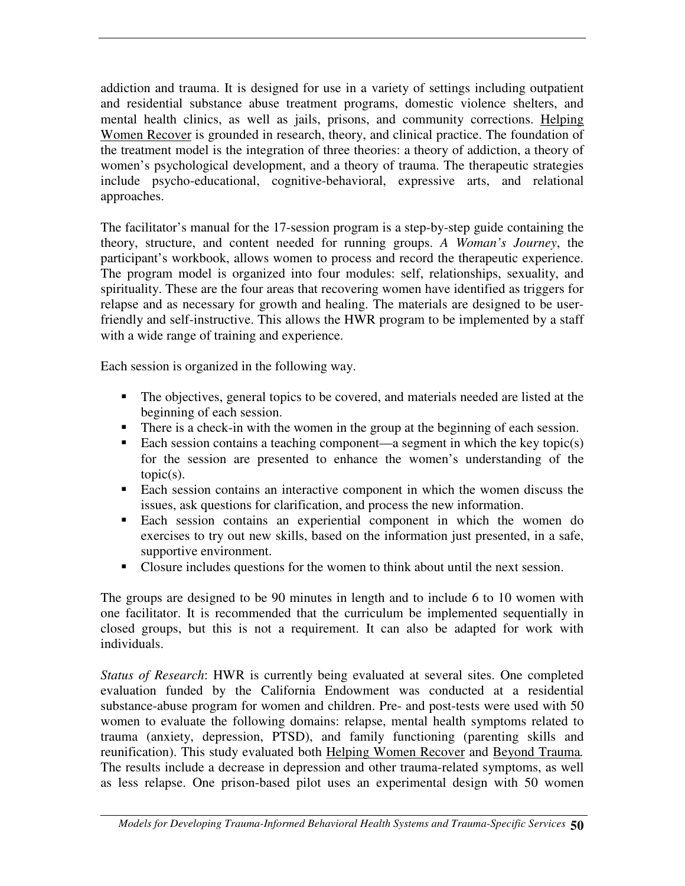addiction and trauma. It is designed for use in a variety of settings including outpatient and residential substance abuse treatment programs, domestic violence shelters, and mental health clinics, as well as jails, prisons, and community corrections. Helping Women Recover is grounded in research, theory, and clinical practice. The foundation of the treatment model is the integration of three theories: a theory of addiction, a theory of women's psychological development, and a theory of trauma. The therapeutic strategies include psycho-educational, cognitive-behavioral, expressive arts, and relational approaches.

The facilitator's manual for the 17-session program is a step-by-step guide containing the theory, structure, and content needed for running groups. *A Woman's Journey*, the participant's workbook, allows women to process and record the therapeutic experience. The program model is organized into four modules: self, relationships, sexuality, and spirituality. These are the four areas that recovering women have identified as triggers for relapse and as necessary for growth and healing. The materials are designed to be userfriendly and self-instructive. This allows the HWR program to be implemented by a staff with a wide range of training and experience.

Each session is organized in the following way.

- The objectives, general topics to be covered, and materials needed are listed at the beginning of each session.
- There is a check-in with the women in the group at the beginning of each session.
- Each session contains a teaching component—a segment in which the key topic(s) for the session are presented to enhance the women's understanding of the topic(s).
- Each session contains an interactive component in which the women discuss the issues, ask questions for clarification, and process the new information.
- Each session contains an experiential component in which the women do exercises to try out new skills, based on the information just presented, in a safe, supportive environment.
- Closure includes questions for the women to think about until the next session.

The groups are designed to be 90 minutes in length and to include 6 to 10 women with one facilitator. It is recommended that the curriculum be implemented sequentially in closed groups, but this is not a requirement. It can also be adapted for work with individuals.

*Status of Research*: HWR is currently being evaluated at several sites. One completed evaluation funded by the California Endowment was conducted at a residential substance-abuse program for women and children. Pre- and post-tests were used with 50 women to evaluate the following domains: relapse, mental health symptoms related to trauma (anxiety, depression, PTSD), and family functioning (parenting skills and reunification). This study evaluated both Helping Women Recover and Beyond Trauma*.* The results include a decrease in depression and other trauma-related symptoms, as well as less relapse. One prison-based pilot uses an experimental design with 50 women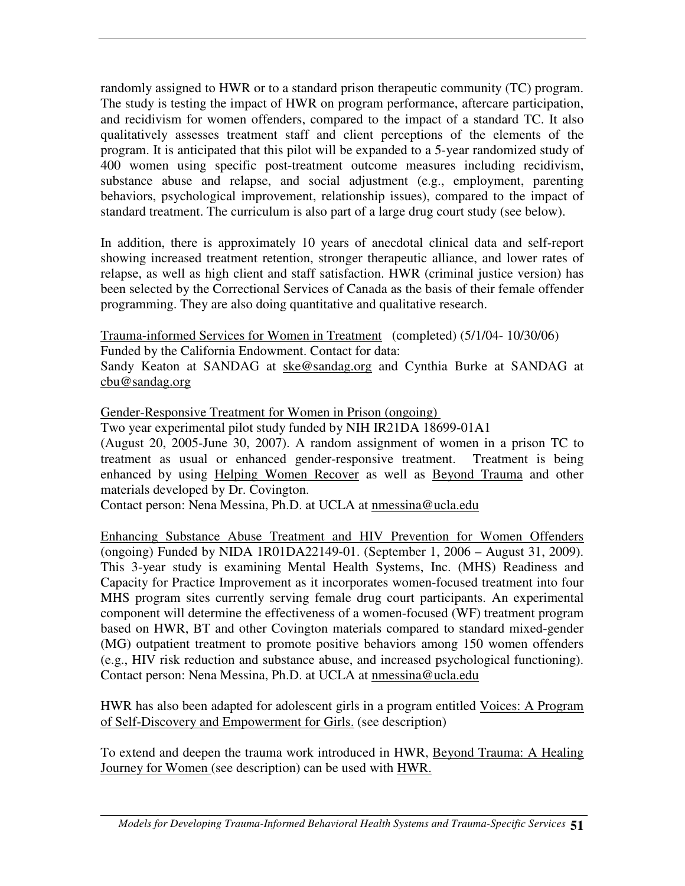randomly assigned to HWR or to a standard prison therapeutic community (TC) program. The study is testing the impact of HWR on program performance, aftercare participation, and recidivism for women offenders, compared to the impact of a standard TC. It also qualitatively assesses treatment staff and client perceptions of the elements of the program. It is anticipated that this pilot will be expanded to a 5-year randomized study of 400 women using specific post-treatment outcome measures including recidivism, substance abuse and relapse, and social adjustment (e.g., employment, parenting behaviors, psychological improvement, relationship issues), compared to the impact of standard treatment. The curriculum is also part of a large drug court study (see below).

In addition, there is approximately 10 years of anecdotal clinical data and self-report showing increased treatment retention, stronger therapeutic alliance, and lower rates of relapse, as well as high client and staff satisfaction. HWR (criminal justice version) has been selected by the Correctional Services of Canada as the basis of their female offender programming. They are also doing quantitative and qualitative research.

Trauma-informed Services for Women in Treatment (completed) (5/1/04- 10/30/06) Funded by the California Endowment. Contact for data:

Sandy Keaton at SANDAG at ske@sandag.org and Cynthia Burke at SANDAG at cbu@sandag.org

Gender-Responsive Treatment for Women in Prison (ongoing)

Two year experimental pilot study funded by NIH IR21DA 18699-01A1 (August 20, 2005-June 30, 2007). A random assignment of women in a prison TC to treatment as usual or enhanced gender-responsive treatment. Treatment is being enhanced by using Helping Women Recover as well as Beyond Trauma and other materials developed by Dr. Covington.

Contact person: Nena Messina, Ph.D. at UCLA at nmessina@ucla.edu

Enhancing Substance Abuse Treatment and HIV Prevention for Women Offenders (ongoing) Funded by NIDA 1R01DA22149-01. (September 1, 2006 – August 31, 2009). This 3-year study is examining Mental Health Systems, Inc. (MHS) Readiness and Capacity for Practice Improvement as it incorporates women-focused treatment into four MHS program sites currently serving female drug court participants. An experimental component will determine the effectiveness of a women-focused (WF) treatment program based on HWR, BT and other Covington materials compared to standard mixed-gender (MG) outpatient treatment to promote positive behaviors among 150 women offenders (e.g., HIV risk reduction and substance abuse, and increased psychological functioning). Contact person: Nena Messina, Ph.D. at UCLA at nmessina@ucla.edu

HWR has also been adapted for adolescent girls in a program entitled Voices: A Program of Self-Discovery and Empowerment for Girls. (see description)

To extend and deepen the trauma work introduced in HWR, Beyond Trauma: A Healing Journey for Women (see description) can be used with HWR.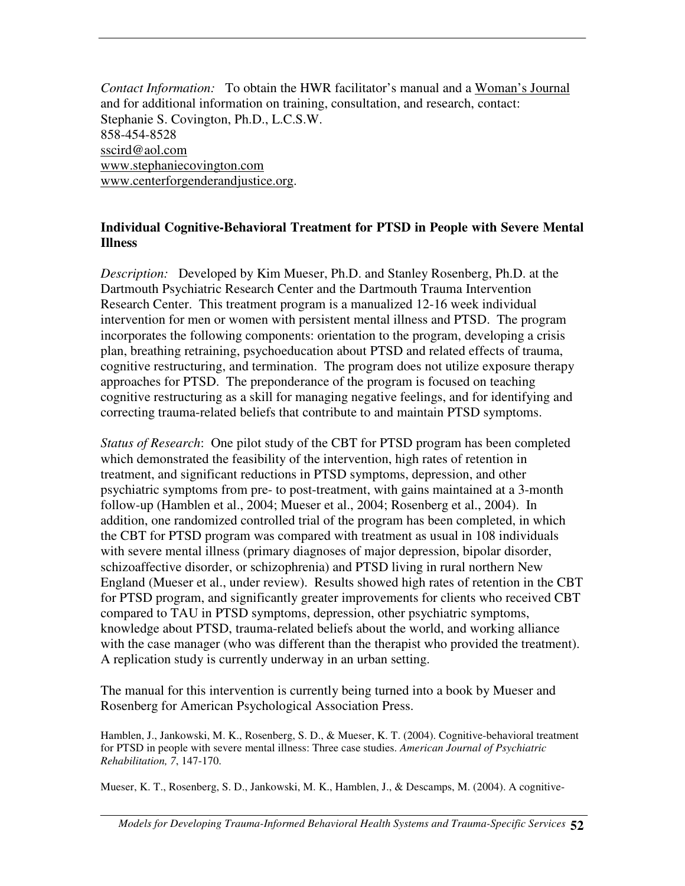*Contact Information:* To obtain the HWR facilitator's manual and a Woman's Journal and for additional information on training, consultation, and research, contact: Stephanie S. Covington, Ph.D., L.C.S.W. 858-454-8528 sscird@aol.com www.stephaniecovington.com www.centerforgenderandjustice.org.

#### **Individual Cognitive-Behavioral Treatment for PTSD in People with Severe Mental Illness**

*Description:* Developed by Kim Mueser, Ph.D. and Stanley Rosenberg, Ph.D. at the Dartmouth Psychiatric Research Center and the Dartmouth Trauma Intervention Research Center. This treatment program is a manualized 12-16 week individual intervention for men or women with persistent mental illness and PTSD. The program incorporates the following components: orientation to the program, developing a crisis plan, breathing retraining, psychoeducation about PTSD and related effects of trauma, cognitive restructuring, and termination. The program does not utilize exposure therapy approaches for PTSD. The preponderance of the program is focused on teaching cognitive restructuring as a skill for managing negative feelings, and for identifying and correcting trauma-related beliefs that contribute to and maintain PTSD symptoms.

*Status of Research*: One pilot study of the CBT for PTSD program has been completed which demonstrated the feasibility of the intervention, high rates of retention in treatment, and significant reductions in PTSD symptoms, depression, and other psychiatric symptoms from pre- to post-treatment, with gains maintained at a 3-month follow-up (Hamblen et al., 2004; Mueser et al., 2004; Rosenberg et al., 2004). In addition, one randomized controlled trial of the program has been completed, in which the CBT for PTSD program was compared with treatment as usual in 108 individuals with severe mental illness (primary diagnoses of major depression, bipolar disorder, schizoaffective disorder, or schizophrenia) and PTSD living in rural northern New England (Mueser et al., under review). Results showed high rates of retention in the CBT for PTSD program, and significantly greater improvements for clients who received CBT compared to TAU in PTSD symptoms, depression, other psychiatric symptoms, knowledge about PTSD, trauma-related beliefs about the world, and working alliance with the case manager (who was different than the therapist who provided the treatment). A replication study is currently underway in an urban setting.

The manual for this intervention is currently being turned into a book by Mueser and Rosenberg for American Psychological Association Press.

Hamblen, J., Jankowski, M. K., Rosenberg, S. D., & Mueser, K. T. (2004). Cognitive-behavioral treatment for PTSD in people with severe mental illness: Three case studies. *American Journal of Psychiatric Rehabilitation, 7*, 147-170.

Mueser, K. T., Rosenberg, S. D., Jankowski, M. K., Hamblen, J., & Descamps, M. (2004). A cognitive-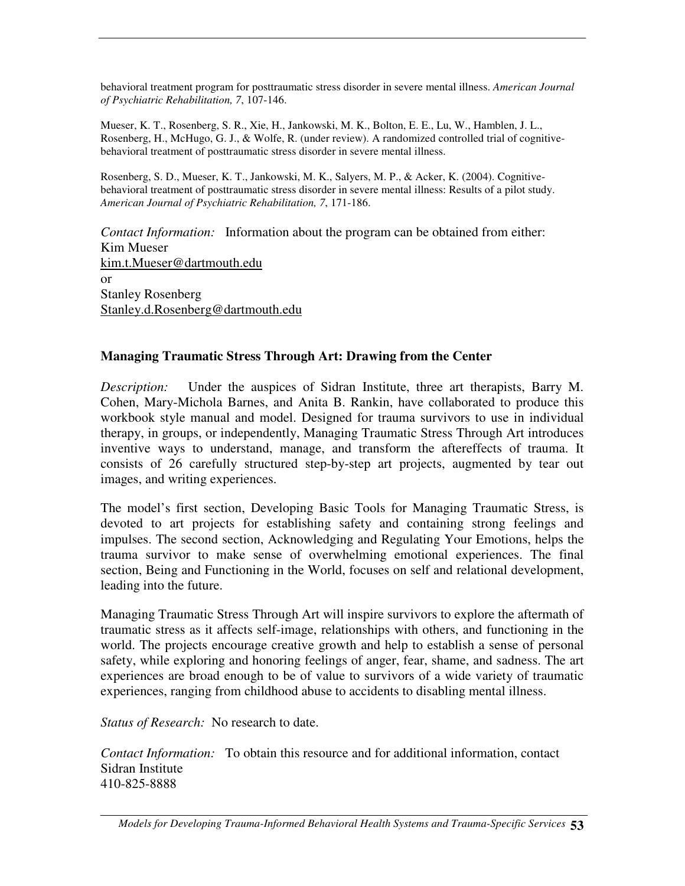behavioral treatment program for posttraumatic stress disorder in severe mental illness. *American Journal of Psychiatric Rehabilitation, 7*, 107-146.

Mueser, K. T., Rosenberg, S. R., Xie, H., Jankowski, M. K., Bolton, E. E., Lu, W., Hamblen, J. L., Rosenberg, H., McHugo, G. J., & Wolfe, R. (under review). A randomized controlled trial of cognitivebehavioral treatment of posttraumatic stress disorder in severe mental illness.

Rosenberg, S. D., Mueser, K. T., Jankowski, M. K., Salyers, M. P., & Acker, K. (2004). Cognitivebehavioral treatment of posttraumatic stress disorder in severe mental illness: Results of a pilot study. *American Journal of Psychiatric Rehabilitation, 7*, 171-186.

*Contact Information:* Information about the program can be obtained from either: Kim Mueser kim.t.Mueser@dartmouth.edu or Stanley Rosenberg Stanley.d.Rosenberg@dartmouth.edu

## **Managing Traumatic Stress Through Art: Drawing from the Center**

*Description:* Under the auspices of Sidran Institute, three art therapists, Barry M. Cohen, Mary-Michola Barnes, and Anita B. Rankin, have collaborated to produce this workbook style manual and model. Designed for trauma survivors to use in individual therapy, in groups, or independently, Managing Traumatic Stress Through Art introduces inventive ways to understand, manage, and transform the aftereffects of trauma. It consists of 26 carefully structured step-by-step art projects, augmented by tear out images, and writing experiences.

The model's first section, Developing Basic Tools for Managing Traumatic Stress, is devoted to art projects for establishing safety and containing strong feelings and impulses. The second section, Acknowledging and Regulating Your Emotions, helps the trauma survivor to make sense of overwhelming emotional experiences. The final section, Being and Functioning in the World, focuses on self and relational development, leading into the future.

Managing Traumatic Stress Through Art will inspire survivors to explore the aftermath of traumatic stress as it affects self-image, relationships with others, and functioning in the world. The projects encourage creative growth and help to establish a sense of personal safety, while exploring and honoring feelings of anger, fear, shame, and sadness. The art experiences are broad enough to be of value to survivors of a wide variety of traumatic experiences, ranging from childhood abuse to accidents to disabling mental illness.

*Status of Research:* No research to date.

*Contact Information:* To obtain this resource and for additional information, contact Sidran Institute 410-825-8888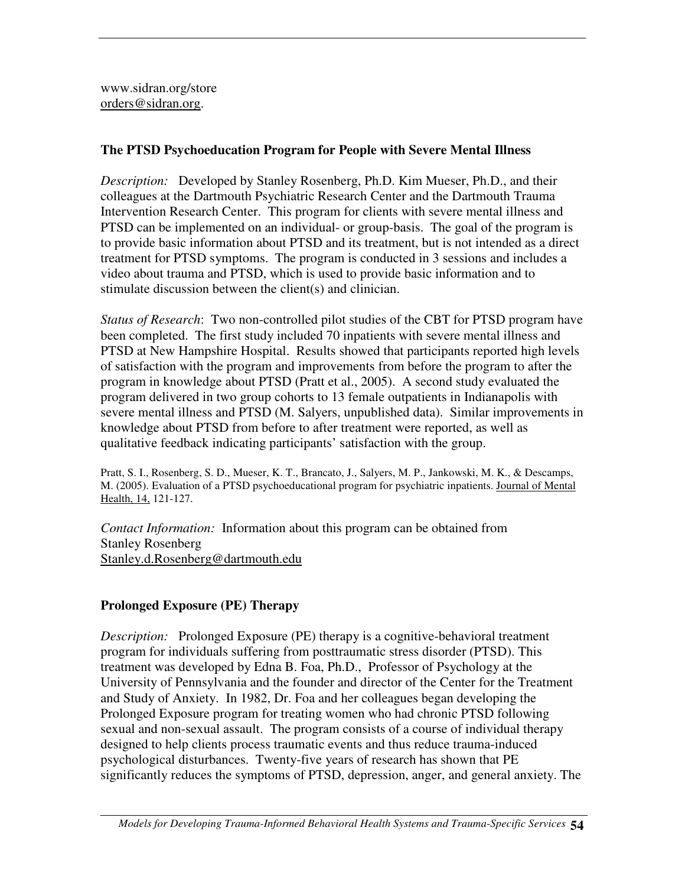www.sidran.org/store orders@sidran.org.

# **The PTSD Psychoeducation Program for People with Severe Mental Illness**

*Description:* Developed by Stanley Rosenberg, Ph.D. Kim Mueser, Ph.D., and their colleagues at the Dartmouth Psychiatric Research Center and the Dartmouth Trauma Intervention Research Center. This program for clients with severe mental illness and PTSD can be implemented on an individual- or group-basis. The goal of the program is to provide basic information about PTSD and its treatment, but is not intended as a direct treatment for PTSD symptoms. The program is conducted in 3 sessions and includes a video about trauma and PTSD, which is used to provide basic information and to stimulate discussion between the client(s) and clinician.

*Status of Research*: Two non-controlled pilot studies of the CBT for PTSD program have been completed. The first study included 70 inpatients with severe mental illness and PTSD at New Hampshire Hospital. Results showed that participants reported high levels of satisfaction with the program and improvements from before the program to after the program in knowledge about PTSD (Pratt et al., 2005). A second study evaluated the program delivered in two group cohorts to 13 female outpatients in Indianapolis with severe mental illness and PTSD (M. Salyers, unpublished data). Similar improvements in knowledge about PTSD from before to after treatment were reported, as well as qualitative feedback indicating participants' satisfaction with the group.

Pratt, S. I., Rosenberg, S. D., Mueser, K. T., Brancato, J., Salyers, M. P., Jankowski, M. K., & Descamps, M. (2005). Evaluation of a PTSD psychoeducational program for psychiatric inpatients. Journal of Mental Health, 14, 121-127.

*Contact Information:* Information about this program can be obtained from Stanley Rosenberg Stanley.d.Rosenberg@dartmouth.edu

# **Prolonged Exposure (PE) Therapy**

*Description:* Prolonged Exposure (PE) therapy is a cognitive-behavioral treatment program for individuals suffering from posttraumatic stress disorder (PTSD). This treatment was developed by Edna B. Foa, Ph.D., Professor of Psychology at the University of Pennsylvania and the founder and director of the Center for the Treatment and Study of Anxiety. In 1982, Dr. Foa and her colleagues began developing the Prolonged Exposure program for treating women who had chronic PTSD following sexual and non-sexual assault. The program consists of a course of individual therapy designed to help clients process traumatic events and thus reduce trauma-induced psychological disturbances. Twenty-five years of research has shown that PE significantly reduces the symptoms of PTSD, depression, anger, and general anxiety. The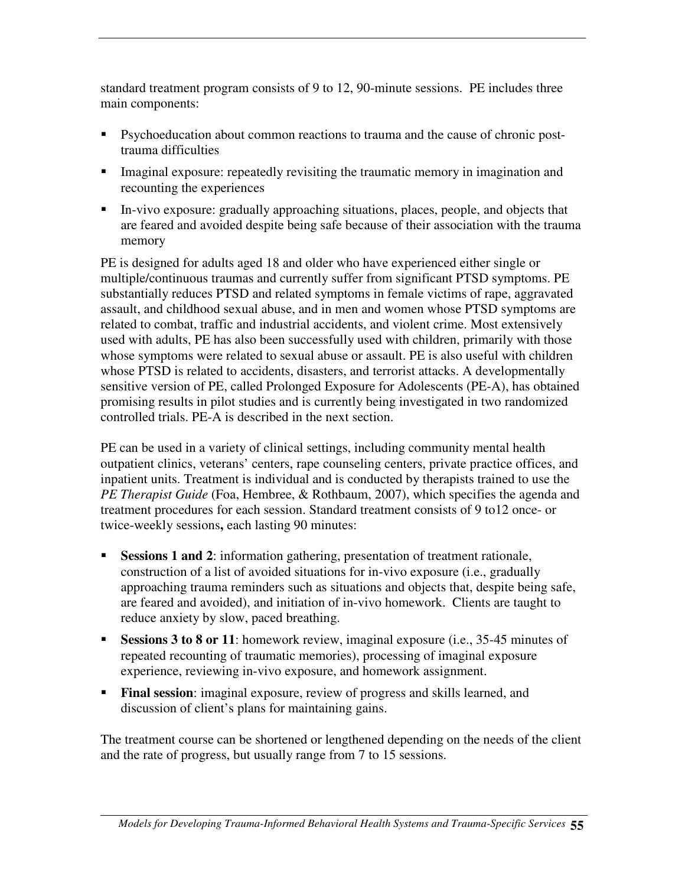standard treatment program consists of 9 to 12, 90-minute sessions. PE includes three main components:

- **Psychoeducation about common reactions to trauma and the cause of chronic post**trauma difficulties
- Imaginal exposure: repeatedly revisiting the traumatic memory in imagination and recounting the experiences
- In-vivo exposure: gradually approaching situations, places, people, and objects that are feared and avoided despite being safe because of their association with the trauma memory

PE is designed for adults aged 18 and older who have experienced either single or multiple/continuous traumas and currently suffer from significant PTSD symptoms. PE substantially reduces PTSD and related symptoms in female victims of rape, aggravated assault, and childhood sexual abuse, and in men and women whose PTSD symptoms are related to combat, traffic and industrial accidents, and violent crime. Most extensively used with adults, PE has also been successfully used with children, primarily with those whose symptoms were related to sexual abuse or assault. PE is also useful with children whose PTSD is related to accidents, disasters, and terrorist attacks. A developmentally sensitive version of PE, called Prolonged Exposure for Adolescents (PE-A), has obtained promising results in pilot studies and is currently being investigated in two randomized controlled trials. PE-A is described in the next section.

PE can be used in a variety of clinical settings, including community mental health outpatient clinics, veterans' centers, rape counseling centers, private practice offices, and inpatient units. Treatment is individual and is conducted by therapists trained to use the *PE Therapist Guide* (Foa, Hembree, & Rothbaum, 2007), which specifies the agenda and treatment procedures for each session. Standard treatment consists of 9 to12 once- or twice-weekly sessions**,** each lasting 90 minutes:

- **Sessions 1 and 2**: information gathering, presentation of treatment rationale, construction of a list of avoided situations for in-vivo exposure (i.e., gradually approaching trauma reminders such as situations and objects that, despite being safe, are feared and avoided), and initiation of in-vivo homework. Clients are taught to reduce anxiety by slow, paced breathing.
- **Sessions 3 to 8 or 11**: homework review, imaginal exposure (i.e., 35-45 minutes of repeated recounting of traumatic memories), processing of imaginal exposure experience, reviewing in-vivo exposure, and homework assignment.
- **Final session:** imaginal exposure, review of progress and skills learned, and discussion of client's plans for maintaining gains.

The treatment course can be shortened or lengthened depending on the needs of the client and the rate of progress, but usually range from 7 to 15 sessions.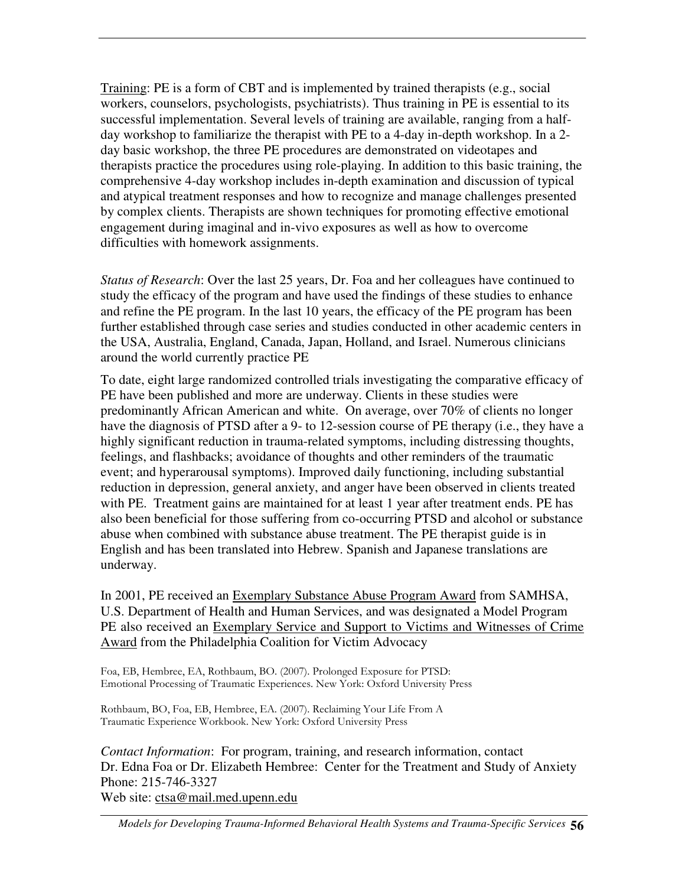Training: PE is a form of CBT and is implemented by trained therapists (e.g., social workers, counselors, psychologists, psychiatrists). Thus training in PE is essential to its successful implementation. Several levels of training are available, ranging from a halfday workshop to familiarize the therapist with PE to a 4-day in-depth workshop. In a 2 day basic workshop, the three PE procedures are demonstrated on videotapes and therapists practice the procedures using role-playing. In addition to this basic training, the comprehensive 4-day workshop includes in-depth examination and discussion of typical and atypical treatment responses and how to recognize and manage challenges presented by complex clients. Therapists are shown techniques for promoting effective emotional engagement during imaginal and in-vivo exposures as well as how to overcome difficulties with homework assignments.

*Status of Research*: Over the last 25 years, Dr. Foa and her colleagues have continued to study the efficacy of the program and have used the findings of these studies to enhance and refine the PE program. In the last 10 years, the efficacy of the PE program has been further established through case series and studies conducted in other academic centers in the USA, Australia, England, Canada, Japan, Holland, and Israel. Numerous clinicians around the world currently practice PE

To date, eight large randomized controlled trials investigating the comparative efficacy of PE have been published and more are underway. Clients in these studies were predominantly African American and white. On average, over 70% of clients no longer have the diagnosis of PTSD after a 9- to 12-session course of PE therapy (i.e., they have a highly significant reduction in trauma-related symptoms, including distressing thoughts, feelings, and flashbacks; avoidance of thoughts and other reminders of the traumatic event; and hyperarousal symptoms). Improved daily functioning, including substantial reduction in depression, general anxiety, and anger have been observed in clients treated with PE. Treatment gains are maintained for at least 1 year after treatment ends. PE has also been beneficial for those suffering from co-occurring PTSD and alcohol or substance abuse when combined with substance abuse treatment. The PE therapist guide is in English and has been translated into Hebrew. Spanish and Japanese translations are underway.

In 2001, PE received an Exemplary Substance Abuse Program Award from SAMHSA, U.S. Department of Health and Human Services, and was designated a Model Program PE also received an Exemplary Service and Support to Victims and Witnesses of Crime Award from the Philadelphia Coalition for Victim Advocacy

Foa, EB, Hembree, EA, Rothbaum, BO. (2007). Prolonged Exposure for PTSD: Emotional Processing of Traumatic Experiences. New York: Oxford University Pres

Rothbaum, BO, Foa, EB, Hembree, EA. (2007). Reclaiming Your Life From A Traumatic Experience Workbook. New York: Oxford University Pres

*Contact Information*: For program, training, and research information, contact Dr. Edna Foa or Dr. Elizabeth Hembree: Center for the Treatment and Study of Anxiety Phone: 215-746-3327 Web site: ctsa@mail.med.upenn.edu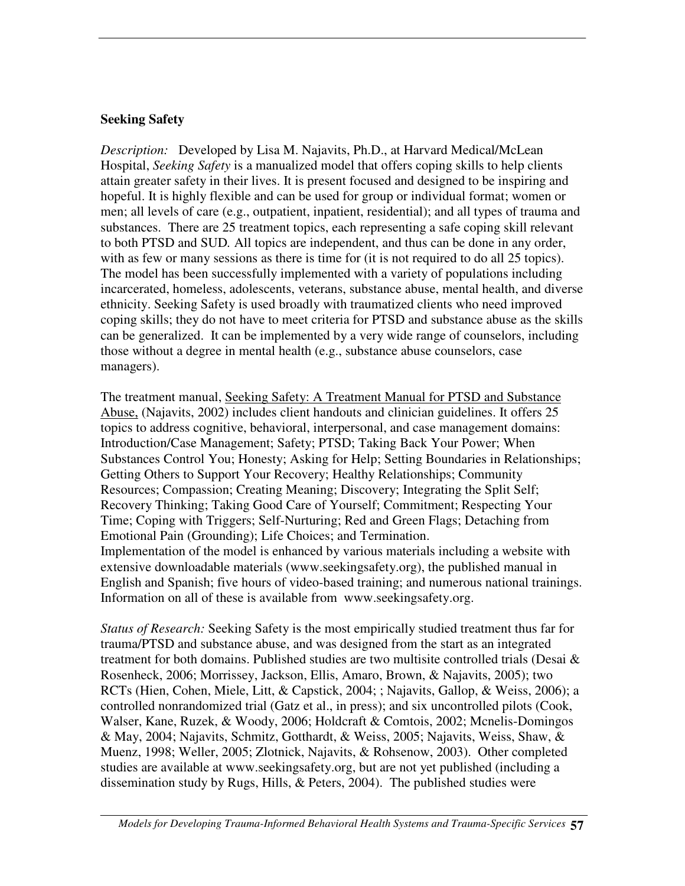#### **Seeking Safety**

*Description:* Developed by Lisa M. Najavits, Ph.D., at Harvard Medical/McLean Hospital, *Seeking Safety* is a manualized model that offers coping skills to help clients attain greater safety in their lives. It is present focused and designed to be inspiring and hopeful. It is highly flexible and can be used for group or individual format; women or men; all levels of care (e.g., outpatient, inpatient, residential); and all types of trauma and substances. There are 25 treatment topics, each representing a safe coping skill relevant to both PTSD and SUD*.* All topics are independent, and thus can be done in any order, with as few or many sessions as there is time for (it is not required to do all 25 topics). The model has been successfully implemented with a variety of populations including incarcerated, homeless, adolescents, veterans, substance abuse, mental health, and diverse ethnicity. Seeking Safety is used broadly with traumatized clients who need improved coping skills; they do not have to meet criteria for PTSD and substance abuse as the skills can be generalized. It can be implemented by a very wide range of counselors, including those without a degree in mental health (e.g., substance abuse counselors, case managers).

The treatment manual, Seeking Safety: A Treatment Manual for PTSD and Substance Abuse, (Najavits, 2002) includes client handouts and clinician guidelines. It offers 25 topics to address cognitive, behavioral, interpersonal, and case management domains: Introduction/Case Management; Safety; PTSD; Taking Back Your Power; When Substances Control You; Honesty; Asking for Help; Setting Boundaries in Relationships; Getting Others to Support Your Recovery; Healthy Relationships; Community Resources; Compassion; Creating Meaning; Discovery; Integrating the Split Self; Recovery Thinking; Taking Good Care of Yourself; Commitment; Respecting Your Time; Coping with Triggers; Self-Nurturing; Red and Green Flags; Detaching from Emotional Pain (Grounding); Life Choices; and Termination. Implementation of the model is enhanced by various materials including a website with extensive downloadable materials (www.seekingsafety.org), the published manual in English and Spanish; five hours of video-based training; and numerous national trainings. Information on all of these is available from www.seekingsafety.org.

*Status of Research:* Seeking Safety is the most empirically studied treatment thus far for trauma/PTSD and substance abuse, and was designed from the start as an integrated treatment for both domains. Published studies are two multisite controlled trials (Desai  $\&$ Rosenheck, 2006; Morrissey, Jackson, Ellis, Amaro, Brown, & Najavits, 2005); two RCTs (Hien, Cohen, Miele, Litt, & Capstick, 2004; ; Najavits, Gallop, & Weiss, 2006); a controlled nonrandomized trial (Gatz et al., in press); and six uncontrolled pilots (Cook, Walser, Kane, Ruzek, & Woody, 2006; Holdcraft & Comtois, 2002; Mcnelis-Domingos & May, 2004; Najavits, Schmitz, Gotthardt, & Weiss, 2005; Najavits, Weiss, Shaw, & Muenz, 1998; Weller, 2005; Zlotnick, Najavits, & Rohsenow, 2003). Other completed studies are available at www.seekingsafety.org, but are not yet published (including a dissemination study by Rugs, Hills, & Peters, 2004). The published studies were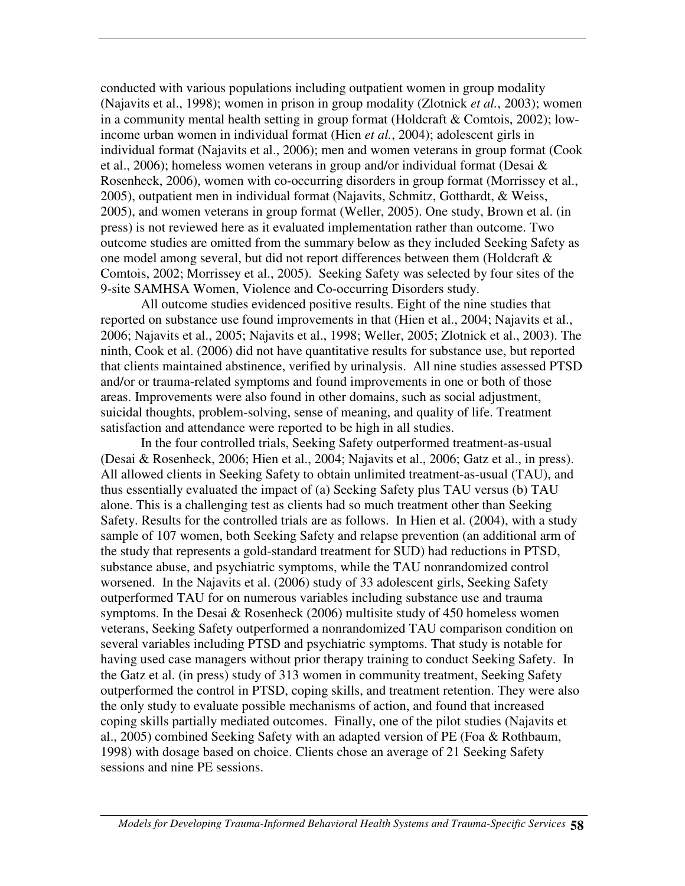conducted with various populations including outpatient women in group modality (Najavits et al., 1998); women in prison in group modality (Zlotnick *et al.*, 2003); women in a community mental health setting in group format (Holdcraft  $&$  Comtois, 2002); lowincome urban women in individual format (Hien *et al.*, 2004); adolescent girls in individual format (Najavits et al., 2006); men and women veterans in group format (Cook et al., 2006); homeless women veterans in group and/or individual format (Desai & Rosenheck, 2006), women with co-occurring disorders in group format (Morrissey et al., 2005), outpatient men in individual format (Najavits, Schmitz, Gotthardt, & Weiss, 2005), and women veterans in group format (Weller, 2005). One study, Brown et al. (in press) is not reviewed here as it evaluated implementation rather than outcome. Two outcome studies are omitted from the summary below as they included Seeking Safety as one model among several, but did not report differences between them (Holdcraft & Comtois, 2002; Morrissey et al., 2005). Seeking Safety was selected by four sites of the 9-site SAMHSA Women, Violence and Co-occurring Disorders study.

All outcome studies evidenced positive results. Eight of the nine studies that reported on substance use found improvements in that (Hien et al., 2004; Najavits et al., 2006; Najavits et al., 2005; Najavits et al., 1998; Weller, 2005; Zlotnick et al., 2003). The ninth, Cook et al. (2006) did not have quantitative results for substance use, but reported that clients maintained abstinence, verified by urinalysis. All nine studies assessed PTSD and/or or trauma-related symptoms and found improvements in one or both of those areas. Improvements were also found in other domains, such as social adjustment, suicidal thoughts, problem-solving, sense of meaning, and quality of life. Treatment satisfaction and attendance were reported to be high in all studies.

In the four controlled trials, Seeking Safety outperformed treatment-as-usual (Desai & Rosenheck, 2006; Hien et al., 2004; Najavits et al., 2006; Gatz et al., in press). All allowed clients in Seeking Safety to obtain unlimited treatment-as-usual (TAU), and thus essentially evaluated the impact of (a) Seeking Safety plus TAU versus (b) TAU alone. This is a challenging test as clients had so much treatment other than Seeking Safety. Results for the controlled trials are as follows. In Hien et al. (2004), with a study sample of 107 women, both Seeking Safety and relapse prevention (an additional arm of the study that represents a gold-standard treatment for SUD) had reductions in PTSD, substance abuse, and psychiatric symptoms, while the TAU nonrandomized control worsened. In the Najavits et al. (2006) study of 33 adolescent girls, Seeking Safety outperformed TAU for on numerous variables including substance use and trauma symptoms. In the Desai  $&$  Rosenheck (2006) multisite study of 450 homeless women veterans, Seeking Safety outperformed a nonrandomized TAU comparison condition on several variables including PTSD and psychiatric symptoms. That study is notable for having used case managers without prior therapy training to conduct Seeking Safety. In the Gatz et al. (in press) study of 313 women in community treatment, Seeking Safety outperformed the control in PTSD, coping skills, and treatment retention. They were also the only study to evaluate possible mechanisms of action, and found that increased coping skills partially mediated outcomes. Finally, one of the pilot studies (Najavits et al., 2005) combined Seeking Safety with an adapted version of PE (Foa & Rothbaum, 1998) with dosage based on choice. Clients chose an average of 21 Seeking Safety sessions and nine PE sessions.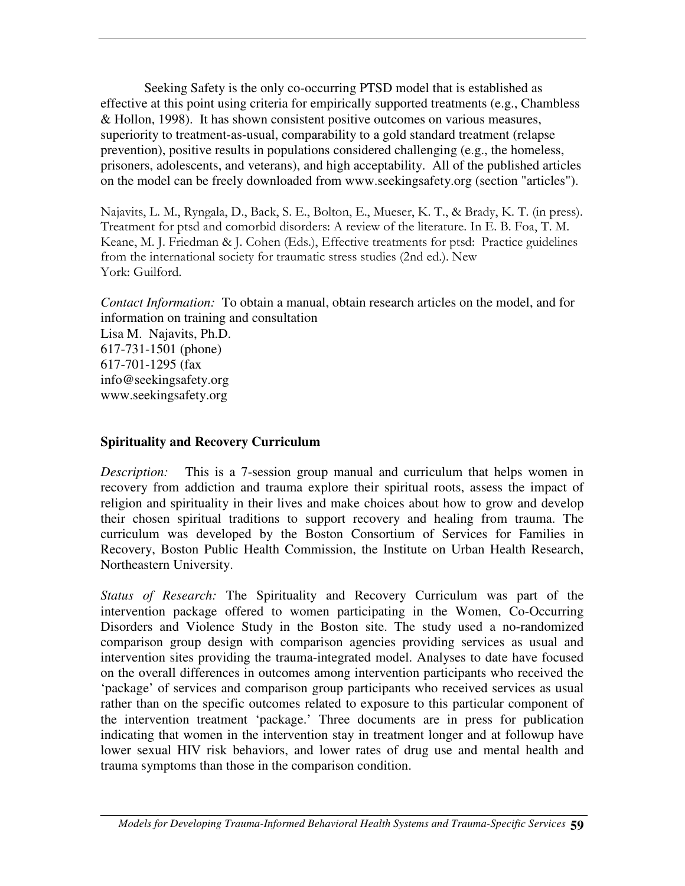Seeking Safety is the only co-occurring PTSD model that is established as effective at this point using criteria for empirically supported treatments (e.g., Chambless & Hollon, 1998). It has shown consistent positive outcomes on various measures, superiority to treatment-as-usual, comparability to a gold standard treatment (relapse prevention), positive results in populations considered challenging (e.g., the homeless, prisoners, adolescents, and veterans), and high acceptability. All of the published articles on the model can be freely downloaded from www.seekingsafety.org (section "articles").

Najavits, L. M., Ryngala, D., Back, S. E., Bolton, E., Mueser, K. T., & Brady, K. T. (in press). Treatment for ptsd and comorbid disorders: A review of the literature. In E. B. Foa, T. M. Keane, M. J. Friedman & J. Cohen (Eds.), Effective treatments for ptsd: Practice guidelines from the international society for traumatic stress studies (2nd ed.). New York: Guilford.

*Contact Information:* To obtain a manual, obtain research articles on the model, and for information on training and consultation Lisa M. Najavits, Ph.D. 617-731-1501 (phone) 617-701-1295 (fax info@seekingsafety.org www.seekingsafety.org

#### **Spirituality and Recovery Curriculum**

*Description:* This is a 7-session group manual and curriculum that helps women in recovery from addiction and trauma explore their spiritual roots, assess the impact of religion and spirituality in their lives and make choices about how to grow and develop their chosen spiritual traditions to support recovery and healing from trauma. The curriculum was developed by the Boston Consortium of Services for Families in Recovery, Boston Public Health Commission, the Institute on Urban Health Research, Northeastern University.

*Status of Research:* The Spirituality and Recovery Curriculum was part of the intervention package offered to women participating in the Women, Co-Occurring Disorders and Violence Study in the Boston site. The study used a no-randomized comparison group design with comparison agencies providing services as usual and intervention sites providing the trauma-integrated model. Analyses to date have focused on the overall differences in outcomes among intervention participants who received the 'package' of services and comparison group participants who received services as usual rather than on the specific outcomes related to exposure to this particular component of the intervention treatment 'package.' Three documents are in press for publication indicating that women in the intervention stay in treatment longer and at followup have lower sexual HIV risk behaviors, and lower rates of drug use and mental health and trauma symptoms than those in the comparison condition.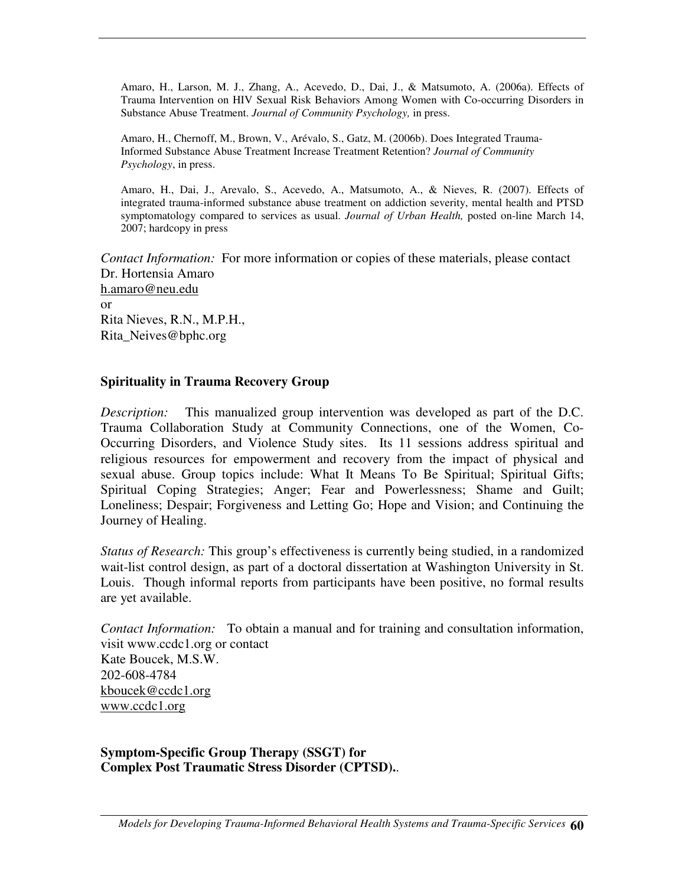Amaro, H., Larson, M. J., Zhang, A., Acevedo, D., Dai, J., & Matsumoto, A. (2006a). Effects of Trauma Intervention on HIV Sexual Risk Behaviors Among Women with Co-occurring Disorders in Substance Abuse Treatment. *Journal of Community Psychology,* in press.

Amaro, H., Chernoff, M., Brown, V., Arévalo, S., Gatz, M. (2006b). Does Integrated Trauma-Informed Substance Abuse Treatment Increase Treatment Retention? *Journal of Community Psychology*, in press.

Amaro, H., Dai, J., Arevalo, S., Acevedo, A., Matsumoto, A., & Nieves, R. (2007). Effects of integrated trauma-informed substance abuse treatment on addiction severity, mental health and PTSD symptomatology compared to services as usual. *Journal of Urban Health,* posted on-line March 14, 2007; hardcopy in press

*Contact Information:* For more information or copies of these materials, please contact Dr. Hortensia Amaro h.amaro@neu.edu or Rita Nieves, R.N., M.P.H., Rita\_Neives@bphc.org

#### **Spirituality in Trauma Recovery Group**

*Description:* This manualized group intervention was developed as part of the D.C. Trauma Collaboration Study at Community Connections, one of the Women, Co-Occurring Disorders, and Violence Study sites. Its 11 sessions address spiritual and religious resources for empowerment and recovery from the impact of physical and sexual abuse. Group topics include: What It Means To Be Spiritual; Spiritual Gifts; Spiritual Coping Strategies; Anger; Fear and Powerlessness; Shame and Guilt; Loneliness; Despair; Forgiveness and Letting Go; Hope and Vision; and Continuing the Journey of Healing.

*Status of Research:* This group's effectiveness is currently being studied, in a randomized wait-list control design, as part of a doctoral dissertation at Washington University in St. Louis. Though informal reports from participants have been positive, no formal results are yet available.

*Contact Information:* To obtain a manual and for training and consultation information, visit www.ccdc1.org or contact Kate Boucek, M.S.W. 202-608-4784 kboucek@ccdc1.org www.ccdc1.org

**Symptom-Specific Group Therapy (SSGT) for Complex Post Traumatic Stress Disorder (CPTSD).**.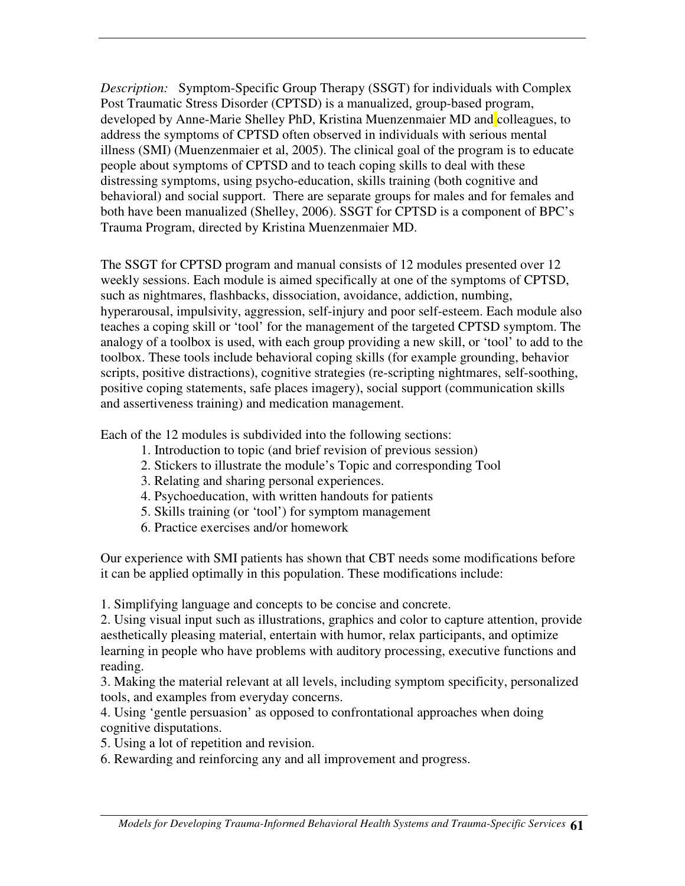*Description:* Symptom-Specific Group Therapy (SSGT) for individuals with Complex Post Traumatic Stress Disorder (CPTSD) is a manualized, group-based program, developed by Anne-Marie Shelley PhD, Kristina Muenzenmaier MD and colleagues, to address the symptoms of CPTSD often observed in individuals with serious mental illness (SMI) (Muenzenmaier et al, 2005). The clinical goal of the program is to educate people about symptoms of CPTSD and to teach coping skills to deal with these distressing symptoms, using psycho-education, skills training (both cognitive and behavioral) and social support. There are separate groups for males and for females and both have been manualized (Shelley, 2006). SSGT for CPTSD is a component of BPC's Trauma Program, directed by Kristina Muenzenmaier MD.

The SSGT for CPTSD program and manual consists of 12 modules presented over 12 weekly sessions. Each module is aimed specifically at one of the symptoms of CPTSD, such as nightmares, flashbacks, dissociation, avoidance, addiction, numbing, hyperarousal, impulsivity, aggression, self-injury and poor self-esteem. Each module also teaches a coping skill or 'tool' for the management of the targeted CPTSD symptom. The analogy of a toolbox is used, with each group providing a new skill, or 'tool' to add to the toolbox. These tools include behavioral coping skills (for example grounding, behavior scripts, positive distractions), cognitive strategies (re-scripting nightmares, self-soothing, positive coping statements, safe places imagery), social support (communication skills and assertiveness training) and medication management.

Each of the 12 modules is subdivided into the following sections:

- 1. Introduction to topic (and brief revision of previous session)
- 2. Stickers to illustrate the module's Topic and corresponding Tool
- 3. Relating and sharing personal experiences.
- 4. Psychoeducation, with written handouts for patients
- 5. Skills training (or 'tool') for symptom management
- 6. Practice exercises and/or homework

Our experience with SMI patients has shown that CBT needs some modifications before it can be applied optimally in this population. These modifications include:

1. Simplifying language and concepts to be concise and concrete.

2. Using visual input such as illustrations, graphics and color to capture attention, provide aesthetically pleasing material, entertain with humor, relax participants, and optimize learning in people who have problems with auditory processing, executive functions and reading.

3. Making the material relevant at all levels, including symptom specificity, personalized tools, and examples from everyday concerns.

4. Using 'gentle persuasion' as opposed to confrontational approaches when doing cognitive disputations.

5. Using a lot of repetition and revision.

6. Rewarding and reinforcing any and all improvement and progress.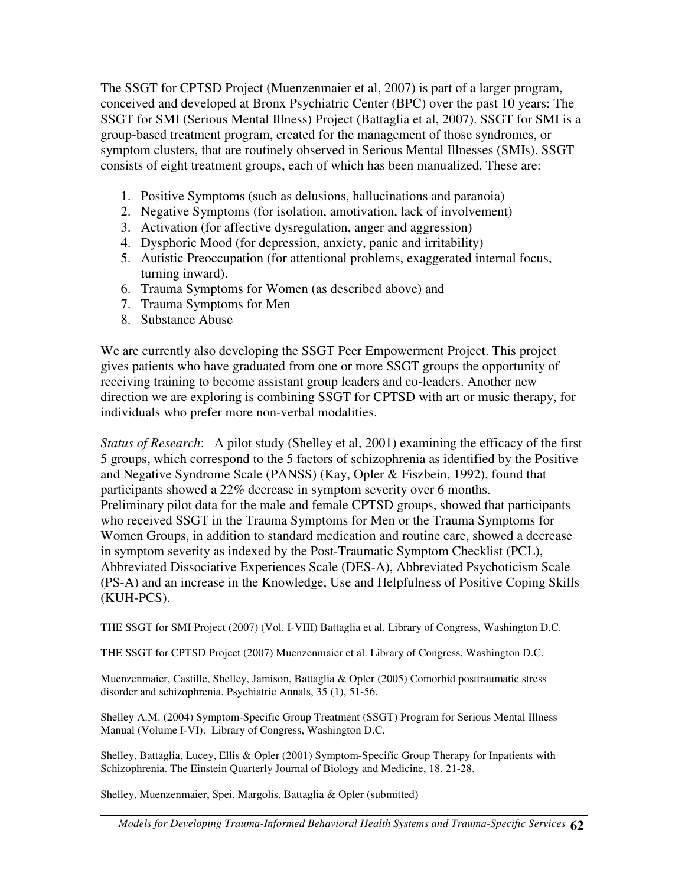The SSGT for CPTSD Project (Muenzenmaier et al, 2007) is part of a larger program, conceived and developed at Bronx Psychiatric Center (BPC) over the past 10 years: The SSGT for SMI (Serious Mental Illness) Project (Battaglia et al, 2007). SSGT for SMI is a group-based treatment program, created for the management of those syndromes, or symptom clusters, that are routinely observed in Serious Mental Illnesses (SMIs). SSGT consists of eight treatment groups, each of which has been manualized. These are:

- 1. Positive Symptoms (such as delusions, hallucinations and paranoia)
- 2. Negative Symptoms (for isolation, amotivation, lack of involvement)
- 3. Activation (for affective dysregulation, anger and aggression)
- 4. Dysphoric Mood (for depression, anxiety, panic and irritability)
- 5. Autistic Preoccupation (for attentional problems, exaggerated internal focus, turning inward).
- 6. Trauma Symptoms for Women (as described above) and
- 7. Trauma Symptoms for Men
- 8. Substance Abuse

We are currently also developing the SSGT Peer Empowerment Project. This project gives patients who have graduated from one or more SSGT groups the opportunity of receiving training to become assistant group leaders and co-leaders. Another new direction we are exploring is combining SSGT for CPTSD with art or music therapy, for individuals who prefer more non-verbal modalities.

*Status of Research*: A pilot study (Shelley et al, 2001) examining the efficacy of the first 5 groups, which correspond to the 5 factors of schizophrenia as identified by the Positive and Negative Syndrome Scale (PANSS) (Kay, Opler & Fiszbein, 1992), found that participants showed a 22% decrease in symptom severity over 6 months. Preliminary pilot data for the male and female CPTSD groups, showed that participants who received SSGT in the Trauma Symptoms for Men or the Trauma Symptoms for Women Groups, in addition to standard medication and routine care, showed a decrease in symptom severity as indexed by the Post-Traumatic Symptom Checklist (PCL), Abbreviated Dissociative Experiences Scale (DES-A), Abbreviated Psychoticism Scale (PS-A) and an increase in the Knowledge, Use and Helpfulness of Positive Coping Skills (KUH-PCS).

THE SSGT for SMI Project (2007) (Vol. I-VIII) Battaglia et al. Library of Congress, Washington D.C.

THE SSGT for CPTSD Project (2007) Muenzenmaier et al. Library of Congress, Washington D.C.

Muenzenmaier, Castille, Shelley, Jamison, Battaglia & Opler (2005) Comorbid posttraumatic stress disorder and schizophrenia. Psychiatric Annals, 35 (1), 51-56.

Shelley A.M. (2004) Symptom-Specific Group Treatment (SSGT) Program for Serious Mental Illness Manual (Volume I-VI). Library of Congress, Washington D.C.

Shelley, Battaglia, Lucey, Ellis & Opler (2001) Symptom-Specific Group Therapy for Inpatients with Schizophrenia. The Einstein Quarterly Journal of Biology and Medicine, 18, 21-28.

Shelley, Muenzenmaier, Spei, Margolis, Battaglia & Opler (submitted)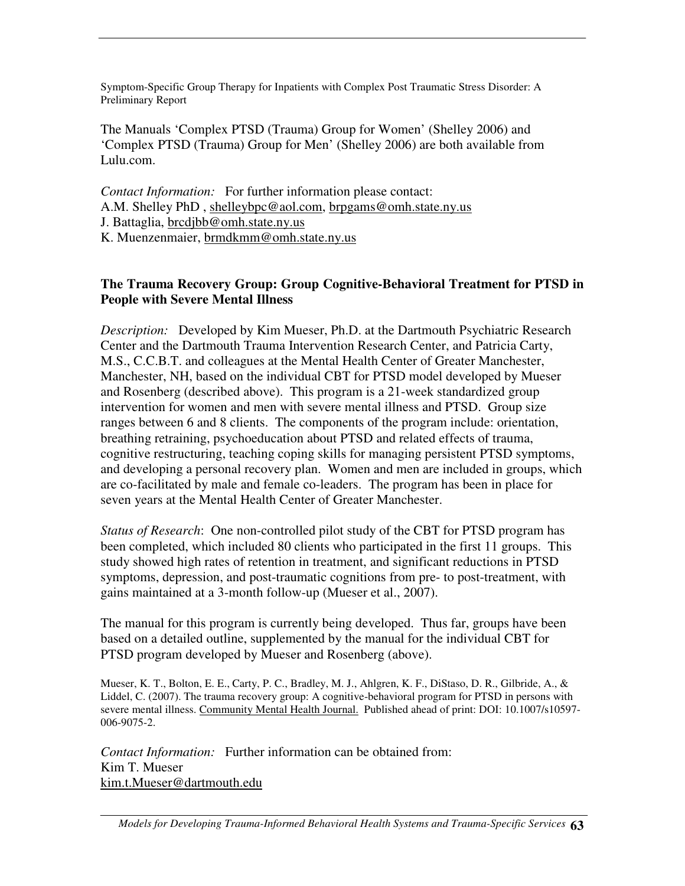Symptom-Specific Group Therapy for Inpatients with Complex Post Traumatic Stress Disorder: A Preliminary Report

The Manuals 'Complex PTSD (Trauma) Group for Women' (Shelley 2006) and 'Complex PTSD (Trauma) Group for Men' (Shelley 2006) are both available from Lulu.com.

*Contact Information:* For further information please contact: A.M. Shelley PhD , shelleybpc@aol.com, brpgams@omh.state.ny.us J. Battaglia, brcdjbb@omh.state.ny.us K. Muenzenmaier, brmdkmm@omh.state.ny.us

#### **The Trauma Recovery Group: Group Cognitive-Behavioral Treatment for PTSD in People with Severe Mental Illness**

*Description:* Developed by Kim Mueser, Ph.D. at the Dartmouth Psychiatric Research Center and the Dartmouth Trauma Intervention Research Center, and Patricia Carty, M.S., C.C.B.T. and colleagues at the Mental Health Center of Greater Manchester, Manchester, NH, based on the individual CBT for PTSD model developed by Mueser and Rosenberg (described above). This program is a 21-week standardized group intervention for women and men with severe mental illness and PTSD. Group size ranges between 6 and 8 clients. The components of the program include: orientation, breathing retraining, psychoeducation about PTSD and related effects of trauma, cognitive restructuring, teaching coping skills for managing persistent PTSD symptoms, and developing a personal recovery plan. Women and men are included in groups, which are co-facilitated by male and female co-leaders. The program has been in place for seven years at the Mental Health Center of Greater Manchester.

*Status of Research*: One non-controlled pilot study of the CBT for PTSD program has been completed, which included 80 clients who participated in the first 11 groups. This study showed high rates of retention in treatment, and significant reductions in PTSD symptoms, depression, and post-traumatic cognitions from pre- to post-treatment, with gains maintained at a 3-month follow-up (Mueser et al., 2007).

The manual for this program is currently being developed. Thus far, groups have been based on a detailed outline, supplemented by the manual for the individual CBT for PTSD program developed by Mueser and Rosenberg (above).

Mueser, K. T., Bolton, E. E., Carty, P. C., Bradley, M. J., Ahlgren, K. F., DiStaso, D. R., Gilbride, A., & Liddel, C. (2007). The trauma recovery group: A cognitive-behavioral program for PTSD in persons with severe mental illness. Community Mental Health Journal. Published ahead of print: DOI: 10.1007/s10597- 006-9075-2.

*Contact Information:* Further information can be obtained from: Kim T. Mueser kim.t.Mueser@dartmouth.edu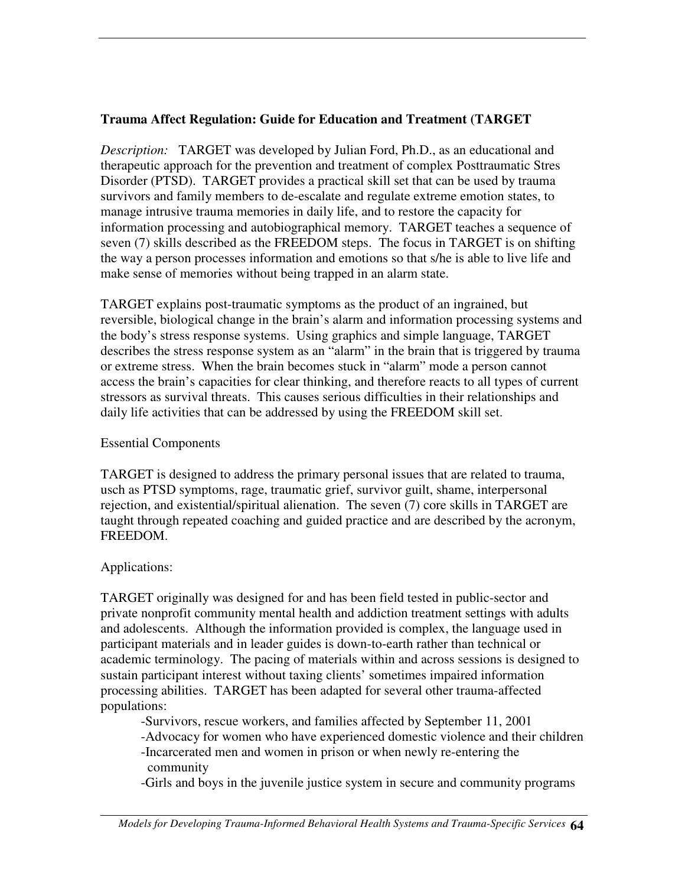## **Trauma Affect Regulation: Guide for Education and Treatment (TARGET**

*Description:* TARGET was developed by Julian Ford, Ph.D., as an educational and therapeutic approach for the prevention and treatment of complex Posttraumatic Stres Disorder (PTSD). TARGET provides a practical skill set that can be used by trauma survivors and family members to de-escalate and regulate extreme emotion states, to manage intrusive trauma memories in daily life, and to restore the capacity for information processing and autobiographical memory. TARGET teaches a sequence of seven (7) skills described as the FREEDOM steps. The focus in TARGET is on shifting the way a person processes information and emotions so that s/he is able to live life and make sense of memories without being trapped in an alarm state.

TARGET explains post-traumatic symptoms as the product of an ingrained, but reversible, biological change in the brain's alarm and information processing systems and the body's stress response systems. Using graphics and simple language, TARGET describes the stress response system as an "alarm" in the brain that is triggered by trauma or extreme stress. When the brain becomes stuck in "alarm" mode a person cannot access the brain's capacities for clear thinking, and therefore reacts to all types of current stressors as survival threats. This causes serious difficulties in their relationships and daily life activities that can be addressed by using the FREEDOM skill set.

#### Essential Components

TARGET is designed to address the primary personal issues that are related to trauma, usch as PTSD symptoms, rage, traumatic grief, survivor guilt, shame, interpersonal rejection, and existential/spiritual alienation. The seven (7) core skills in TARGET are taught through repeated coaching and guided practice and are described by the acronym, FREEDOM.

#### Applications:

TARGET originally was designed for and has been field tested in public-sector and private nonprofit community mental health and addiction treatment settings with adults and adolescents. Although the information provided is complex, the language used in participant materials and in leader guides is down-to-earth rather than technical or academic terminology. The pacing of materials within and across sessions is designed to sustain participant interest without taxing clients' sometimes impaired information processing abilities. TARGET has been adapted for several other trauma-affected populations:

-Survivors, rescue workers, and families affected by September 11, 2001 -Advocacy for women who have experienced domestic violence and their children -Incarcerated men and women in prison or when newly re-entering the community

-Girls and boys in the juvenile justice system in secure and community programs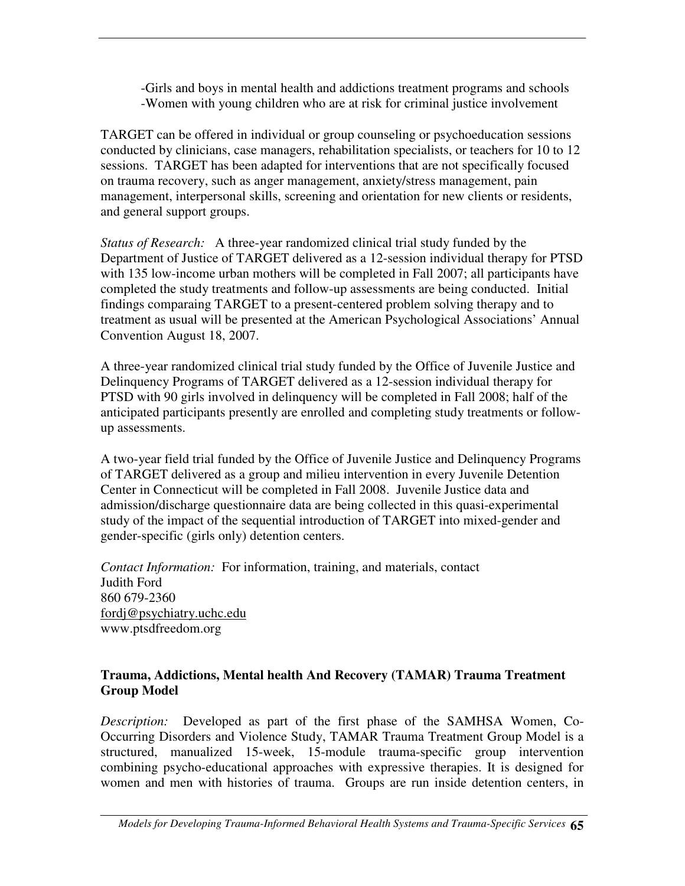-Girls and boys in mental health and addictions treatment programs and schools -Women with young children who are at risk for criminal justice involvement

TARGET can be offered in individual or group counseling or psychoeducation sessions conducted by clinicians, case managers, rehabilitation specialists, or teachers for 10 to 12 sessions. TARGET has been adapted for interventions that are not specifically focused on trauma recovery, such as anger management, anxiety/stress management, pain management, interpersonal skills, screening and orientation for new clients or residents, and general support groups.

*Status of Research:* A three-year randomized clinical trial study funded by the Department of Justice of TARGET delivered as a 12-session individual therapy for PTSD with 135 low-income urban mothers will be completed in Fall 2007; all participants have completed the study treatments and follow-up assessments are being conducted. Initial findings comparaing TARGET to a present-centered problem solving therapy and to treatment as usual will be presented at the American Psychological Associations' Annual Convention August 18, 2007.

A three-year randomized clinical trial study funded by the Office of Juvenile Justice and Delinquency Programs of TARGET delivered as a 12-session individual therapy for PTSD with 90 girls involved in delinquency will be completed in Fall 2008; half of the anticipated participants presently are enrolled and completing study treatments or followup assessments.

A two-year field trial funded by the Office of Juvenile Justice and Delinquency Programs of TARGET delivered as a group and milieu intervention in every Juvenile Detention Center in Connecticut will be completed in Fall 2008. Juvenile Justice data and admission/discharge questionnaire data are being collected in this quasi-experimental study of the impact of the sequential introduction of TARGET into mixed-gender and gender-specific (girls only) detention centers.

*Contact Information:* For information, training, and materials, contact Judith Ford 860 679-2360 fordj@psychiatry.uchc.edu www.ptsdfreedom.org

# **Trauma, Addictions, Mental health And Recovery (TAMAR) Trauma Treatment Group Model**

*Description:* Developed as part of the first phase of the SAMHSA Women, Co-Occurring Disorders and Violence Study, TAMAR Trauma Treatment Group Model is a structured, manualized 15-week, 15-module trauma-specific group intervention combining psycho-educational approaches with expressive therapies. It is designed for women and men with histories of trauma. Groups are run inside detention centers, in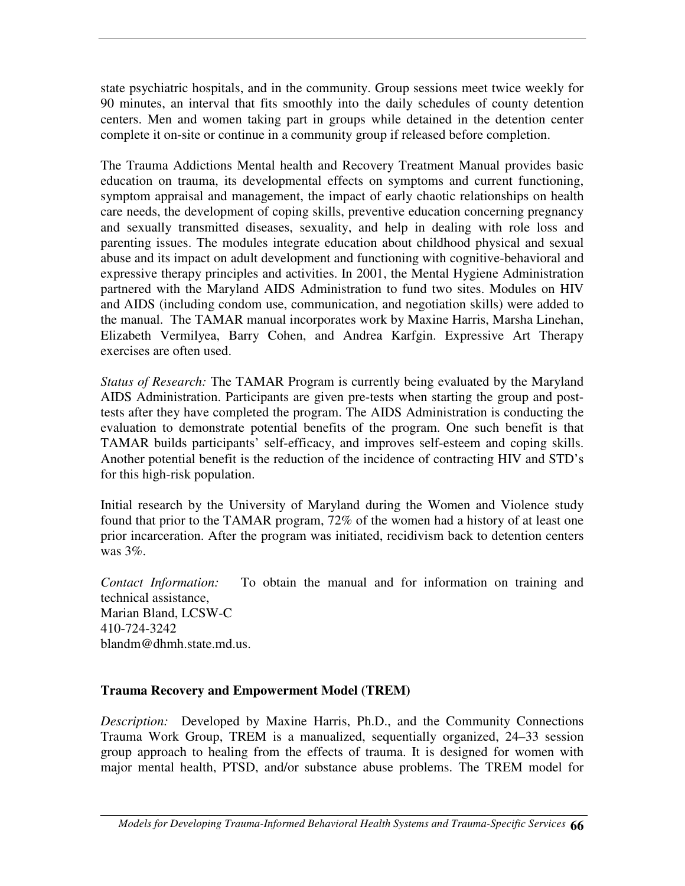state psychiatric hospitals, and in the community. Group sessions meet twice weekly for 90 minutes, an interval that fits smoothly into the daily schedules of county detention centers. Men and women taking part in groups while detained in the detention center complete it on-site or continue in a community group if released before completion.

The Trauma Addictions Mental health and Recovery Treatment Manual provides basic education on trauma, its developmental effects on symptoms and current functioning, symptom appraisal and management, the impact of early chaotic relationships on health care needs, the development of coping skills, preventive education concerning pregnancy and sexually transmitted diseases, sexuality, and help in dealing with role loss and parenting issues. The modules integrate education about childhood physical and sexual abuse and its impact on adult development and functioning with cognitive-behavioral and expressive therapy principles and activities. In 2001, the Mental Hygiene Administration partnered with the Maryland AIDS Administration to fund two sites. Modules on HIV and AIDS (including condom use, communication, and negotiation skills) were added to the manual. The TAMAR manual incorporates work by Maxine Harris, Marsha Linehan, Elizabeth Vermilyea, Barry Cohen, and Andrea Karfgin. Expressive Art Therapy exercises are often used.

*Status of Research:* The TAMAR Program is currently being evaluated by the Maryland AIDS Administration. Participants are given pre-tests when starting the group and posttests after they have completed the program. The AIDS Administration is conducting the evaluation to demonstrate potential benefits of the program. One such benefit is that TAMAR builds participants' self-efficacy, and improves self-esteem and coping skills. Another potential benefit is the reduction of the incidence of contracting HIV and STD's for this high-risk population.

Initial research by the University of Maryland during the Women and Violence study found that prior to the TAMAR program, 72% of the women had a history of at least one prior incarceration. After the program was initiated, recidivism back to detention centers was 3%.

*Contact Information:* To obtain the manual and for information on training and technical assistance, Marian Bland, LCSW-C 410-724-3242 blandm@dhmh.state.md.us.

# **Trauma Recovery and Empowerment Model (TREM)**

*Description:* Developed by Maxine Harris, Ph.D., and the Community Connections Trauma Work Group, TREM is a manualized, sequentially organized, 24–33 session group approach to healing from the effects of trauma. It is designed for women with major mental health, PTSD, and/or substance abuse problems. The TREM model for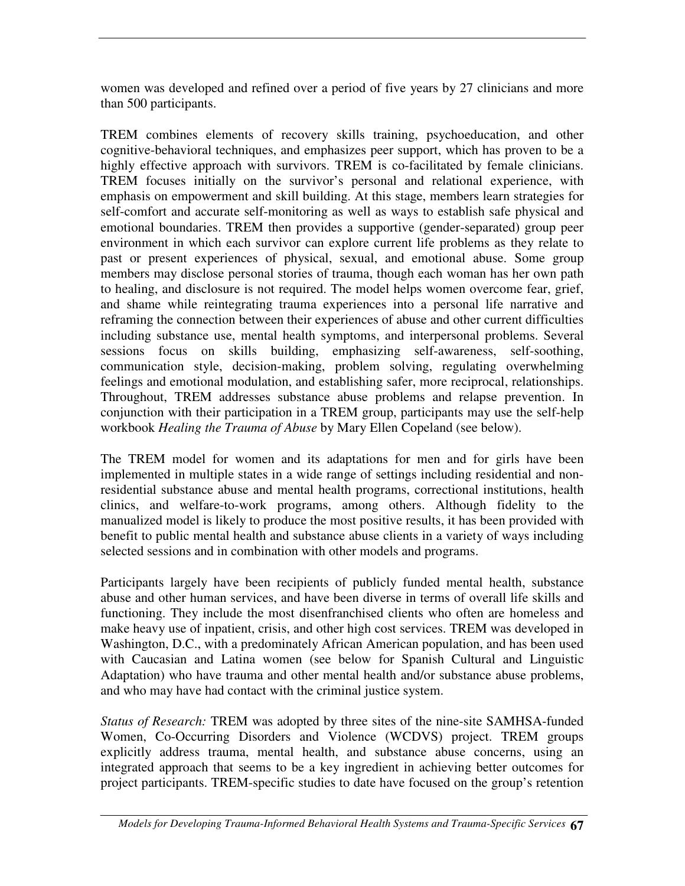women was developed and refined over a period of five years by 27 clinicians and more than 500 participants.

TREM combines elements of recovery skills training, psychoeducation, and other cognitive-behavioral techniques, and emphasizes peer support, which has proven to be a highly effective approach with survivors. TREM is co-facilitated by female clinicians. TREM focuses initially on the survivor's personal and relational experience, with emphasis on empowerment and skill building. At this stage, members learn strategies for self-comfort and accurate self-monitoring as well as ways to establish safe physical and emotional boundaries. TREM then provides a supportive (gender-separated) group peer environment in which each survivor can explore current life problems as they relate to past or present experiences of physical, sexual, and emotional abuse. Some group members may disclose personal stories of trauma, though each woman has her own path to healing, and disclosure is not required. The model helps women overcome fear, grief, and shame while reintegrating trauma experiences into a personal life narrative and reframing the connection between their experiences of abuse and other current difficulties including substance use, mental health symptoms, and interpersonal problems. Several sessions focus on skills building, emphasizing self-awareness, self-soothing, communication style, decision-making, problem solving, regulating overwhelming feelings and emotional modulation, and establishing safer, more reciprocal, relationships. Throughout, TREM addresses substance abuse problems and relapse prevention. In conjunction with their participation in a TREM group, participants may use the self-help workbook *Healing the Trauma of Abuse* by Mary Ellen Copeland (see below).

The TREM model for women and its adaptations for men and for girls have been implemented in multiple states in a wide range of settings including residential and nonresidential substance abuse and mental health programs, correctional institutions, health clinics, and welfare-to-work programs, among others. Although fidelity to the manualized model is likely to produce the most positive results, it has been provided with benefit to public mental health and substance abuse clients in a variety of ways including selected sessions and in combination with other models and programs.

Participants largely have been recipients of publicly funded mental health, substance abuse and other human services, and have been diverse in terms of overall life skills and functioning. They include the most disenfranchised clients who often are homeless and make heavy use of inpatient, crisis, and other high cost services. TREM was developed in Washington, D.C., with a predominately African American population, and has been used with Caucasian and Latina women (see below for Spanish Cultural and Linguistic Adaptation) who have trauma and other mental health and/or substance abuse problems, and who may have had contact with the criminal justice system.

*Status of Research:* TREM was adopted by three sites of the nine-site SAMHSA-funded Women, Co-Occurring Disorders and Violence (WCDVS) project. TREM groups explicitly address trauma, mental health, and substance abuse concerns, using an integrated approach that seems to be a key ingredient in achieving better outcomes for project participants. TREM-specific studies to date have focused on the group's retention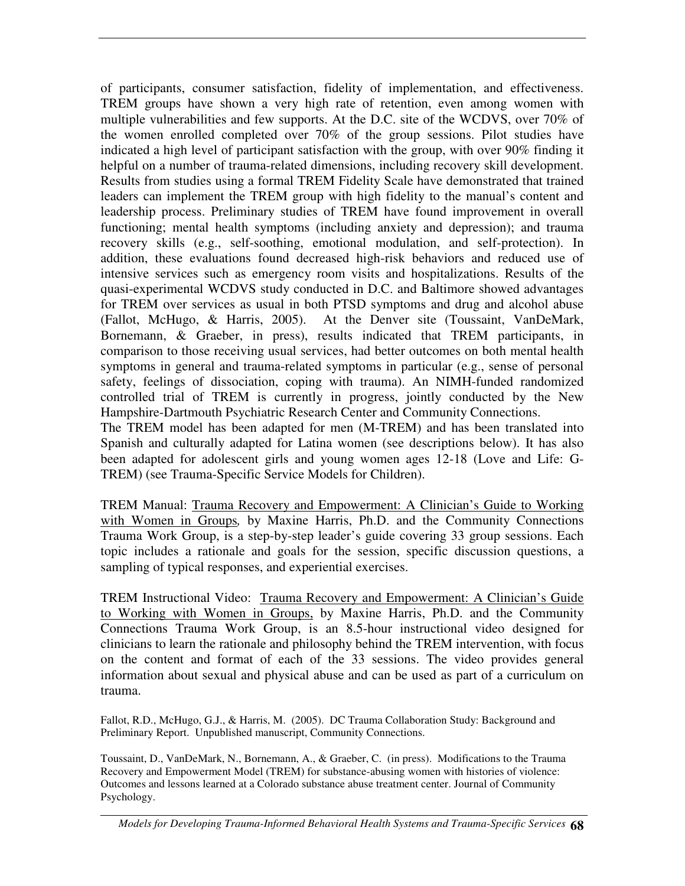of participants, consumer satisfaction, fidelity of implementation, and effectiveness. TREM groups have shown a very high rate of retention, even among women with multiple vulnerabilities and few supports. At the D.C. site of the WCDVS, over 70% of the women enrolled completed over 70% of the group sessions. Pilot studies have indicated a high level of participant satisfaction with the group, with over 90% finding it helpful on a number of trauma-related dimensions, including recovery skill development. Results from studies using a formal TREM Fidelity Scale have demonstrated that trained leaders can implement the TREM group with high fidelity to the manual's content and leadership process. Preliminary studies of TREM have found improvement in overall functioning; mental health symptoms (including anxiety and depression); and trauma recovery skills (e.g., self-soothing, emotional modulation, and self-protection). In addition, these evaluations found decreased high-risk behaviors and reduced use of intensive services such as emergency room visits and hospitalizations. Results of the quasi-experimental WCDVS study conducted in D.C. and Baltimore showed advantages for TREM over services as usual in both PTSD symptoms and drug and alcohol abuse (Fallot, McHugo, & Harris, 2005). At the Denver site (Toussaint, VanDeMark, Bornemann, & Graeber, in press), results indicated that TREM participants, in comparison to those receiving usual services, had better outcomes on both mental health symptoms in general and trauma-related symptoms in particular (e.g., sense of personal safety, feelings of dissociation, coping with trauma). An NIMH-funded randomized controlled trial of TREM is currently in progress, jointly conducted by the New Hampshire-Dartmouth Psychiatric Research Center and Community Connections. The TREM model has been adapted for men (M-TREM) and has been translated into

Spanish and culturally adapted for Latina women (see descriptions below). It has also been adapted for adolescent girls and young women ages 12-18 (Love and Life: G-TREM) (see Trauma-Specific Service Models for Children).

TREM Manual: Trauma Recovery and Empowerment: A Clinician's Guide to Working with Women in Groups*,* by Maxine Harris, Ph.D. and the Community Connections Trauma Work Group, is a step-by-step leader's guide covering 33 group sessions. Each topic includes a rationale and goals for the session, specific discussion questions, a sampling of typical responses, and experiential exercises.

TREM Instructional Video: Trauma Recovery and Empowerment: A Clinician's Guide to Working with Women in Groups, by Maxine Harris, Ph.D. and the Community Connections Trauma Work Group, is an 8.5-hour instructional video designed for clinicians to learn the rationale and philosophy behind the TREM intervention, with focus on the content and format of each of the 33 sessions. The video provides general information about sexual and physical abuse and can be used as part of a curriculum on trauma.

Fallot, R.D., McHugo, G.J., & Harris, M. (2005). DC Trauma Collaboration Study: Background and Preliminary Report. Unpublished manuscript, Community Connections.

Toussaint, D., VanDeMark, N., Bornemann, A., & Graeber, C. (in press). Modifications to the Trauma Recovery and Empowerment Model (TREM) for substance-abusing women with histories of violence: Outcomes and lessons learned at a Colorado substance abuse treatment center. Journal of Community Psychology.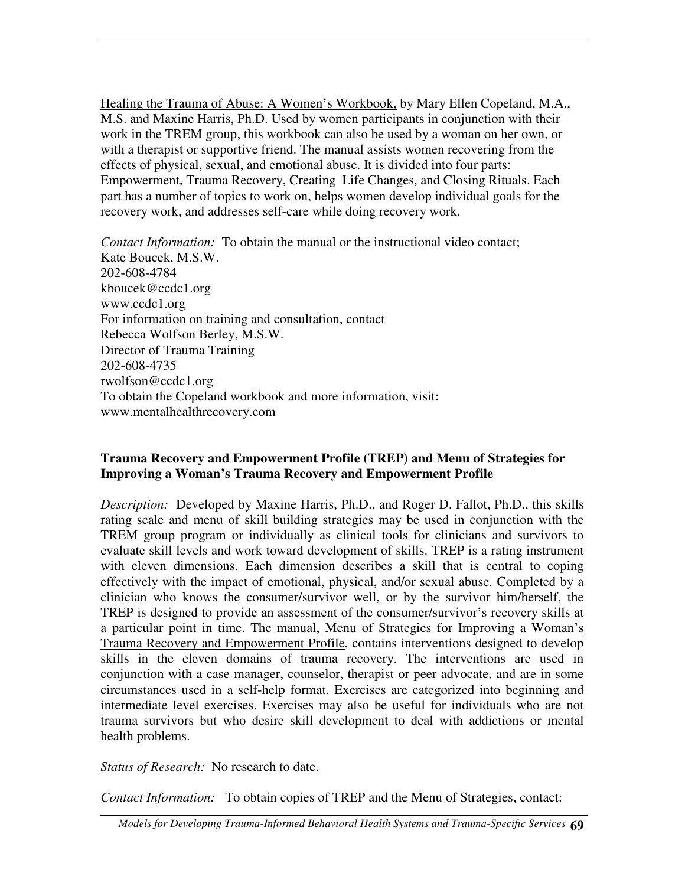Healing the Trauma of Abuse: A Women's Workbook, by Mary Ellen Copeland, M.A., M.S. and Maxine Harris, Ph.D. Used by women participants in conjunction with their work in the TREM group, this workbook can also be used by a woman on her own, or with a therapist or supportive friend. The manual assists women recovering from the effects of physical, sexual, and emotional abuse. It is divided into four parts: Empowerment, Trauma Recovery, Creating Life Changes, and Closing Rituals. Each part has a number of topics to work on, helps women develop individual goals for the recovery work, and addresses self-care while doing recovery work.

*Contact Information:* To obtain the manual or the instructional video contact; Kate Boucek, M.S.W. 202-608-4784 kboucek@ccdc1.org www.ccdc1.org For information on training and consultation, contact Rebecca Wolfson Berley, M.S.W. Director of Trauma Training 202-608-4735 rwolfson@ccdc1.org To obtain the Copeland workbook and more information, visit: www.mentalhealthrecovery.com

#### **Trauma Recovery and Empowerment Profile (TREP) and Menu of Strategies for Improving a Woman's Trauma Recovery and Empowerment Profile**

*Description:* Developed by Maxine Harris, Ph.D., and Roger D. Fallot, Ph.D., this skills rating scale and menu of skill building strategies may be used in conjunction with the TREM group program or individually as clinical tools for clinicians and survivors to evaluate skill levels and work toward development of skills. TREP is a rating instrument with eleven dimensions. Each dimension describes a skill that is central to coping effectively with the impact of emotional, physical, and/or sexual abuse. Completed by a clinician who knows the consumer/survivor well, or by the survivor him/herself, the TREP is designed to provide an assessment of the consumer/survivor's recovery skills at a particular point in time. The manual, Menu of Strategies for Improving a Woman's Trauma Recovery and Empowerment Profile, contains interventions designed to develop skills in the eleven domains of trauma recovery. The interventions are used in conjunction with a case manager, counselor, therapist or peer advocate, and are in some circumstances used in a self-help format. Exercises are categorized into beginning and intermediate level exercises. Exercises may also be useful for individuals who are not trauma survivors but who desire skill development to deal with addictions or mental health problems.

*Status of Research:* No research to date.

*Contact Information:* To obtain copies of TREP and the Menu of Strategies, contact:

*Models for Developing Trauma-Informed Behavioral Health Systems and Trauma-Specific Services* **69**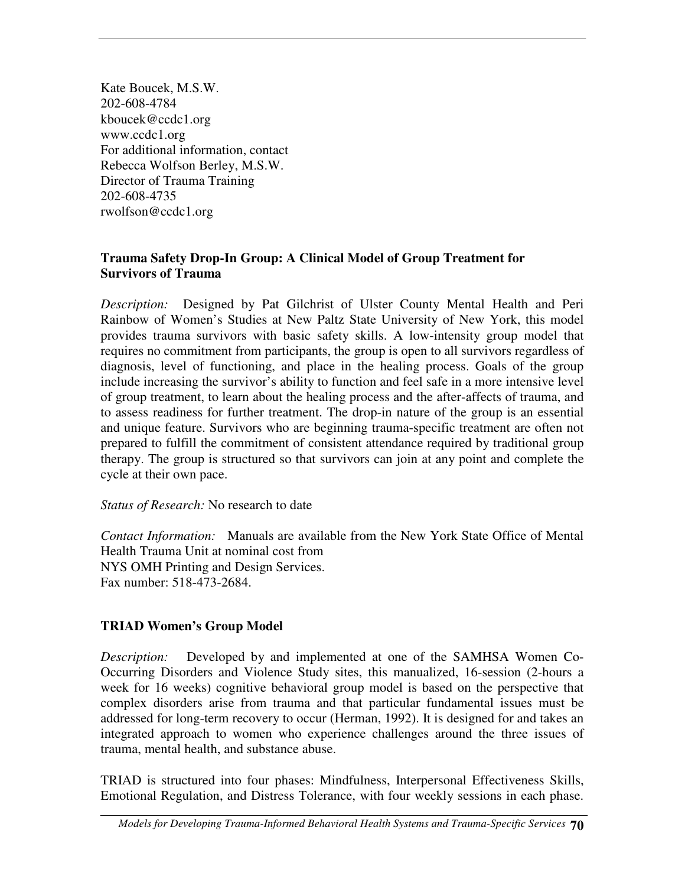Kate Boucek, M.S.W. 202-608-4784 kboucek@ccdc1.org www.ccdc1.org For additional information, contact Rebecca Wolfson Berley, M.S.W. Director of Trauma Training 202-608-4735 rwolfson@ccdc1.org

## **Trauma Safety Drop-In Group: A Clinical Model of Group Treatment for Survivors of Trauma**

*Description:* Designed by Pat Gilchrist of Ulster County Mental Health and Peri Rainbow of Women's Studies at New Paltz State University of New York, this model provides trauma survivors with basic safety skills. A low-intensity group model that requires no commitment from participants, the group is open to all survivors regardless of diagnosis, level of functioning, and place in the healing process. Goals of the group include increasing the survivor's ability to function and feel safe in a more intensive level of group treatment, to learn about the healing process and the after-affects of trauma, and to assess readiness for further treatment. The drop-in nature of the group is an essential and unique feature. Survivors who are beginning trauma-specific treatment are often not prepared to fulfill the commitment of consistent attendance required by traditional group therapy. The group is structured so that survivors can join at any point and complete the cycle at their own pace.

*Status of Research:* No research to date

*Contact Information:* Manuals are available from the New York State Office of Mental Health Trauma Unit at nominal cost from NYS OMH Printing and Design Services. Fax number: 518-473-2684.

#### **TRIAD Women's Group Model**

*Description:* Developed by and implemented at one of the SAMHSA Women Co-Occurring Disorders and Violence Study sites, this manualized, 16-session (2-hours a week for 16 weeks) cognitive behavioral group model is based on the perspective that complex disorders arise from trauma and that particular fundamental issues must be addressed for long-term recovery to occur (Herman, 1992). It is designed for and takes an integrated approach to women who experience challenges around the three issues of trauma, mental health, and substance abuse.

TRIAD is structured into four phases: Mindfulness, Interpersonal Effectiveness Skills, Emotional Regulation, and Distress Tolerance, with four weekly sessions in each phase.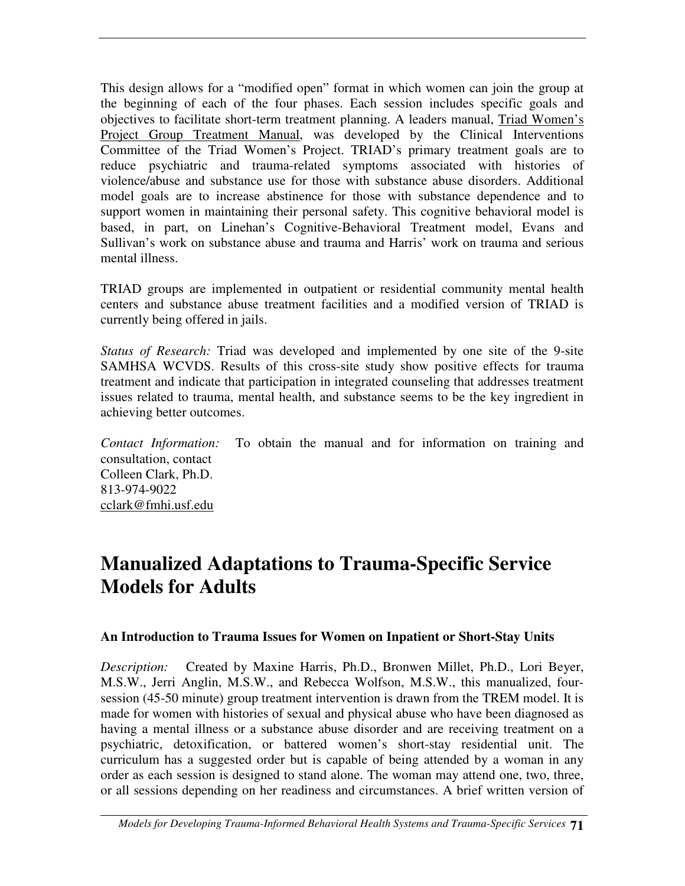This design allows for a "modified open" format in which women can join the group at the beginning of each of the four phases. Each session includes specific goals and objectives to facilitate short-term treatment planning. A leaders manual, Triad Women's Project Group Treatment Manual, was developed by the Clinical Interventions Committee of the Triad Women's Project. TRIAD's primary treatment goals are to reduce psychiatric and trauma-related symptoms associated with histories of violence/abuse and substance use for those with substance abuse disorders. Additional model goals are to increase abstinence for those with substance dependence and to support women in maintaining their personal safety. This cognitive behavioral model is based, in part, on Linehan's Cognitive-Behavioral Treatment model, Evans and Sullivan's work on substance abuse and trauma and Harris' work on trauma and serious mental illness.

TRIAD groups are implemented in outpatient or residential community mental health centers and substance abuse treatment facilities and a modified version of TRIAD is currently being offered in jails.

*Status of Research:* Triad was developed and implemented by one site of the 9-site SAMHSA WCVDS. Results of this cross-site study show positive effects for trauma treatment and indicate that participation in integrated counseling that addresses treatment issues related to trauma, mental health, and substance seems to be the key ingredient in achieving better outcomes.

*Contact Information:* To obtain the manual and for information on training and consultation, contact Colleen Clark, Ph.D. 813-974-9022 cclark@fmhi.usf.edu

# **Manualized Adaptations to Trauma-Specific Service Models for Adults**

#### **An Introduction to Trauma Issues for Women on Inpatient or Short-Stay Units**

*Description:* Created by Maxine Harris, Ph.D., Bronwen Millet, Ph.D., Lori Beyer, M.S.W., Jerri Anglin, M.S.W., and Rebecca Wolfson, M.S.W., this manualized, foursession (45-50 minute) group treatment intervention is drawn from the TREM model. It is made for women with histories of sexual and physical abuse who have been diagnosed as having a mental illness or a substance abuse disorder and are receiving treatment on a psychiatric, detoxification, or battered women's short-stay residential unit. The curriculum has a suggested order but is capable of being attended by a woman in any order as each session is designed to stand alone. The woman may attend one, two, three, or all sessions depending on her readiness and circumstances. A brief written version of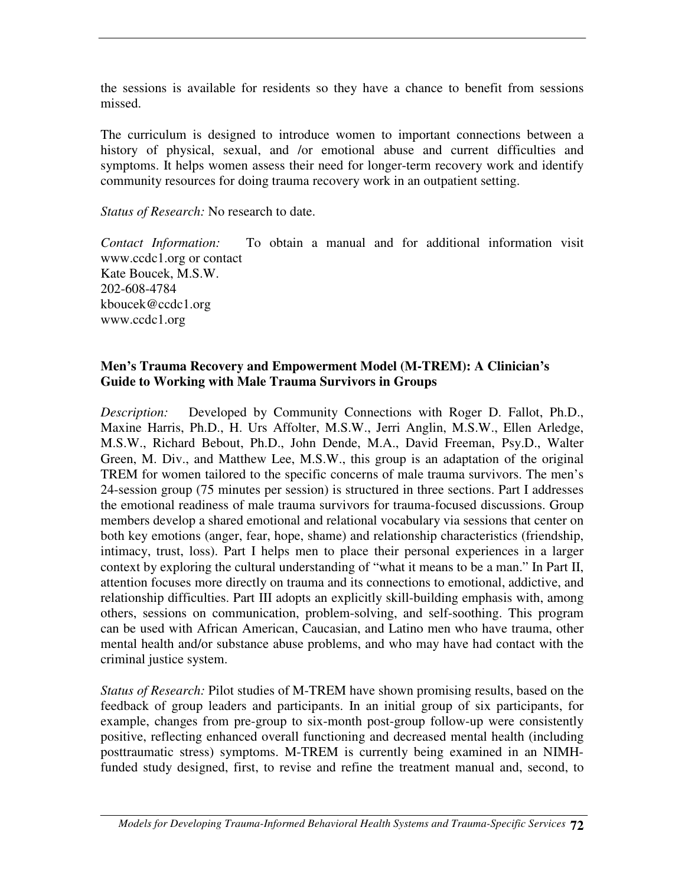the sessions is available for residents so they have a chance to benefit from sessions missed.

The curriculum is designed to introduce women to important connections between a history of physical, sexual, and /or emotional abuse and current difficulties and symptoms. It helps women assess their need for longer-term recovery work and identify community resources for doing trauma recovery work in an outpatient setting.

*Status of Research:* No research to date.

*Contact Information:* To obtain a manual and for additional information visit www.ccdc1.org or contact Kate Boucek, M.S.W. 202-608-4784 kboucek@ccdc1.org www.ccdc1.org

#### **Men's Trauma Recovery and Empowerment Model (M-TREM): A Clinician's Guide to Working with Male Trauma Survivors in Groups**

*Description:* Developed by Community Connections with Roger D. Fallot, Ph.D., Maxine Harris, Ph.D., H. Urs Affolter, M.S.W., Jerri Anglin, M.S.W., Ellen Arledge, M.S.W., Richard Bebout, Ph.D., John Dende, M.A., David Freeman, Psy.D., Walter Green, M. Div., and Matthew Lee, M.S.W., this group is an adaptation of the original TREM for women tailored to the specific concerns of male trauma survivors. The men's 24-session group (75 minutes per session) is structured in three sections. Part I addresses the emotional readiness of male trauma survivors for trauma-focused discussions. Group members develop a shared emotional and relational vocabulary via sessions that center on both key emotions (anger, fear, hope, shame) and relationship characteristics (friendship, intimacy, trust, loss). Part I helps men to place their personal experiences in a larger context by exploring the cultural understanding of "what it means to be a man." In Part II, attention focuses more directly on trauma and its connections to emotional, addictive, and relationship difficulties. Part III adopts an explicitly skill-building emphasis with, among others, sessions on communication, problem-solving, and self-soothing. This program can be used with African American, Caucasian, and Latino men who have trauma, other mental health and/or substance abuse problems, and who may have had contact with the criminal justice system.

*Status of Research:* Pilot studies of M-TREM have shown promising results, based on the feedback of group leaders and participants. In an initial group of six participants, for example, changes from pre-group to six-month post-group follow-up were consistently positive, reflecting enhanced overall functioning and decreased mental health (including posttraumatic stress) symptoms. M-TREM is currently being examined in an NIMHfunded study designed, first, to revise and refine the treatment manual and, second, to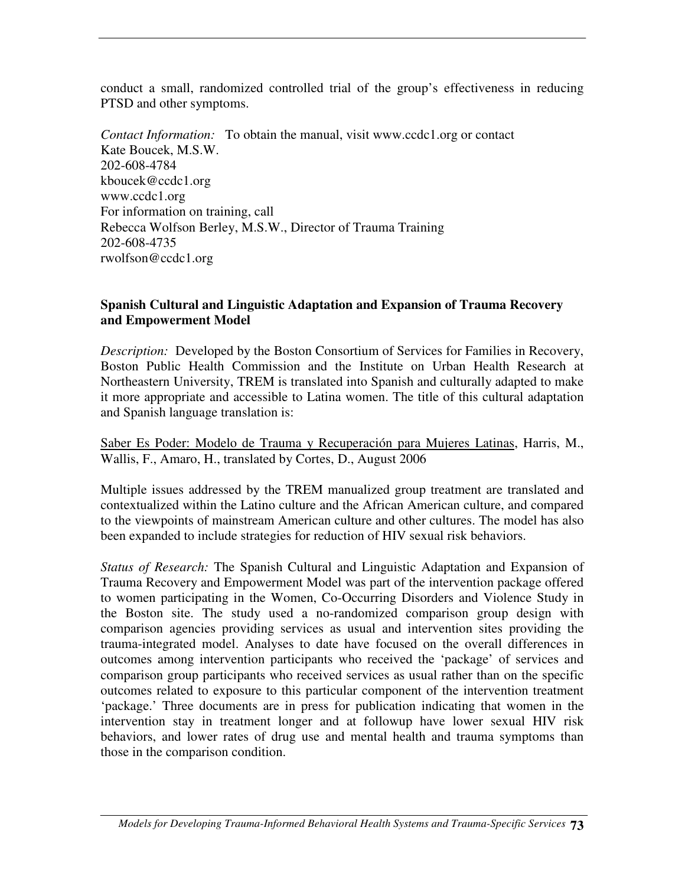conduct a small, randomized controlled trial of the group's effectiveness in reducing PTSD and other symptoms.

*Contact Information:* To obtain the manual, visit www.ccdc1.org or contact Kate Boucek, M.S.W. 202-608-4784 kboucek@ccdc1.org www.ccdc1.org For information on training, call Rebecca Wolfson Berley, M.S.W., Director of Trauma Training 202-608-4735 rwolfson@ccdc1.org

## **Spanish Cultural and Linguistic Adaptation and Expansion of Trauma Recovery and Empowerment Model**

*Description:* Developed by the Boston Consortium of Services for Families in Recovery, Boston Public Health Commission and the Institute on Urban Health Research at Northeastern University, TREM is translated into Spanish and culturally adapted to make it more appropriate and accessible to Latina women. The title of this cultural adaptation and Spanish language translation is:

Saber Es Poder: Modelo de Trauma y Recuperación para Mujeres Latinas, Harris, M., Wallis, F., Amaro, H., translated by Cortes, D., August 2006

Multiple issues addressed by the TREM manualized group treatment are translated and contextualized within the Latino culture and the African American culture, and compared to the viewpoints of mainstream American culture and other cultures. The model has also been expanded to include strategies for reduction of HIV sexual risk behaviors.

*Status of Research:* The Spanish Cultural and Linguistic Adaptation and Expansion of Trauma Recovery and Empowerment Model was part of the intervention package offered to women participating in the Women, Co-Occurring Disorders and Violence Study in the Boston site. The study used a no-randomized comparison group design with comparison agencies providing services as usual and intervention sites providing the trauma-integrated model. Analyses to date have focused on the overall differences in outcomes among intervention participants who received the 'package' of services and comparison group participants who received services as usual rather than on the specific outcomes related to exposure to this particular component of the intervention treatment 'package.' Three documents are in press for publication indicating that women in the intervention stay in treatment longer and at followup have lower sexual HIV risk behaviors, and lower rates of drug use and mental health and trauma symptoms than those in the comparison condition.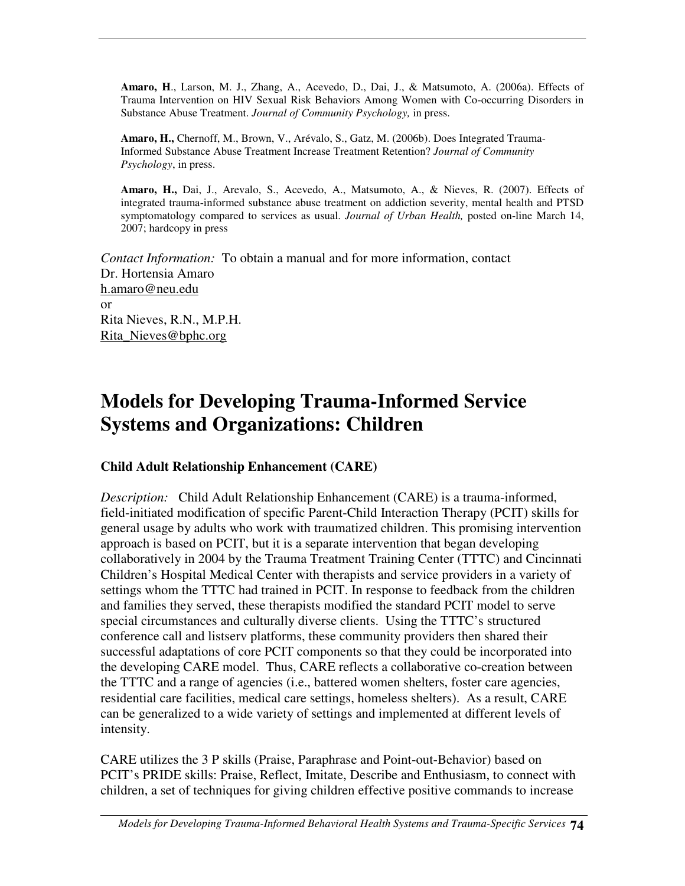**Amaro, H**., Larson, M. J., Zhang, A., Acevedo, D., Dai, J., & Matsumoto, A. (2006a). Effects of Trauma Intervention on HIV Sexual Risk Behaviors Among Women with Co-occurring Disorders in Substance Abuse Treatment. *Journal of Community Psychology,* in press.

**Amaro, H.,** Chernoff, M., Brown, V., Arévalo, S., Gatz, M. (2006b). Does Integrated Trauma-Informed Substance Abuse Treatment Increase Treatment Retention? *Journal of Community Psychology*, in press.

**Amaro, H.,** Dai, J., Arevalo, S., Acevedo, A., Matsumoto, A., & Nieves, R. (2007). Effects of integrated trauma-informed substance abuse treatment on addiction severity, mental health and PTSD symptomatology compared to services as usual. *Journal of Urban Health,* posted on-line March 14, 2007; hardcopy in press

*Contact Information:* To obtain a manual and for more information, contact Dr. Hortensia Amaro h.amaro@neu.edu or Rita Nieves, R.N., M.P.H. Rita\_Nieves@bphc.org

## **Models for Developing Trauma-Informed Service Systems and Organizations: Children**

## **Child Adult Relationship Enhancement (CARE)**

*Description:* Child Adult Relationship Enhancement (CARE) is a trauma-informed, field-initiated modification of specific Parent-Child Interaction Therapy (PCIT) skills for general usage by adults who work with traumatized children. This promising intervention approach is based on PCIT, but it is a separate intervention that began developing collaboratively in 2004 by the Trauma Treatment Training Center (TTTC) and Cincinnati Children's Hospital Medical Center with therapists and service providers in a variety of settings whom the TTTC had trained in PCIT. In response to feedback from the children and families they served, these therapists modified the standard PCIT model to serve special circumstances and culturally diverse clients. Using the TTTC's structured conference call and listserv platforms, these community providers then shared their successful adaptations of core PCIT components so that they could be incorporated into the developing CARE model. Thus, CARE reflects a collaborative co-creation between the TTTC and a range of agencies (i.e., battered women shelters, foster care agencies, residential care facilities, medical care settings, homeless shelters). As a result, CARE can be generalized to a wide variety of settings and implemented at different levels of intensity.

CARE utilizes the 3 P skills (Praise, Paraphrase and Point-out-Behavior) based on PCIT's PRIDE skills: Praise, Reflect, Imitate, Describe and Enthusiasm, to connect with children, a set of techniques for giving children effective positive commands to increase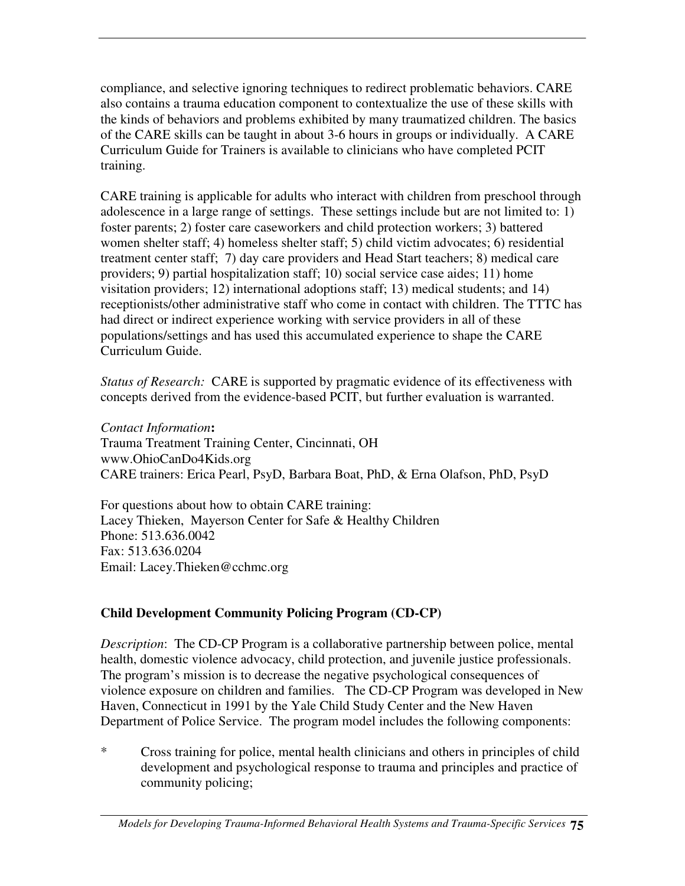compliance, and selective ignoring techniques to redirect problematic behaviors. CARE also contains a trauma education component to contextualize the use of these skills with the kinds of behaviors and problems exhibited by many traumatized children. The basics of the CARE skills can be taught in about 3-6 hours in groups or individually. A CARE Curriculum Guide for Trainers is available to clinicians who have completed PCIT training.

CARE training is applicable for adults who interact with children from preschool through adolescence in a large range of settings. These settings include but are not limited to: 1) foster parents; 2) foster care caseworkers and child protection workers; 3) battered women shelter staff; 4) homeless shelter staff; 5) child victim advocates; 6) residential treatment center staff; 7) day care providers and Head Start teachers; 8) medical care providers; 9) partial hospitalization staff; 10) social service case aides; 11) home visitation providers; 12) international adoptions staff; 13) medical students; and 14) receptionists/other administrative staff who come in contact with children. The TTTC has had direct or indirect experience working with service providers in all of these populations/settings and has used this accumulated experience to shape the CARE Curriculum Guide.

*Status of Research:* CARE is supported by pragmatic evidence of its effectiveness with concepts derived from the evidence-based PCIT, but further evaluation is warranted.

*Contact Information***:**

Trauma Treatment Training Center, Cincinnati, OH www.OhioCanDo4Kids.org CARE trainers: Erica Pearl, PsyD, Barbara Boat, PhD, & Erna Olafson, PhD, PsyD

For questions about how to obtain CARE training: Lacey Thieken, Mayerson Center for Safe & Healthy Children Phone: 513.636.0042 Fax: 513.636.0204 Email: Lacey.Thieken@cchmc.org

## **Child Development Community Policing Program (CD-CP)**

*Description*: The CD-CP Program is a collaborative partnership between police, mental health, domestic violence advocacy, child protection, and juvenile justice professionals. The program's mission is to decrease the negative psychological consequences of violence exposure on children and families. The CD-CP Program was developed in New Haven, Connecticut in 1991 by the Yale Child Study Center and the New Haven Department of Police Service. The program model includes the following components:

\* Cross training for police, mental health clinicians and others in principles of child development and psychological response to trauma and principles and practice of community policing;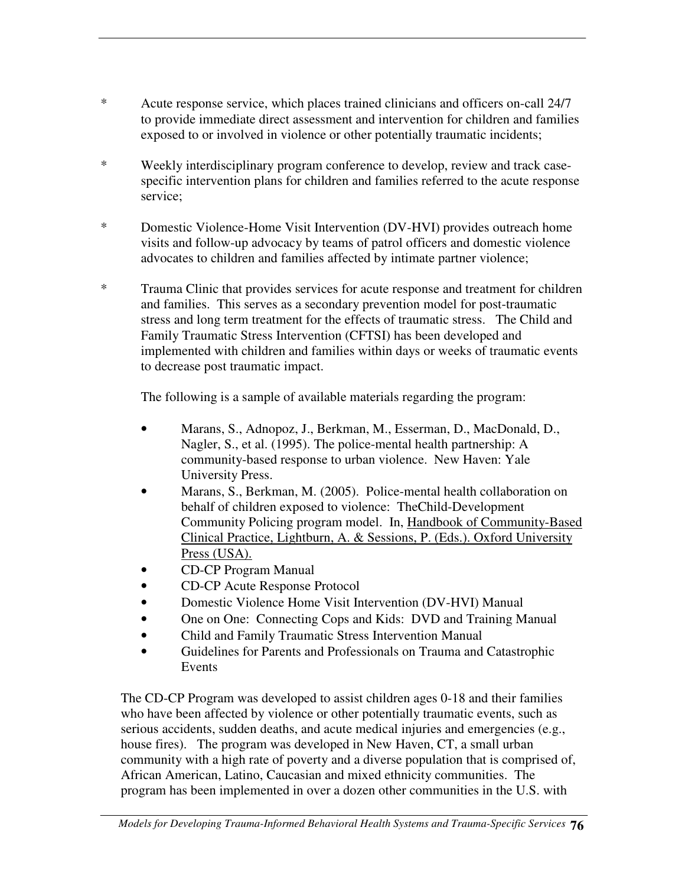- \* Acute response service, which places trained clinicians and officers on-call 24/7 to provide immediate direct assessment and intervention for children and families exposed to or involved in violence or other potentially traumatic incidents;
- \* Weekly interdisciplinary program conference to develop, review and track casespecific intervention plans for children and families referred to the acute response service;
- \* Domestic Violence-Home Visit Intervention (DV-HVI) provides outreach home visits and follow-up advocacy by teams of patrol officers and domestic violence advocates to children and families affected by intimate partner violence;
- \* Trauma Clinic that provides services for acute response and treatment for children and families. This serves as a secondary prevention model for post-traumatic stress and long term treatment for the effects of traumatic stress. The Child and Family Traumatic Stress Intervention (CFTSI) has been developed and implemented with children and families within days or weeks of traumatic events to decrease post traumatic impact.

The following is a sample of available materials regarding the program:

- Marans, S., Adnopoz, J., Berkman, M., Esserman, D., MacDonald, D., Nagler, S., et al. (1995). The police-mental health partnership: A community-based response to urban violence. New Haven: Yale University Press.
- Marans, S., Berkman, M. (2005). Police-mental health collaboration on behalf of children exposed to violence: TheChild-Development Community Policing program model. In, Handbook of Community-Based Clinical Practice, Lightburn, A. & Sessions, P. (Eds.). Oxford University Press (USA).
- CD-CP Program Manual
- CD-CP Acute Response Protocol
- Domestic Violence Home Visit Intervention (DV-HVI) Manual
- One on One: Connecting Cops and Kids: DVD and Training Manual
- Child and Family Traumatic Stress Intervention Manual
- Guidelines for Parents and Professionals on Trauma and Catastrophic **Events**

The CD-CP Program was developed to assist children ages 0-18 and their families who have been affected by violence or other potentially traumatic events, such as serious accidents, sudden deaths, and acute medical injuries and emergencies (e.g., house fires). The program was developed in New Haven, CT, a small urban community with a high rate of poverty and a diverse population that is comprised of, African American, Latino, Caucasian and mixed ethnicity communities. The program has been implemented in over a dozen other communities in the U.S. with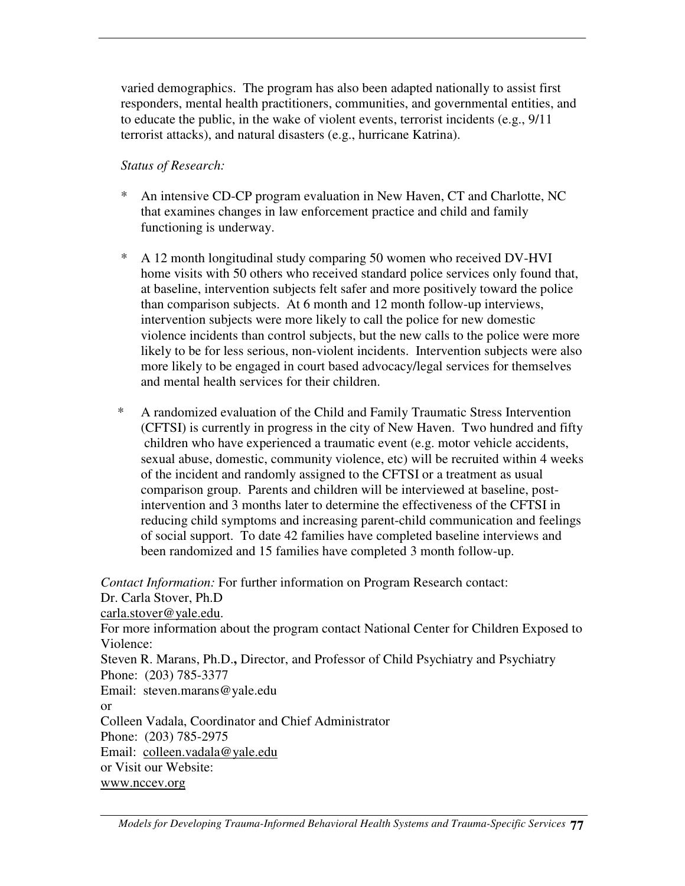varied demographics. The program has also been adapted nationally to assist first responders, mental health practitioners, communities, and governmental entities, and to educate the public, in the wake of violent events, terrorist incidents (e.g., 9/11 terrorist attacks), and natural disasters (e.g., hurricane Katrina).

#### *Status of Research:*

- \* An intensive CD-CP program evaluation in New Haven, CT and Charlotte, NC that examines changes in law enforcement practice and child and family functioning is underway.
- \* A 12 month longitudinal study comparing 50 women who received DV-HVI home visits with 50 others who received standard police services only found that, at baseline, intervention subjects felt safer and more positively toward the police than comparison subjects. At 6 month and 12 month follow-up interviews, intervention subjects were more likely to call the police for new domestic violence incidents than control subjects, but the new calls to the police were more likely to be for less serious, non-violent incidents. Intervention subjects were also more likely to be engaged in court based advocacy/legal services for themselves and mental health services for their children.
- \* A randomized evaluation of the Child and Family Traumatic Stress Intervention (CFTSI) is currently in progress in the city of New Haven. Two hundred and fifty children who have experienced a traumatic event (e.g. motor vehicle accidents, sexual abuse, domestic, community violence, etc) will be recruited within 4 weeks of the incident and randomly assigned to the CFTSI or a treatment as usual comparison group. Parents and children will be interviewed at baseline, postintervention and 3 months later to determine the effectiveness of the CFTSI in reducing child symptoms and increasing parent-child communication and feelings of social support. To date 42 families have completed baseline interviews and been randomized and 15 families have completed 3 month follow-up.

*Contact Information:* For further information on Program Research contact: Dr. Carla Stover, Ph.D carla.stover@yale.edu. For more information about the program contact National Center for Children Exposed to Violence: Steven R. Marans, Ph.D.**,** Director, and Professor of Child Psychiatry and Psychiatry Phone: (203) 785-3377 Email: steven.marans@yale.edu or Colleen Vadala, Coordinator and Chief Administrator Phone: (203) 785-2975 Email: colleen.vadala@yale.edu or Visit our Website: www.nccev.org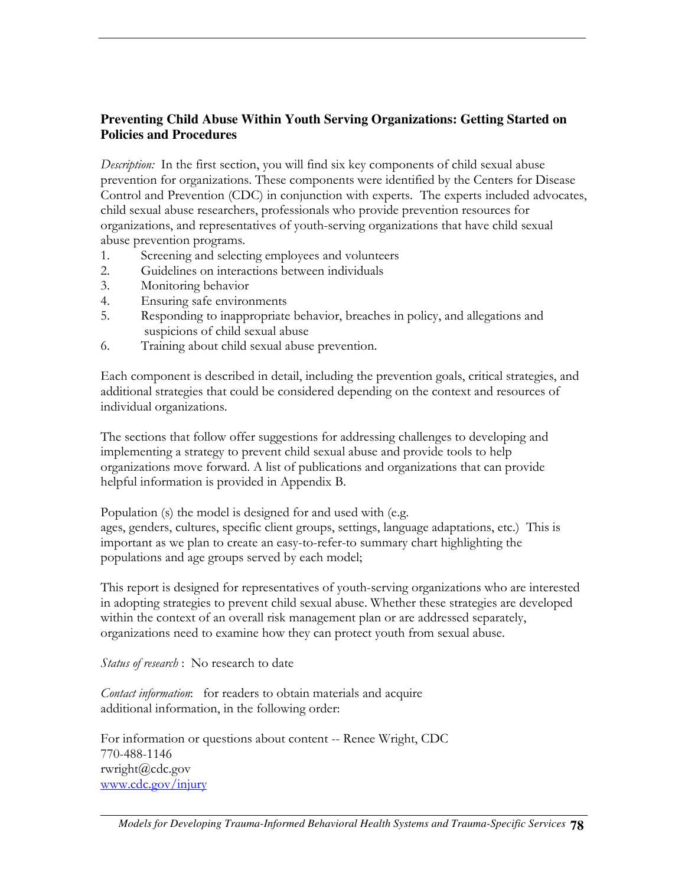#### **Preventing Child Abuse Within Youth Serving Organizations: Getting Started on Policies and Procedures**

*Description:* In the first section, you will find six key components of child sexual abuse prevention for organizations. These components were identified by the Centers for Disease Control and Prevention (CDC) in conjunction with experts. The experts included advocates, child sexual abuse researchers, professionals who provide prevention resources for organizations, and representatives of youth-serving organizations that have child sexual abuse prevention programs.

- Screening and selecting employees and volunteers  $\mathbf{1}$
- Guidelines on interactions between individuals  $\overline{2}$ .
- 3. Monitoring behavior
- $\overline{4}$ . Ensuring safe environments
- Responding to inappropriate behavior, breaches in policy, and allegations and 5. suspicions of child sexual abuse
- Training about child sexual abuse prevention. 6.

Each component is described in detail, including the prevention goals, critical strategies, and additional strategies that could be considered depending on the context and resources of individual organizations.

The sections that follow offer suggestions for addressing challenges to developing and implementing a strategy to prevent child sexual abuse and provide tools to help organizations move forward. A list of publications and organizations that can provide helpful information is provided in Appendix B.

Population (s) the model is designed for and used with (e.g. ages, genders, cultures, specific client groups, settings, language adaptations, etc.) This is important as we plan to create an easy-to-refer-to summary chart highlighting the populations and age groups served by each model;

This report is designed for representatives of youth-serving organizations who are interested in adopting strategies to prevent child sexual abuse. Whether these strategies are developed within the context of an overall risk management plan or are addressed separately, organizations need to examine how they can protect youth from sexual abuse.

Status of research: No research to date

*Contact information*: for readers to obtain materials and acquire additional information, in the following order:

For information or questions about content -- Renee Wright, CDC 770-488-1146 rwright@cdc.gov www.cdc.gov/injury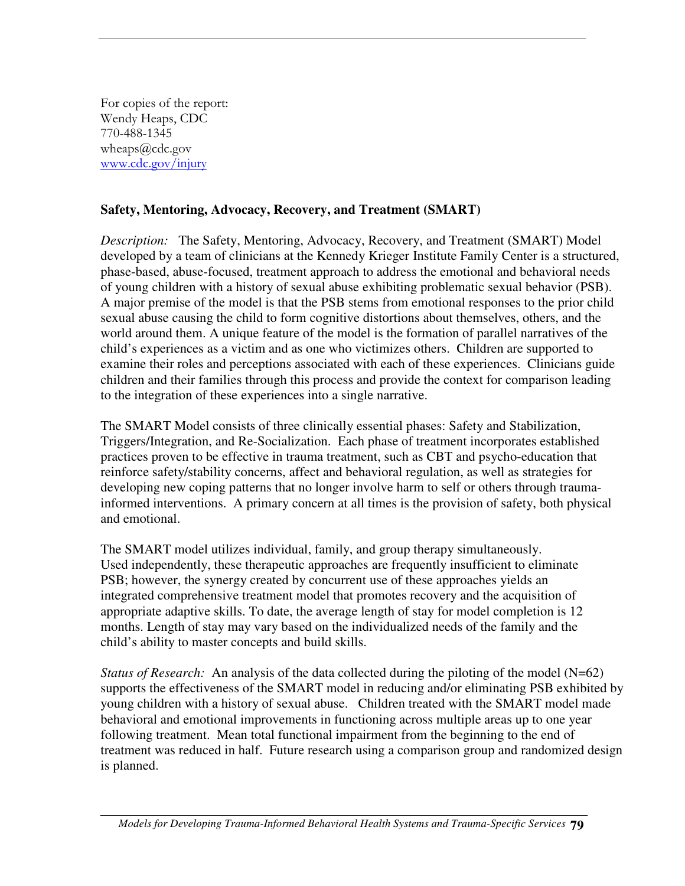For copies of the report: Wendy Heaps, CDC 770-488-1345 wheaps@cdc.gov www.cdc.gov/injury

#### **Safety, Mentoring, Advocacy, Recovery, and Treatment (SMART)**

*Description:* The Safety, Mentoring, Advocacy, Recovery, and Treatment (SMART) Model developed by a team of clinicians at the Kennedy Krieger Institute Family Center is a structured, phase-based, abuse-focused, treatment approach to address the emotional and behavioral needs of young children with a history of sexual abuse exhibiting problematic sexual behavior (PSB). A major premise of the model is that the PSB stems from emotional responses to the prior child sexual abuse causing the child to form cognitive distortions about themselves, others, and the world around them. A unique feature of the model is the formation of parallel narratives of the child's experiences as a victim and as one who victimizes others. Children are supported to examine their roles and perceptions associated with each of these experiences. Clinicians guide children and their families through this process and provide the context for comparison leading to the integration of these experiences into a single narrative.

The SMART Model consists of three clinically essential phases: Safety and Stabilization, Triggers/Integration, and Re-Socialization. Each phase of treatment incorporates established practices proven to be effective in trauma treatment, such as CBT and psycho-education that reinforce safety/stability concerns, affect and behavioral regulation, as well as strategies for developing new coping patterns that no longer involve harm to self or others through traumainformed interventions. A primary concern at all times is the provision of safety, both physical and emotional.

The SMART model utilizes individual, family, and group therapy simultaneously. Used independently, these therapeutic approaches are frequently insufficient to eliminate PSB; however, the synergy created by concurrent use of these approaches yields an integrated comprehensive treatment model that promotes recovery and the acquisition of appropriate adaptive skills. To date, the average length of stay for model completion is 12 months. Length of stay may vary based on the individualized needs of the family and the child's ability to master concepts and build skills.

*Status of Research:* An analysis of the data collected during the piloting of the model (N=62) supports the effectiveness of the SMART model in reducing and/or eliminating PSB exhibited by young children with a history of sexual abuse. Children treated with the SMART model made behavioral and emotional improvements in functioning across multiple areas up to one year following treatment. Mean total functional impairment from the beginning to the end of treatment was reduced in half. Future research using a comparison group and randomized design is planned.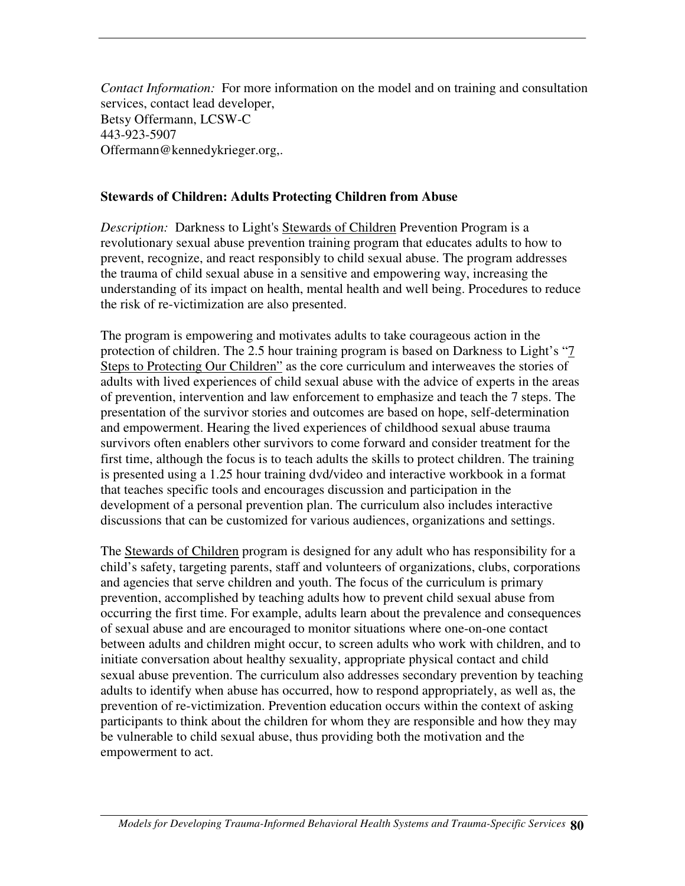*Contact Information:* For more information on the model and on training and consultation services, contact lead developer, Betsy Offermann, LCSW-C 443-923-5907 Offermann@kennedykrieger.org,.

#### **Stewards of Children: Adults Protecting Children from Abuse**

*Description:* Darkness to Light's Stewards of Children Prevention Program is a revolutionary sexual abuse prevention training program that educates adults to how to prevent, recognize, and react responsibly to child sexual abuse. The program addresses the trauma of child sexual abuse in a sensitive and empowering way, increasing the understanding of its impact on health, mental health and well being. Procedures to reduce the risk of re-victimization are also presented.

The program is empowering and motivates adults to take courageous action in the protection of children. The 2.5 hour training program is based on Darkness to Light's "7 Steps to Protecting Our Children" as the core curriculum and interweaves the stories of adults with lived experiences of child sexual abuse with the advice of experts in the areas of prevention, intervention and law enforcement to emphasize and teach the 7 steps. The presentation of the survivor stories and outcomes are based on hope, self-determination and empowerment. Hearing the lived experiences of childhood sexual abuse trauma survivors often enablers other survivors to come forward and consider treatment for the first time, although the focus is to teach adults the skills to protect children. The training is presented using a 1.25 hour training dvd/video and interactive workbook in a format that teaches specific tools and encourages discussion and participation in the development of a personal prevention plan. The curriculum also includes interactive discussions that can be customized for various audiences, organizations and settings.

The Stewards of Children program is designed for any adult who has responsibility for a child's safety, targeting parents, staff and volunteers of organizations, clubs, corporations and agencies that serve children and youth. The focus of the curriculum is primary prevention, accomplished by teaching adults how to prevent child sexual abuse from occurring the first time. For example, adults learn about the prevalence and consequences of sexual abuse and are encouraged to monitor situations where one-on-one contact between adults and children might occur, to screen adults who work with children, and to initiate conversation about healthy sexuality, appropriate physical contact and child sexual abuse prevention. The curriculum also addresses secondary prevention by teaching adults to identify when abuse has occurred, how to respond appropriately, as well as, the prevention of re-victimization. Prevention education occurs within the context of asking participants to think about the children for whom they are responsible and how they may be vulnerable to child sexual abuse, thus providing both the motivation and the empowerment to act.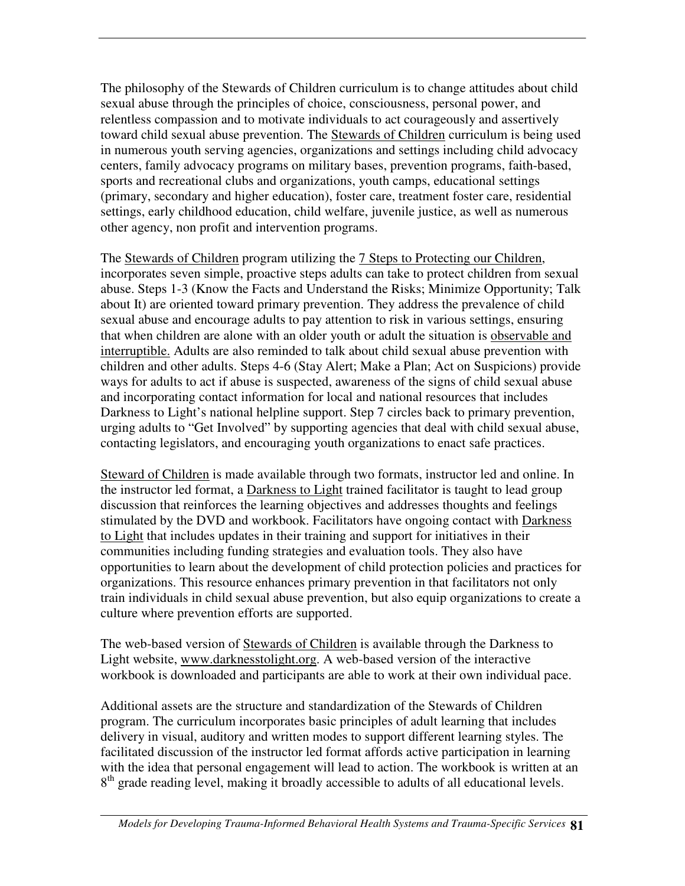The philosophy of the Stewards of Children curriculum is to change attitudes about child sexual abuse through the principles of choice, consciousness, personal power, and relentless compassion and to motivate individuals to act courageously and assertively toward child sexual abuse prevention. The Stewards of Children curriculum is being used in numerous youth serving agencies, organizations and settings including child advocacy centers, family advocacy programs on military bases, prevention programs, faith-based, sports and recreational clubs and organizations, youth camps, educational settings (primary, secondary and higher education), foster care, treatment foster care, residential settings, early childhood education, child welfare, juvenile justice, as well as numerous other agency, non profit and intervention programs.

The Stewards of Children program utilizing the 7 Steps to Protecting our Children, incorporates seven simple, proactive steps adults can take to protect children from sexual abuse. Steps 1-3 (Know the Facts and Understand the Risks; Minimize Opportunity; Talk about It) are oriented toward primary prevention. They address the prevalence of child sexual abuse and encourage adults to pay attention to risk in various settings, ensuring that when children are alone with an older youth or adult the situation is observable and interruptible. Adults are also reminded to talk about child sexual abuse prevention with children and other adults. Steps 4-6 (Stay Alert; Make a Plan; Act on Suspicions) provide ways for adults to act if abuse is suspected, awareness of the signs of child sexual abuse and incorporating contact information for local and national resources that includes Darkness to Light's national helpline support. Step 7 circles back to primary prevention, urging adults to "Get Involved" by supporting agencies that deal with child sexual abuse, contacting legislators, and encouraging youth organizations to enact safe practices.

Steward of Children is made available through two formats, instructor led and online. In the instructor led format, a Darkness to Light trained facilitator is taught to lead group discussion that reinforces the learning objectives and addresses thoughts and feelings stimulated by the DVD and workbook. Facilitators have ongoing contact with Darkness to Light that includes updates in their training and support for initiatives in their communities including funding strategies and evaluation tools. They also have opportunities to learn about the development of child protection policies and practices for organizations. This resource enhances primary prevention in that facilitators not only train individuals in child sexual abuse prevention, but also equip organizations to create a culture where prevention efforts are supported.

The web-based version of Stewards of Children is available through the Darkness to Light website, www.darknesstolight.org. A web-based version of the interactive workbook is downloaded and participants are able to work at their own individual pace.

Additional assets are the structure and standardization of the Stewards of Children program. The curriculum incorporates basic principles of adult learning that includes delivery in visual, auditory and written modes to support different learning styles. The facilitated discussion of the instructor led format affords active participation in learning with the idea that personal engagement will lead to action. The workbook is written at an 8<sup>th</sup> grade reading level, making it broadly accessible to adults of all educational levels.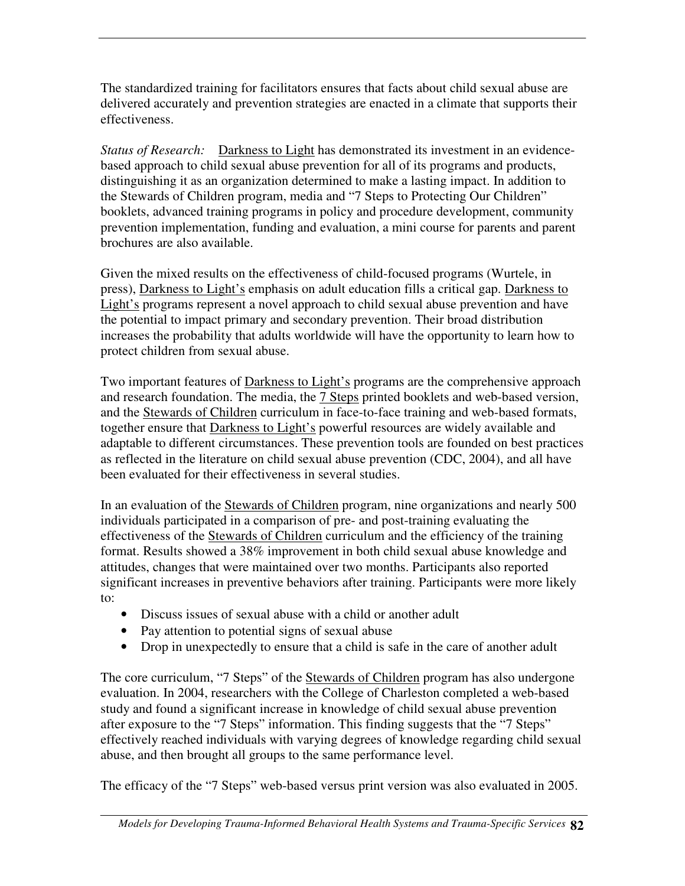The standardized training for facilitators ensures that facts about child sexual abuse are delivered accurately and prevention strategies are enacted in a climate that supports their effectiveness.

*Status of Research:* Darkness to Light has demonstrated its investment in an evidencebased approach to child sexual abuse prevention for all of its programs and products, distinguishing it as an organization determined to make a lasting impact. In addition to the Stewards of Children program, media and "7 Steps to Protecting Our Children" booklets, advanced training programs in policy and procedure development, community prevention implementation, funding and evaluation, a mini course for parents and parent brochures are also available.

Given the mixed results on the effectiveness of child-focused programs (Wurtele, in press), Darkness to Light's emphasis on adult education fills a critical gap. Darkness to Light's programs represent a novel approach to child sexual abuse prevention and have the potential to impact primary and secondary prevention. Their broad distribution increases the probability that adults worldwide will have the opportunity to learn how to protect children from sexual abuse.

Two important features of **Darkness to Light's** programs are the comprehensive approach and research foundation. The media, the 7 Steps printed booklets and web-based version, and the Stewards of Children curriculum in face-to-face training and web-based formats, together ensure that Darkness to Light's powerful resources are widely available and adaptable to different circumstances. These prevention tools are founded on best practices as reflected in the literature on child sexual abuse prevention (CDC, 2004), and all have been evaluated for their effectiveness in several studies.

In an evaluation of the Stewards of Children program, nine organizations and nearly 500 individuals participated in a comparison of pre- and post-training evaluating the effectiveness of the Stewards of Children curriculum and the efficiency of the training format. Results showed a 38% improvement in both child sexual abuse knowledge and attitudes, changes that were maintained over two months. Participants also reported significant increases in preventive behaviors after training. Participants were more likely to:

- Discuss issues of sexual abuse with a child or another adult
- Pay attention to potential signs of sexual abuse
- Drop in unexpectedly to ensure that a child is safe in the care of another adult

The core curriculum, "7 Steps" of the Stewards of Children program has also undergone evaluation. In 2004, researchers with the College of Charleston completed a web-based study and found a significant increase in knowledge of child sexual abuse prevention after exposure to the "7 Steps" information. This finding suggests that the "7 Steps" effectively reached individuals with varying degrees of knowledge regarding child sexual abuse, and then brought all groups to the same performance level.

The efficacy of the "7 Steps" web-based versus print version was also evaluated in 2005.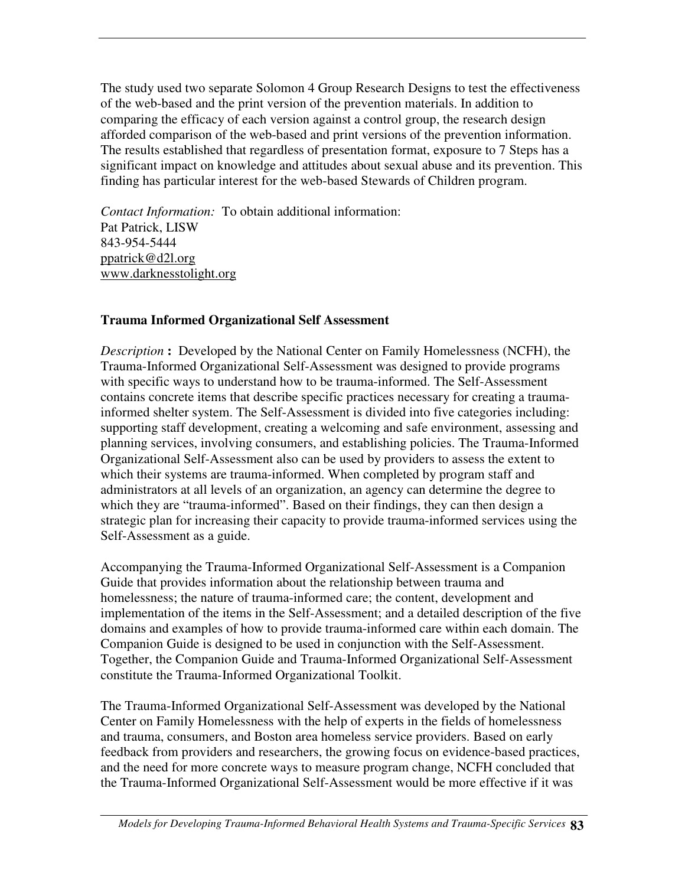The study used two separate Solomon 4 Group Research Designs to test the effectiveness of the web-based and the print version of the prevention materials. In addition to comparing the efficacy of each version against a control group, the research design afforded comparison of the web-based and print versions of the prevention information. The results established that regardless of presentation format, exposure to 7 Steps has a significant impact on knowledge and attitudes about sexual abuse and its prevention. This finding has particular interest for the web-based Stewards of Children program.

*Contact Information:* To obtain additional information: Pat Patrick, LISW 843-954-5444 ppatrick@d2l.org www.darknesstolight.org

## **Trauma Informed Organizational Self Assessment**

*Description* **:** Developed by the National Center on Family Homelessness (NCFH), the Trauma-Informed Organizational Self-Assessment was designed to provide programs with specific ways to understand how to be trauma-informed. The Self-Assessment contains concrete items that describe specific practices necessary for creating a traumainformed shelter system. The Self-Assessment is divided into five categories including: supporting staff development, creating a welcoming and safe environment, assessing and planning services, involving consumers, and establishing policies. The Trauma-Informed Organizational Self-Assessment also can be used by providers to assess the extent to which their systems are trauma-informed. When completed by program staff and administrators at all levels of an organization, an agency can determine the degree to which they are "trauma-informed". Based on their findings, they can then design a strategic plan for increasing their capacity to provide trauma-informed services using the Self-Assessment as a guide.

Accompanying the Trauma-Informed Organizational Self-Assessment is a Companion Guide that provides information about the relationship between trauma and homelessness; the nature of trauma-informed care; the content, development and implementation of the items in the Self-Assessment; and a detailed description of the five domains and examples of how to provide trauma-informed care within each domain. The Companion Guide is designed to be used in conjunction with the Self-Assessment. Together, the Companion Guide and Trauma-Informed Organizational Self-Assessment constitute the Trauma-Informed Organizational Toolkit.

The Trauma-Informed Organizational Self-Assessment was developed by the National Center on Family Homelessness with the help of experts in the fields of homelessness and trauma, consumers, and Boston area homeless service providers. Based on early feedback from providers and researchers, the growing focus on evidence-based practices, and the need for more concrete ways to measure program change, NCFH concluded that the Trauma-Informed Organizational Self-Assessment would be more effective if it was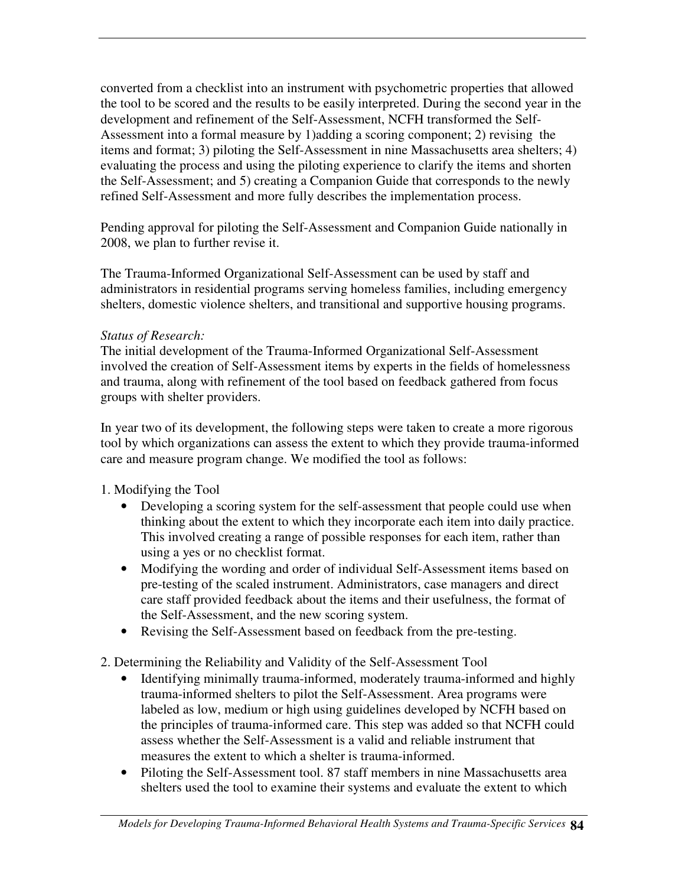converted from a checklist into an instrument with psychometric properties that allowed the tool to be scored and the results to be easily interpreted. During the second year in the development and refinement of the Self-Assessment, NCFH transformed the Self-Assessment into a formal measure by 1)adding a scoring component; 2) revising the items and format; 3) piloting the Self-Assessment in nine Massachusetts area shelters; 4) evaluating the process and using the piloting experience to clarify the items and shorten the Self-Assessment; and 5) creating a Companion Guide that corresponds to the newly refined Self-Assessment and more fully describes the implementation process.

Pending approval for piloting the Self-Assessment and Companion Guide nationally in 2008, we plan to further revise it.

The Trauma-Informed Organizational Self-Assessment can be used by staff and administrators in residential programs serving homeless families, including emergency shelters, domestic violence shelters, and transitional and supportive housing programs.

## *Status of Research:*

The initial development of the Trauma-Informed Organizational Self-Assessment involved the creation of Self-Assessment items by experts in the fields of homelessness and trauma, along with refinement of the tool based on feedback gathered from focus groups with shelter providers.

In year two of its development, the following steps were taken to create a more rigorous tool by which organizations can assess the extent to which they provide trauma-informed care and measure program change. We modified the tool as follows:

## 1. Modifying the Tool

- Developing a scoring system for the self-assessment that people could use when thinking about the extent to which they incorporate each item into daily practice. This involved creating a range of possible responses for each item, rather than using a yes or no checklist format.
- Modifying the wording and order of individual Self-Assessment items based on pre-testing of the scaled instrument. Administrators, case managers and direct care staff provided feedback about the items and their usefulness, the format of the Self-Assessment, and the new scoring system.
- Revising the Self-Assessment based on feedback from the pre-testing.

2. Determining the Reliability and Validity of the Self-Assessment Tool

- Identifying minimally trauma-informed, moderately trauma-informed and highly trauma-informed shelters to pilot the Self-Assessment. Area programs were labeled as low, medium or high using guidelines developed by NCFH based on the principles of trauma-informed care. This step was added so that NCFH could assess whether the Self-Assessment is a valid and reliable instrument that measures the extent to which a shelter is trauma-informed.
- Piloting the Self-Assessment tool. 87 staff members in nine Massachusetts area shelters used the tool to examine their systems and evaluate the extent to which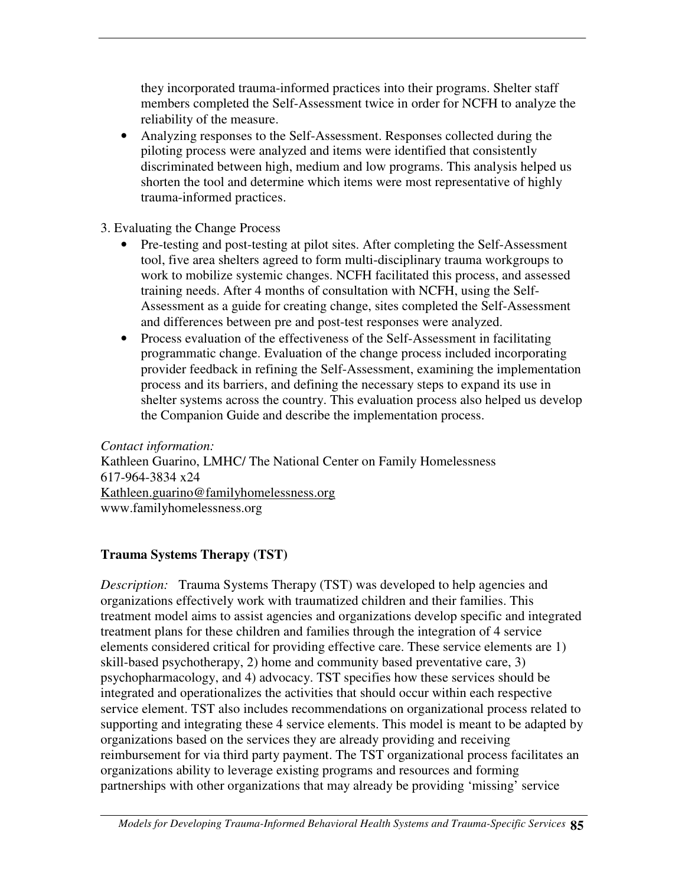they incorporated trauma-informed practices into their programs. Shelter staff members completed the Self-Assessment twice in order for NCFH to analyze the reliability of the measure.

• Analyzing responses to the Self-Assessment. Responses collected during the piloting process were analyzed and items were identified that consistently discriminated between high, medium and low programs. This analysis helped us shorten the tool and determine which items were most representative of highly trauma-informed practices.

## 3. Evaluating the Change Process

- Pre-testing and post-testing at pilot sites. After completing the Self-Assessment tool, five area shelters agreed to form multi-disciplinary trauma workgroups to work to mobilize systemic changes. NCFH facilitated this process, and assessed training needs. After 4 months of consultation with NCFH, using the Self-Assessment as a guide for creating change, sites completed the Self-Assessment and differences between pre and post-test responses were analyzed.
- Process evaluation of the effectiveness of the Self-Assessment in facilitating programmatic change. Evaluation of the change process included incorporating provider feedback in refining the Self-Assessment, examining the implementation process and its barriers, and defining the necessary steps to expand its use in shelter systems across the country. This evaluation process also helped us develop the Companion Guide and describe the implementation process.

*Contact information:* Kathleen Guarino, LMHC/ The National Center on Family Homelessness 617-964-3834 x24 Kathleen.guarino@familyhomelessness.org www.familyhomelessness.org

## **Trauma Systems Therapy (TST)**

*Description:* Trauma Systems Therapy (TST) was developed to help agencies and organizations effectively work with traumatized children and their families. This treatment model aims to assist agencies and organizations develop specific and integrated treatment plans for these children and families through the integration of 4 service elements considered critical for providing effective care. These service elements are 1) skill-based psychotherapy, 2) home and community based preventative care, 3) psychopharmacology, and 4) advocacy. TST specifies how these services should be integrated and operationalizes the activities that should occur within each respective service element. TST also includes recommendations on organizational process related to supporting and integrating these 4 service elements. This model is meant to be adapted by organizations based on the services they are already providing and receiving reimbursement for via third party payment. The TST organizational process facilitates an organizations ability to leverage existing programs and resources and forming partnerships with other organizations that may already be providing 'missing' service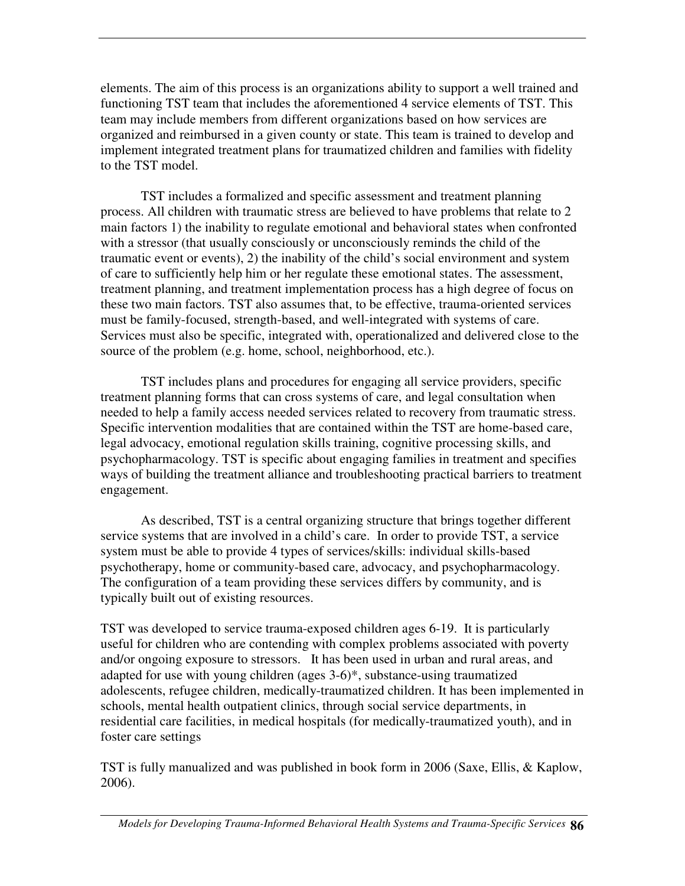elements. The aim of this process is an organizations ability to support a well trained and functioning TST team that includes the aforementioned 4 service elements of TST. This team may include members from different organizations based on how services are organized and reimbursed in a given county or state. This team is trained to develop and implement integrated treatment plans for traumatized children and families with fidelity to the TST model.

TST includes a formalized and specific assessment and treatment planning process. All children with traumatic stress are believed to have problems that relate to 2 main factors 1) the inability to regulate emotional and behavioral states when confronted with a stressor (that usually consciously or unconsciously reminds the child of the traumatic event or events), 2) the inability of the child's social environment and system of care to sufficiently help him or her regulate these emotional states. The assessment, treatment planning, and treatment implementation process has a high degree of focus on these two main factors. TST also assumes that, to be effective, trauma-oriented services must be family-focused, strength-based, and well-integrated with systems of care. Services must also be specific, integrated with, operationalized and delivered close to the source of the problem (e.g. home, school, neighborhood, etc.).

TST includes plans and procedures for engaging all service providers, specific treatment planning forms that can cross systems of care, and legal consultation when needed to help a family access needed services related to recovery from traumatic stress. Specific intervention modalities that are contained within the TST are home-based care, legal advocacy, emotional regulation skills training, cognitive processing skills, and psychopharmacology. TST is specific about engaging families in treatment and specifies ways of building the treatment alliance and troubleshooting practical barriers to treatment engagement.

As described, TST is a central organizing structure that brings together different service systems that are involved in a child's care. In order to provide TST, a service system must be able to provide 4 types of services/skills: individual skills-based psychotherapy, home or community-based care, advocacy, and psychopharmacology. The configuration of a team providing these services differs by community, and is typically built out of existing resources.

TST was developed to service trauma-exposed children ages 6-19. It is particularly useful for children who are contending with complex problems associated with poverty and/or ongoing exposure to stressors. It has been used in urban and rural areas, and adapted for use with young children (ages 3-6)\*, substance-using traumatized adolescents, refugee children, medically-traumatized children. It has been implemented in schools, mental health outpatient clinics, through social service departments, in residential care facilities, in medical hospitals (for medically-traumatized youth), and in foster care settings

TST is fully manualized and was published in book form in 2006 (Saxe, Ellis, & Kaplow, 2006).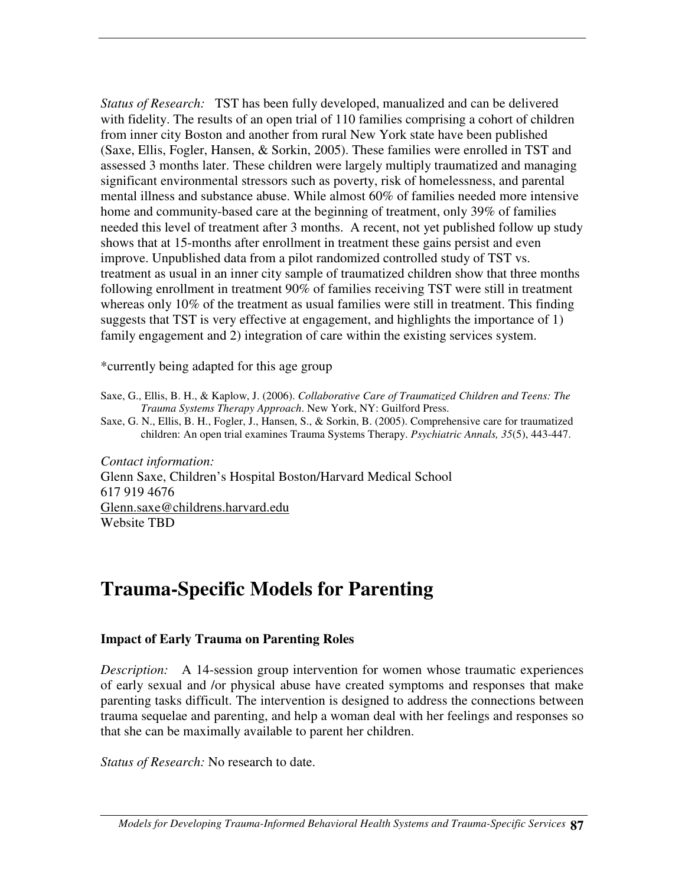*Status of Research:* TST has been fully developed, manualized and can be delivered with fidelity. The results of an open trial of 110 families comprising a cohort of children from inner city Boston and another from rural New York state have been published (Saxe, Ellis, Fogler, Hansen, & Sorkin, 2005). These families were enrolled in TST and assessed 3 months later. These children were largely multiply traumatized and managing significant environmental stressors such as poverty, risk of homelessness, and parental mental illness and substance abuse. While almost 60% of families needed more intensive home and community-based care at the beginning of treatment, only 39% of families needed this level of treatment after 3 months. A recent, not yet published follow up study shows that at 15-months after enrollment in treatment these gains persist and even improve. Unpublished data from a pilot randomized controlled study of TST vs. treatment as usual in an inner city sample of traumatized children show that three months following enrollment in treatment 90% of families receiving TST were still in treatment whereas only 10% of the treatment as usual families were still in treatment. This finding suggests that TST is very effective at engagement, and highlights the importance of 1) family engagement and 2) integration of care within the existing services system.

\*currently being adapted for this age group

- Saxe, G., Ellis, B. H., & Kaplow, J. (2006). *Collaborative Care of Traumatized Children and Teens: The Trauma Systems Therapy Approach*. New York, NY: Guilford Press.
- Saxe, G. N., Ellis, B. H., Fogler, J., Hansen, S., & Sorkin, B. (2005). Comprehensive care for traumatized children: An open trial examines Trauma Systems Therapy. *Psychiatric Annals, 35*(5), 443-447.

*Contact information:* Glenn Saxe, Children's Hospital Boston/Harvard Medical School 617 919 4676 Glenn.saxe@childrens.harvard.edu Website TBD

## **Trauma-Specific Models for Parenting**

#### **Impact of Early Trauma on Parenting Roles**

*Description:* A 14-session group intervention for women whose traumatic experiences of early sexual and /or physical abuse have created symptoms and responses that make parenting tasks difficult. The intervention is designed to address the connections between trauma sequelae and parenting, and help a woman deal with her feelings and responses so that she can be maximally available to parent her children.

*Status of Research:* No research to date.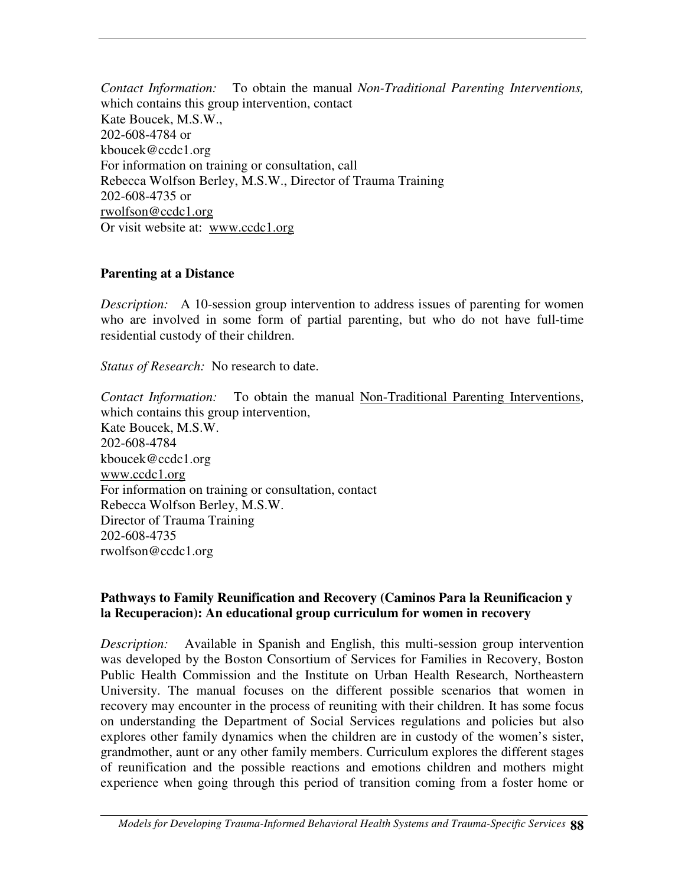*Contact Information:* To obtain the manual *Non-Traditional Parenting Interventions,* which contains this group intervention, contact Kate Boucek, M.S.W., 202-608-4784 or kboucek@ccdc1.org For information on training or consultation, call Rebecca Wolfson Berley, M.S.W., Director of Trauma Training 202-608-4735 or rwolfson@ccdc1.org Or visit website at: www.ccdc1.org

#### **Parenting at a Distance**

*Description:* A 10-session group intervention to address issues of parenting for women who are involved in some form of partial parenting, but who do not have full-time residential custody of their children.

*Status of Research:* No research to date.

*Contact Information:* To obtain the manual Non-Traditional Parenting Interventions, which contains this group intervention, Kate Boucek, M.S.W. 202-608-4784 kboucek@ccdc1.org www.ccdc1.org For information on training or consultation, contact Rebecca Wolfson Berley, M.S.W. Director of Trauma Training 202-608-4735 rwolfson@ccdc1.org

#### **Pathways to Family Reunification and Recovery (Caminos Para la Reunificacion y la Recuperacion): An educational group curriculum for women in recovery**

*Description:* Available in Spanish and English, this multi-session group intervention was developed by the Boston Consortium of Services for Families in Recovery, Boston Public Health Commission and the Institute on Urban Health Research, Northeastern University. The manual focuses on the different possible scenarios that women in recovery may encounter in the process of reuniting with their children. It has some focus on understanding the Department of Social Services regulations and policies but also explores other family dynamics when the children are in custody of the women's sister, grandmother, aunt or any other family members. Curriculum explores the different stages of reunification and the possible reactions and emotions children and mothers might experience when going through this period of transition coming from a foster home or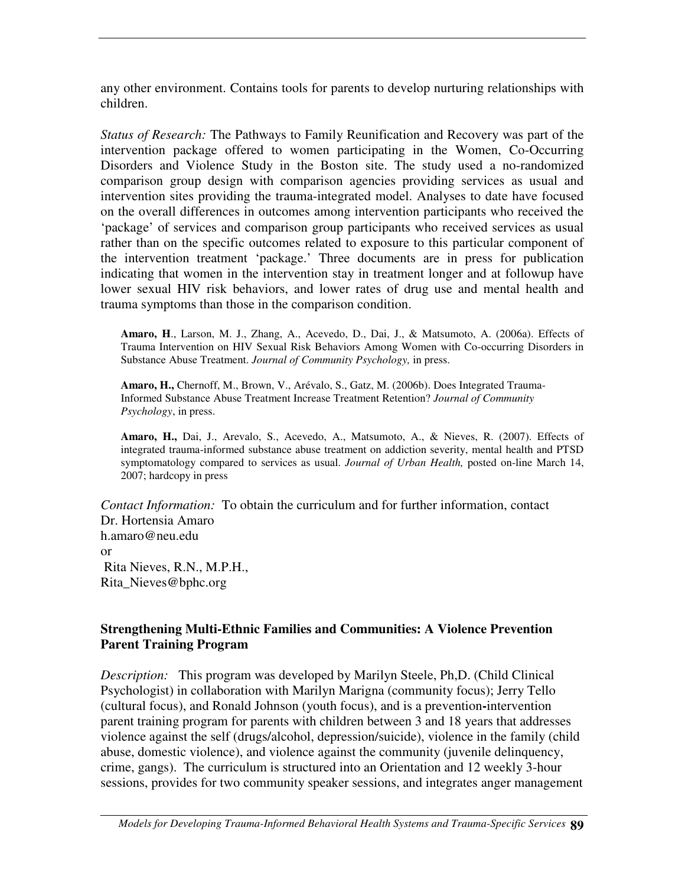any other environment. Contains tools for parents to develop nurturing relationships with children.

*Status of Research:* The Pathways to Family Reunification and Recovery was part of the intervention package offered to women participating in the Women, Co-Occurring Disorders and Violence Study in the Boston site. The study used a no-randomized comparison group design with comparison agencies providing services as usual and intervention sites providing the trauma-integrated model. Analyses to date have focused on the overall differences in outcomes among intervention participants who received the 'package' of services and comparison group participants who received services as usual rather than on the specific outcomes related to exposure to this particular component of the intervention treatment 'package.' Three documents are in press for publication indicating that women in the intervention stay in treatment longer and at followup have lower sexual HIV risk behaviors, and lower rates of drug use and mental health and trauma symptoms than those in the comparison condition.

**Amaro, H**., Larson, M. J., Zhang, A., Acevedo, D., Dai, J., & Matsumoto, A. (2006a). Effects of Trauma Intervention on HIV Sexual Risk Behaviors Among Women with Co-occurring Disorders in Substance Abuse Treatment. *Journal of Community Psychology,* in press.

**Amaro, H.,** Chernoff, M., Brown, V., Arévalo, S., Gatz, M. (2006b). Does Integrated Trauma-Informed Substance Abuse Treatment Increase Treatment Retention? *Journal of Community Psychology*, in press.

**Amaro, H.,** Dai, J., Arevalo, S., Acevedo, A., Matsumoto, A., & Nieves, R. (2007). Effects of integrated trauma-informed substance abuse treatment on addiction severity, mental health and PTSD symptomatology compared to services as usual. *Journal of Urban Health,* posted on-line March 14, 2007; hardcopy in press

*Contact Information:* To obtain the curriculum and for further information, contact Dr. Hortensia Amaro h.amaro@neu.edu or Rita Nieves, R.N., M.P.H., Rita\_Nieves@bphc.org

#### **Strengthening Multi-Ethnic Families and Communities: A Violence Prevention Parent Training Program**

*Description:* This program was developed by Marilyn Steele, Ph,D. (Child Clinical Psychologist) in collaboration with Marilyn Marigna (community focus); Jerry Tello (cultural focus), and Ronald Johnson (youth focus), and is a prevention**-**intervention parent training program for parents with children between 3 and 18 years that addresses violence against the self (drugs/alcohol, depression/suicide), violence in the family (child abuse, domestic violence), and violence against the community (juvenile delinquency, crime, gangs). The curriculum is structured into an Orientation and 12 weekly 3-hour sessions, provides for two community speaker sessions, and integrates anger management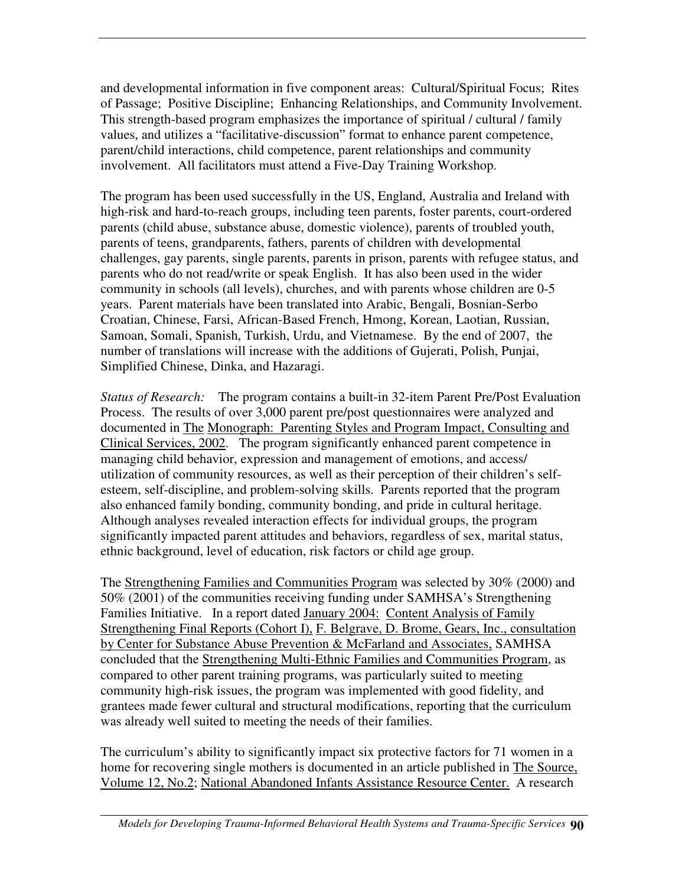and developmental information in five component areas: Cultural/Spiritual Focus; Rites of Passage; Positive Discipline; Enhancing Relationships, and Community Involvement. This strength-based program emphasizes the importance of spiritual / cultural / family values, and utilizes a "facilitative-discussion" format to enhance parent competence, parent/child interactions, child competence, parent relationships and community involvement. All facilitators must attend a Five-Day Training Workshop.

The program has been used successfully in the US, England, Australia and Ireland with high-risk and hard-to-reach groups, including teen parents, foster parents, court-ordered parents (child abuse, substance abuse, domestic violence), parents of troubled youth, parents of teens, grandparents, fathers, parents of children with developmental challenges, gay parents, single parents, parents in prison, parents with refugee status, and parents who do not read/write or speak English. It has also been used in the wider community in schools (all levels), churches, and with parents whose children are 0-5 years. Parent materials have been translated into Arabic, Bengali, Bosnian-Serbo Croatian, Chinese, Farsi, African-Based French, Hmong, Korean, Laotian, Russian, Samoan, Somali, Spanish, Turkish, Urdu, and Vietnamese. By the end of 2007, the number of translations will increase with the additions of Gujerati, Polish, Punjai, Simplified Chinese, Dinka, and Hazaragi.

*Status of Research:* The program contains a built-in 32-item Parent Pre/Post Evaluation Process. The results of over 3,000 parent pre/post questionnaires were analyzed and documented in The Monograph: Parenting Styles and Program Impact, Consulting and Clinical Services, 2002. The program significantly enhanced parent competence in managing child behavior, expression and management of emotions, and access/ utilization of community resources, as well as their perception of their children's selfesteem, self-discipline, and problem-solving skills. Parents reported that the program also enhanced family bonding, community bonding, and pride in cultural heritage. Although analyses revealed interaction effects for individual groups, the program significantly impacted parent attitudes and behaviors, regardless of sex, marital status, ethnic background, level of education, risk factors or child age group.

The Strengthening Families and Communities Program was selected by 30% (2000) and 50% (2001) of the communities receiving funding under SAMHSA's Strengthening Families Initiative. In a report dated January 2004: Content Analysis of Family Strengthening Final Reports (Cohort I), F. Belgrave, D. Brome, Gears, Inc., consultation by Center for Substance Abuse Prevention & McFarland and Associates, SAMHSA concluded that the Strengthening Multi-Ethnic Families and Communities Program, as compared to other parent training programs, was particularly suited to meeting community high-risk issues, the program was implemented with good fidelity, and grantees made fewer cultural and structural modifications, reporting that the curriculum was already well suited to meeting the needs of their families.

The curriculum's ability to significantly impact six protective factors for 71 women in a home for recovering single mothers is documented in an article published in The Source, Volume 12, No.2; National Abandoned Infants Assistance Resource Center. A research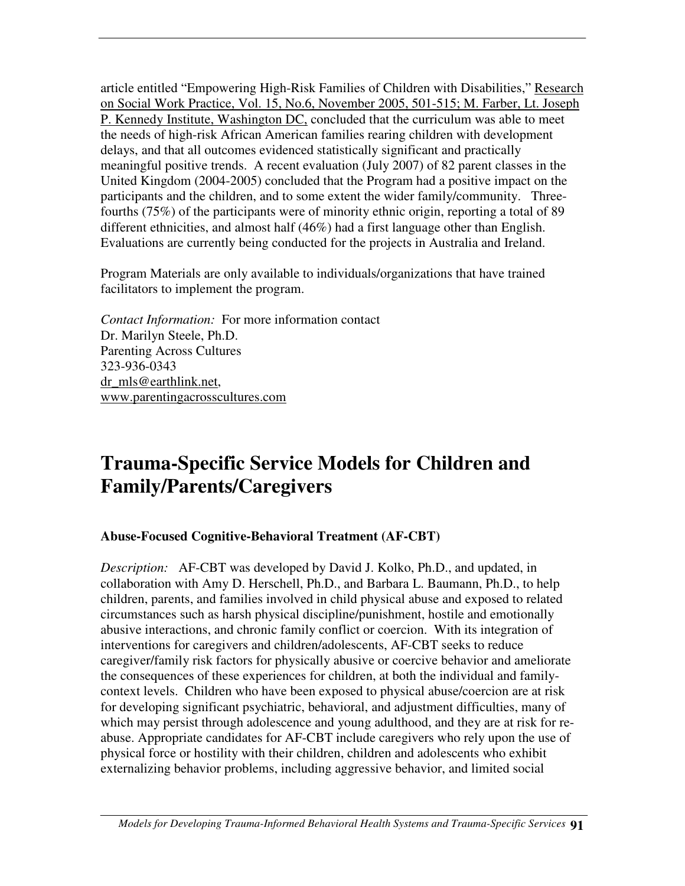article entitled "Empowering High-Risk Families of Children with Disabilities," Research on Social Work Practice, Vol. 15, No.6, November 2005, 501-515; M. Farber, Lt. Joseph P. Kennedy Institute, Washington DC, concluded that the curriculum was able to meet the needs of high-risk African American families rearing children with development delays, and that all outcomes evidenced statistically significant and practically meaningful positive trends. A recent evaluation (July 2007) of 82 parent classes in the United Kingdom (2004-2005) concluded that the Program had a positive impact on the participants and the children, and to some extent the wider family/community. Threefourths (75%) of the participants were of minority ethnic origin, reporting a total of 89 different ethnicities, and almost half (46%) had a first language other than English. Evaluations are currently being conducted for the projects in Australia and Ireland.

Program Materials are only available to individuals/organizations that have trained facilitators to implement the program.

*Contact Information:* For more information contact Dr. Marilyn Steele, Ph.D. Parenting Across Cultures 323-936-0343 dr\_mls@earthlink.net, www.parentingacrosscultures.com

## **Trauma-Specific Service Models for Children and Family/Parents/Caregivers**

## **Abuse-Focused Cognitive-Behavioral Treatment (AF-CBT)**

*Description:* AF-CBT was developed by David J. Kolko, Ph.D., and updated, in collaboration with Amy D. Herschell, Ph.D., and Barbara L. Baumann, Ph.D., to help children, parents, and families involved in child physical abuse and exposed to related circumstances such as harsh physical discipline/punishment, hostile and emotionally abusive interactions, and chronic family conflict or coercion. With its integration of interventions for caregivers and children/adolescents, AF-CBT seeks to reduce caregiver/family risk factors for physically abusive or coercive behavior and ameliorate the consequences of these experiences for children, at both the individual and familycontext levels. Children who have been exposed to physical abuse/coercion are at risk for developing significant psychiatric, behavioral, and adjustment difficulties, many of which may persist through adolescence and young adulthood, and they are at risk for reabuse. Appropriate candidates for AF-CBT include caregivers who rely upon the use of physical force or hostility with their children, children and adolescents who exhibit externalizing behavior problems, including aggressive behavior, and limited social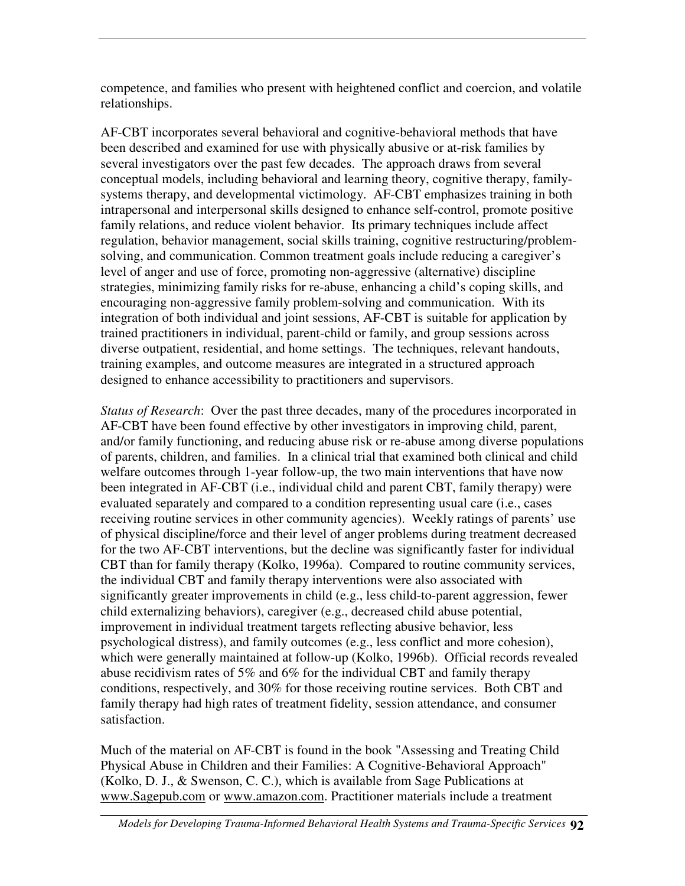competence, and families who present with heightened conflict and coercion, and volatile relationships.

AF-CBT incorporates several behavioral and cognitive-behavioral methods that have been described and examined for use with physically abusive or at-risk families by several investigators over the past few decades. The approach draws from several conceptual models, including behavioral and learning theory, cognitive therapy, familysystems therapy, and developmental victimology. AF-CBT emphasizes training in both intrapersonal and interpersonal skills designed to enhance self-control, promote positive family relations, and reduce violent behavior. Its primary techniques include affect regulation, behavior management, social skills training, cognitive restructuring/problemsolving, and communication. Common treatment goals include reducing a caregiver's level of anger and use of force, promoting non-aggressive (alternative) discipline strategies, minimizing family risks for re-abuse, enhancing a child's coping skills, and encouraging non-aggressive family problem-solving and communication. With its integration of both individual and joint sessions, AF-CBT is suitable for application by trained practitioners in individual, parent-child or family, and group sessions across diverse outpatient, residential, and home settings. The techniques, relevant handouts, training examples, and outcome measures are integrated in a structured approach designed to enhance accessibility to practitioners and supervisors.

*Status of Research*: Over the past three decades, many of the procedures incorporated in AF-CBT have been found effective by other investigators in improving child, parent, and/or family functioning, and reducing abuse risk or re-abuse among diverse populations of parents, children, and families. In a clinical trial that examined both clinical and child welfare outcomes through 1-year follow-up, the two main interventions that have now been integrated in AF-CBT (i.e., individual child and parent CBT, family therapy) were evaluated separately and compared to a condition representing usual care (i.e., cases receiving routine services in other community agencies). Weekly ratings of parents' use of physical discipline/force and their level of anger problems during treatment decreased for the two AF-CBT interventions, but the decline was significantly faster for individual CBT than for family therapy (Kolko, 1996a). Compared to routine community services, the individual CBT and family therapy interventions were also associated with significantly greater improvements in child (e.g., less child-to-parent aggression, fewer child externalizing behaviors), caregiver (e.g., decreased child abuse potential, improvement in individual treatment targets reflecting abusive behavior, less psychological distress), and family outcomes (e.g., less conflict and more cohesion), which were generally maintained at follow-up (Kolko, 1996b). Official records revealed abuse recidivism rates of 5% and 6% for the individual CBT and family therapy conditions, respectively, and 30% for those receiving routine services. Both CBT and family therapy had high rates of treatment fidelity, session attendance, and consumer satisfaction.

Much of the material on AF-CBT is found in the book "Assessing and Treating Child Physical Abuse in Children and their Families: A Cognitive-Behavioral Approach" (Kolko, D. J., & Swenson, C. C.), which is available from Sage Publications at www.Sagepub.com or www.amazon.com. Practitioner materials include a treatment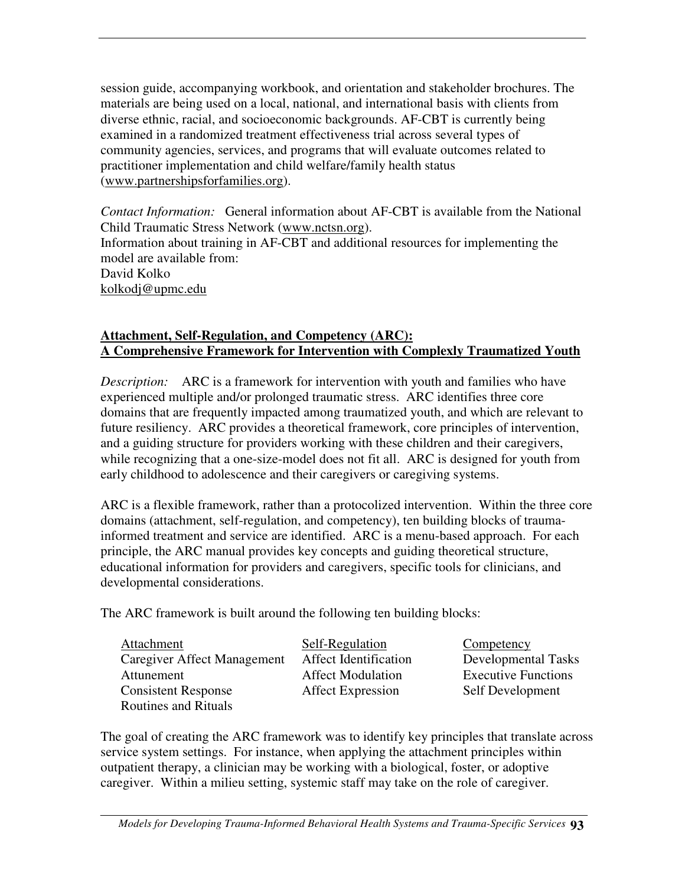session guide, accompanying workbook, and orientation and stakeholder brochures. The materials are being used on a local, national, and international basis with clients from diverse ethnic, racial, and socioeconomic backgrounds. AF-CBT is currently being examined in a randomized treatment effectiveness trial across several types of community agencies, services, and programs that will evaluate outcomes related to practitioner implementation and child welfare/family health status (www.partnershipsforfamilies.org).

*Contact Information:* General information about AF-CBT is available from the National Child Traumatic Stress Network (www.nctsn.org). Information about training in AF-CBT and additional resources for implementing the model are available from: David Kolko kolkodj@upmc.edu

#### **Attachment, Self-Regulation, and Competency (ARC): A Comprehensive Framework for Intervention with Complexly Traumatized Youth**

*Description:* ARC is a framework for intervention with youth and families who have experienced multiple and/or prolonged traumatic stress. ARC identifies three core domains that are frequently impacted among traumatized youth, and which are relevant to future resiliency. ARC provides a theoretical framework, core principles of intervention, and a guiding structure for providers working with these children and their caregivers, while recognizing that a one-size-model does not fit all. ARC is designed for youth from early childhood to adolescence and their caregivers or caregiving systems.

ARC is a flexible framework, rather than a protocolized intervention. Within the three core domains (attachment, self-regulation, and competency), ten building blocks of traumainformed treatment and service are identified. ARC is a menu-based approach. For each principle, the ARC manual provides key concepts and guiding theoretical structure, educational information for providers and caregivers, specific tools for clinicians, and developmental considerations.

The ARC framework is built around the following ten building blocks:

| Attachment                  |  |
|-----------------------------|--|
| Caregiver Affect Management |  |
| Attunement                  |  |
| <b>Consistent Response</b>  |  |
| <b>Routines and Rituals</b> |  |

Self-Regulation Competency Affect Expression Self Development

Affect Identification Developmental Tasks Affect Modulation Executive Functions

The goal of creating the ARC framework was to identify key principles that translate across service system settings. For instance, when applying the attachment principles within outpatient therapy, a clinician may be working with a biological, foster, or adoptive caregiver. Within a milieu setting, systemic staff may take on the role of caregiver.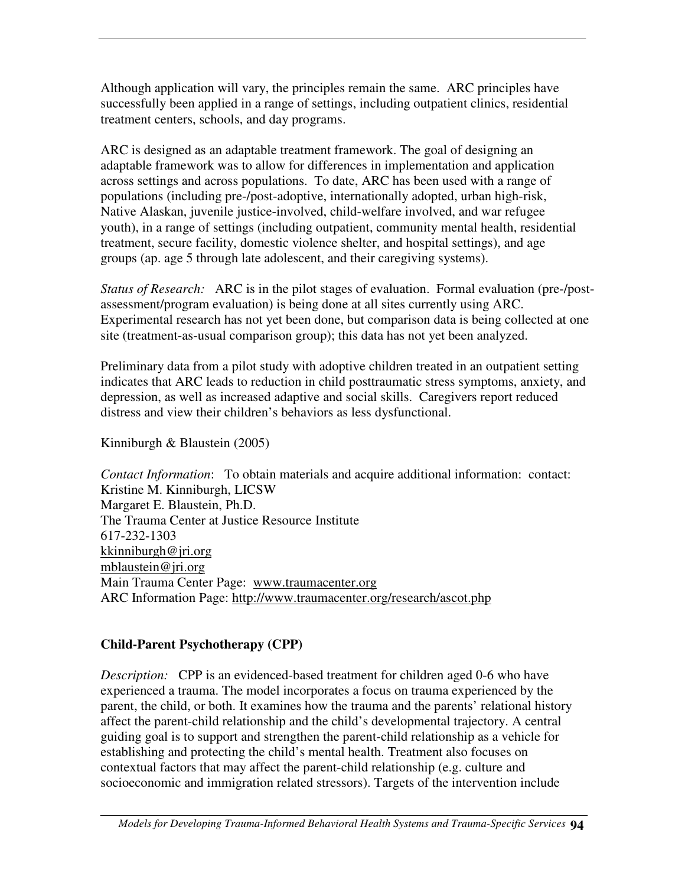Although application will vary, the principles remain the same. ARC principles have successfully been applied in a range of settings, including outpatient clinics, residential treatment centers, schools, and day programs.

ARC is designed as an adaptable treatment framework. The goal of designing an adaptable framework was to allow for differences in implementation and application across settings and across populations. To date, ARC has been used with a range of populations (including pre-/post-adoptive, internationally adopted, urban high-risk, Native Alaskan, juvenile justice-involved, child-welfare involved, and war refugee youth), in a range of settings (including outpatient, community mental health, residential treatment, secure facility, domestic violence shelter, and hospital settings), and age groups (ap. age 5 through late adolescent, and their caregiving systems).

*Status of Research:* ARC is in the pilot stages of evaluation. Formal evaluation (pre-/postassessment/program evaluation) is being done at all sites currently using ARC. Experimental research has not yet been done, but comparison data is being collected at one site (treatment-as-usual comparison group); this data has not yet been analyzed.

Preliminary data from a pilot study with adoptive children treated in an outpatient setting indicates that ARC leads to reduction in child posttraumatic stress symptoms, anxiety, and depression, as well as increased adaptive and social skills. Caregivers report reduced distress and view their children's behaviors as less dysfunctional.

Kinniburgh & Blaustein (2005)

*Contact Information*: To obtain materials and acquire additional information: contact: Kristine M. Kinniburgh, LICSW Margaret E. Blaustein, Ph.D. The Trauma Center at Justice Resource Institute 617-232-1303 kkinniburgh@jri.org mblaustein@jri.org Main Trauma Center Page: www.traumacenter.org ARC Information Page: http://www.traumacenter.org/research/ascot.php

## **Child-Parent Psychotherapy (CPP)**

*Description:* CPP is an evidenced-based treatment for children aged 0-6 who have experienced a trauma. The model incorporates a focus on trauma experienced by the parent, the child, or both. It examines how the trauma and the parents' relational history affect the parent-child relationship and the child's developmental trajectory. A central guiding goal is to support and strengthen the parent-child relationship as a vehicle for establishing and protecting the child's mental health. Treatment also focuses on contextual factors that may affect the parent-child relationship (e.g. culture and socioeconomic and immigration related stressors). Targets of the intervention include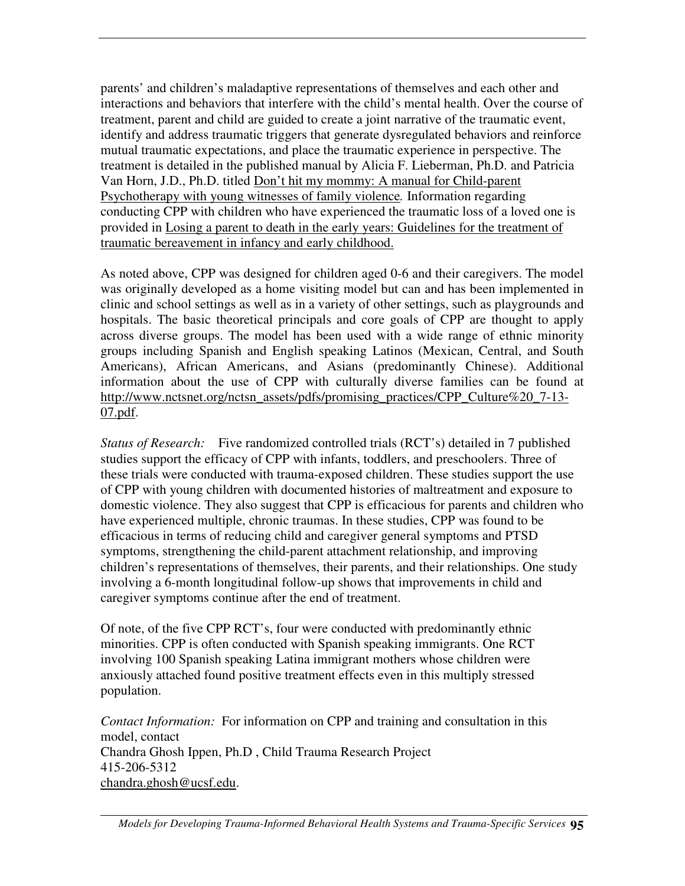parents' and children's maladaptive representations of themselves and each other and interactions and behaviors that interfere with the child's mental health. Over the course of treatment, parent and child are guided to create a joint narrative of the traumatic event, identify and address traumatic triggers that generate dysregulated behaviors and reinforce mutual traumatic expectations, and place the traumatic experience in perspective. The treatment is detailed in the published manual by Alicia F. Lieberman, Ph.D. and Patricia Van Horn, J.D., Ph.D. titled Don't hit my mommy: A manual for Child-parent Psychotherapy with young witnesses of family violence*.* Information regarding conducting CPP with children who have experienced the traumatic loss of a loved one is provided in Losing a parent to death in the early years: Guidelines for the treatment of traumatic bereavement in infancy and early childhood.

As noted above, CPP was designed for children aged 0-6 and their caregivers. The model was originally developed as a home visiting model but can and has been implemented in clinic and school settings as well as in a variety of other settings, such as playgrounds and hospitals. The basic theoretical principals and core goals of CPP are thought to apply across diverse groups. The model has been used with a wide range of ethnic minority groups including Spanish and English speaking Latinos (Mexican, Central, and South Americans), African Americans, and Asians (predominantly Chinese). Additional information about the use of CPP with culturally diverse families can be found at http://www.nctsnet.org/nctsn\_assets/pdfs/promising\_practices/CPP\_Culture%20\_7-13- 07.pdf.

*Status of Research:* Five randomized controlled trials (RCT's) detailed in 7 published studies support the efficacy of CPP with infants, toddlers, and preschoolers. Three of these trials were conducted with trauma-exposed children. These studies support the use of CPP with young children with documented histories of maltreatment and exposure to domestic violence. They also suggest that CPP is efficacious for parents and children who have experienced multiple, chronic traumas. In these studies, CPP was found to be efficacious in terms of reducing child and caregiver general symptoms and PTSD symptoms, strengthening the child-parent attachment relationship, and improving children's representations of themselves, their parents, and their relationships. One study involving a 6-month longitudinal follow-up shows that improvements in child and caregiver symptoms continue after the end of treatment.

Of note, of the five CPP RCT's, four were conducted with predominantly ethnic minorities. CPP is often conducted with Spanish speaking immigrants. One RCT involving 100 Spanish speaking Latina immigrant mothers whose children were anxiously attached found positive treatment effects even in this multiply stressed population.

*Contact Information:* For information on CPP and training and consultation in this model, contact Chandra Ghosh Ippen, Ph.D , Child Trauma Research Project 415-206-5312 chandra.ghosh@ucsf.edu.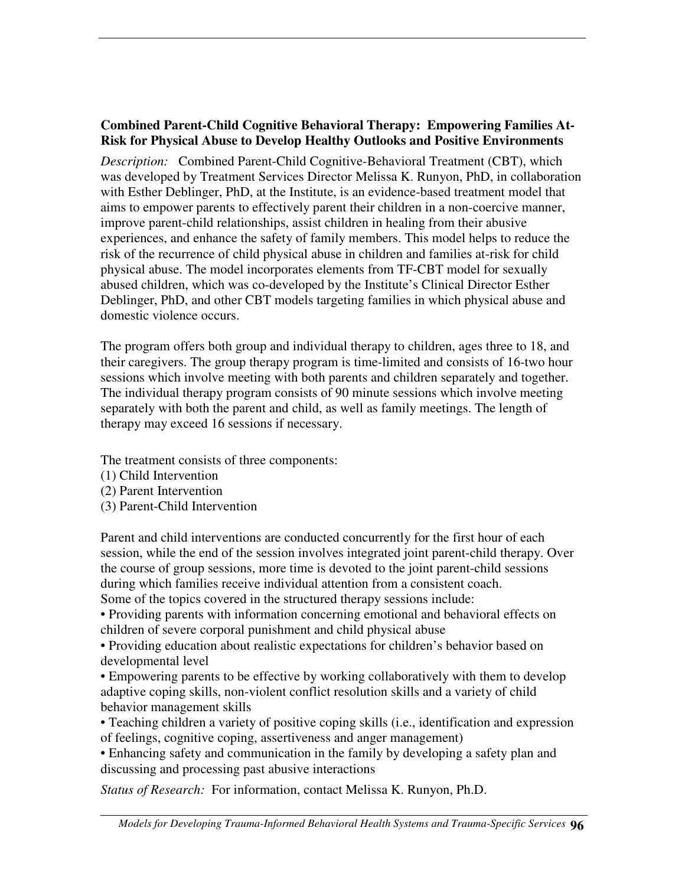## **Combined Parent-Child Cognitive Behavioral Therapy: Empowering Families At-Risk for Physical Abuse to Develop Healthy Outlooks and Positive Environments**

*Description:* Combined Parent-Child Cognitive-Behavioral Treatment (CBT), which was developed by Treatment Services Director Melissa K. Runyon, PhD, in collaboration with Esther Deblinger, PhD, at the Institute, is an evidence-based treatment model that aims to empower parents to effectively parent their children in a non-coercive manner, improve parent-child relationships, assist children in healing from their abusive experiences, and enhance the safety of family members. This model helps to reduce the risk of the recurrence of child physical abuse in children and families at-risk for child physical abuse. The model incorporates elements from TF-CBT model for sexually abused children, which was co-developed by the Institute's Clinical Director Esther Deblinger, PhD, and other CBT models targeting families in which physical abuse and domestic violence occurs.

The program offers both group and individual therapy to children, ages three to 18, and their caregivers. The group therapy program is time-limited and consists of 16-two hour sessions which involve meeting with both parents and children separately and together. The individual therapy program consists of 90 minute sessions which involve meeting separately with both the parent and child, as well as family meetings. The length of therapy may exceed 16 sessions if necessary.

The treatment consists of three components:

- (1) Child Intervention
- (2) Parent Intervention
- (3) Parent-Child Intervention

Parent and child interventions are conducted concurrently for the first hour of each session, while the end of the session involves integrated joint parent-child therapy. Over the course of group sessions, more time is devoted to the joint parent-child sessions during which families receive individual attention from a consistent coach. Some of the topics covered in the structured therapy sessions include:

• Providing parents with information concerning emotional and behavioral effects on children of severe corporal punishment and child physical abuse

• Providing education about realistic expectations for children's behavior based on developmental level

• Empowering parents to be effective by working collaboratively with them to develop adaptive coping skills, non-violent conflict resolution skills and a variety of child behavior management skills

• Teaching children a variety of positive coping skills (i.e., identification and expression of feelings, cognitive coping, assertiveness and anger management)

• Enhancing safety and communication in the family by developing a safety plan and discussing and processing past abusive interactions

*Status of Research:* For information, contact Melissa K. Runyon, Ph.D.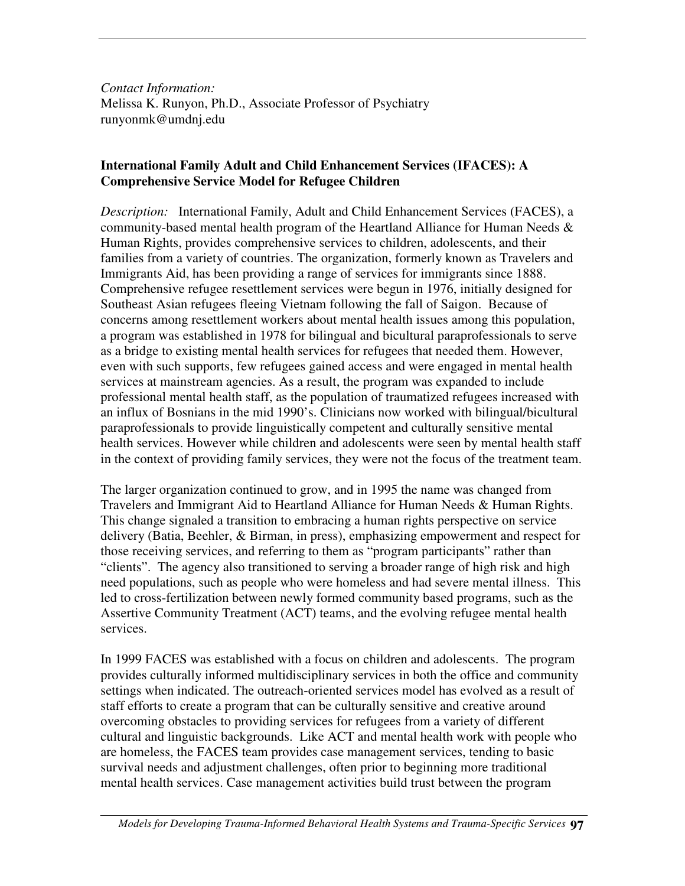*Contact Information:* Melissa K. Runyon, Ph.D., Associate Professor of Psychiatry runyonmk@umdnj.edu

#### **International Family Adult and Child Enhancement Services (IFACES): A Comprehensive Service Model for Refugee Children**

*Description:* International Family, Adult and Child Enhancement Services (FACES), a community-based mental health program of the Heartland Alliance for Human Needs  $\&$ Human Rights, provides comprehensive services to children, adolescents, and their families from a variety of countries. The organization, formerly known as Travelers and Immigrants Aid, has been providing a range of services for immigrants since 1888. Comprehensive refugee resettlement services were begun in 1976, initially designed for Southeast Asian refugees fleeing Vietnam following the fall of Saigon. Because of concerns among resettlement workers about mental health issues among this population, a program was established in 1978 for bilingual and bicultural paraprofessionals to serve as a bridge to existing mental health services for refugees that needed them. However, even with such supports, few refugees gained access and were engaged in mental health services at mainstream agencies. As a result, the program was expanded to include professional mental health staff, as the population of traumatized refugees increased with an influx of Bosnians in the mid 1990's. Clinicians now worked with bilingual/bicultural paraprofessionals to provide linguistically competent and culturally sensitive mental health services. However while children and adolescents were seen by mental health staff in the context of providing family services, they were not the focus of the treatment team.

The larger organization continued to grow, and in 1995 the name was changed from Travelers and Immigrant Aid to Heartland Alliance for Human Needs & Human Rights. This change signaled a transition to embracing a human rights perspective on service delivery (Batia, Beehler, & Birman, in press), emphasizing empowerment and respect for those receiving services, and referring to them as "program participants" rather than "clients". The agency also transitioned to serving a broader range of high risk and high need populations, such as people who were homeless and had severe mental illness. This led to cross-fertilization between newly formed community based programs, such as the Assertive Community Treatment (ACT) teams, and the evolving refugee mental health services.

In 1999 FACES was established with a focus on children and adolescents. The program provides culturally informed multidisciplinary services in both the office and community settings when indicated. The outreach-oriented services model has evolved as a result of staff efforts to create a program that can be culturally sensitive and creative around overcoming obstacles to providing services for refugees from a variety of different cultural and linguistic backgrounds. Like ACT and mental health work with people who are homeless, the FACES team provides case management services, tending to basic survival needs and adjustment challenges, often prior to beginning more traditional mental health services. Case management activities build trust between the program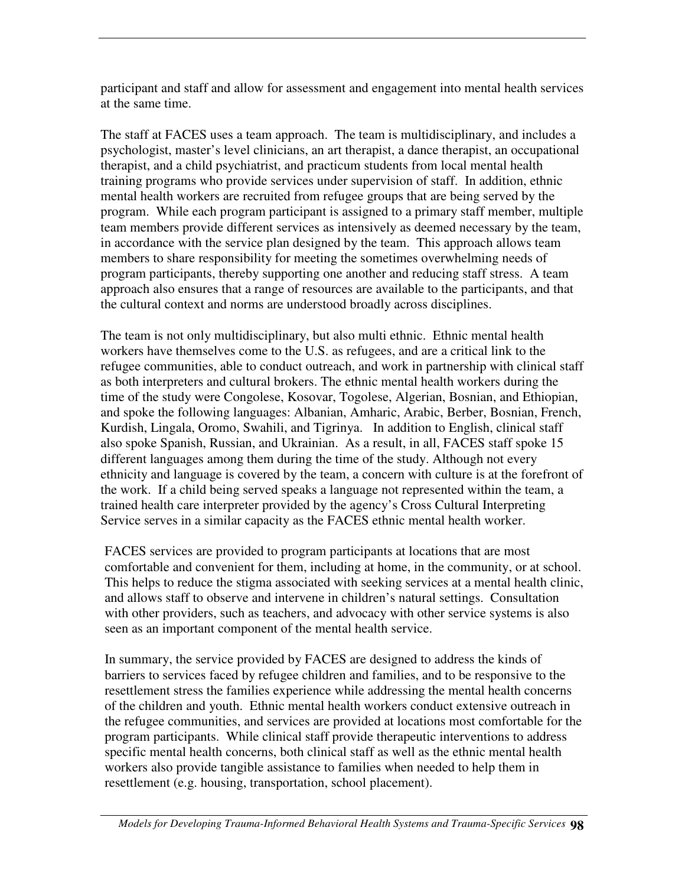participant and staff and allow for assessment and engagement into mental health services at the same time.

The staff at FACES uses a team approach. The team is multidisciplinary, and includes a psychologist, master's level clinicians, an art therapist, a dance therapist, an occupational therapist, and a child psychiatrist, and practicum students from local mental health training programs who provide services under supervision of staff. In addition, ethnic mental health workers are recruited from refugee groups that are being served by the program. While each program participant is assigned to a primary staff member, multiple team members provide different services as intensively as deemed necessary by the team, in accordance with the service plan designed by the team. This approach allows team members to share responsibility for meeting the sometimes overwhelming needs of program participants, thereby supporting one another and reducing staff stress. A team approach also ensures that a range of resources are available to the participants, and that the cultural context and norms are understood broadly across disciplines.

The team is not only multidisciplinary, but also multi ethnic. Ethnic mental health workers have themselves come to the U.S. as refugees, and are a critical link to the refugee communities, able to conduct outreach, and work in partnership with clinical staff as both interpreters and cultural brokers. The ethnic mental health workers during the time of the study were Congolese, Kosovar, Togolese, Algerian, Bosnian, and Ethiopian, and spoke the following languages: Albanian, Amharic, Arabic, Berber, Bosnian, French, Kurdish, Lingala, Oromo, Swahili, and Tigrinya. In addition to English, clinical staff also spoke Spanish, Russian, and Ukrainian. As a result, in all, FACES staff spoke 15 different languages among them during the time of the study. Although not every ethnicity and language is covered by the team, a concern with culture is at the forefront of the work. If a child being served speaks a language not represented within the team, a trained health care interpreter provided by the agency's Cross Cultural Interpreting Service serves in a similar capacity as the FACES ethnic mental health worker.

FACES services are provided to program participants at locations that are most comfortable and convenient for them, including at home, in the community, or at school. This helps to reduce the stigma associated with seeking services at a mental health clinic, and allows staff to observe and intervene in children's natural settings. Consultation with other providers, such as teachers, and advocacy with other service systems is also seen as an important component of the mental health service.

In summary, the service provided by FACES are designed to address the kinds of barriers to services faced by refugee children and families, and to be responsive to the resettlement stress the families experience while addressing the mental health concerns of the children and youth. Ethnic mental health workers conduct extensive outreach in the refugee communities, and services are provided at locations most comfortable for the program participants. While clinical staff provide therapeutic interventions to address specific mental health concerns, both clinical staff as well as the ethnic mental health workers also provide tangible assistance to families when needed to help them in resettlement (e.g. housing, transportation, school placement).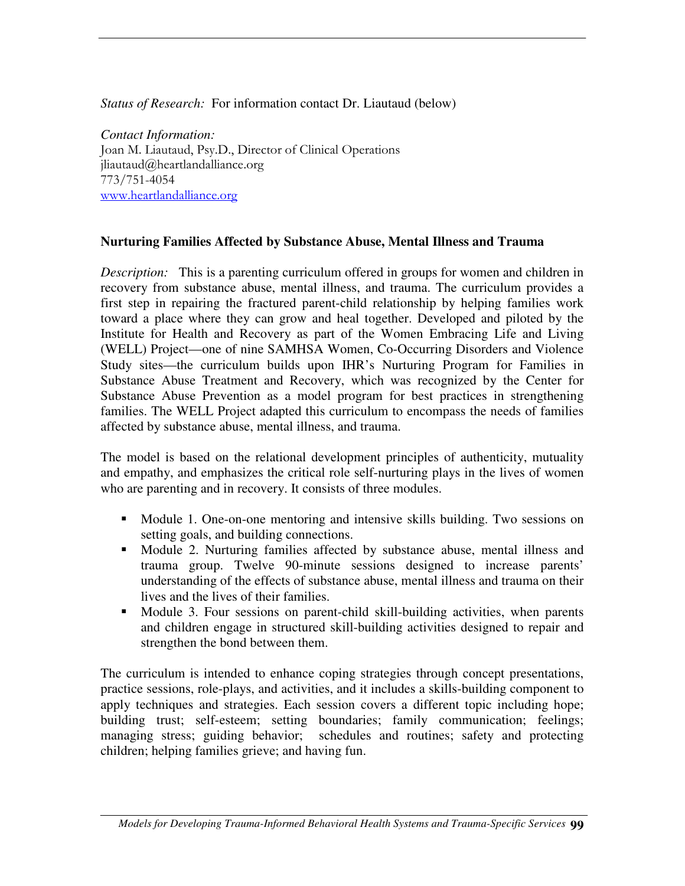#### *Status of Research:* For information contact Dr. Liautaud (below)

*Contact Information:* Joan M. Liautaud, Psy.D., Director of Clinical Operations jliautaud@heartlandalliance.org  $773/751 - 4054$ www.heartlandalliance.org

## **Nurturing Families Affected by Substance Abuse, Mental Illness and Trauma**

*Description:* This is a parenting curriculum offered in groups for women and children in recovery from substance abuse, mental illness, and trauma. The curriculum provides a first step in repairing the fractured parent-child relationship by helping families work toward a place where they can grow and heal together. Developed and piloted by the Institute for Health and Recovery as part of the Women Embracing Life and Living (WELL) Project—one of nine SAMHSA Women, Co-Occurring Disorders and Violence Study sites—the curriculum builds upon IHR's Nurturing Program for Families in Substance Abuse Treatment and Recovery, which was recognized by the Center for Substance Abuse Prevention as a model program for best practices in strengthening families. The WELL Project adapted this curriculum to encompass the needs of families affected by substance abuse, mental illness, and trauma.

The model is based on the relational development principles of authenticity, mutuality and empathy, and emphasizes the critical role self-nurturing plays in the lives of women who are parenting and in recovery. It consists of three modules.

- Module 1. One-on-one mentoring and intensive skills building. Two sessions on setting goals, and building connections.
- Module 2. Nurturing families affected by substance abuse, mental illness and trauma group. Twelve 90-minute sessions designed to increase parents' understanding of the effects of substance abuse, mental illness and trauma on their lives and the lives of their families.
- Module 3. Four sessions on parent-child skill-building activities, when parents and children engage in structured skill-building activities designed to repair and strengthen the bond between them.

The curriculum is intended to enhance coping strategies through concept presentations, practice sessions, role-plays, and activities, and it includes a skills-building component to apply techniques and strategies. Each session covers a different topic including hope; building trust; self-esteem; setting boundaries; family communication; feelings; managing stress; guiding behavior; schedules and routines; safety and protecting children; helping families grieve; and having fun.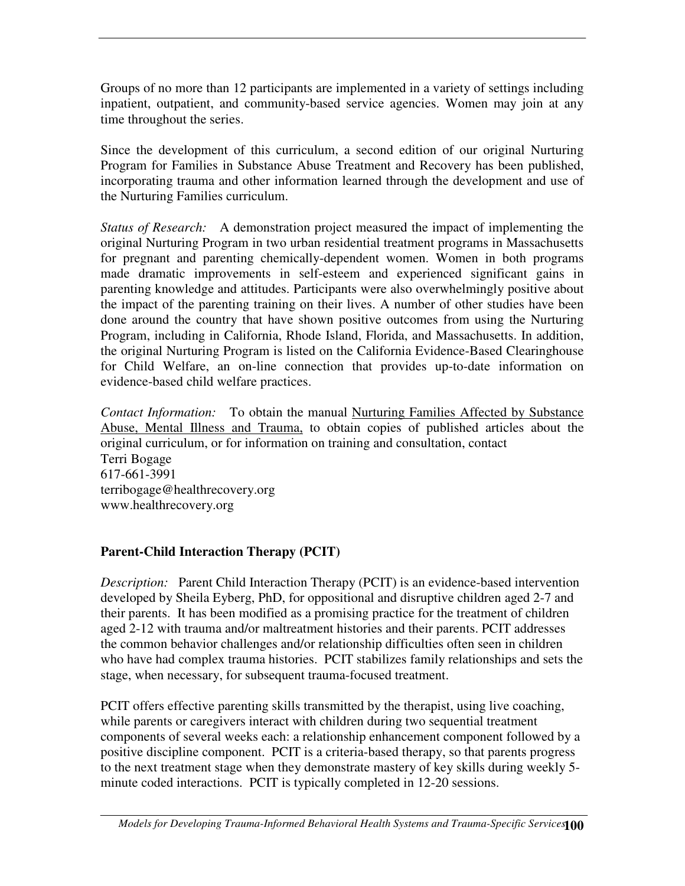Groups of no more than 12 participants are implemented in a variety of settings including inpatient, outpatient, and community-based service agencies. Women may join at any time throughout the series.

Since the development of this curriculum, a second edition of our original Nurturing Program for Families in Substance Abuse Treatment and Recovery has been published, incorporating trauma and other information learned through the development and use of the Nurturing Families curriculum.

*Status of Research:* A demonstration project measured the impact of implementing the original Nurturing Program in two urban residential treatment programs in Massachusetts for pregnant and parenting chemically-dependent women. Women in both programs made dramatic improvements in self-esteem and experienced significant gains in parenting knowledge and attitudes. Participants were also overwhelmingly positive about the impact of the parenting training on their lives. A number of other studies have been done around the country that have shown positive outcomes from using the Nurturing Program, including in California, Rhode Island, Florida, and Massachusetts. In addition, the original Nurturing Program is listed on the California Evidence-Based Clearinghouse for Child Welfare, an on-line connection that provides up-to-date information on evidence-based child welfare practices.

*Contact Information:* To obtain the manual Nurturing Families Affected by Substance Abuse, Mental Illness and Trauma, to obtain copies of published articles about the original curriculum, or for information on training and consultation, contact Terri Bogage 617-661-3991 terribogage@healthrecovery.org www.healthrecovery.org

## **Parent-Child Interaction Therapy (PCIT)**

*Description:* Parent Child Interaction Therapy (PCIT) is an evidence-based intervention developed by Sheila Eyberg, PhD, for oppositional and disruptive children aged 2-7 and their parents. It has been modified as a promising practice for the treatment of children aged 2-12 with trauma and/or maltreatment histories and their parents. PCIT addresses the common behavior challenges and/or relationship difficulties often seen in children who have had complex trauma histories. PCIT stabilizes family relationships and sets the stage, when necessary, for subsequent trauma-focused treatment.

PCIT offers effective parenting skills transmitted by the therapist, using live coaching, while parents or caregivers interact with children during two sequential treatment components of several weeks each: a relationship enhancement component followed by a positive discipline component. PCIT is a criteria-based therapy, so that parents progress to the next treatment stage when they demonstrate mastery of key skills during weekly 5 minute coded interactions. PCIT is typically completed in 12-20 sessions.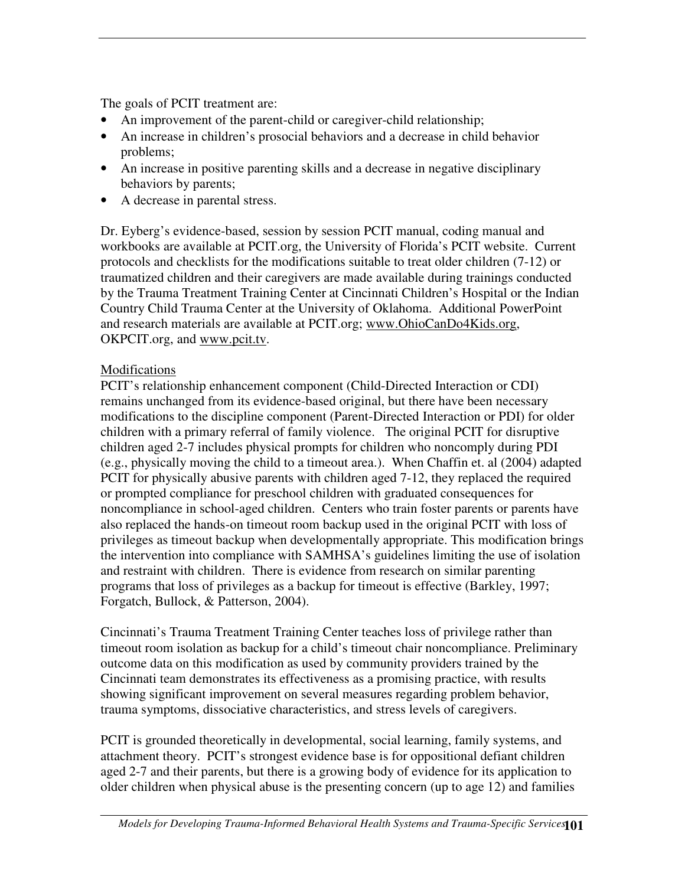The goals of PCIT treatment are:

- An improvement of the parent-child or caregiver-child relationship;
- An increase in children's prosocial behaviors and a decrease in child behavior problems;
- An increase in positive parenting skills and a decrease in negative disciplinary behaviors by parents;
- A decrease in parental stress.

Dr. Eyberg's evidence-based, session by session PCIT manual, coding manual and workbooks are available at PCIT.org, the University of Florida's PCIT website. Current protocols and checklists for the modifications suitable to treat older children (7-12) or traumatized children and their caregivers are made available during trainings conducted by the Trauma Treatment Training Center at Cincinnati Children's Hospital or the Indian Country Child Trauma Center at the University of Oklahoma. Additional PowerPoint and research materials are available at PCIT.org; www.OhioCanDo4Kids.org, OKPCIT.org, and www.pcit.tv.

#### Modifications

PCIT's relationship enhancement component (Child-Directed Interaction or CDI) remains unchanged from its evidence-based original, but there have been necessary modifications to the discipline component (Parent-Directed Interaction or PDI) for older children with a primary referral of family violence. The original PCIT for disruptive children aged 2-7 includes physical prompts for children who noncomply during PDI (e.g., physically moving the child to a timeout area.). When Chaffin et. al (2004) adapted PCIT for physically abusive parents with children aged 7-12, they replaced the required or prompted compliance for preschool children with graduated consequences for noncompliance in school-aged children. Centers who train foster parents or parents have also replaced the hands-on timeout room backup used in the original PCIT with loss of privileges as timeout backup when developmentally appropriate. This modification brings the intervention into compliance with SAMHSA's guidelines limiting the use of isolation and restraint with children. There is evidence from research on similar parenting programs that loss of privileges as a backup for timeout is effective (Barkley, 1997; Forgatch, Bullock, & Patterson, 2004).

Cincinnati's Trauma Treatment Training Center teaches loss of privilege rather than timeout room isolation as backup for a child's timeout chair noncompliance. Preliminary outcome data on this modification as used by community providers trained by the Cincinnati team demonstrates its effectiveness as a promising practice, with results showing significant improvement on several measures regarding problem behavior, trauma symptoms, dissociative characteristics, and stress levels of caregivers.

PCIT is grounded theoretically in developmental, social learning, family systems, and attachment theory. PCIT's strongest evidence base is for oppositional defiant children aged 2-7 and their parents, but there is a growing body of evidence for its application to older children when physical abuse is the presenting concern (up to age 12) and families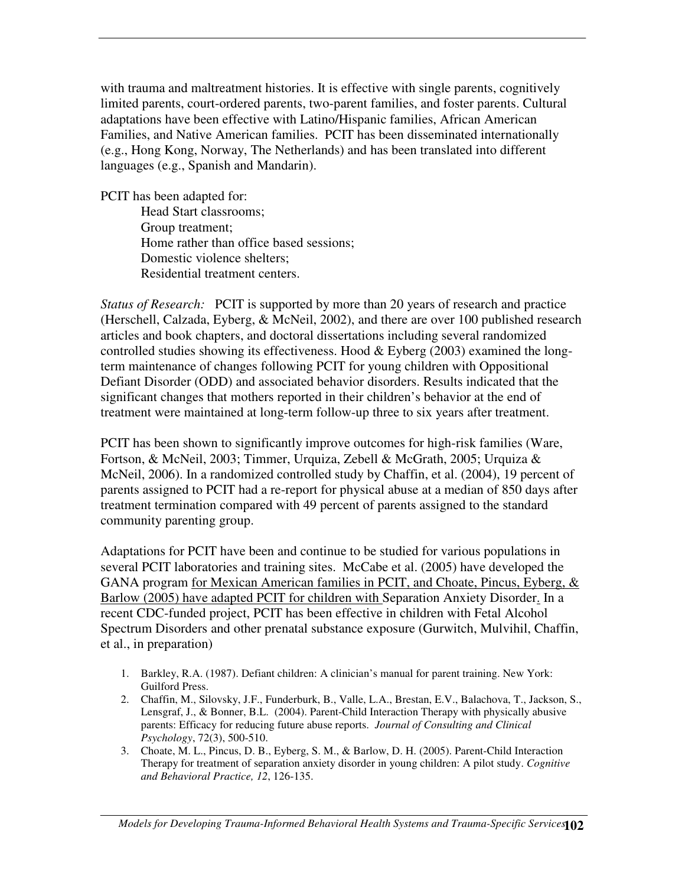with trauma and maltreatment histories. It is effective with single parents, cognitively limited parents, court-ordered parents, two-parent families, and foster parents. Cultural adaptations have been effective with Latino/Hispanic families, African American Families, and Native American families. PCIT has been disseminated internationally (e.g., Hong Kong, Norway, The Netherlands) and has been translated into different languages (e.g., Spanish and Mandarin).

PCIT has been adapted for:

Head Start classrooms; Group treatment; Home rather than office based sessions; Domestic violence shelters; Residential treatment centers.

*Status of Research:* PCIT is supported by more than 20 years of research and practice (Herschell, Calzada, Eyberg, & McNeil, 2002), and there are over 100 published research articles and book chapters, and doctoral dissertations including several randomized controlled studies showing its effectiveness. Hood & Eyberg (2003) examined the longterm maintenance of changes following PCIT for young children with Oppositional Defiant Disorder (ODD) and associated behavior disorders. Results indicated that the significant changes that mothers reported in their children's behavior at the end of treatment were maintained at long-term follow-up three to six years after treatment.

PCIT has been shown to significantly improve outcomes for high-risk families (Ware, Fortson, & McNeil, 2003; Timmer, Urquiza, Zebell & McGrath, 2005; Urquiza & McNeil, 2006). In a randomized controlled study by Chaffin, et al. (2004), 19 percent of parents assigned to PCIT had a re-report for physical abuse at a median of 850 days after treatment termination compared with 49 percent of parents assigned to the standard community parenting group.

Adaptations for PCIT have been and continue to be studied for various populations in several PCIT laboratories and training sites. McCabe et al. (2005) have developed the GANA program for Mexican American families in PCIT, and Choate, Pincus, Eyberg, & Barlow (2005) have adapted PCIT for children with Separation Anxiety Disorder. In a recent CDC-funded project, PCIT has been effective in children with Fetal Alcohol Spectrum Disorders and other prenatal substance exposure (Gurwitch, Mulvihil, Chaffin, et al., in preparation)

- 1. Barkley, R.A. (1987). Defiant children: A clinician's manual for parent training. New York: Guilford Press.
- 2. Chaffin, M., Silovsky, J.F., Funderburk, B., Valle, L.A., Brestan, E.V., Balachova, T., Jackson, S., Lensgraf, J., & Bonner, B.L. (2004). Parent-Child Interaction Therapy with physically abusive parents: Efficacy for reducing future abuse reports. *Journal of Consulting and Clinical Psychology*, 72(3), 500-510.
- 3. Choate, M. L., Pincus, D. B., Eyberg, S. M., & Barlow, D. H. (2005). Parent-Child Interaction Therapy for treatment of separation anxiety disorder in young children: A pilot study. *Cognitive and Behavioral Practice, 12*, 126-135.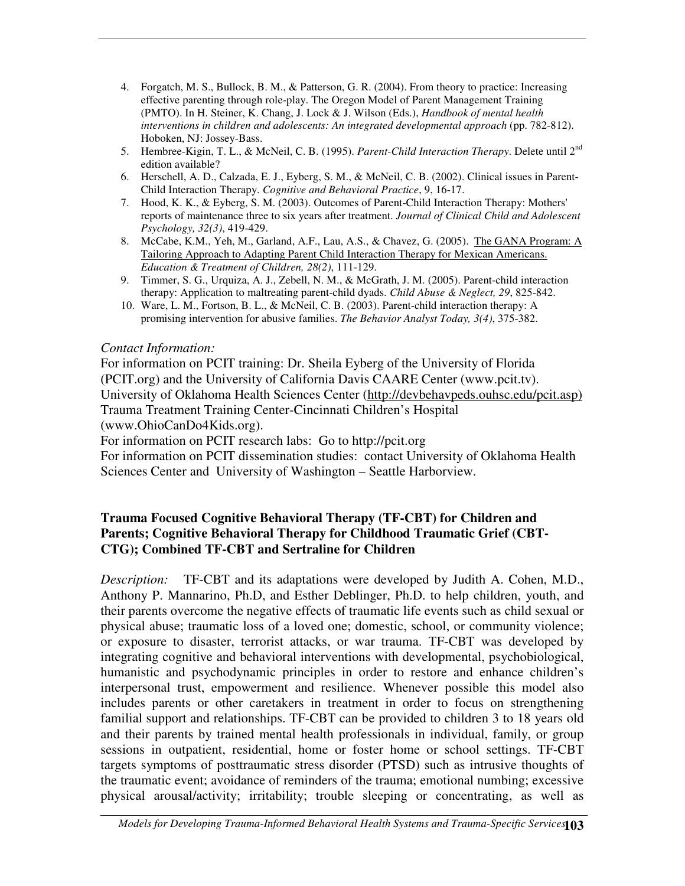- 4. Forgatch, M. S., Bullock, B. M., & Patterson, G. R. (2004). From theory to practice: Increasing effective parenting through role-play. The Oregon Model of Parent Management Training (PMTO). In H. Steiner, K. Chang, J. Lock & J. Wilson (Eds.), *Handbook of mental health interventions in children and adolescents: An integrated developmental approach* (pp. 782-812). Hoboken, NJ: Jossey-Bass.
- 5. Hembree-Kigin, T. L., & McNeil, C. B. (1995). *Parent-Child Interaction Therapy*. Delete until 2<sup>nd</sup> edition available?
- 6. Herschell, A. D., Calzada, E. J., Eyberg, S. M., & McNeil, C. B. (2002). Clinical issues in Parent-Child Interaction Therapy. *Cognitive and Behavioral Practice*, 9, 16-17.
- 7. Hood, K. K., & Eyberg, S. M. (2003). Outcomes of Parent-Child Interaction Therapy: Mothers' reports of maintenance three to six years after treatment. *Journal of Clinical Child and Adolescent Psychology, 32(3)*, 419-429.
- 8. McCabe, K.M., Yeh, M., Garland, A.F., Lau, A.S., & Chavez, G. (2005). The GANA Program: A Tailoring Approach to Adapting Parent Child Interaction Therapy for Mexican Americans. *Education & Treatment of Children, 28(2)*, 111-129.
- 9. Timmer, S. G., Urquiza, A. J., Zebell, N. M., & McGrath, J. M. (2005). Parent-child interaction therapy: Application to maltreating parent-child dyads. *Child Abuse & Neglect, 29*, 825-842.
- 10. Ware, L. M., Fortson, B. L., & McNeil, C. B. (2003). Parent-child interaction therapy: A promising intervention for abusive families. *The Behavior Analyst Today, 3(4)*, 375-382.

#### *Contact Information:*

For information on PCIT training: Dr. Sheila Eyberg of the University of Florida (PCIT.org) and the University of California Davis CAARE Center (www.pcit.tv). University of Oklahoma Health Sciences Center (http://devbehavpeds.ouhsc.edu/pcit.asp) Trauma Treatment Training Center-Cincinnati Children's Hospital (www.OhioCanDo4Kids.org).

For information on PCIT research labs: Go to http://pcit.org

For information on PCIT dissemination studies: contact University of Oklahoma Health Sciences Center and University of Washington – Seattle Harborview.

#### **Trauma Focused Cognitive Behavioral Therapy (TF-CBT) for Children and Parents; Cognitive Behavioral Therapy for Childhood Traumatic Grief (CBT-CTG); Combined TF-CBT and Sertraline for Children**

*Description:* TF-CBT and its adaptations were developed by Judith A. Cohen, M.D., Anthony P. Mannarino, Ph.D, and Esther Deblinger, Ph.D. to help children, youth, and their parents overcome the negative effects of traumatic life events such as child sexual or physical abuse; traumatic loss of a loved one; domestic, school, or community violence; or exposure to disaster, terrorist attacks, or war trauma. TF-CBT was developed by integrating cognitive and behavioral interventions with developmental, psychobiological, humanistic and psychodynamic principles in order to restore and enhance children's interpersonal trust, empowerment and resilience. Whenever possible this model also includes parents or other caretakers in treatment in order to focus on strengthening familial support and relationships. TF-CBT can be provided to children 3 to 18 years old and their parents by trained mental health professionals in individual, family, or group sessions in outpatient, residential, home or foster home or school settings. TF-CBT targets symptoms of posttraumatic stress disorder (PTSD) such as intrusive thoughts of the traumatic event; avoidance of reminders of the trauma; emotional numbing; excessive physical arousal/activity; irritability; trouble sleeping or concentrating, as well as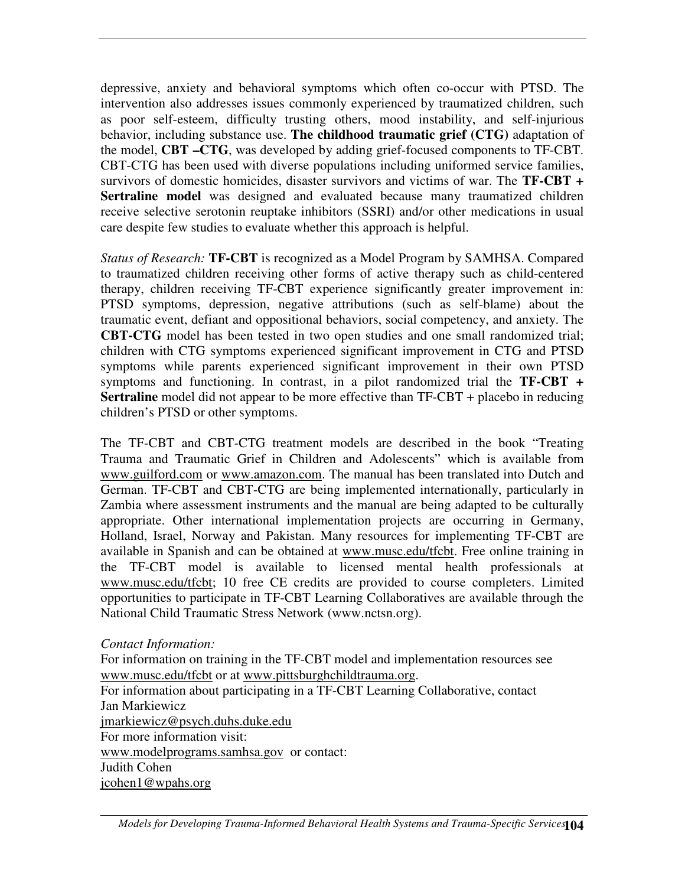depressive, anxiety and behavioral symptoms which often co-occur with PTSD. The intervention also addresses issues commonly experienced by traumatized children, such as poor self-esteem, difficulty trusting others, mood instability, and self-injurious behavior, including substance use. **The childhood traumatic grief (CTG)** adaptation of the model, **CBT –CTG**, was developed by adding grief-focused components to TF-CBT. CBT-CTG has been used with diverse populations including uniformed service families, survivors of domestic homicides, disaster survivors and victims of war. The **TF-CBT + Sertraline model** was designed and evaluated because many traumatized children receive selective serotonin reuptake inhibitors (SSRI) and/or other medications in usual care despite few studies to evaluate whether this approach is helpful.

*Status of Research:* **TF-CBT** is recognized as a Model Program by SAMHSA. Compared to traumatized children receiving other forms of active therapy such as child-centered therapy, children receiving TF-CBT experience significantly greater improvement in: PTSD symptoms, depression, negative attributions (such as self-blame) about the traumatic event, defiant and oppositional behaviors, social competency, and anxiety. The **CBT-CTG** model has been tested in two open studies and one small randomized trial; children with CTG symptoms experienced significant improvement in CTG and PTSD symptoms while parents experienced significant improvement in their own PTSD symptoms and functioning. In contrast, in a pilot randomized trial the **TF-CBT + Sertraline** model did not appear to be more effective than TF-CBT + placebo in reducing children's PTSD or other symptoms.

The TF-CBT and CBT-CTG treatment models are described in the book "Treating Trauma and Traumatic Grief in Children and Adolescents" which is available from www.guilford.com or www.amazon.com. The manual has been translated into Dutch and German. TF-CBT and CBT-CTG are being implemented internationally, particularly in Zambia where assessment instruments and the manual are being adapted to be culturally appropriate. Other international implementation projects are occurring in Germany, Holland, Israel, Norway and Pakistan. Many resources for implementing TF-CBT are available in Spanish and can be obtained at www.musc.edu/tfcbt. Free online training in the TF-CBT model is available to licensed mental health professionals at www.musc.edu/tfcbt; 10 free CE credits are provided to course completers. Limited opportunities to participate in TF-CBT Learning Collaboratives are available through the National Child Traumatic Stress Network (www.nctsn.org).

#### *Contact Information:*

For information on training in the TF-CBT model and implementation resources see www.musc.edu/tfcbt or at www.pittsburghchildtrauma.org.

For information about participating in a TF-CBT Learning Collaborative, contact Jan Markiewicz jmarkiewicz@psych.duhs.duke.edu

For more information visit:

www.modelprograms.samhsa.gov or contact:

## Judith Cohen

jcohen1@wpahs.org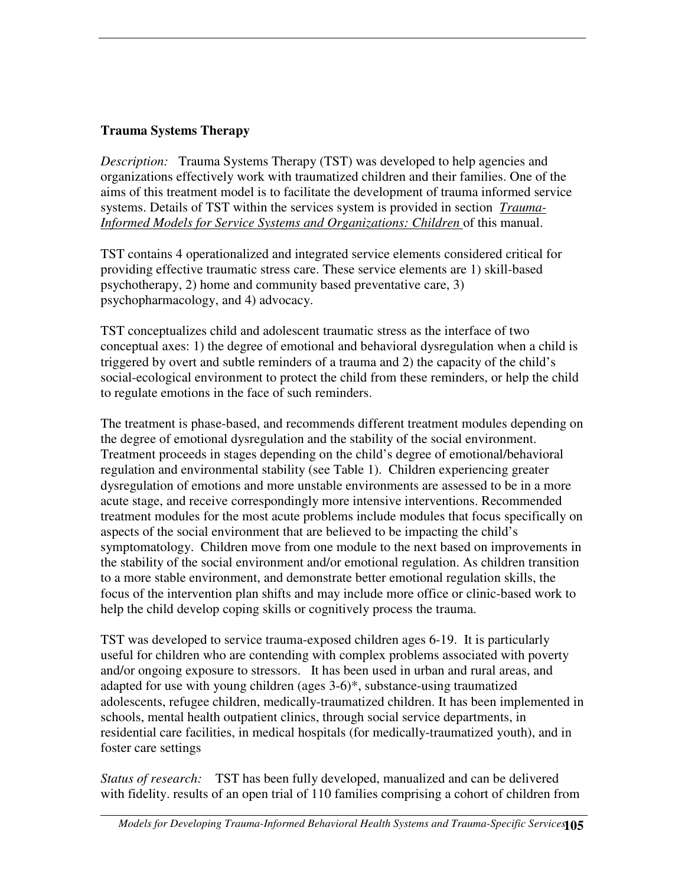## **Trauma Systems Therapy**

*Description:* Trauma Systems Therapy (TST) was developed to help agencies and organizations effectively work with traumatized children and their families. One of the aims of this treatment model is to facilitate the development of trauma informed service systems. Details of TST within the services system is provided in section *Trauma-Informed Models for Service Systems and Organizations: Children* of this manual.

TST contains 4 operationalized and integrated service elements considered critical for providing effective traumatic stress care. These service elements are 1) skill-based psychotherapy, 2) home and community based preventative care, 3) psychopharmacology, and 4) advocacy.

TST conceptualizes child and adolescent traumatic stress as the interface of two conceptual axes: 1) the degree of emotional and behavioral dysregulation when a child is triggered by overt and subtle reminders of a trauma and 2) the capacity of the child's social-ecological environment to protect the child from these reminders, or help the child to regulate emotions in the face of such reminders.

The treatment is phase-based, and recommends different treatment modules depending on the degree of emotional dysregulation and the stability of the social environment. Treatment proceeds in stages depending on the child's degree of emotional/behavioral regulation and environmental stability (see Table 1). Children experiencing greater dysregulation of emotions and more unstable environments are assessed to be in a more acute stage, and receive correspondingly more intensive interventions. Recommended treatment modules for the most acute problems include modules that focus specifically on aspects of the social environment that are believed to be impacting the child's symptomatology. Children move from one module to the next based on improvements in the stability of the social environment and/or emotional regulation. As children transition to a more stable environment, and demonstrate better emotional regulation skills, the focus of the intervention plan shifts and may include more office or clinic-based work to help the child develop coping skills or cognitively process the trauma.

TST was developed to service trauma-exposed children ages 6-19. It is particularly useful for children who are contending with complex problems associated with poverty and/or ongoing exposure to stressors. It has been used in urban and rural areas, and adapted for use with young children (ages 3-6)\*, substance-using traumatized adolescents, refugee children, medically-traumatized children. It has been implemented in schools, mental health outpatient clinics, through social service departments, in residential care facilities, in medical hospitals (for medically-traumatized youth), and in foster care settings

*Status of research:* TST has been fully developed, manualized and can be delivered with fidelity. results of an open trial of 110 families comprising a cohort of children from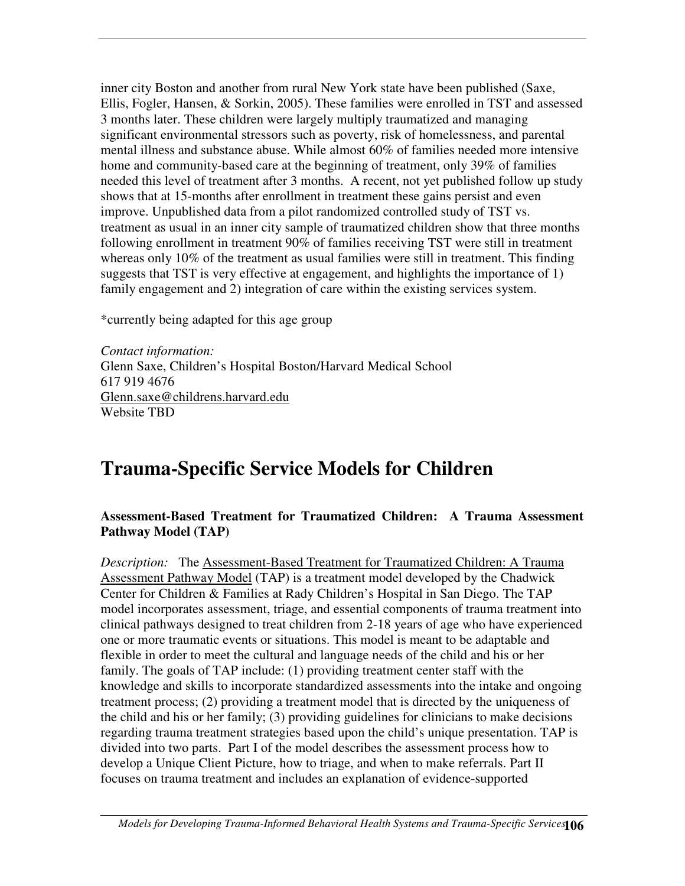inner city Boston and another from rural New York state have been published (Saxe, Ellis, Fogler, Hansen, & Sorkin, 2005). These families were enrolled in TST and assessed 3 months later. These children were largely multiply traumatized and managing significant environmental stressors such as poverty, risk of homelessness, and parental mental illness and substance abuse. While almost 60% of families needed more intensive home and community-based care at the beginning of treatment, only 39% of families needed this level of treatment after 3 months. A recent, not yet published follow up study shows that at 15-months after enrollment in treatment these gains persist and even improve. Unpublished data from a pilot randomized controlled study of TST vs. treatment as usual in an inner city sample of traumatized children show that three months following enrollment in treatment 90% of families receiving TST were still in treatment whereas only 10% of the treatment as usual families were still in treatment. This finding suggests that TST is very effective at engagement, and highlights the importance of 1) family engagement and 2) integration of care within the existing services system.

\*currently being adapted for this age group

*Contact information:* Glenn Saxe, Children's Hospital Boston/Harvard Medical School 617 919 4676 Glenn.saxe@childrens.harvard.edu Website TBD

# **Trauma-Specific Service Models for Children**

## **Assessment-Based Treatment for Traumatized Children: A Trauma Assessment Pathway Model (TAP)**

*Description:* The Assessment-Based Treatment for Traumatized Children: A Trauma Assessment Pathway Model (TAP) is a treatment model developed by the Chadwick Center for Children & Families at Rady Children's Hospital in San Diego. The TAP model incorporates assessment, triage, and essential components of trauma treatment into clinical pathways designed to treat children from 2-18 years of age who have experienced one or more traumatic events or situations. This model is meant to be adaptable and flexible in order to meet the cultural and language needs of the child and his or her family. The goals of TAP include: (1) providing treatment center staff with the knowledge and skills to incorporate standardized assessments into the intake and ongoing treatment process; (2) providing a treatment model that is directed by the uniqueness of the child and his or her family; (3) providing guidelines for clinicians to make decisions regarding trauma treatment strategies based upon the child's unique presentation. TAP is divided into two parts. Part I of the model describes the assessment process how to develop a Unique Client Picture, how to triage, and when to make referrals. Part II focuses on trauma treatment and includes an explanation of evidence-supported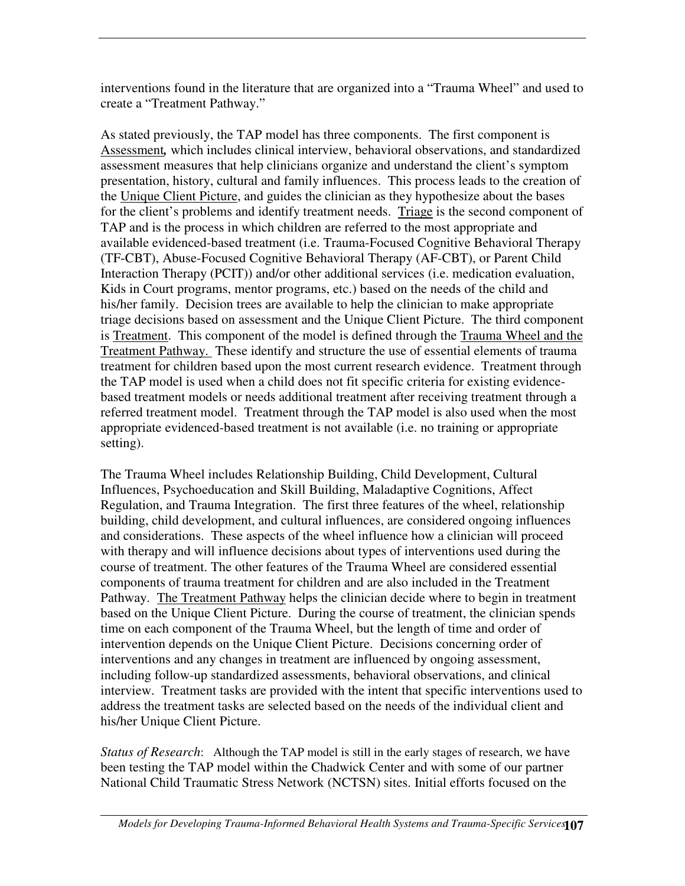interventions found in the literature that are organized into a "Trauma Wheel" and used to create a "Treatment Pathway."

As stated previously, the TAP model has three components. The first component is Assessment*,* which includes clinical interview, behavioral observations, and standardized assessment measures that help clinicians organize and understand the client's symptom presentation, history, cultural and family influences. This process leads to the creation of the Unique Client Picture, and guides the clinician as they hypothesize about the bases for the client's problems and identify treatment needs. Triage is the second component of TAP and is the process in which children are referred to the most appropriate and available evidenced-based treatment (i.e. Trauma-Focused Cognitive Behavioral Therapy (TF-CBT), Abuse-Focused Cognitive Behavioral Therapy (AF-CBT), or Parent Child Interaction Therapy (PCIT)) and/or other additional services (i.e. medication evaluation, Kids in Court programs, mentor programs, etc.) based on the needs of the child and his/her family. Decision trees are available to help the clinician to make appropriate triage decisions based on assessment and the Unique Client Picture. The third component is Treatment. This component of the model is defined through the Trauma Wheel and the Treatment Pathway. These identify and structure the use of essential elements of trauma treatment for children based upon the most current research evidence. Treatment through the TAP model is used when a child does not fit specific criteria for existing evidencebased treatment models or needs additional treatment after receiving treatment through a referred treatment model. Treatment through the TAP model is also used when the most appropriate evidenced-based treatment is not available (i.e. no training or appropriate setting).

The Trauma Wheel includes Relationship Building, Child Development, Cultural Influences, Psychoeducation and Skill Building, Maladaptive Cognitions, Affect Regulation, and Trauma Integration. The first three features of the wheel, relationship building, child development, and cultural influences, are considered ongoing influences and considerations. These aspects of the wheel influence how a clinician will proceed with therapy and will influence decisions about types of interventions used during the course of treatment. The other features of the Trauma Wheel are considered essential components of trauma treatment for children and are also included in the Treatment Pathway. The Treatment Pathway helps the clinician decide where to begin in treatment based on the Unique Client Picture. During the course of treatment, the clinician spends time on each component of the Trauma Wheel, but the length of time and order of intervention depends on the Unique Client Picture. Decisions concerning order of interventions and any changes in treatment are influenced by ongoing assessment, including follow-up standardized assessments, behavioral observations, and clinical interview. Treatment tasks are provided with the intent that specific interventions used to address the treatment tasks are selected based on the needs of the individual client and his/her Unique Client Picture.

*Status of Research*: Although the TAP model is still in the early stages of research, we have been testing the TAP model within the Chadwick Center and with some of our partner National Child Traumatic Stress Network (NCTSN) sites. Initial efforts focused on the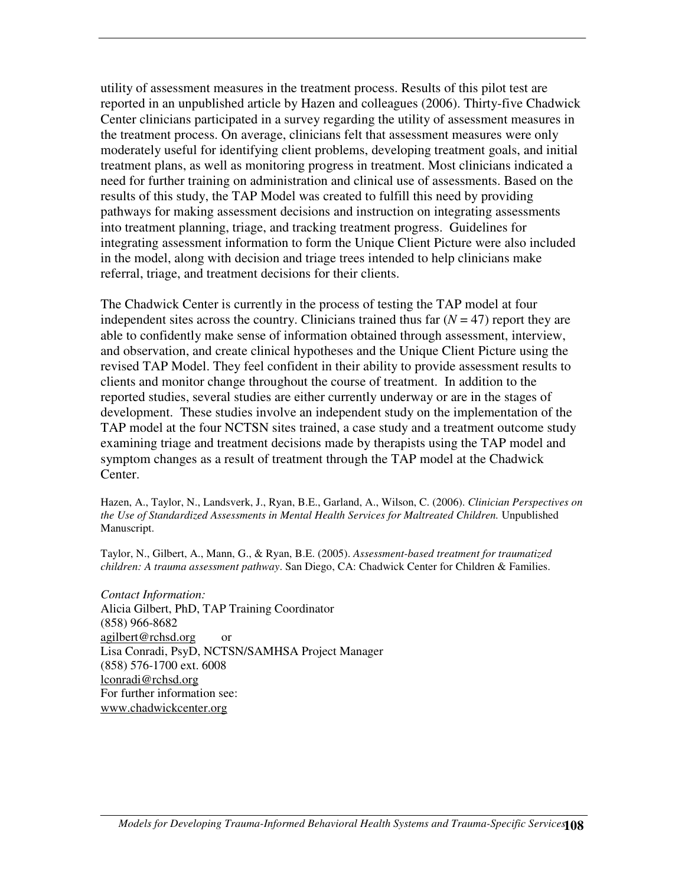utility of assessment measures in the treatment process. Results of this pilot test are reported in an unpublished article by Hazen and colleagues (2006). Thirty-five Chadwick Center clinicians participated in a survey regarding the utility of assessment measures in the treatment process. On average, clinicians felt that assessment measures were only moderately useful for identifying client problems, developing treatment goals, and initial treatment plans, as well as monitoring progress in treatment. Most clinicians indicated a need for further training on administration and clinical use of assessments. Based on the results of this study, the TAP Model was created to fulfill this need by providing pathways for making assessment decisions and instruction on integrating assessments into treatment planning, triage, and tracking treatment progress. Guidelines for integrating assessment information to form the Unique Client Picture were also included in the model, along with decision and triage trees intended to help clinicians make referral, triage, and treatment decisions for their clients.

The Chadwick Center is currently in the process of testing the TAP model at four independent sites across the country. Clinicians trained thus far  $(N = 47)$  report they are able to confidently make sense of information obtained through assessment, interview, and observation, and create clinical hypotheses and the Unique Client Picture using the revised TAP Model. They feel confident in their ability to provide assessment results to clients and monitor change throughout the course of treatment. In addition to the reported studies, several studies are either currently underway or are in the stages of development. These studies involve an independent study on the implementation of the TAP model at the four NCTSN sites trained, a case study and a treatment outcome study examining triage and treatment decisions made by therapists using the TAP model and symptom changes as a result of treatment through the TAP model at the Chadwick Center.

Hazen, A., Taylor, N., Landsverk, J., Ryan, B.E., Garland, A., Wilson, C. (2006). *Clinician Perspectives on the Use of Standardized Assessments in Mental Health Services for Maltreated Children.* Unpublished Manuscript.

Taylor, N., Gilbert, A., Mann, G., & Ryan, B.E. (2005). *Assessment-based treatment for traumatized children: A trauma assessment pathway*. San Diego, CA: Chadwick Center for Children & Families.

*Contact Information:* Alicia Gilbert, PhD, TAP Training Coordinator (858) 966-8682 agilbert@rchsd.org or Lisa Conradi, PsyD, NCTSN/SAMHSA Project Manager (858) 576-1700 ext. 6008 lconradi@rchsd.org For further information see: www.chadwickcenter.org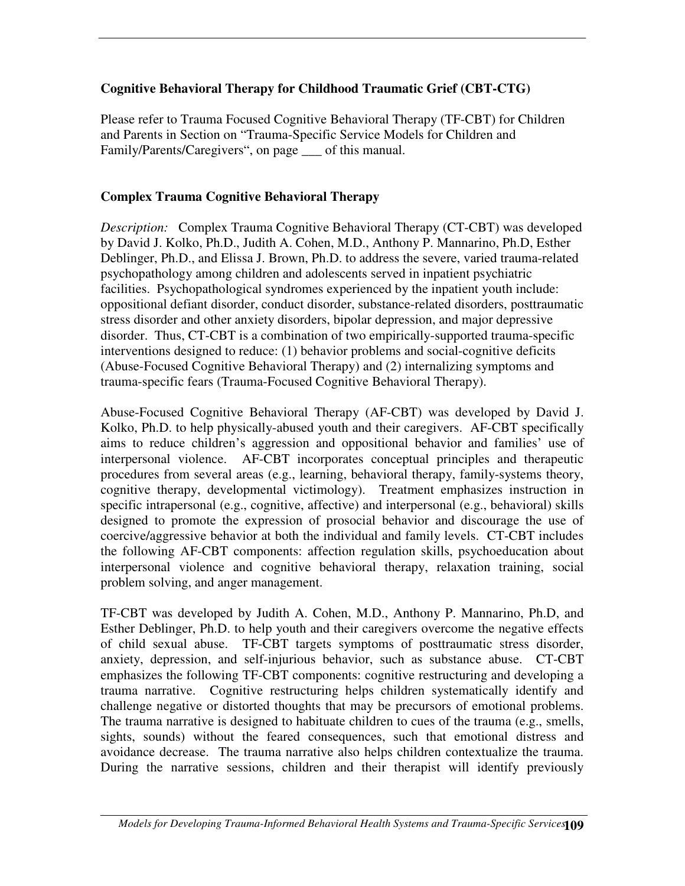# **Cognitive Behavioral Therapy for Childhood Traumatic Grief (CBT-CTG)**

Please refer to Trauma Focused Cognitive Behavioral Therapy (TF-CBT) for Children and Parents in Section on "Trauma-Specific Service Models for Children and Family/Parents/Caregivers", on page of this manual.

## **Complex Trauma Cognitive Behavioral Therapy**

*Description:* Complex Trauma Cognitive Behavioral Therapy (CT-CBT) was developed by David J. Kolko, Ph.D., Judith A. Cohen, M.D., Anthony P. Mannarino, Ph.D, Esther Deblinger, Ph.D., and Elissa J. Brown, Ph.D. to address the severe, varied trauma-related psychopathology among children and adolescents served in inpatient psychiatric facilities. Psychopathological syndromes experienced by the inpatient youth include: oppositional defiant disorder, conduct disorder, substance-related disorders, posttraumatic stress disorder and other anxiety disorders, bipolar depression, and major depressive disorder. Thus, CT-CBT is a combination of two empirically-supported trauma-specific interventions designed to reduce: (1) behavior problems and social-cognitive deficits (Abuse-Focused Cognitive Behavioral Therapy) and (2) internalizing symptoms and trauma-specific fears (Trauma-Focused Cognitive Behavioral Therapy).

Abuse-Focused Cognitive Behavioral Therapy (AF-CBT) was developed by David J. Kolko, Ph.D. to help physically-abused youth and their caregivers. AF-CBT specifically aims to reduce children's aggression and oppositional behavior and families' use of interpersonal violence. AF-CBT incorporates conceptual principles and therapeutic procedures from several areas (e.g., learning, behavioral therapy, family-systems theory, cognitive therapy, developmental victimology). Treatment emphasizes instruction in specific intrapersonal (e.g., cognitive, affective) and interpersonal (e.g., behavioral) skills designed to promote the expression of prosocial behavior and discourage the use of coercive/aggressive behavior at both the individual and family levels. CT-CBT includes the following AF-CBT components: affection regulation skills, psychoeducation about interpersonal violence and cognitive behavioral therapy, relaxation training, social problem solving, and anger management.

TF-CBT was developed by Judith A. Cohen, M.D., Anthony P. Mannarino, Ph.D, and Esther Deblinger, Ph.D. to help youth and their caregivers overcome the negative effects of child sexual abuse. TF-CBT targets symptoms of posttraumatic stress disorder, anxiety, depression, and self-injurious behavior, such as substance abuse. CT-CBT emphasizes the following TF-CBT components: cognitive restructuring and developing a trauma narrative. Cognitive restructuring helps children systematically identify and challenge negative or distorted thoughts that may be precursors of emotional problems. The trauma narrative is designed to habituate children to cues of the trauma (e.g., smells, sights, sounds) without the feared consequences, such that emotional distress and avoidance decrease. The trauma narrative also helps children contextualize the trauma. During the narrative sessions, children and their therapist will identify previously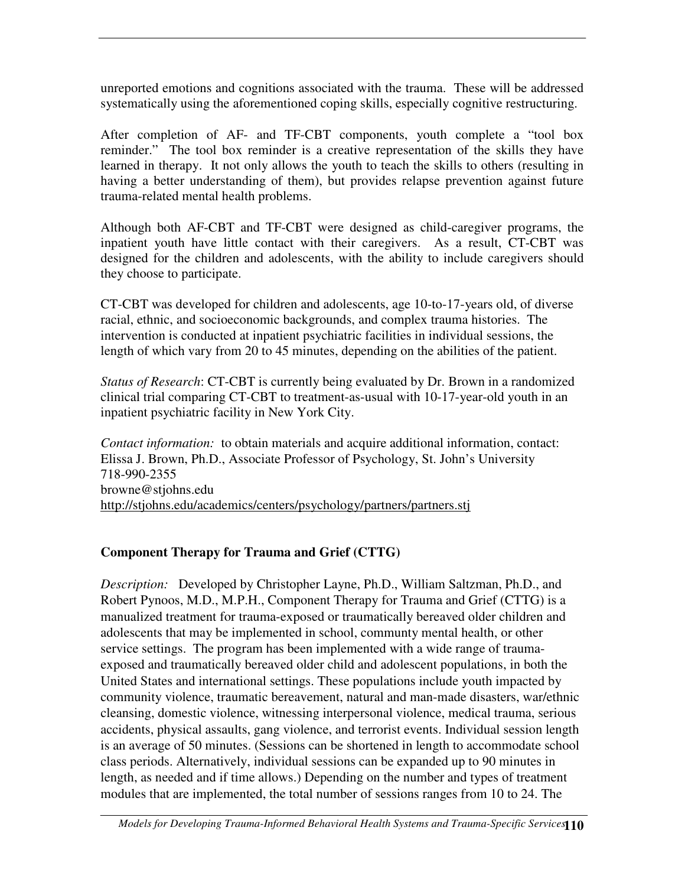unreported emotions and cognitions associated with the trauma. These will be addressed systematically using the aforementioned coping skills, especially cognitive restructuring.

After completion of AF- and TF-CBT components, youth complete a "tool box reminder." The tool box reminder is a creative representation of the skills they have learned in therapy. It not only allows the youth to teach the skills to others (resulting in having a better understanding of them), but provides relapse prevention against future trauma-related mental health problems.

Although both AF-CBT and TF-CBT were designed as child-caregiver programs, the inpatient youth have little contact with their caregivers. As a result, CT-CBT was designed for the children and adolescents, with the ability to include caregivers should they choose to participate.

CT-CBT was developed for children and adolescents, age 10-to-17-years old, of diverse racial, ethnic, and socioeconomic backgrounds, and complex trauma histories. The intervention is conducted at inpatient psychiatric facilities in individual sessions, the length of which vary from 20 to 45 minutes, depending on the abilities of the patient.

*Status of Research*: CT-CBT is currently being evaluated by Dr. Brown in a randomized clinical trial comparing CT-CBT to treatment-as-usual with 10-17-year-old youth in an inpatient psychiatric facility in New York City.

*Contact information:* to obtain materials and acquire additional information, contact: Elissa J. Brown, Ph.D., Associate Professor of Psychology, St. John's University 718-990-2355 browne@stjohns.edu http://stjohns.edu/academics/centers/psychology/partners/partners.stj

# **Component Therapy for Trauma and Grief (CTTG)**

*Description:* Developed by Christopher Layne, Ph.D., William Saltzman, Ph.D., and Robert Pynoos, M.D., M.P.H., Component Therapy for Trauma and Grief (CTTG) is a manualized treatment for trauma-exposed or traumatically bereaved older children and adolescents that may be implemented in school, communty mental health, or other service settings. The program has been implemented with a wide range of traumaexposed and traumatically bereaved older child and adolescent populations, in both the United States and international settings. These populations include youth impacted by community violence, traumatic bereavement, natural and man-made disasters, war/ethnic cleansing, domestic violence, witnessing interpersonal violence, medical trauma, serious accidents, physical assaults, gang violence, and terrorist events. Individual session length is an average of 50 minutes. (Sessions can be shortened in length to accommodate school class periods. Alternatively, individual sessions can be expanded up to 90 minutes in length, as needed and if time allows.) Depending on the number and types of treatment modules that are implemented, the total number of sessions ranges from 10 to 24. The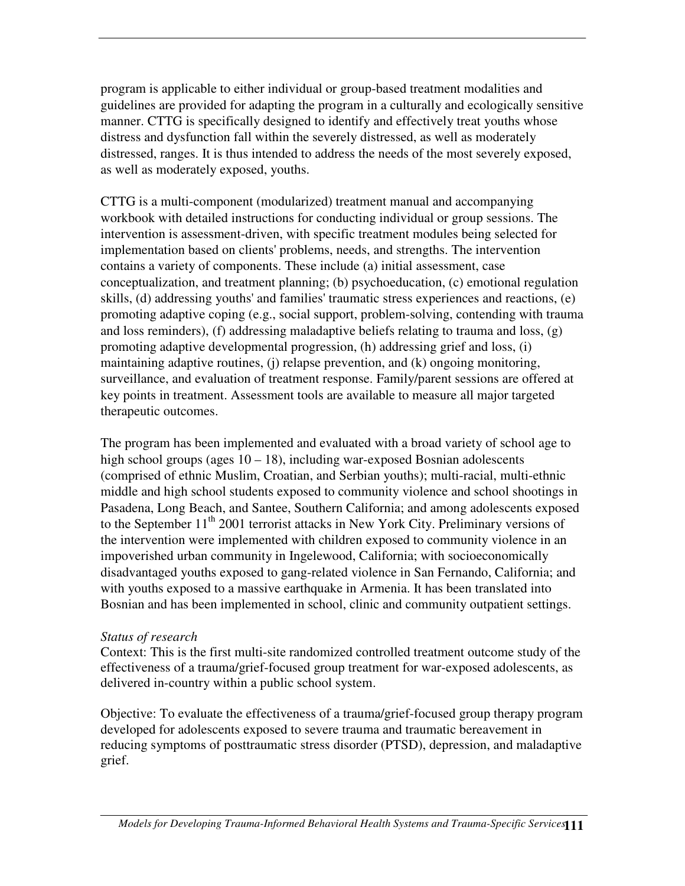program is applicable to either individual or group-based treatment modalities and guidelines are provided for adapting the program in a culturally and ecologically sensitive manner. CTTG is specifically designed to identify and effectively treat youths whose distress and dysfunction fall within the severely distressed, as well as moderately distressed, ranges. It is thus intended to address the needs of the most severely exposed, as well as moderately exposed, youths.

CTTG is a multi-component (modularized) treatment manual and accompanying workbook with detailed instructions for conducting individual or group sessions. The intervention is assessment-driven, with specific treatment modules being selected for implementation based on clients' problems, needs, and strengths. The intervention contains a variety of components. These include (a) initial assessment, case conceptualization, and treatment planning; (b) psychoeducation, (c) emotional regulation skills, (d) addressing youths' and families' traumatic stress experiences and reactions, (e) promoting adaptive coping (e.g., social support, problem-solving, contending with trauma and loss reminders), (f) addressing maladaptive beliefs relating to trauma and loss, (g) promoting adaptive developmental progression, (h) addressing grief and loss, (i) maintaining adaptive routines, (j) relapse prevention, and (k) ongoing monitoring, surveillance, and evaluation of treatment response. Family/parent sessions are offered at key points in treatment. Assessment tools are available to measure all major targeted therapeutic outcomes.

The program has been implemented and evaluated with a broad variety of school age to high school groups (ages  $10 - 18$ ), including war-exposed Bosnian adolescents (comprised of ethnic Muslim, Croatian, and Serbian youths); multi-racial, multi-ethnic middle and high school students exposed to community violence and school shootings in Pasadena, Long Beach, and Santee, Southern California; and among adolescents exposed to the September 11<sup>th</sup> 2001 terrorist attacks in New York City. Preliminary versions of the intervention were implemented with children exposed to community violence in an impoverished urban community in Ingelewood, California; with socioeconomically disadvantaged youths exposed to gang-related violence in San Fernando, California; and with youths exposed to a massive earthquake in Armenia. It has been translated into Bosnian and has been implemented in school, clinic and community outpatient settings.

#### *Status of research*

Context: This is the first multi-site randomized controlled treatment outcome study of the effectiveness of a trauma/grief-focused group treatment for war-exposed adolescents, as delivered in-country within a public school system.

Objective: To evaluate the effectiveness of a trauma/grief-focused group therapy program developed for adolescents exposed to severe trauma and traumatic bereavement in reducing symptoms of posttraumatic stress disorder (PTSD), depression, and maladaptive grief.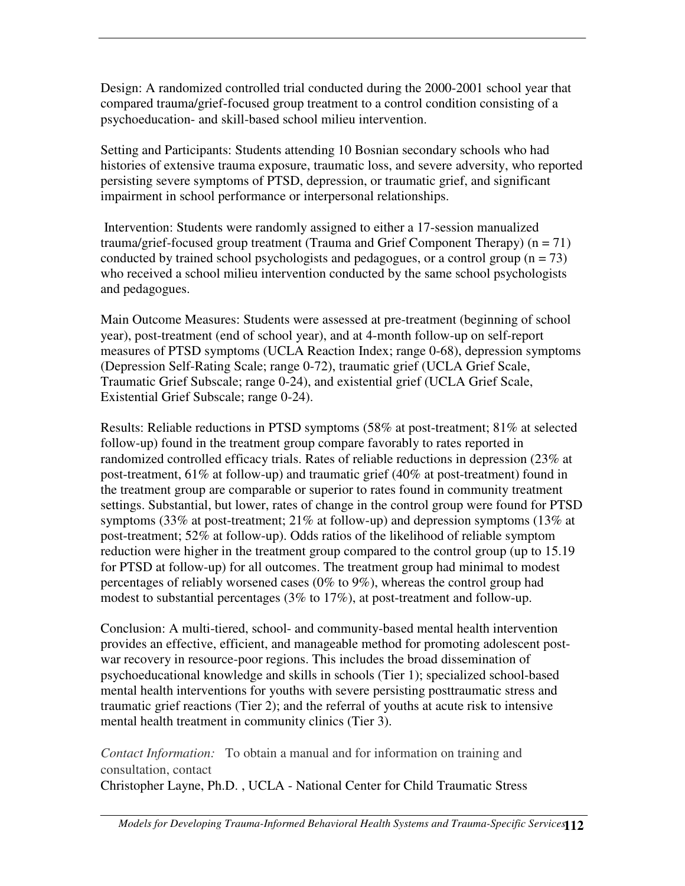Design: A randomized controlled trial conducted during the 2000-2001 school year that compared trauma/grief-focused group treatment to a control condition consisting of a psychoeducation- and skill-based school milieu intervention.

Setting and Participants: Students attending 10 Bosnian secondary schools who had histories of extensive trauma exposure, traumatic loss, and severe adversity, who reported persisting severe symptoms of PTSD, depression, or traumatic grief, and significant impairment in school performance or interpersonal relationships.

Intervention: Students were randomly assigned to either a 17-session manualized trauma/grief-focused group treatment (Trauma and Grief Component Therapy)  $(n = 71)$ conducted by trained school psychologists and pedagogues, or a control group  $(n = 73)$ who received a school milieu intervention conducted by the same school psychologists and pedagogues.

Main Outcome Measures: Students were assessed at pre-treatment (beginning of school year), post-treatment (end of school year), and at 4-month follow-up on self-report measures of PTSD symptoms (UCLA Reaction Index; range 0-68), depression symptoms (Depression Self-Rating Scale; range 0-72), traumatic grief (UCLA Grief Scale, Traumatic Grief Subscale; range 0-24), and existential grief (UCLA Grief Scale, Existential Grief Subscale; range 0-24).

Results: Reliable reductions in PTSD symptoms (58% at post-treatment; 81% at selected follow-up) found in the treatment group compare favorably to rates reported in randomized controlled efficacy trials. Rates of reliable reductions in depression (23% at post-treatment, 61% at follow-up) and traumatic grief (40% at post-treatment) found in the treatment group are comparable or superior to rates found in community treatment settings. Substantial, but lower, rates of change in the control group were found for PTSD symptoms (33% at post-treatment; 21% at follow-up) and depression symptoms (13% at post-treatment; 52% at follow-up). Odds ratios of the likelihood of reliable symptom reduction were higher in the treatment group compared to the control group (up to 15.19 for PTSD at follow-up) for all outcomes. The treatment group had minimal to modest percentages of reliably worsened cases (0% to 9%), whereas the control group had modest to substantial percentages (3% to 17%), at post-treatment and follow-up.

Conclusion: A multi-tiered, school- and community-based mental health intervention provides an effective, efficient, and manageable method for promoting adolescent postwar recovery in resource-poor regions. This includes the broad dissemination of psychoeducational knowledge and skills in schools (Tier 1); specialized school-based mental health interventions for youths with severe persisting posttraumatic stress and traumatic grief reactions (Tier 2); and the referral of youths at acute risk to intensive mental health treatment in community clinics (Tier 3).

*Contact Information:* To obtain a manual and for information on training and consultation, contact Christopher Layne, Ph.D. , UCLA - National Center for Child Traumatic Stress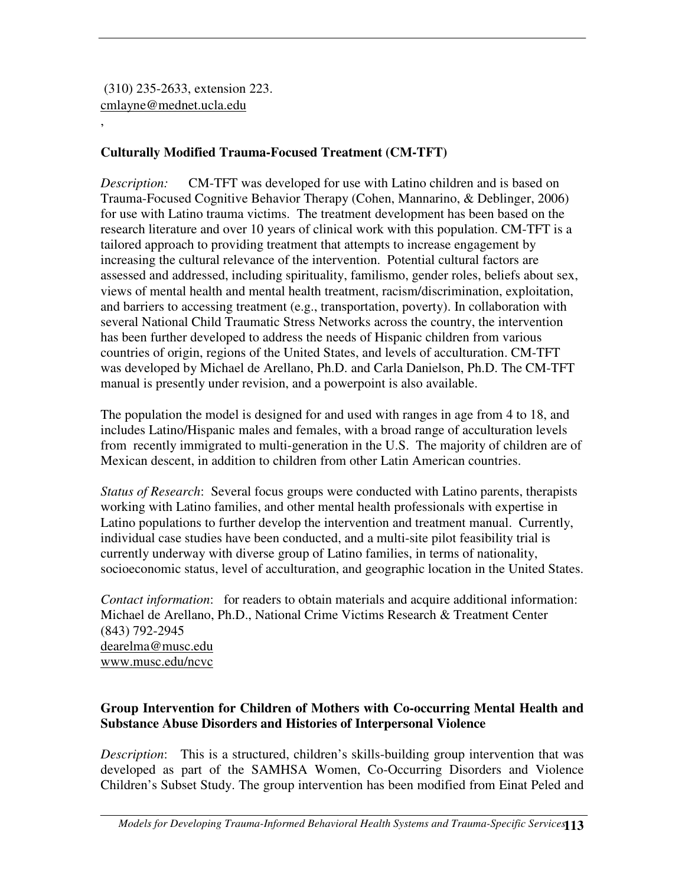(310) 235-2633, extension 223. cmlayne@mednet.ucla.edu

,

# **Culturally Modified Trauma-Focused Treatment (CM-TFT)**

*Description:* CM-TFT was developed for use with Latino children and is based on Trauma-Focused Cognitive Behavior Therapy (Cohen, Mannarino, & Deblinger, 2006) for use with Latino trauma victims. The treatment development has been based on the research literature and over 10 years of clinical work with this population. CM-TFT is a tailored approach to providing treatment that attempts to increase engagement by increasing the cultural relevance of the intervention. Potential cultural factors are assessed and addressed, including spirituality, familismo, gender roles, beliefs about sex, views of mental health and mental health treatment, racism/discrimination, exploitation, and barriers to accessing treatment (e.g., transportation, poverty). In collaboration with several National Child Traumatic Stress Networks across the country, the intervention has been further developed to address the needs of Hispanic children from various countries of origin, regions of the United States, and levels of acculturation. CM-TFT was developed by Michael de Arellano, Ph.D. and Carla Danielson, Ph.D. The CM-TFT manual is presently under revision, and a powerpoint is also available.

The population the model is designed for and used with ranges in age from 4 to 18, and includes Latino/Hispanic males and females, with a broad range of acculturation levels from recently immigrated to multi-generation in the U.S. The majority of children are of Mexican descent, in addition to children from other Latin American countries.

*Status of Research*: Several focus groups were conducted with Latino parents, therapists working with Latino families, and other mental health professionals with expertise in Latino populations to further develop the intervention and treatment manual. Currently, individual case studies have been conducted, and a multi-site pilot feasibility trial is currently underway with diverse group of Latino families, in terms of nationality, socioeconomic status, level of acculturation, and geographic location in the United States.

*Contact information*: for readers to obtain materials and acquire additional information: Michael de Arellano, Ph.D., National Crime Victims Research & Treatment Center (843) 792-2945 dearelma@musc.edu www.musc.edu/ncvc

## **Group Intervention for Children of Mothers with Co-occurring Mental Health and Substance Abuse Disorders and Histories of Interpersonal Violence**

*Description*: This is a structured, children's skills-building group intervention that was developed as part of the SAMHSA Women, Co-Occurring Disorders and Violence Children's Subset Study. The group intervention has been modified from Einat Peled and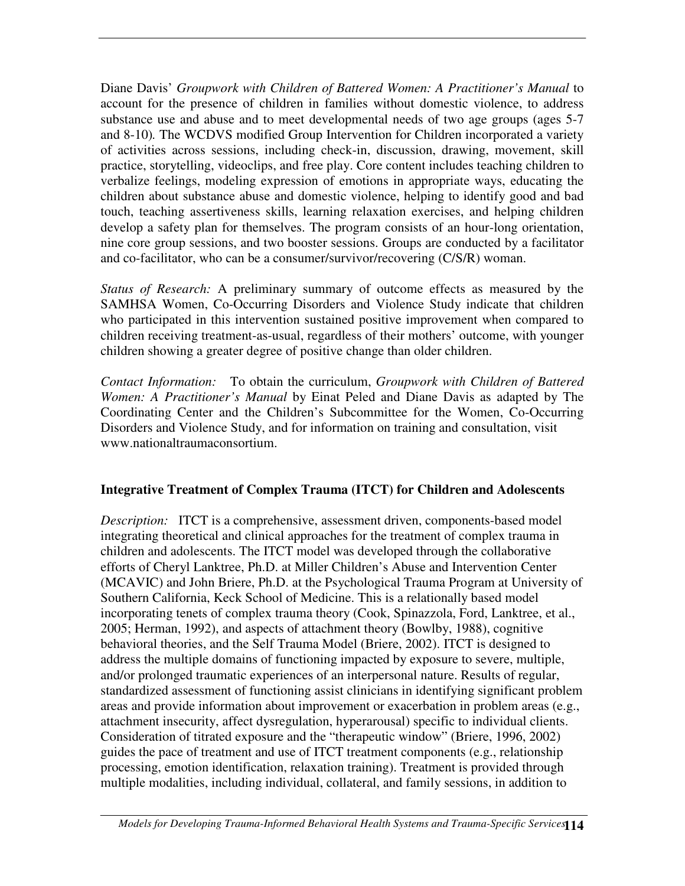Diane Davis' *Groupwork with Children of Battered Women: A Practitioner's Manual* to account for the presence of children in families without domestic violence, to address substance use and abuse and to meet developmental needs of two age groups (ages 5-7 and 8-10)*.* The WCDVS modified Group Intervention for Children incorporated a variety of activities across sessions, including check-in, discussion, drawing, movement, skill practice, storytelling, videoclips, and free play. Core content includes teaching children to verbalize feelings, modeling expression of emotions in appropriate ways, educating the children about substance abuse and domestic violence, helping to identify good and bad touch, teaching assertiveness skills, learning relaxation exercises, and helping children develop a safety plan for themselves. The program consists of an hour-long orientation, nine core group sessions, and two booster sessions. Groups are conducted by a facilitator and co-facilitator, who can be a consumer/survivor/recovering (C/S/R) woman.

*Status of Research:* A preliminary summary of outcome effects as measured by the SAMHSA Women, Co-Occurring Disorders and Violence Study indicate that children who participated in this intervention sustained positive improvement when compared to children receiving treatment-as-usual, regardless of their mothers' outcome, with younger children showing a greater degree of positive change than older children.

*Contact Information:* To obtain the curriculum, *Groupwork with Children of Battered Women: A Practitioner's Manual* by Einat Peled and Diane Davis as adapted by The Coordinating Center and the Children's Subcommittee for the Women, Co-Occurring Disorders and Violence Study, and for information on training and consultation, visit www.nationaltraumaconsortium.

## **Integrative Treatment of Complex Trauma (ITCT) for Children and Adolescents**

*Description:* ITCT is a comprehensive, assessment driven, components-based model integrating theoretical and clinical approaches for the treatment of complex trauma in children and adolescents. The ITCT model was developed through the collaborative efforts of Cheryl Lanktree, Ph.D. at Miller Children's Abuse and Intervention Center (MCAVIC) and John Briere, Ph.D. at the Psychological Trauma Program at University of Southern California, Keck School of Medicine. This is a relationally based model incorporating tenets of complex trauma theory (Cook, Spinazzola, Ford, Lanktree, et al., 2005; Herman, 1992), and aspects of attachment theory (Bowlby, 1988), cognitive behavioral theories, and the Self Trauma Model (Briere, 2002). ITCT is designed to address the multiple domains of functioning impacted by exposure to severe, multiple, and/or prolonged traumatic experiences of an interpersonal nature. Results of regular, standardized assessment of functioning assist clinicians in identifying significant problem areas and provide information about improvement or exacerbation in problem areas (e.g., attachment insecurity, affect dysregulation, hyperarousal) specific to individual clients. Consideration of titrated exposure and the "therapeutic window" (Briere, 1996, 2002) guides the pace of treatment and use of ITCT treatment components (e.g., relationship processing, emotion identification, relaxation training). Treatment is provided through multiple modalities, including individual, collateral, and family sessions, in addition to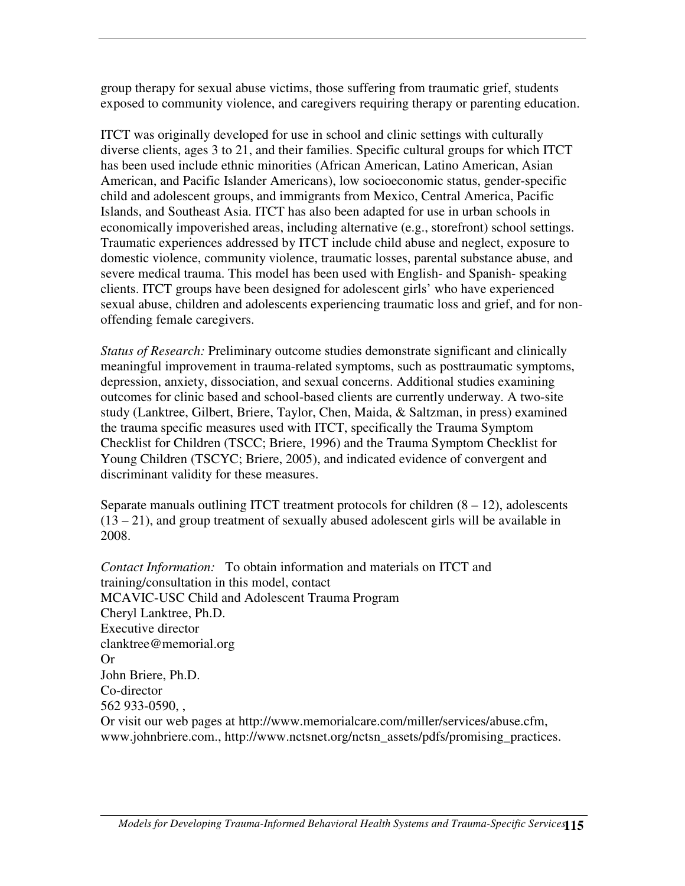group therapy for sexual abuse victims, those suffering from traumatic grief, students exposed to community violence, and caregivers requiring therapy or parenting education.

ITCT was originally developed for use in school and clinic settings with culturally diverse clients, ages 3 to 21, and their families. Specific cultural groups for which ITCT has been used include ethnic minorities (African American, Latino American, Asian American, and Pacific Islander Americans), low socioeconomic status, gender-specific child and adolescent groups, and immigrants from Mexico, Central America, Pacific Islands, and Southeast Asia. ITCT has also been adapted for use in urban schools in economically impoverished areas, including alternative (e.g., storefront) school settings. Traumatic experiences addressed by ITCT include child abuse and neglect, exposure to domestic violence, community violence, traumatic losses, parental substance abuse, and severe medical trauma. This model has been used with English- and Spanish- speaking clients. ITCT groups have been designed for adolescent girls' who have experienced sexual abuse, children and adolescents experiencing traumatic loss and grief, and for nonoffending female caregivers.

*Status of Research:* Preliminary outcome studies demonstrate significant and clinically meaningful improvement in trauma-related symptoms, such as posttraumatic symptoms, depression, anxiety, dissociation, and sexual concerns. Additional studies examining outcomes for clinic based and school-based clients are currently underway. A two-site study (Lanktree, Gilbert, Briere, Taylor, Chen, Maida, & Saltzman, in press) examined the trauma specific measures used with ITCT, specifically the Trauma Symptom Checklist for Children (TSCC; Briere, 1996) and the Trauma Symptom Checklist for Young Children (TSCYC; Briere, 2005), and indicated evidence of convergent and discriminant validity for these measures.

Separate manuals outlining ITCT treatment protocols for children  $(8 - 12)$ , adolescents  $(13 – 21)$ , and group treatment of sexually abused adolescent girls will be available in 2008.

*Contact Information:* To obtain information and materials on ITCT and training/consultation in this model, contact MCAVIC-USC Child and Adolescent Trauma Program Cheryl Lanktree, Ph.D. Executive director clanktree@memorial.org Or John Briere, Ph.D. Co-director 562 933-0590, , Or visit our web pages at http://www.memorialcare.com/miller/services/abuse.cfm,

www.johnbriere.com., http://www.nctsnet.org/nctsn\_assets/pdfs/promising\_practices.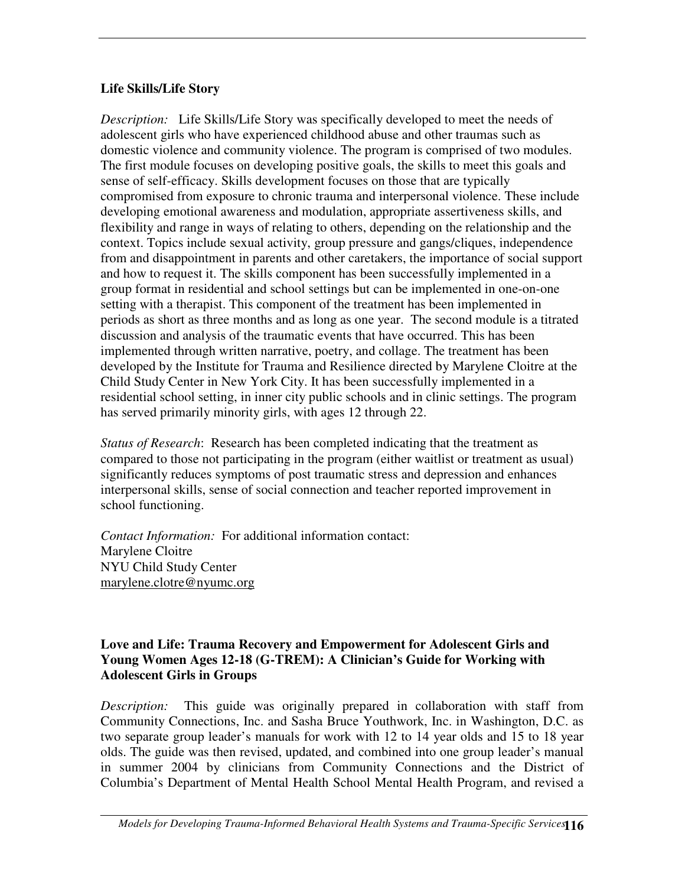#### **Life Skills/Life Story**

*Description:* Life Skills/Life Story was specifically developed to meet the needs of adolescent girls who have experienced childhood abuse and other traumas such as domestic violence and community violence. The program is comprised of two modules. The first module focuses on developing positive goals, the skills to meet this goals and sense of self-efficacy. Skills development focuses on those that are typically compromised from exposure to chronic trauma and interpersonal violence. These include developing emotional awareness and modulation, appropriate assertiveness skills, and flexibility and range in ways of relating to others, depending on the relationship and the context. Topics include sexual activity, group pressure and gangs/cliques, independence from and disappointment in parents and other caretakers, the importance of social support and how to request it. The skills component has been successfully implemented in a group format in residential and school settings but can be implemented in one-on-one setting with a therapist. This component of the treatment has been implemented in periods as short as three months and as long as one year. The second module is a titrated discussion and analysis of the traumatic events that have occurred. This has been implemented through written narrative, poetry, and collage. The treatment has been developed by the Institute for Trauma and Resilience directed by Marylene Cloitre at the Child Study Center in New York City. It has been successfully implemented in a residential school setting, in inner city public schools and in clinic settings. The program has served primarily minority girls, with ages 12 through 22.

*Status of Research*: Research has been completed indicating that the treatment as compared to those not participating in the program (either waitlist or treatment as usual) significantly reduces symptoms of post traumatic stress and depression and enhances interpersonal skills, sense of social connection and teacher reported improvement in school functioning.

*Contact Information:* For additional information contact: Marylene Cloitre NYU Child Study Center marylene.clotre@nyumc.org

#### **Love and Life: Trauma Recovery and Empowerment for Adolescent Girls and Young Women Ages 12-18 (G-TREM): A Clinician's Guide for Working with Adolescent Girls in Groups**

*Description:* This guide was originally prepared in collaboration with staff from Community Connections, Inc. and Sasha Bruce Youthwork, Inc. in Washington, D.C. as two separate group leader's manuals for work with 12 to 14 year olds and 15 to 18 year olds. The guide was then revised, updated, and combined into one group leader's manual in summer 2004 by clinicians from Community Connections and the District of Columbia's Department of Mental Health School Mental Health Program, and revised a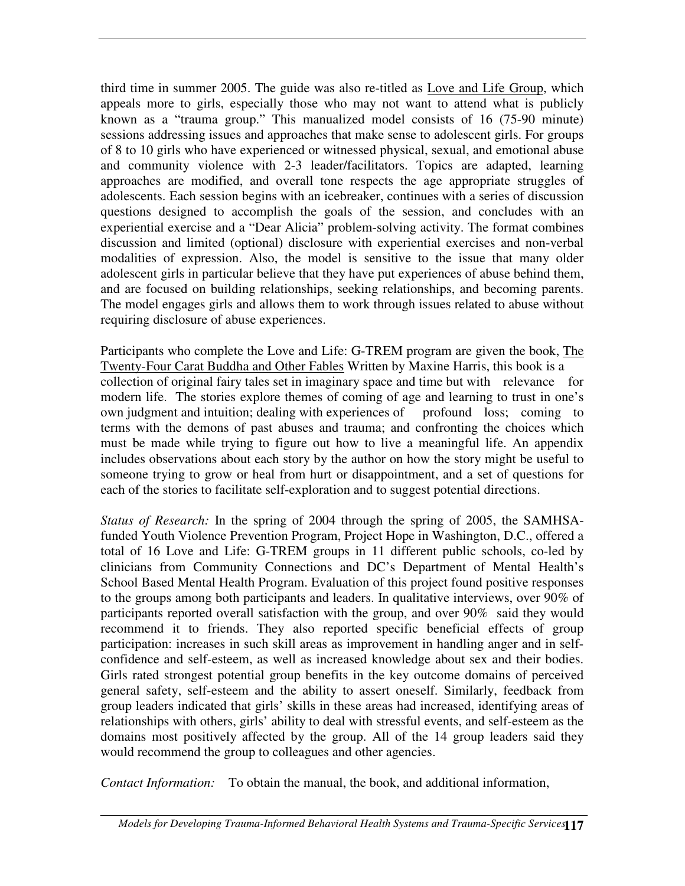third time in summer 2005. The guide was also re-titled as Love and Life Group, which appeals more to girls, especially those who may not want to attend what is publicly known as a "trauma group." This manualized model consists of 16 (75-90 minute) sessions addressing issues and approaches that make sense to adolescent girls. For groups of 8 to 10 girls who have experienced or witnessed physical, sexual, and emotional abuse and community violence with 2-3 leader/facilitators. Topics are adapted, learning approaches are modified, and overall tone respects the age appropriate struggles of adolescents. Each session begins with an icebreaker, continues with a series of discussion questions designed to accomplish the goals of the session, and concludes with an experiential exercise and a "Dear Alicia" problem-solving activity. The format combines discussion and limited (optional) disclosure with experiential exercises and non-verbal modalities of expression. Also, the model is sensitive to the issue that many older adolescent girls in particular believe that they have put experiences of abuse behind them, and are focused on building relationships, seeking relationships, and becoming parents. The model engages girls and allows them to work through issues related to abuse without requiring disclosure of abuse experiences.

Participants who complete the Love and Life: G-TREM program are given the book, The Twenty-Four Carat Buddha and Other Fables Written by Maxine Harris, this book is a collection of original fairy tales set in imaginary space and time but with relevance for modern life. The stories explore themes of coming of age and learning to trust in one's own judgment and intuition; dealing with experiences of profound loss; coming to terms with the demons of past abuses and trauma; and confronting the choices which must be made while trying to figure out how to live a meaningful life. An appendix includes observations about each story by the author on how the story might be useful to someone trying to grow or heal from hurt or disappointment, and a set of questions for each of the stories to facilitate self-exploration and to suggest potential directions.

*Status of Research:* In the spring of 2004 through the spring of 2005, the SAMHSAfunded Youth Violence Prevention Program, Project Hope in Washington, D.C., offered a total of 16 Love and Life: G-TREM groups in 11 different public schools, co-led by clinicians from Community Connections and DC's Department of Mental Health's School Based Mental Health Program. Evaluation of this project found positive responses to the groups among both participants and leaders. In qualitative interviews, over 90% of participants reported overall satisfaction with the group, and over 90% said they would recommend it to friends. They also reported specific beneficial effects of group participation: increases in such skill areas as improvement in handling anger and in selfconfidence and self-esteem, as well as increased knowledge about sex and their bodies. Girls rated strongest potential group benefits in the key outcome domains of perceived general safety, self-esteem and the ability to assert oneself. Similarly, feedback from group leaders indicated that girls' skills in these areas had increased, identifying areas of relationships with others, girls' ability to deal with stressful events, and self-esteem as the domains most positively affected by the group. All of the 14 group leaders said they would recommend the group to colleagues and other agencies.

*Contact Information:* To obtain the manual, the book, and additional information,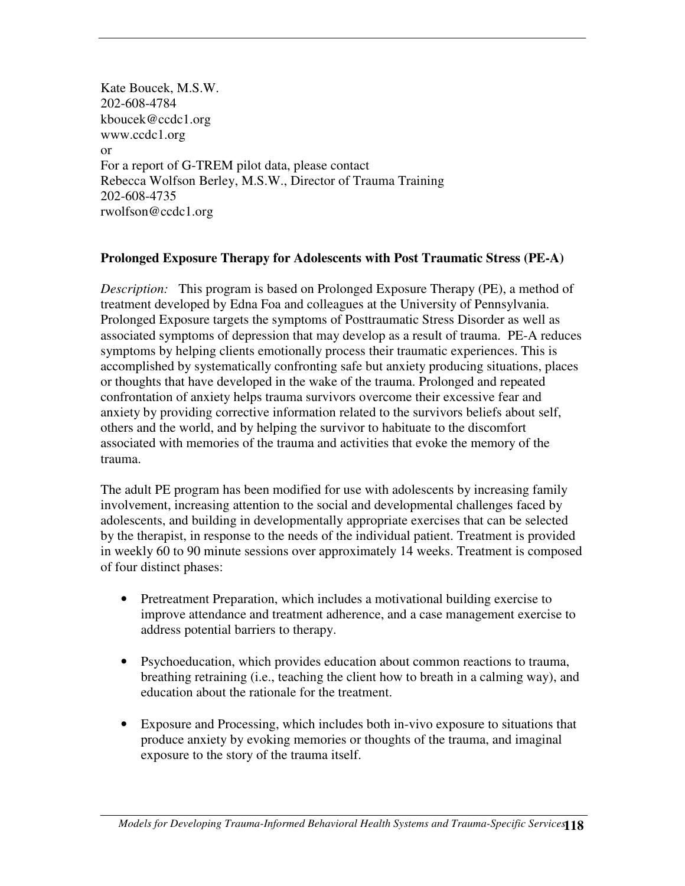Kate Boucek, M.S.W. 202-608-4784 kboucek@ccdc1.org www.ccdc1.org or For a report of G-TREM pilot data, please contact Rebecca Wolfson Berley, M.S.W., Director of Trauma Training 202-608-4735 rwolfson@ccdc1.org

## **Prolonged Exposure Therapy for Adolescents with Post Traumatic Stress (PE-A)**

*Description:* This program is based on Prolonged Exposure Therapy (PE), a method of treatment developed by Edna Foa and colleagues at the University of Pennsylvania. Prolonged Exposure targets the symptoms of Posttraumatic Stress Disorder as well as associated symptoms of depression that may develop as a result of trauma. PE-A reduces symptoms by helping clients emotionally process their traumatic experiences. This is accomplished by systematically confronting safe but anxiety producing situations, places or thoughts that have developed in the wake of the trauma. Prolonged and repeated confrontation of anxiety helps trauma survivors overcome their excessive fear and anxiety by providing corrective information related to the survivors beliefs about self, others and the world, and by helping the survivor to habituate to the discomfort associated with memories of the trauma and activities that evoke the memory of the trauma.

The adult PE program has been modified for use with adolescents by increasing family involvement, increasing attention to the social and developmental challenges faced by adolescents, and building in developmentally appropriate exercises that can be selected by the therapist, in response to the needs of the individual patient. Treatment is provided in weekly 60 to 90 minute sessions over approximately 14 weeks. Treatment is composed of four distinct phases:

- Pretreatment Preparation, which includes a motivational building exercise to improve attendance and treatment adherence, and a case management exercise to address potential barriers to therapy.
- Psychoeducation, which provides education about common reactions to trauma, breathing retraining (i.e., teaching the client how to breath in a calming way), and education about the rationale for the treatment.
- Exposure and Processing, which includes both in-vivo exposure to situations that produce anxiety by evoking memories or thoughts of the trauma, and imaginal exposure to the story of the trauma itself.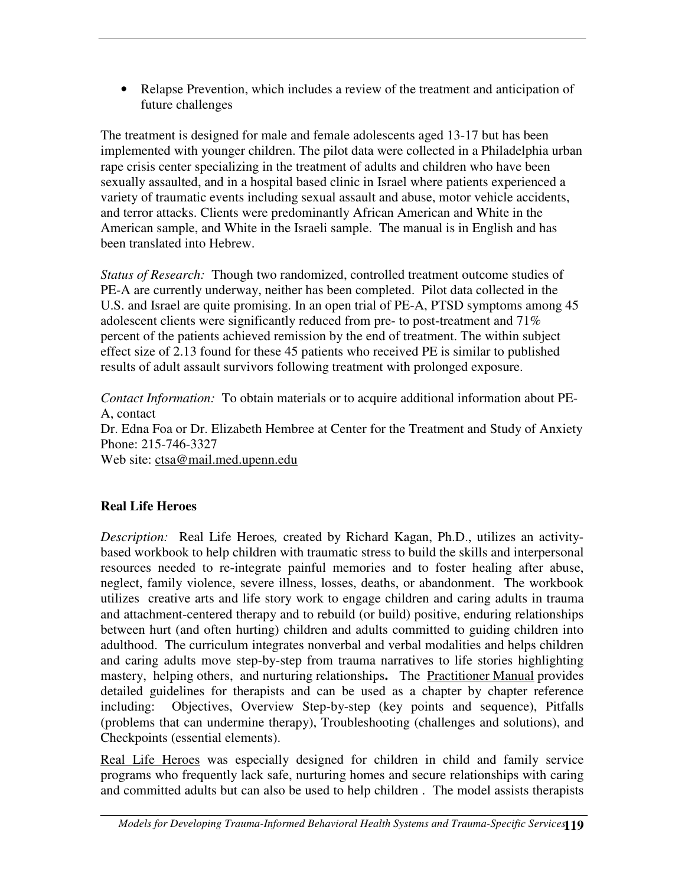• Relapse Prevention, which includes a review of the treatment and anticipation of future challenges

The treatment is designed for male and female adolescents aged 13-17 but has been implemented with younger children. The pilot data were collected in a Philadelphia urban rape crisis center specializing in the treatment of adults and children who have been sexually assaulted, and in a hospital based clinic in Israel where patients experienced a variety of traumatic events including sexual assault and abuse, motor vehicle accidents, and terror attacks. Clients were predominantly African American and White in the American sample, and White in the Israeli sample. The manual is in English and has been translated into Hebrew.

*Status of Research:* Though two randomized, controlled treatment outcome studies of PE-A are currently underway, neither has been completed. Pilot data collected in the U.S. and Israel are quite promising. In an open trial of PE-A, PTSD symptoms among 45 adolescent clients were significantly reduced from pre- to post-treatment and 71% percent of the patients achieved remission by the end of treatment. The within subject effect size of 2.13 found for these 45 patients who received PE is similar to published results of adult assault survivors following treatment with prolonged exposure.

*Contact Information:* To obtain materials or to acquire additional information about PE-A, contact Dr. Edna Foa or Dr. Elizabeth Hembree at Center for the Treatment and Study of Anxiety Phone: 215-746-3327 Web site: ctsa@mail.med.upenn.edu

# **Real Life Heroes**

*Description:* Real Life Heroes*,* created by Richard Kagan, Ph.D., utilizes an activitybased workbook to help children with traumatic stress to build the skills and interpersonal resources needed to re-integrate painful memories and to foster healing after abuse, neglect, family violence, severe illness, losses, deaths, or abandonment. The workbook utilizes creative arts and life story work to engage children and caring adults in trauma and attachment-centered therapy and to rebuild (or build) positive, enduring relationships between hurt (and often hurting) children and adults committed to guiding children into adulthood. The curriculum integrates nonverbal and verbal modalities and helps children and caring adults move step-by-step from trauma narratives to life stories highlighting mastery, helping others, and nurturing relationships**.** The Practitioner Manual provides detailed guidelines for therapists and can be used as a chapter by chapter reference including: Objectives, Overview Step-by-step (key points and sequence), Pitfalls (problems that can undermine therapy), Troubleshooting (challenges and solutions), and Checkpoints (essential elements).

Real Life Heroes was especially designed for children in child and family service programs who frequently lack safe, nurturing homes and secure relationships with caring and committed adults but can also be used to help children . The model assists therapists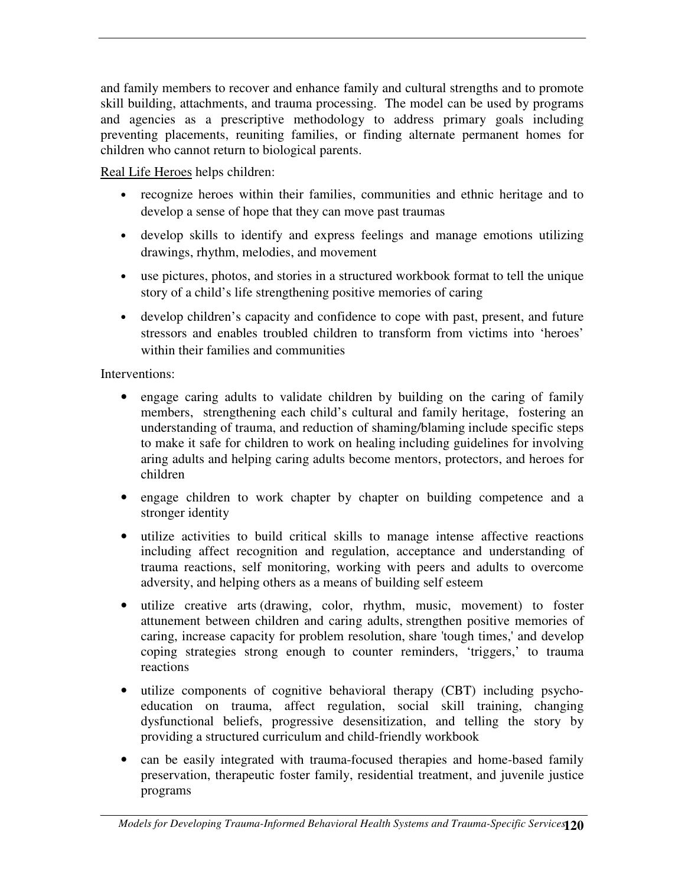and family members to recover and enhance family and cultural strengths and to promote skill building, attachments, and trauma processing. The model can be used by programs and agencies as a prescriptive methodology to address primary goals including preventing placements, reuniting families, or finding alternate permanent homes for children who cannot return to biological parents.

Real Life Heroes helps children:

- recognize heroes within their families, communities and ethnic heritage and to develop a sense of hope that they can move past traumas
- develop skills to identify and express feelings and manage emotions utilizing drawings, rhythm, melodies, and movement
- use pictures, photos, and stories in a structured workbook format to tell the unique story of a child's life strengthening positive memories of caring
- develop children's capacity and confidence to cope with past, present, and future stressors and enables troubled children to transform from victims into 'heroes' within their families and communities

Interventions:

- engage caring adults to validate children by building on the caring of family members, strengthening each child's cultural and family heritage, fostering an understanding of trauma, and reduction of shaming/blaming include specific steps to make it safe for children to work on healing including guidelines for involving aring adults and helping caring adults become mentors, protectors, and heroes for children
- engage children to work chapter by chapter on building competence and a stronger identity
- utilize activities to build critical skills to manage intense affective reactions including affect recognition and regulation, acceptance and understanding of trauma reactions, self monitoring, working with peers and adults to overcome adversity, and helping others as a means of building self esteem
- utilize creative arts (drawing, color, rhythm, music, movement) to foster attunement between children and caring adults, strengthen positive memories of caring, increase capacity for problem resolution, share 'tough times,' and develop coping strategies strong enough to counter reminders, 'triggers,' to trauma reactions
- utilize components of cognitive behavioral therapy (CBT) including psychoeducation on trauma, affect regulation, social skill training, changing dysfunctional beliefs, progressive desensitization, and telling the story by providing a structured curriculum and child-friendly workbook
- can be easily integrated with trauma-focused therapies and home-based family preservation, therapeutic foster family, residential treatment, and juvenile justice programs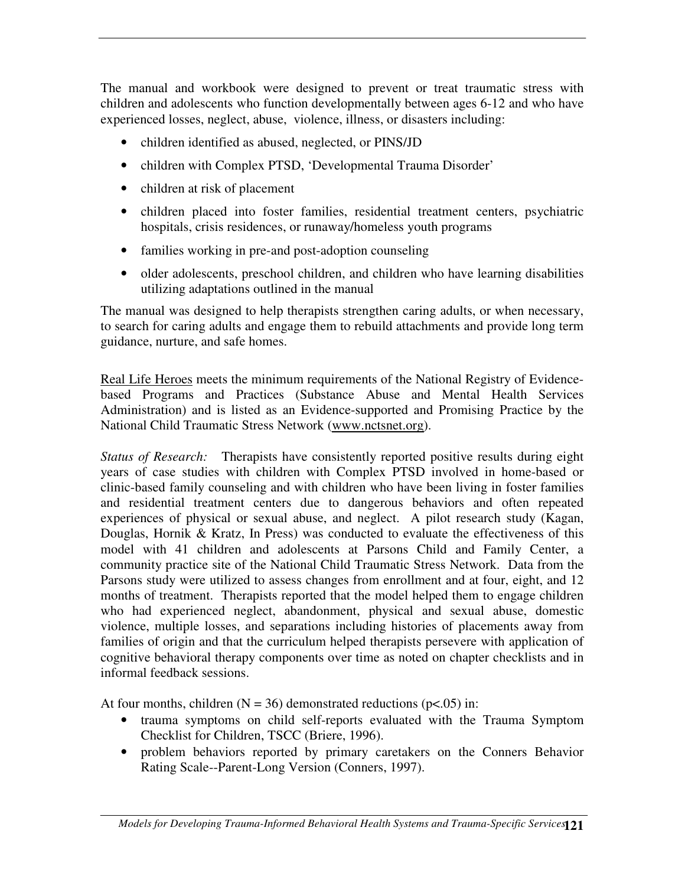The manual and workbook were designed to prevent or treat traumatic stress with children and adolescents who function developmentally between ages 6-12 and who have experienced losses, neglect, abuse, violence, illness, or disasters including:

- children identified as abused, neglected, or PINS/JD
- children with Complex PTSD, 'Developmental Trauma Disorder'
- children at risk of placement
- children placed into foster families, residential treatment centers, psychiatric hospitals, crisis residences, or runaway/homeless youth programs
- families working in pre-and post-adoption counseling
- older adolescents, preschool children, and children who have learning disabilities utilizing adaptations outlined in the manual

The manual was designed to help therapists strengthen caring adults, or when necessary, to search for caring adults and engage them to rebuild attachments and provide long term guidance, nurture, and safe homes.

Real Life Heroes meets the minimum requirements of the National Registry of Evidencebased Programs and Practices (Substance Abuse and Mental Health Services Administration) and is listed as an Evidence-supported and Promising Practice by the National Child Traumatic Stress Network (www.nctsnet.org).

*Status of Research:* Therapists have consistently reported positive results during eight years of case studies with children with Complex PTSD involved in home-based or clinic-based family counseling and with children who have been living in foster families and residential treatment centers due to dangerous behaviors and often repeated experiences of physical or sexual abuse, and neglect. A pilot research study (Kagan, Douglas, Hornik & Kratz, In Press) was conducted to evaluate the effectiveness of this model with 41 children and adolescents at Parsons Child and Family Center, a community practice site of the National Child Traumatic Stress Network. Data from the Parsons study were utilized to assess changes from enrollment and at four, eight, and 12 months of treatment. Therapists reported that the model helped them to engage children who had experienced neglect, abandonment, physical and sexual abuse, domestic violence, multiple losses, and separations including histories of placements away from families of origin and that the curriculum helped therapists persevere with application of cognitive behavioral therapy components over time as noted on chapter checklists and in informal feedback sessions.

At four months, children  $(N = 36)$  demonstrated reductions ( $p < .05$ ) in:

- trauma symptoms on child self-reports evaluated with the Trauma Symptom Checklist for Children, TSCC (Briere, 1996).
- problem behaviors reported by primary caretakers on the Conners Behavior Rating Scale--Parent-Long Version (Conners, 1997).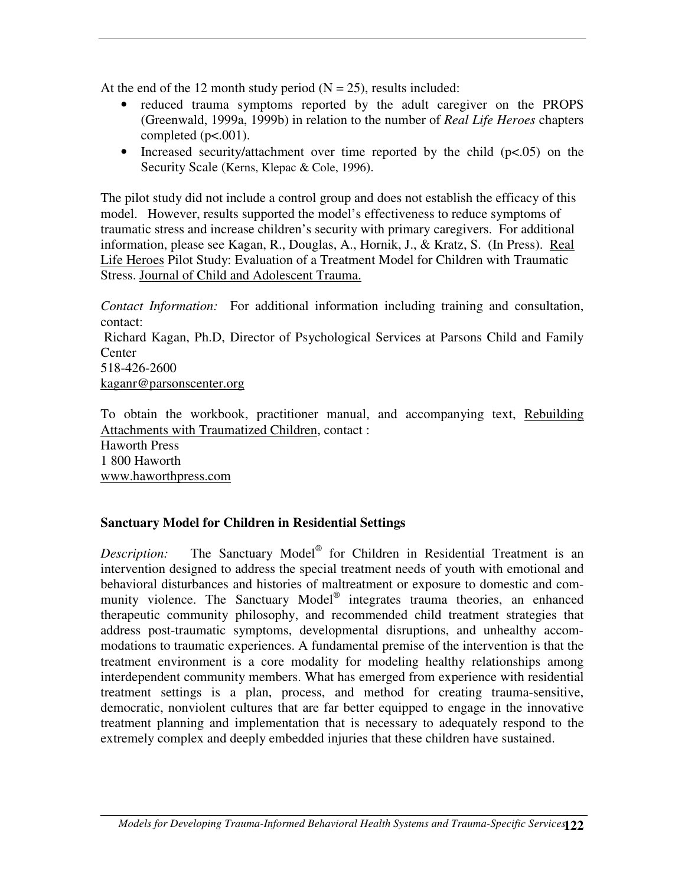At the end of the 12 month study period  $(N = 25)$ , results included:

- reduced trauma symptoms reported by the adult caregiver on the PROPS (Greenwald, 1999a, 1999b) in relation to the number of *Real Life Heroes* chapters completed  $(p<.001)$ .
- Increased security/attachment over time reported by the child (p<.05) on the Security Scale (Kerns, Klepac & Cole, 1996).

The pilot study did not include a control group and does not establish the efficacy of this model. However, results supported the model's effectiveness to reduce symptoms of traumatic stress and increase children's security with primary caregivers. For additional information, please see Kagan, R., Douglas, A., Hornik, J., & Kratz, S. (In Press). Real Life Heroes Pilot Study: Evaluation of a Treatment Model for Children with Traumatic Stress. Journal of Child and Adolescent Trauma.

*Contact Information:* For additional information including training and consultation, contact: Richard Kagan, Ph.D, Director of Psychological Services at Parsons Child and Family **Center** 518-426-2600 kaganr@parsonscenter.org

To obtain the workbook, practitioner manual, and accompanying text, Rebuilding Attachments with Traumatized Children, contact :

Haworth Press 1 800 Haworth www.haworthpress.com

## **Sanctuary Model for Children in Residential Settings**

*Description:* The Sanctuary Model ® for Children in Residential Treatment is an intervention designed to address the special treatment needs of youth with emotional and behavioral disturbances and histories of maltreatment or exposure to domestic and community violence. The Sanctuary Model ® integrates trauma theories, an enhanced therapeutic community philosophy, and recommended child treatment strategies that address post-traumatic symptoms, developmental disruptions, and unhealthy accommodations to traumatic experiences. A fundamental premise of the intervention is that the treatment environment is a core modality for modeling healthy relationships among interdependent community members. What has emerged from experience with residential treatment settings is a plan, process, and method for creating trauma-sensitive, democratic, nonviolent cultures that are far better equipped to engage in the innovative treatment planning and implementation that is necessary to adequately respond to the extremely complex and deeply embedded injuries that these children have sustained.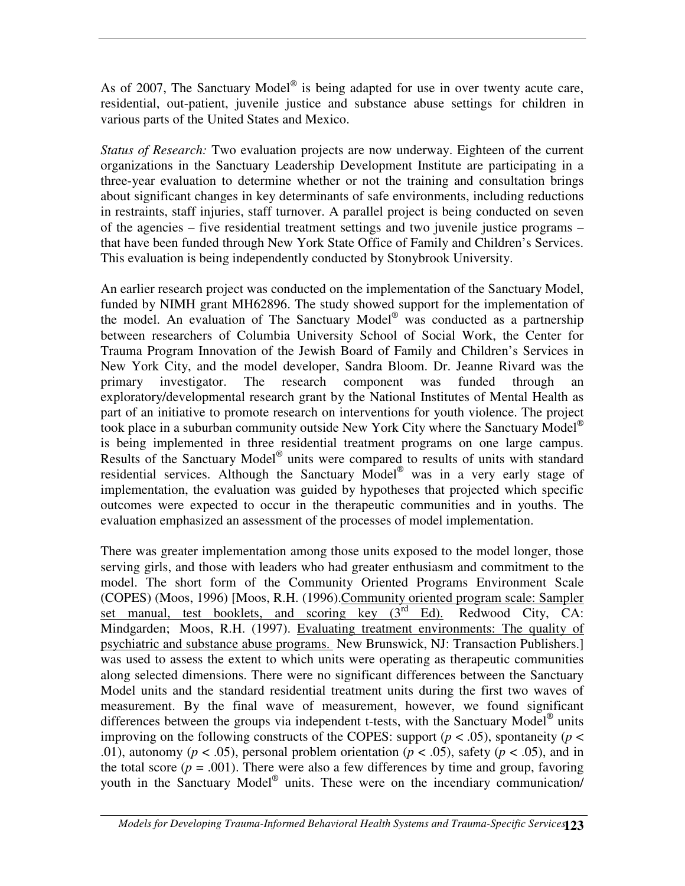As of 2007, The Sanctuary Model $^{\circ}$  is being adapted for use in over twenty acute care, residential, out-patient, juvenile justice and substance abuse settings for children in various parts of the United States and Mexico.

*Status of Research:* Two evaluation projects are now underway. Eighteen of the current organizations in the Sanctuary Leadership Development Institute are participating in a three-year evaluation to determine whether or not the training and consultation brings about significant changes in key determinants of safe environments, including reductions in restraints, staff injuries, staff turnover. A parallel project is being conducted on seven of the agencies – five residential treatment settings and two juvenile justice programs – that have been funded through New York State Office of Family and Children's Services. This evaluation is being independently conducted by Stonybrook University.

An earlier research project was conducted on the implementation of the Sanctuary Model, funded by NIMH grant MH62896. The study showed support for the implementation of the model. An evaluation of The Sanctuary Model® was conducted as a partnership between researchers of Columbia University School of Social Work, the Center for Trauma Program Innovation of the Jewish Board of Family and Children's Services in New York City, and the model developer, Sandra Bloom. Dr. Jeanne Rivard was the primary investigator. The research component was funded through an exploratory/developmental research grant by the National Institutes of Mental Health as part of an initiative to promote research on interventions for youth violence. The project took place in a suburban community outside New York City where the Sanctuary Model ® is being implemented in three residential treatment programs on one large campus. Results of the Sanctuary Model ® units were compared to results of units with standard residential services. Although the Sanctuary Model<sup>®</sup> was in a very early stage of implementation, the evaluation was guided by hypotheses that projected which specific outcomes were expected to occur in the therapeutic communities and in youths. The evaluation emphasized an assessment of the processes of model implementation.

There was greater implementation among those units exposed to the model longer, those serving girls, and those with leaders who had greater enthusiasm and commitment to the model. The short form of the Community Oriented Programs Environment Scale (COPES) (Moos, 1996) [Moos, R.H. (1996).Community oriented program scale: Sampler set manual, test booklets, and scoring key  $(3<sup>rd</sup>$  Ed). Redwood City, CA: Mindgarden; Moos, R.H. (1997). Evaluating treatment environments: The quality of psychiatric and substance abuse programs. New Brunswick, NJ: Transaction Publishers.] was used to assess the extent to which units were operating as therapeutic communities along selected dimensions. There were no significant differences between the Sanctuary Model units and the standard residential treatment units during the first two waves of measurement. By the final wave of measurement, however, we found significant differences between the groups via independent t-tests, with the Sanctuary Model<sup>®</sup> units improving on the following constructs of the COPES: support ( $p < .05$ ), spontaneity ( $p <$ .01), autonomy ( $p < .05$ ), personal problem orientation ( $p < .05$ ), safety ( $p < .05$ ), and in the total score  $(p = .001)$ . There were also a few differences by time and group, favoring youth in the Sanctuary Model<sup>®</sup> units. These were on the incendiary communication/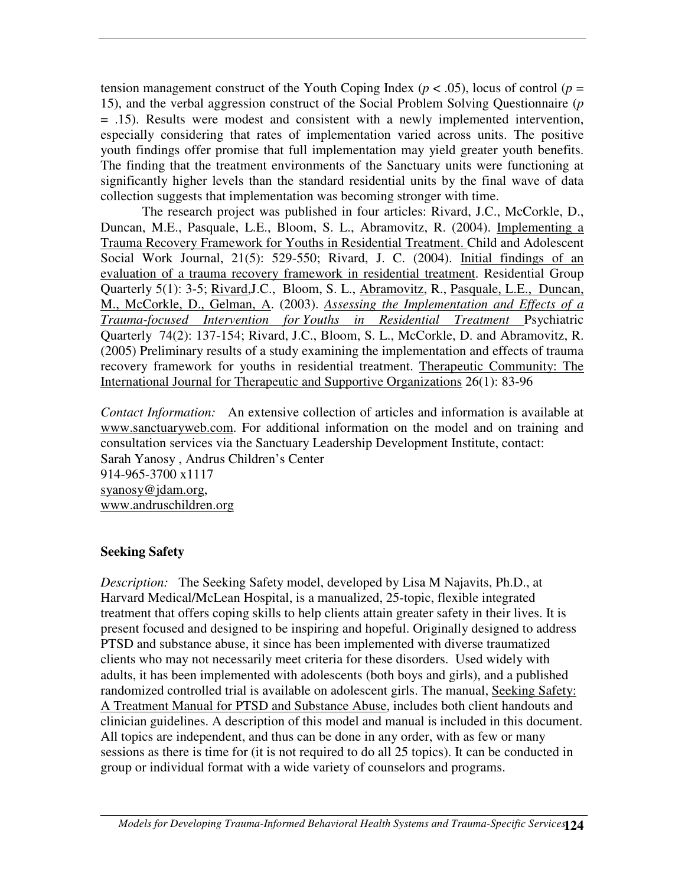tension management construct of the Youth Coping Index ( $p < .05$ ), locus of control ( $p =$ 15), and the verbal aggression construct of the Social Problem Solving Questionnaire (*p* = .15). Results were modest and consistent with a newly implemented intervention, especially considering that rates of implementation varied across units. The positive youth findings offer promise that full implementation may yield greater youth benefits. The finding that the treatment environments of the Sanctuary units were functioning at significantly higher levels than the standard residential units by the final wave of data collection suggests that implementation was becoming stronger with time.

The research project was published in four articles: Rivard, J.C., McCorkle, D., Duncan, M.E., Pasquale, L.E., Bloom, S. L., Abramovitz, R. (2004). Implementing a Trauma Recovery Framework for Youths in Residential Treatment. Child and Adolescent Social Work Journal, 21(5): 529-550; Rivard, J. C. (2004). Initial findings of an evaluation of a trauma recovery framework in residential treatment. Residential Group Quarterly 5(1): 3-5; Rivard, J.C., Bloom, S. L., Abramovitz, R., Pasquale, L.E., Duncan, M., McCorkle, D., Gelman, A. (2003). *Assessing the Implementation and Effects of a Trauma-focused Intervention for Youths in Residential Treatment* Psychiatric Quarterly 74(2): 137-154; Rivard, J.C., Bloom, S. L., McCorkle, D. and Abramovitz, R. (2005) Preliminary results of a study examining the implementation and effects of trauma recovery framework for youths in residential treatment. Therapeutic Community: The International Journal for Therapeutic and Supportive Organizations 26(1): 83-96

*Contact Information:* An extensive collection of articles and information is available at www.sanctuaryweb.com. For additional information on the model and on training and consultation services via the Sanctuary Leadership Development Institute, contact: Sarah Yanosy , Andrus Children's Center 914-965-3700 x1117 syanosy@jdam.org, www.andruschildren.org

## **Seeking Safety**

*Description:* The Seeking Safety model, developed by Lisa M Najavits, Ph.D., at Harvard Medical/McLean Hospital, is a manualized, 25-topic, flexible integrated treatment that offers coping skills to help clients attain greater safety in their lives. It is present focused and designed to be inspiring and hopeful. Originally designed to address PTSD and substance abuse, it since has been implemented with diverse traumatized clients who may not necessarily meet criteria for these disorders. Used widely with adults, it has been implemented with adolescents (both boys and girls), and a published randomized controlled trial is available on adolescent girls. The manual, Seeking Safety: A Treatment Manual for PTSD and Substance Abuse, includes both client handouts and clinician guidelines. A description of this model and manual is included in this document. All topics are independent, and thus can be done in any order, with as few or many sessions as there is time for (it is not required to do all 25 topics). It can be conducted in group or individual format with a wide variety of counselors and programs.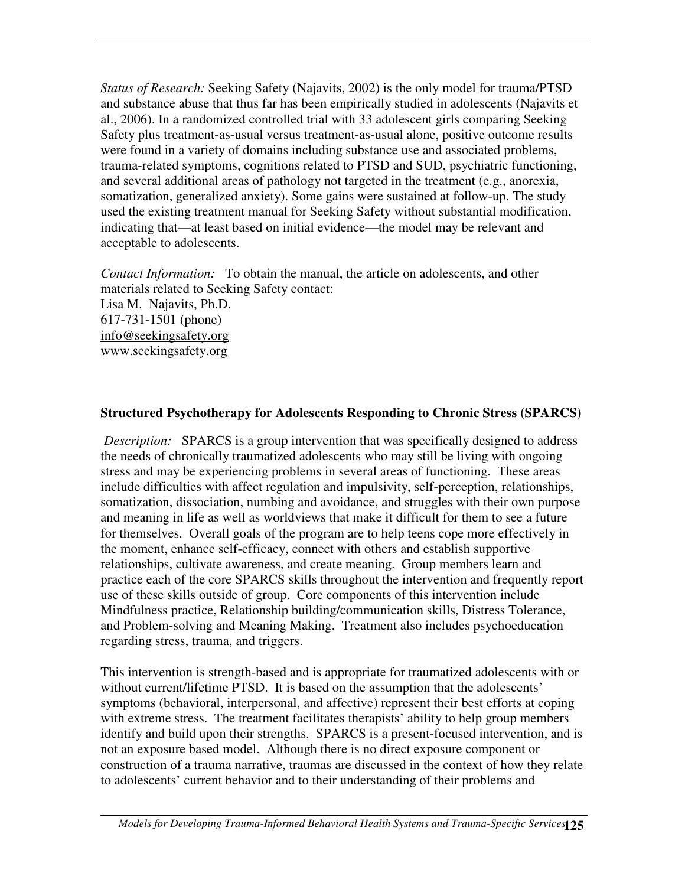*Status of Research:* Seeking Safety (Najavits, 2002) is the only model for trauma/PTSD and substance abuse that thus far has been empirically studied in adolescents (Najavits et al., 2006). In a randomized controlled trial with 33 adolescent girls comparing Seeking Safety plus treatment-as-usual versus treatment-as-usual alone, positive outcome results were found in a variety of domains including substance use and associated problems, trauma-related symptoms, cognitions related to PTSD and SUD, psychiatric functioning, and several additional areas of pathology not targeted in the treatment (e.g., anorexia, somatization, generalized anxiety). Some gains were sustained at follow-up. The study used the existing treatment manual for Seeking Safety without substantial modification, indicating that—at least based on initial evidence—the model may be relevant and acceptable to adolescents.

*Contact Information:* To obtain the manual, the article on adolescents, and other materials related to Seeking Safety contact: Lisa M. Najavits, Ph.D. 617-731-1501 (phone) info@seekingsafety.org www.seekingsafety.org

#### **Structured Psychotherapy for Adolescents Responding to Chronic Stress (SPARCS)**

*Description:* SPARCS is a group intervention that was specifically designed to address the needs of chronically traumatized adolescents who may still be living with ongoing stress and may be experiencing problems in several areas of functioning. These areas include difficulties with affect regulation and impulsivity, self-perception, relationships, somatization, dissociation, numbing and avoidance, and struggles with their own purpose and meaning in life as well as worldviews that make it difficult for them to see a future for themselves. Overall goals of the program are to help teens cope more effectively in the moment, enhance self-efficacy, connect with others and establish supportive relationships, cultivate awareness, and create meaning. Group members learn and practice each of the core SPARCS skills throughout the intervention and frequently report use of these skills outside of group. Core components of this intervention include Mindfulness practice, Relationship building/communication skills, Distress Tolerance, and Problem-solving and Meaning Making. Treatment also includes psychoeducation regarding stress, trauma, and triggers.

This intervention is strength-based and is appropriate for traumatized adolescents with or without current/lifetime PTSD. It is based on the assumption that the adolescents' symptoms (behavioral, interpersonal, and affective) represent their best efforts at coping with extreme stress. The treatment facilitates therapists' ability to help group members identify and build upon their strengths. SPARCS is a present-focused intervention, and is not an exposure based model. Although there is no direct exposure component or construction of a trauma narrative, traumas are discussed in the context of how they relate to adolescents' current behavior and to their understanding of their problems and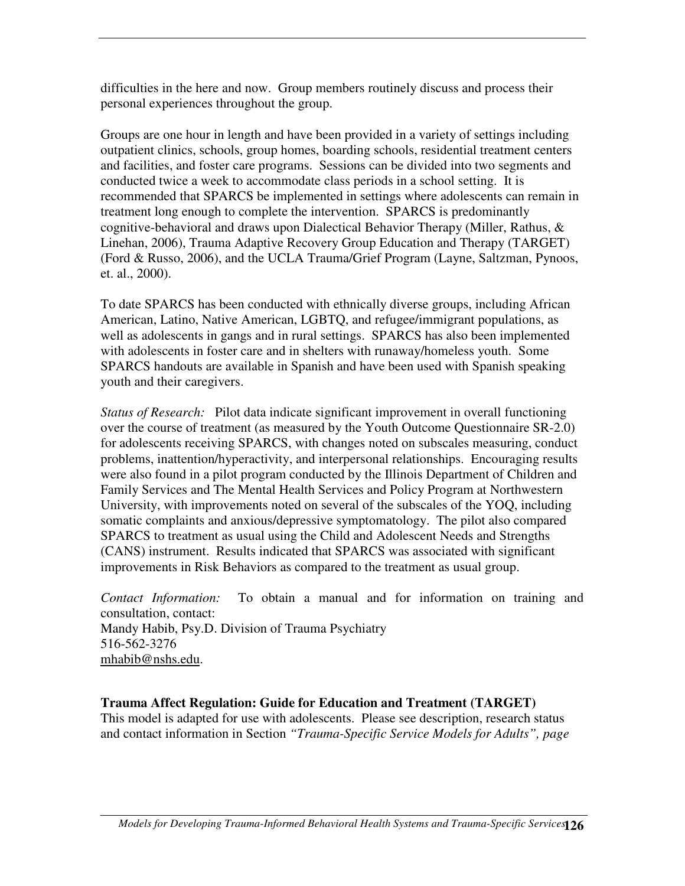difficulties in the here and now. Group members routinely discuss and process their personal experiences throughout the group.

Groups are one hour in length and have been provided in a variety of settings including outpatient clinics, schools, group homes, boarding schools, residential treatment centers and facilities, and foster care programs. Sessions can be divided into two segments and conducted twice a week to accommodate class periods in a school setting. It is recommended that SPARCS be implemented in settings where adolescents can remain in treatment long enough to complete the intervention. SPARCS is predominantly cognitive-behavioral and draws upon Dialectical Behavior Therapy (Miller, Rathus,  $\&$ Linehan, 2006), Trauma Adaptive Recovery Group Education and Therapy (TARGET) (Ford & Russo, 2006), and the UCLA Trauma/Grief Program (Layne, Saltzman, Pynoos, et. al., 2000).

To date SPARCS has been conducted with ethnically diverse groups, including African American, Latino, Native American, LGBTQ, and refugee/immigrant populations, as well as adolescents in gangs and in rural settings. SPARCS has also been implemented with adolescents in foster care and in shelters with runaway/homeless youth. Some SPARCS handouts are available in Spanish and have been used with Spanish speaking youth and their caregivers.

*Status of Research:* Pilot data indicate significant improvement in overall functioning over the course of treatment (as measured by the Youth Outcome Questionnaire SR-2.0) for adolescents receiving SPARCS, with changes noted on subscales measuring, conduct problems, inattention/hyperactivity, and interpersonal relationships. Encouraging results were also found in a pilot program conducted by the Illinois Department of Children and Family Services and The Mental Health Services and Policy Program at Northwestern University, with improvements noted on several of the subscales of the YOQ, including somatic complaints and anxious/depressive symptomatology. The pilot also compared SPARCS to treatment as usual using the Child and Adolescent Needs and Strengths (CANS) instrument. Results indicated that SPARCS was associated with significant improvements in Risk Behaviors as compared to the treatment as usual group.

*Contact Information:* To obtain a manual and for information on training and consultation, contact: Mandy Habib, Psy.D. Division of Trauma Psychiatry 516-562-3276 mhabib@nshs.edu.

#### **Trauma Affect Regulation: Guide for Education and Treatment (TARGET)**

This model is adapted for use with adolescents. Please see description, research status and contact information in Section *"Trauma-Specific Service Models for Adults", page*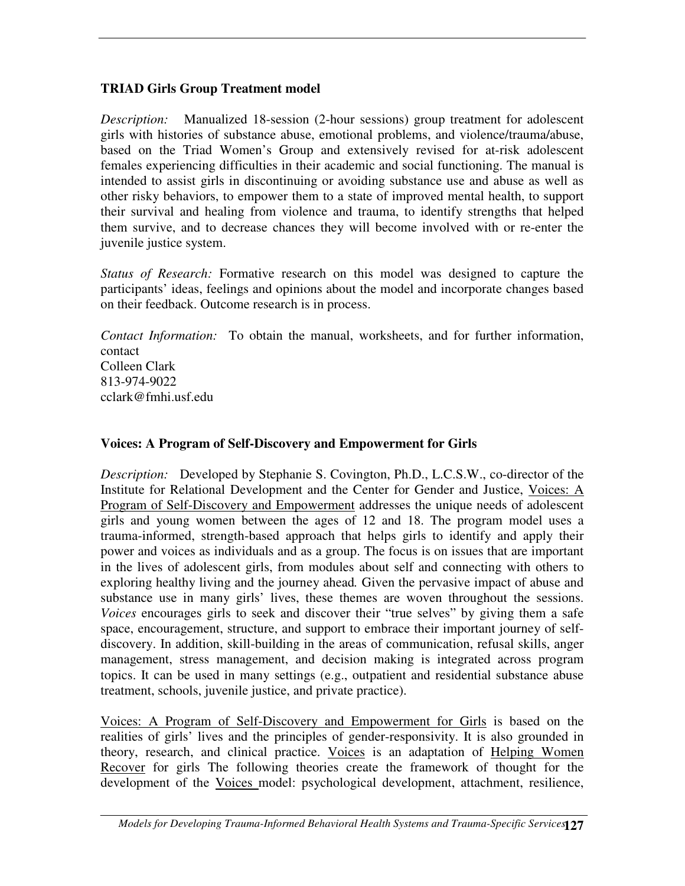## **TRIAD Girls Group Treatment model**

*Description:* Manualized 18-session (2-hour sessions) group treatment for adolescent girls with histories of substance abuse, emotional problems, and violence/trauma/abuse, based on the Triad Women's Group and extensively revised for at-risk adolescent females experiencing difficulties in their academic and social functioning. The manual is intended to assist girls in discontinuing or avoiding substance use and abuse as well as other risky behaviors, to empower them to a state of improved mental health, to support their survival and healing from violence and trauma, to identify strengths that helped them survive, and to decrease chances they will become involved with or re-enter the juvenile justice system.

*Status of Research:* Formative research on this model was designed to capture the participants' ideas, feelings and opinions about the model and incorporate changes based on their feedback. Outcome research is in process.

*Contact Information:* To obtain the manual, worksheets, and for further information, contact Colleen Clark 813-974-9022

cclark@fmhi.usf.edu

#### **Voices: A Program of Self-Discovery and Empowerment for Girls**

*Description:* Developed by Stephanie S. Covington, Ph.D., L.C.S.W., co-director of the Institute for Relational Development and the Center for Gender and Justice, Voices: A Program of Self-Discovery and Empowerment addresses the unique needs of adolescent girls and young women between the ages of 12 and 18. The program model uses a trauma-informed, strength-based approach that helps girls to identify and apply their power and voices as individuals and as a group. The focus is on issues that are important in the lives of adolescent girls, from modules about self and connecting with others to exploring healthy living and the journey ahead*.* Given the pervasive impact of abuse and substance use in many girls' lives, these themes are woven throughout the sessions. *Voices* encourages girls to seek and discover their "true selves" by giving them a safe space, encouragement, structure, and support to embrace their important journey of selfdiscovery. In addition, skill-building in the areas of communication, refusal skills, anger management, stress management, and decision making is integrated across program topics. It can be used in many settings (e.g., outpatient and residential substance abuse treatment, schools, juvenile justice, and private practice).

Voices: A Program of Self-Discovery and Empowerment for Girls is based on the realities of girls' lives and the principles of gender-responsivity. It is also grounded in theory, research, and clinical practice. Voices is an adaptation of Helping Women Recover for girls The following theories create the framework of thought for the development of the Voices model: psychological development, attachment, resilience,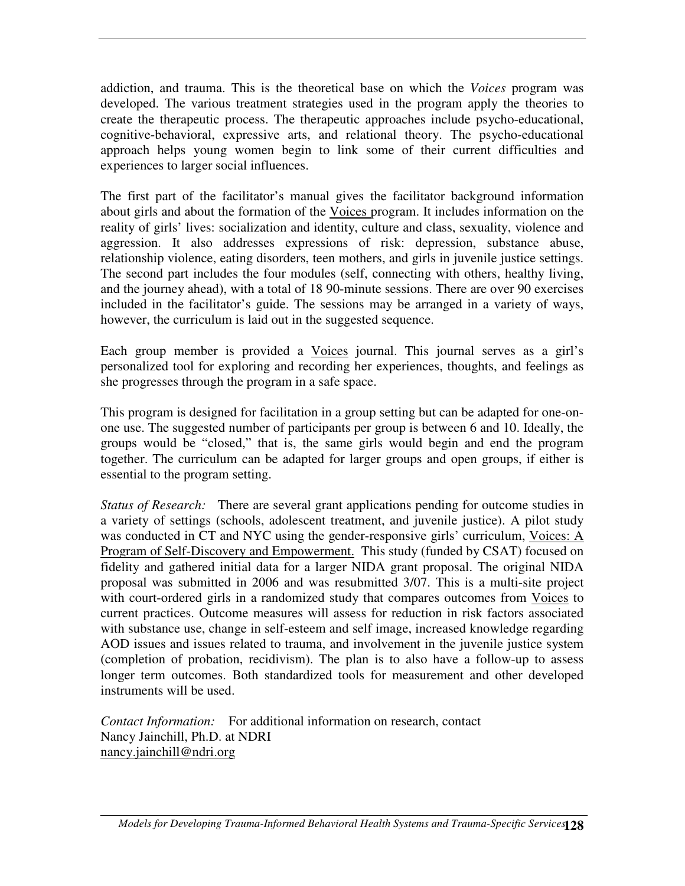addiction, and trauma. This is the theoretical base on which the *Voices* program was developed. The various treatment strategies used in the program apply the theories to create the therapeutic process. The therapeutic approaches include psycho-educational, cognitive-behavioral, expressive arts, and relational theory. The psycho-educational approach helps young women begin to link some of their current difficulties and experiences to larger social influences.

The first part of the facilitator's manual gives the facilitator background information about girls and about the formation of the Voices program. It includes information on the reality of girls' lives: socialization and identity, culture and class, sexuality, violence and aggression. It also addresses expressions of risk: depression, substance abuse, relationship violence, eating disorders, teen mothers, and girls in juvenile justice settings. The second part includes the four modules (self, connecting with others, healthy living, and the journey ahead), with a total of 18 90-minute sessions. There are over 90 exercises included in the facilitator's guide. The sessions may be arranged in a variety of ways, however, the curriculum is laid out in the suggested sequence.

Each group member is provided a Voices journal. This journal serves as a girl's personalized tool for exploring and recording her experiences, thoughts, and feelings as she progresses through the program in a safe space.

This program is designed for facilitation in a group setting but can be adapted for one-onone use. The suggested number of participants per group is between 6 and 10. Ideally, the groups would be "closed," that is, the same girls would begin and end the program together. The curriculum can be adapted for larger groups and open groups, if either is essential to the program setting.

*Status of Research:* There are several grant applications pending for outcome studies in a variety of settings (schools, adolescent treatment, and juvenile justice). A pilot study was conducted in CT and NYC using the gender-responsive girls' curriculum, Voices: A Program of Self-Discovery and Empowerment. This study (funded by CSAT) focused on fidelity and gathered initial data for a larger NIDA grant proposal. The original NIDA proposal was submitted in 2006 and was resubmitted 3/07. This is a multi-site project with court-ordered girls in a randomized study that compares outcomes from Voices to current practices. Outcome measures will assess for reduction in risk factors associated with substance use, change in self-esteem and self image, increased knowledge regarding AOD issues and issues related to trauma, and involvement in the juvenile justice system (completion of probation, recidivism). The plan is to also have a follow-up to assess longer term outcomes. Both standardized tools for measurement and other developed instruments will be used.

*Contact Information:* For additional information on research, contact Nancy Jainchill, Ph.D. at NDRI nancy.jainchill@ndri.org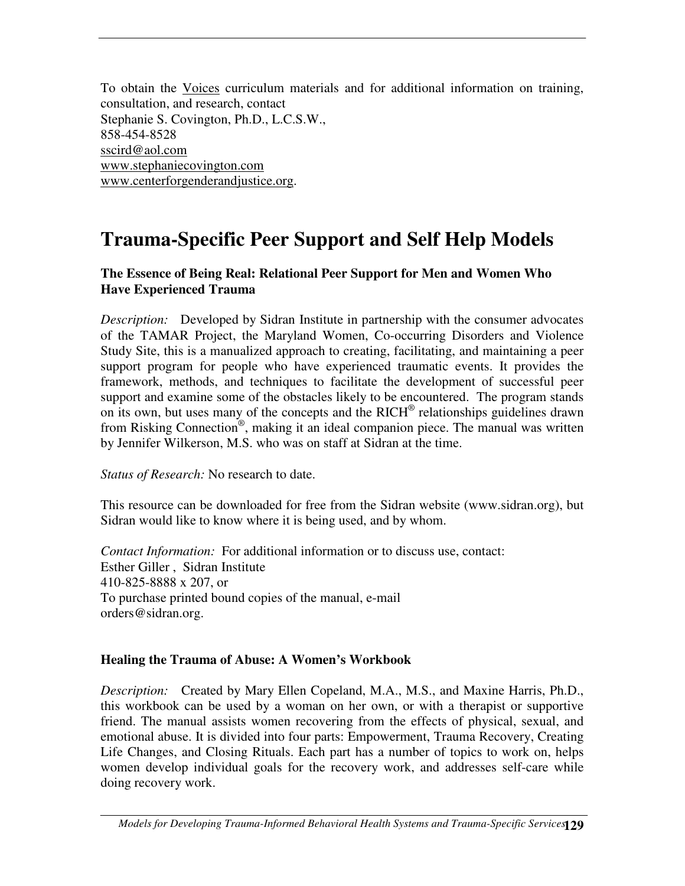To obtain the Voices curriculum materials and for additional information on training, consultation, and research, contact Stephanie S. Covington, Ph.D., L.C.S.W., 858-454-8528 sscird@aol.com www.stephaniecovington.com www.centerforgenderandjustice.org.

# **Trauma-Specific Peer Support and Self Help Models**

#### **The Essence of Being Real: Relational Peer Support for Men and Women Who Have Experienced Trauma**

*Description:* Developed by Sidran Institute in partnership with the consumer advocates of the TAMAR Project, the Maryland Women, Co-occurring Disorders and Violence Study Site, this is a manualized approach to creating, facilitating, and maintaining a peer support program for people who have experienced traumatic events. It provides the framework, methods, and techniques to facilitate the development of successful peer support and examine some of the obstacles likely to be encountered. The program stands on its own, but uses many of the concepts and the RICH® relationships guidelines drawn from Risking Connection®, making it an ideal companion piece. The manual was written by Jennifer Wilkerson, M.S. who was on staff at Sidran at the time.

*Status of Research:* No research to date.

This resource can be downloaded for free from the Sidran website (www.sidran.org), but Sidran would like to know where it is being used, and by whom.

*Contact Information:* For additional information or to discuss use, contact: Esther Giller , Sidran Institute 410-825-8888 x 207, or To purchase printed bound copies of the manual, e-mail orders@sidran.org.

#### **Healing the Trauma of Abuse: A Women's Workbook**

*Description:* Created by Mary Ellen Copeland, M.A., M.S., and Maxine Harris, Ph.D., this workbook can be used by a woman on her own, or with a therapist or supportive friend. The manual assists women recovering from the effects of physical, sexual, and emotional abuse. It is divided into four parts: Empowerment, Trauma Recovery, Creating Life Changes, and Closing Rituals. Each part has a number of topics to work on, helps women develop individual goals for the recovery work, and addresses self-care while doing recovery work.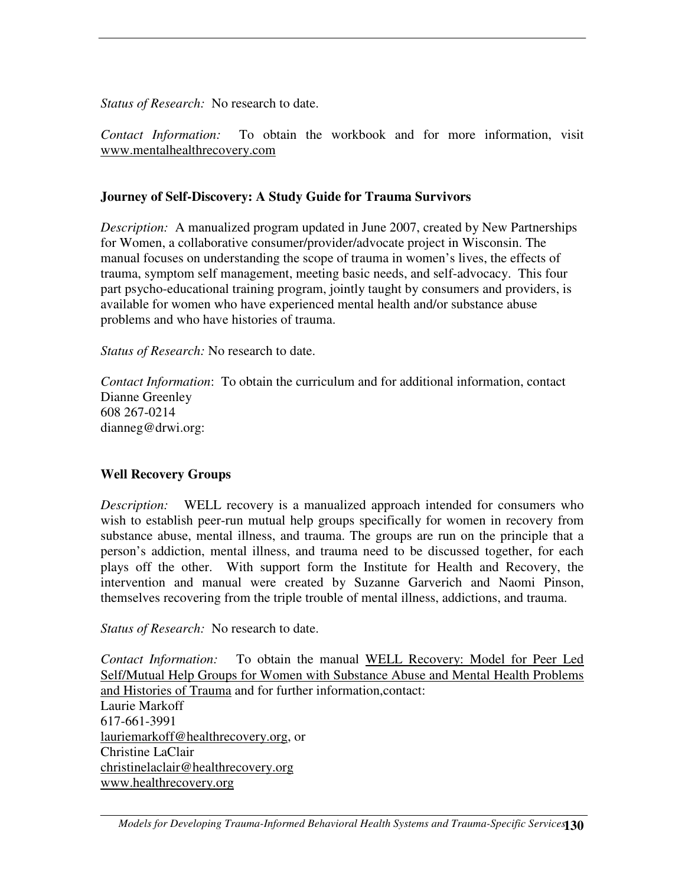*Status of Research:* No research to date.

*Contact Information:* To obtain the workbook and for more information, visit www.mentalhealthrecovery.com

#### **Journey of Self-Discovery: A Study Guide for Trauma Survivors**

*Description:* A manualized program updated in June 2007, created by New Partnerships for Women, a collaborative consumer/provider/advocate project in Wisconsin. The manual focuses on understanding the scope of trauma in women's lives, the effects of trauma, symptom self management, meeting basic needs, and self-advocacy. This four part psycho-educational training program, jointly taught by consumers and providers, is available for women who have experienced mental health and/or substance abuse problems and who have histories of trauma.

*Status of Research:* No research to date.

*Contact Information*: To obtain the curriculum and for additional information, contact Dianne Greenley 608 267-0214 dianneg@drwi.org:

## **Well Recovery Groups**

*Description:* WELL recovery is a manualized approach intended for consumers who wish to establish peer-run mutual help groups specifically for women in recovery from substance abuse, mental illness, and trauma. The groups are run on the principle that a person's addiction, mental illness, and trauma need to be discussed together, for each plays off the other. With support form the Institute for Health and Recovery, the intervention and manual were created by Suzanne Garverich and Naomi Pinson, themselves recovering from the triple trouble of mental illness, addictions, and trauma.

*Status of Research:* No research to date.

*Contact Information:* To obtain the manual WELL Recovery: Model for Peer Led Self/Mutual Help Groups for Women with Substance Abuse and Mental Health Problems and Histories of Trauma and for further information,contact: Laurie Markoff 617-661-3991 lauriemarkoff@healthrecovery.org, or Christine LaClair christinelaclair@healthrecovery.org www.healthrecovery.org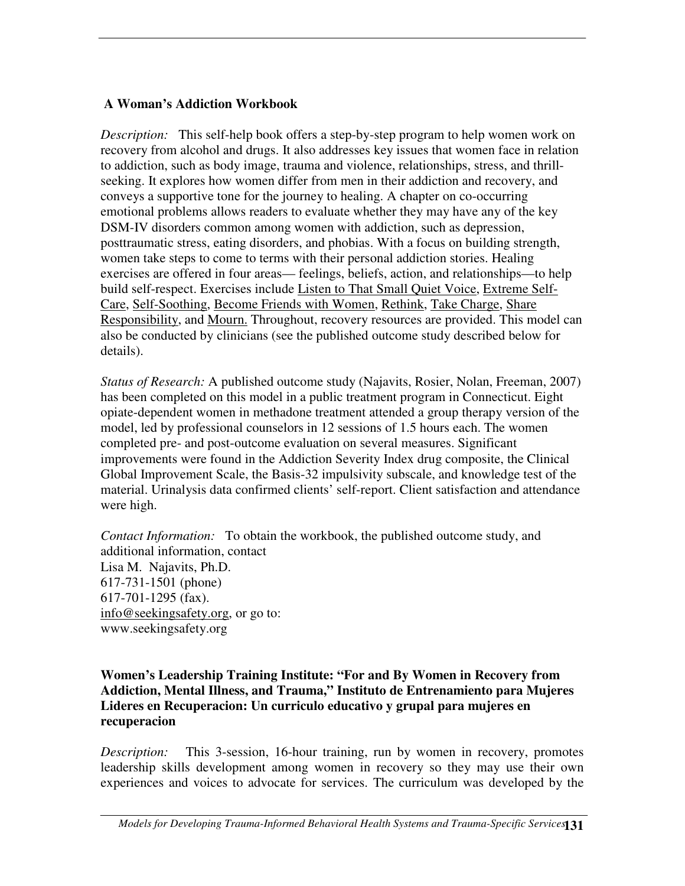## **A Woman's Addiction Workbook**

*Description:* This self-help book offers a step-by-step program to help women work on recovery from alcohol and drugs. It also addresses key issues that women face in relation to addiction, such as body image, trauma and violence, relationships, stress, and thrillseeking. It explores how women differ from men in their addiction and recovery, and conveys a supportive tone for the journey to healing. A chapter on co-occurring emotional problems allows readers to evaluate whether they may have any of the key DSM-IV disorders common among women with addiction, such as depression, posttraumatic stress, eating disorders, and phobias. With a focus on building strength, women take steps to come to terms with their personal addiction stories. Healing exercises are offered in four areas— feelings, beliefs, action, and relationships—to help build self-respect. Exercises include Listen to That Small Quiet Voice, Extreme Self-Care, Self-Soothing, Become Friends with Women, Rethink, Take Charge, Share Responsibility, and Mourn. Throughout, recovery resources are provided. This model can also be conducted by clinicians (see the published outcome study described below for details).

*Status of Research:* A published outcome study (Najavits, Rosier, Nolan, Freeman, 2007) has been completed on this model in a public treatment program in Connecticut. Eight opiate-dependent women in methadone treatment attended a group therapy version of the model, led by professional counselors in 12 sessions of 1.5 hours each. The women completed pre- and post-outcome evaluation on several measures. Significant improvements were found in the Addiction Severity Index drug composite, the Clinical Global Improvement Scale, the Basis-32 impulsivity subscale, and knowledge test of the material. Urinalysis data confirmed clients' self-report. Client satisfaction and attendance were high.

*Contact Information:* To obtain the workbook, the published outcome study, and additional information, contact Lisa M. Najavits, Ph.D. 617-731-1501 (phone) 617-701-1295 (fax). info@seekingsafety.org, or go to: www.seekingsafety.org

#### **Women's Leadership Training Institute: "For and By Women in Recovery from Addiction, Mental Illness, and Trauma," Instituto de Entrenamiento para Mujeres Lideres en Recuperacion: Un curriculo educativo y grupal para mujeres en recuperacion**

*Description:* This 3-session, 16-hour training, run by women in recovery, promotes leadership skills development among women in recovery so they may use their own experiences and voices to advocate for services. The curriculum was developed by the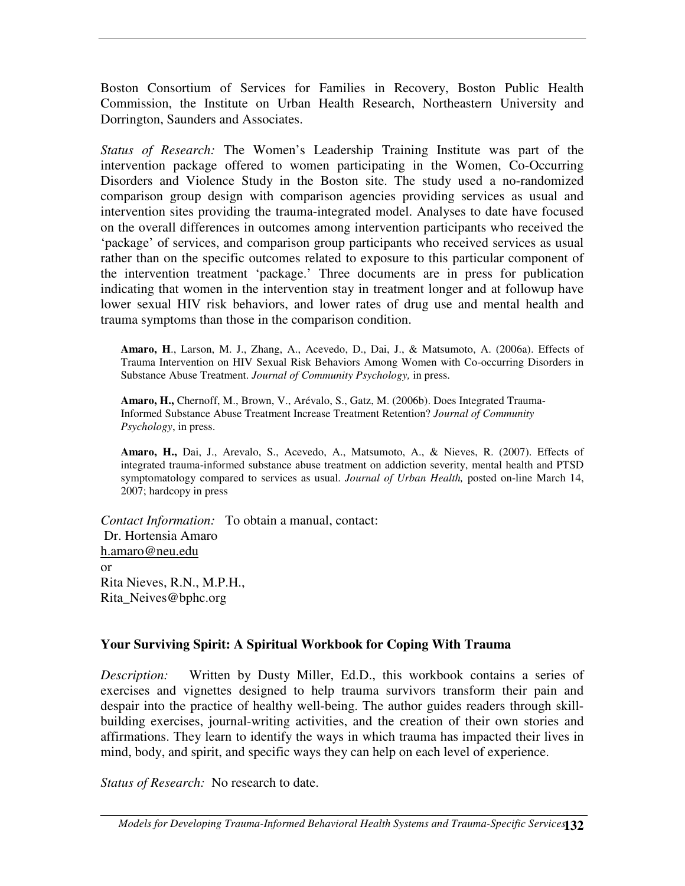Boston Consortium of Services for Families in Recovery, Boston Public Health Commission, the Institute on Urban Health Research, Northeastern University and Dorrington, Saunders and Associates.

*Status of Research:* The Women's Leadership Training Institute was part of the intervention package offered to women participating in the Women, Co-Occurring Disorders and Violence Study in the Boston site. The study used a no-randomized comparison group design with comparison agencies providing services as usual and intervention sites providing the trauma-integrated model. Analyses to date have focused on the overall differences in outcomes among intervention participants who received the 'package' of services, and comparison group participants who received services as usual rather than on the specific outcomes related to exposure to this particular component of the intervention treatment 'package.' Three documents are in press for publication indicating that women in the intervention stay in treatment longer and at followup have lower sexual HIV risk behaviors, and lower rates of drug use and mental health and trauma symptoms than those in the comparison condition.

**Amaro, H**., Larson, M. J., Zhang, A., Acevedo, D., Dai, J., & Matsumoto, A. (2006a). Effects of Trauma Intervention on HIV Sexual Risk Behaviors Among Women with Co-occurring Disorders in Substance Abuse Treatment. *Journal of Community Psychology,* in press.

**Amaro, H.,** Chernoff, M., Brown, V., Arévalo, S., Gatz, M. (2006b). Does Integrated Trauma-Informed Substance Abuse Treatment Increase Treatment Retention? *Journal of Community Psychology*, in press.

**Amaro, H.,** Dai, J., Arevalo, S., Acevedo, A., Matsumoto, A., & Nieves, R. (2007). Effects of integrated trauma-informed substance abuse treatment on addiction severity, mental health and PTSD symptomatology compared to services as usual. *Journal of Urban Health,* posted on-line March 14, 2007; hardcopy in press

*Contact Information:* To obtain a manual, contact: Dr. Hortensia Amaro h.amaro@neu.edu or Rita Nieves, R.N., M.P.H., Rita\_Neives@bphc.org

#### **Your Surviving Spirit: A Spiritual Workbook for Coping With Trauma**

*Description:* Written by Dusty Miller, Ed.D., this workbook contains a series of exercises and vignettes designed to help trauma survivors transform their pain and despair into the practice of healthy well-being. The author guides readers through skillbuilding exercises, journal-writing activities, and the creation of their own stories and affirmations. They learn to identify the ways in which trauma has impacted their lives in mind, body, and spirit, and specific ways they can help on each level of experience.

*Status of Research:* No research to date.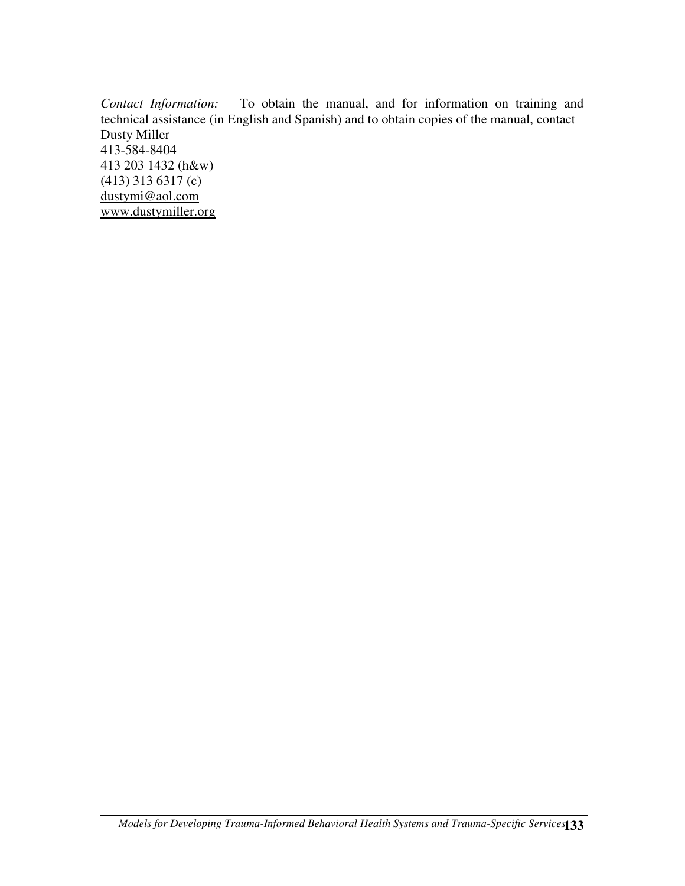*Contact Information:* To obtain the manual, and for information on training and technical assistance (in English and Spanish) and to obtain copies of the manual, contact Dusty Miller 413-584-8404 413 203 1432 (h&w) (413) 313 6317 (c) dustymi@aol.com www.dustymiller.org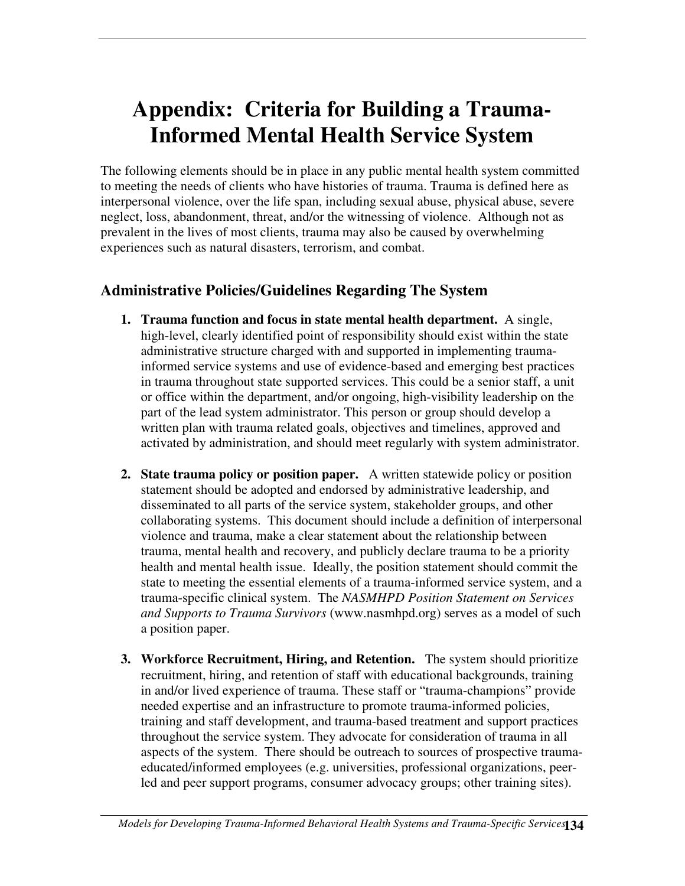# **Appendix: Criteria for Building a Trauma-Informed Mental Health Service System**

The following elements should be in place in any public mental health system committed to meeting the needs of clients who have histories of trauma. Trauma is defined here as interpersonal violence, over the life span, including sexual abuse, physical abuse, severe neglect, loss, abandonment, threat, and/or the witnessing of violence. Although not as prevalent in the lives of most clients, trauma may also be caused by overwhelming experiences such as natural disasters, terrorism, and combat.

# **Administrative Policies/Guidelines Regarding The System**

- **1. Trauma function and focus in state mental health department.** A single, high-level, clearly identified point of responsibility should exist within the state administrative structure charged with and supported in implementing traumainformed service systems and use of evidence-based and emerging best practices in trauma throughout state supported services. This could be a senior staff, a unit or office within the department, and/or ongoing, high-visibility leadership on the part of the lead system administrator. This person or group should develop a written plan with trauma related goals, objectives and timelines, approved and activated by administration, and should meet regularly with system administrator.
- **2. State trauma policy or position paper.** A written statewide policy or position statement should be adopted and endorsed by administrative leadership, and disseminated to all parts of the service system, stakeholder groups, and other collaborating systems. This document should include a definition of interpersonal violence and trauma, make a clear statement about the relationship between trauma, mental health and recovery, and publicly declare trauma to be a priority health and mental health issue. Ideally, the position statement should commit the state to meeting the essential elements of a trauma-informed service system, and a trauma-specific clinical system. The *NASMHPD Position Statement on Services and Supports to Trauma Survivors* (www.nasmhpd.org) serves as a model of such a position paper.
- **3. Workforce Recruitment, Hiring, and Retention.** The system should prioritize recruitment, hiring, and retention of staff with educational backgrounds, training in and/or lived experience of trauma. These staff or "trauma-champions" provide needed expertise and an infrastructure to promote trauma-informed policies, training and staff development, and trauma-based treatment and support practices throughout the service system. They advocate for consideration of trauma in all aspects of the system. There should be outreach to sources of prospective traumaeducated/informed employees (e.g. universities, professional organizations, peerled and peer support programs, consumer advocacy groups; other training sites).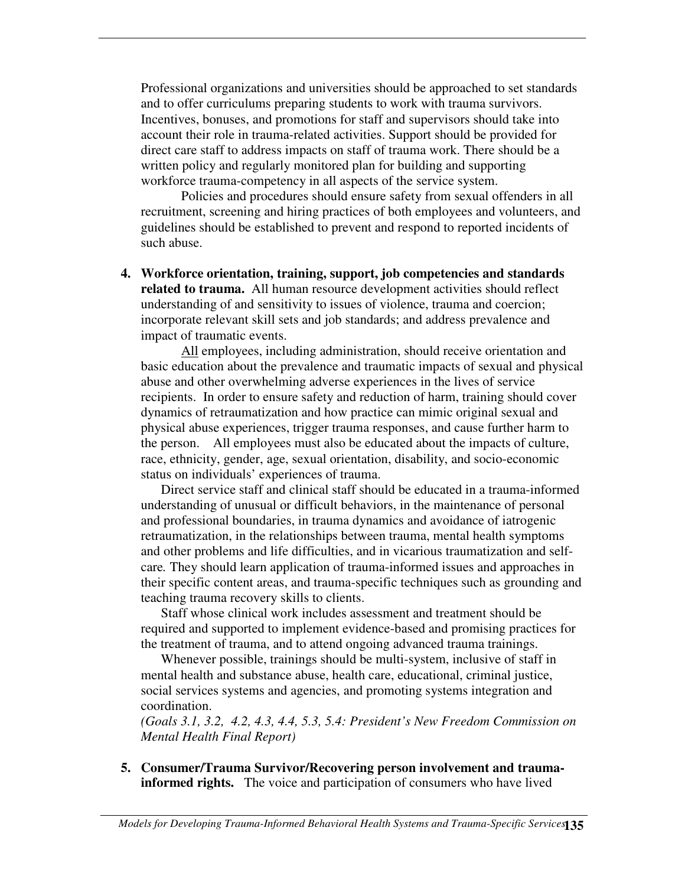Professional organizations and universities should be approached to set standards and to offer curriculums preparing students to work with trauma survivors. Incentives, bonuses, and promotions for staff and supervisors should take into account their role in trauma-related activities. Support should be provided for direct care staff to address impacts on staff of trauma work. There should be a written policy and regularly monitored plan for building and supporting workforce trauma-competency in all aspects of the service system.

Policies and procedures should ensure safety from sexual offenders in all recruitment, screening and hiring practices of both employees and volunteers, and guidelines should be established to prevent and respond to reported incidents of such abuse.

**4. Workforce orientation, training, support, job competencies and standards related to trauma.** All human resource development activities should reflect understanding of and sensitivity to issues of violence, trauma and coercion; incorporate relevant skill sets and job standards; and address prevalence and impact of traumatic events.

All employees, including administration, should receive orientation and basic education about the prevalence and traumatic impacts of sexual and physical abuse and other overwhelming adverse experiences in the lives of service recipients. In order to ensure safety and reduction of harm, training should cover dynamics of retraumatization and how practice can mimic original sexual and physical abuse experiences, trigger trauma responses, and cause further harm to the person. All employees must also be educated about the impacts of culture, race, ethnicity, gender, age, sexual orientation, disability, and socio-economic status on individuals' experiences of trauma.

Direct service staff and clinical staff should be educated in a trauma-informed understanding of unusual or difficult behaviors, in the maintenance of personal and professional boundaries, in trauma dynamics and avoidance of iatrogenic retraumatization, in the relationships between trauma, mental health symptoms and other problems and life difficulties, and in vicarious traumatization and selfcare*.* They should learn application of trauma-informed issues and approaches in their specific content areas, and trauma-specific techniques such as grounding and teaching trauma recovery skills to clients.

Staff whose clinical work includes assessment and treatment should be required and supported to implement evidence-based and promising practices for the treatment of trauma, and to attend ongoing advanced trauma trainings.

Whenever possible, trainings should be multi-system, inclusive of staff in mental health and substance abuse, health care, educational, criminal justice, social services systems and agencies, and promoting systems integration and coordination.

*(Goals 3.1, 3.2, 4.2, 4.3, 4.4, 5.3, 5.4: President's New Freedom Commission on Mental Health Final Report)*

**5. Consumer/Trauma Survivor/Recovering person involvement and traumainformed rights.** The voice and participation of consumers who have lived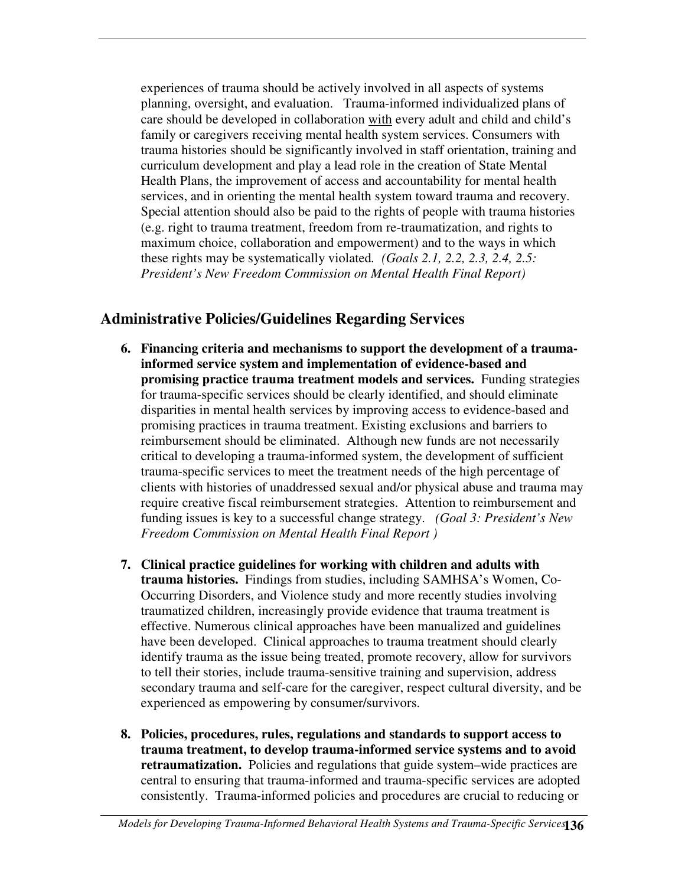experiences of trauma should be actively involved in all aspects of systems planning, oversight, and evaluation. Trauma-informed individualized plans of care should be developed in collaboration with every adult and child and child's family or caregivers receiving mental health system services. Consumers with trauma histories should be significantly involved in staff orientation, training and curriculum development and play a lead role in the creation of State Mental Health Plans, the improvement of access and accountability for mental health services, and in orienting the mental health system toward trauma and recovery. Special attention should also be paid to the rights of people with trauma histories (e.g. right to trauma treatment, freedom from re-traumatization, and rights to maximum choice, collaboration and empowerment) and to the ways in which these rights may be systematically violated*. (Goals 2.1, 2.2, 2.3, 2.4, 2.5: President's New Freedom Commission on Mental Health Final Report)*

# **Administrative Policies/Guidelines Regarding Services**

- **6. Financing criteria and mechanisms to support the development of a traumainformed service system and implementation of evidence-based and promising practice trauma treatment models and services.** Funding strategies for trauma-specific services should be clearly identified, and should eliminate disparities in mental health services by improving access to evidence-based and promising practices in trauma treatment. Existing exclusions and barriers to reimbursement should be eliminated. Although new funds are not necessarily critical to developing a trauma-informed system, the development of sufficient trauma-specific services to meet the treatment needs of the high percentage of clients with histories of unaddressed sexual and/or physical abuse and trauma may require creative fiscal reimbursement strategies. Attention to reimbursement and funding issues is key to a successful change strategy. *(Goal 3: President's New Freedom Commission on Mental Health Final Report )*
- **7. Clinical practice guidelines for working with children and adults with trauma histories.** Findings from studies, including SAMHSA's Women, Co-Occurring Disorders, and Violence study and more recently studies involving traumatized children, increasingly provide evidence that trauma treatment is effective. Numerous clinical approaches have been manualized and guidelines have been developed. Clinical approaches to trauma treatment should clearly identify trauma as the issue being treated, promote recovery, allow for survivors to tell their stories, include trauma-sensitive training and supervision, address secondary trauma and self-care for the caregiver, respect cultural diversity, and be experienced as empowering by consumer/survivors.
- **8. Policies, procedures, rules, regulations and standards to support access to trauma treatment, to develop trauma-informed service systems and to avoid retraumatization.** Policies and regulations that guide system–wide practices are central to ensuring that trauma-informed and trauma-specific services are adopted consistently. Trauma-informed policies and procedures are crucial to reducing or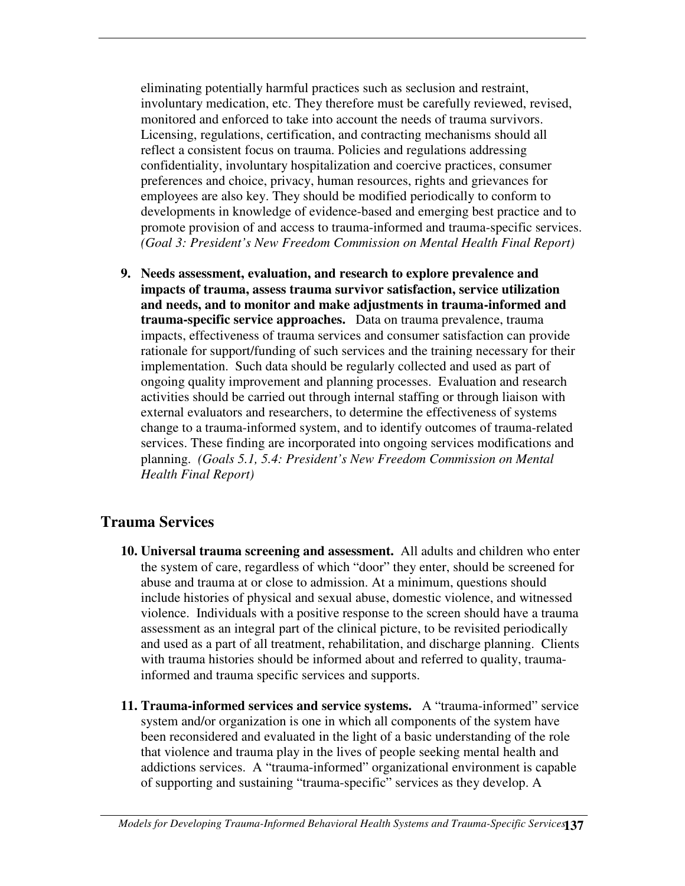eliminating potentially harmful practices such as seclusion and restraint, involuntary medication, etc. They therefore must be carefully reviewed, revised, monitored and enforced to take into account the needs of trauma survivors. Licensing, regulations, certification, and contracting mechanisms should all reflect a consistent focus on trauma. Policies and regulations addressing confidentiality, involuntary hospitalization and coercive practices, consumer preferences and choice, privacy, human resources, rights and grievances for employees are also key. They should be modified periodically to conform to developments in knowledge of evidence-based and emerging best practice and to promote provision of and access to trauma-informed and trauma-specific services. *(Goal 3: President's New Freedom Commission on Mental Health Final Report)*

**9. Needs assessment, evaluation, and research to explore prevalence and impacts of trauma, assess trauma survivor satisfaction, service utilization and needs, and to monitor and make adjustments in trauma-informed and trauma-specific service approaches.** Data on trauma prevalence, trauma impacts, effectiveness of trauma services and consumer satisfaction can provide rationale for support/funding of such services and the training necessary for their implementation. Such data should be regularly collected and used as part of ongoing quality improvement and planning processes. Evaluation and research activities should be carried out through internal staffing or through liaison with external evaluators and researchers, to determine the effectiveness of systems change to a trauma-informed system, and to identify outcomes of trauma-related services. These finding are incorporated into ongoing services modifications and planning. *(Goals 5.1, 5.4: President's New Freedom Commission on Mental Health Final Report)*

# **Trauma Services**

- **10. Universal trauma screening and assessment.** All adults and children who enter the system of care, regardless of which "door" they enter, should be screened for abuse and trauma at or close to admission. At a minimum, questions should include histories of physical and sexual abuse, domestic violence, and witnessed violence. Individuals with a positive response to the screen should have a trauma assessment as an integral part of the clinical picture, to be revisited periodically and used as a part of all treatment, rehabilitation, and discharge planning. Clients with trauma histories should be informed about and referred to quality, traumainformed and trauma specific services and supports.
- **11. Trauma-informed services and service systems.** A "trauma-informed" service system and/or organization is one in which all components of the system have been reconsidered and evaluated in the light of a basic understanding of the role that violence and trauma play in the lives of people seeking mental health and addictions services. A "trauma-informed" organizational environment is capable of supporting and sustaining "trauma-specific" services as they develop. A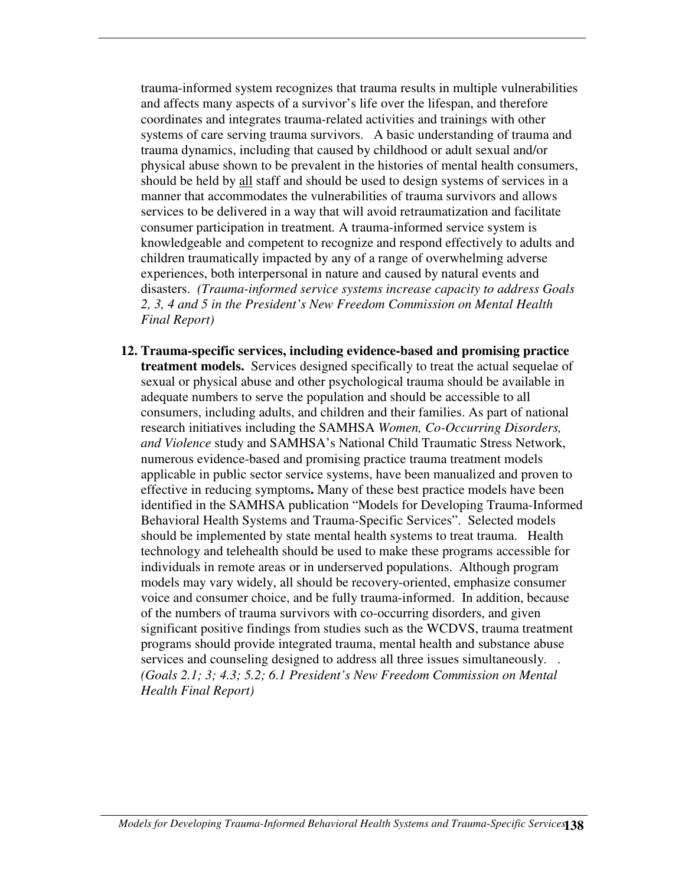trauma-informed system recognizes that trauma results in multiple vulnerabilities and affects many aspects of a survivor's life over the lifespan, and therefore coordinates and integrates trauma-related activities and trainings with other systems of care serving trauma survivors. A basic understanding of trauma and trauma dynamics, including that caused by childhood or adult sexual and/or physical abuse shown to be prevalent in the histories of mental health consumers, should be held by all staff and should be used to design systems of services in a manner that accommodates the vulnerabilities of trauma survivors and allows services to be delivered in a way that will avoid retraumatization and facilitate consumer participation in treatment*.* A trauma-informed service system is knowledgeable and competent to recognize and respond effectively to adults and children traumatically impacted by any of a range of overwhelming adverse experiences, both interpersonal in nature and caused by natural events and disasters. *(Trauma-informed service systems increase capacity to address Goals 2, 3, 4 and 5 in the President's New Freedom Commission on Mental Health Final Report)*

**12. Trauma-specific services, including evidence-based and promising practice treatment models.** Services designed specifically to treat the actual sequelae of sexual or physical abuse and other psychological trauma should be available in adequate numbers to serve the population and should be accessible to all consumers, including adults, and children and their families. As part of national research initiatives including the SAMHSA *Women, Co-Occurring Disorders, and Violence* study and SAMHSA's National Child Traumatic Stress Network, numerous evidence-based and promising practice trauma treatment models applicable in public sector service systems, have been manualized and proven to effective in reducing symptoms**.** Many of these best practice models have been identified in the SAMHSA publication "Models for Developing Trauma-Informed Behavioral Health Systems and Trauma-Specific Services". Selected models should be implemented by state mental health systems to treat trauma. Health technology and telehealth should be used to make these programs accessible for individuals in remote areas or in underserved populations. Although program models may vary widely, all should be recovery-oriented, emphasize consumer voice and consumer choice, and be fully trauma-informed. In addition, because of the numbers of trauma survivors with co-occurring disorders, and given significant positive findings from studies such as the WCDVS, trauma treatment programs should provide integrated trauma, mental health and substance abuse services and counseling designed to address all three issues simultaneously*.* . *(Goals 2.1; 3; 4.3; 5.2; 6.1 President's New Freedom Commission on Mental Health Final Report)*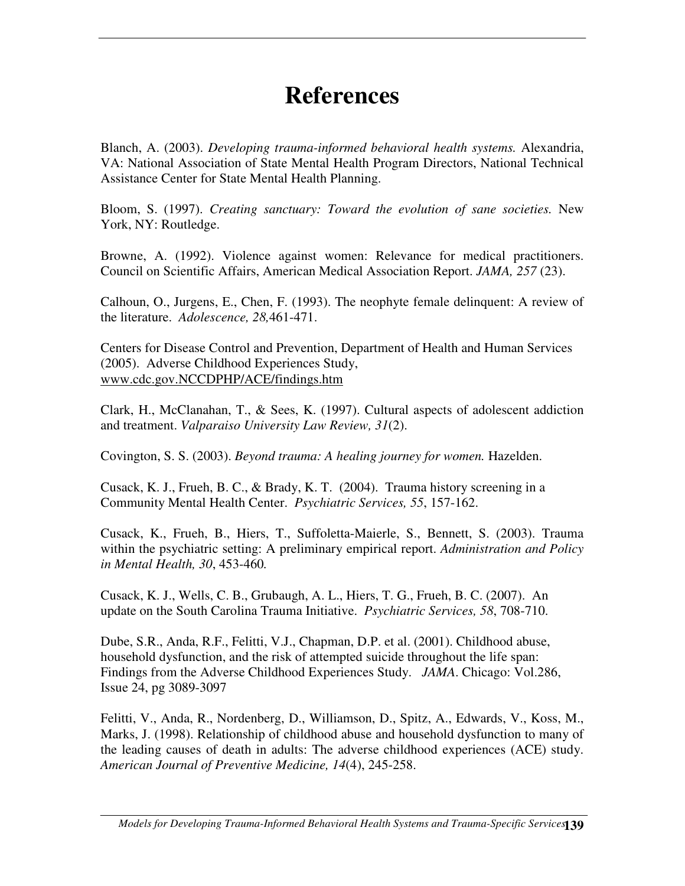# **References**

Blanch, A. (2003). *Developing trauma-informed behavioral health systems.* Alexandria, VA: National Association of State Mental Health Program Directors, National Technical Assistance Center for State Mental Health Planning.

Bloom, S. (1997). *Creating sanctuary: Toward the evolution of sane societies.* New York, NY: Routledge.

Browne, A. (1992). Violence against women: Relevance for medical practitioners. Council on Scientific Affairs, American Medical Association Report. *JAMA, 257* (23).

Calhoun, O., Jurgens, E., Chen, F. (1993). The neophyte female delinquent: A review of the literature. *Adolescence, 28,*461-471.

Centers for Disease Control and Prevention, Department of Health and Human Services (2005). Adverse Childhood Experiences Study, www.cdc.gov.NCCDPHP/ACE/findings.htm

Clark, H., McClanahan, T., & Sees, K. (1997). Cultural aspects of adolescent addiction and treatment. *Valparaiso University Law Review, 31*(2).

Covington, S. S. (2003). *Beyond trauma: A healing journey for women.* Hazelden.

Cusack, K. J., Frueh, B. C., & Brady, K. T. (2004). Trauma history screening in a Community Mental Health Center. *Psychiatric Services, 55*, 157-162.

Cusack, K., Frueh, B., Hiers, T., Suffoletta-Maierle, S., Bennett, S. (2003). Trauma within the psychiatric setting: A preliminary empirical report. *Administration and Policy in Mental Health, 30*, 453-460*.*

Cusack, K. J., Wells, C. B., Grubaugh, A. L., Hiers, T. G., Frueh, B. C. (2007). An update on the South Carolina Trauma Initiative. *Psychiatric Services, 58*, 708-710.

Dube, S.R., Anda, R.F., Felitti, V.J., Chapman, D.P. et al. (2001). Childhood abuse, household dysfunction, and the risk of attempted suicide throughout the life span: Findings from the Adverse Childhood Experiences Study. *JAMA*. Chicago: Vol.286, Issue 24, pg 3089-3097

Felitti, V., Anda, R., Nordenberg, D., Williamson, D., Spitz, A., Edwards, V., Koss, M., Marks, J. (1998). Relationship of childhood abuse and household dysfunction to many of the leading causes of death in adults: The adverse childhood experiences (ACE) study. *American Journal of Preventive Medicine, 14*(4), 245-258.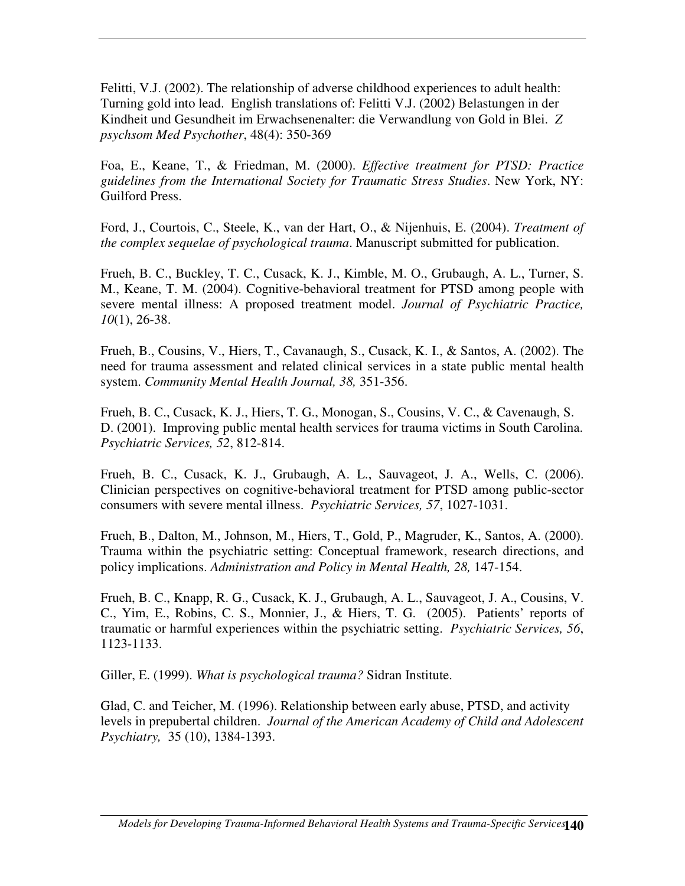Felitti, V.J. (2002). The relationship of adverse childhood experiences to adult health: Turning gold into lead. English translations of: Felitti V.J. (2002) Belastungen in der Kindheit und Gesundheit im Erwachsenenalter: die Verwandlung von Gold in Blei. *Z psychsom Med Psychother*, 48(4): 350-369

Foa, E., Keane, T., & Friedman, M. (2000). *Effective treatment for PTSD: Practice guidelines from the International Society for Traumatic Stress Studies*. New York, NY: Guilford Press.

Ford, J., Courtois, C., Steele, K., van der Hart, O., & Nijenhuis, E. (2004). *Treatment of the complex sequelae of psychological trauma*. Manuscript submitted for publication.

Frueh, B. C., Buckley, T. C., Cusack, K. J., Kimble, M. O., Grubaugh, A. L., Turner, S. M., Keane, T. M. (2004). Cognitive-behavioral treatment for PTSD among people with severe mental illness: A proposed treatment model. *Journal of Psychiatric Practice, 10*(1), 26-38.

Frueh, B., Cousins, V., Hiers, T., Cavanaugh, S., Cusack, K. I., & Santos, A. (2002). The need for trauma assessment and related clinical services in a state public mental health system. *Community Mental Health Journal, 38,* 351-356.

Frueh, B. C., Cusack, K. J., Hiers, T. G., Monogan, S., Cousins, V. C., & Cavenaugh, S. D. (2001). Improving public mental health services for trauma victims in South Carolina. *Psychiatric Services, 52*, 812-814.

Frueh, B. C., Cusack, K. J., Grubaugh, A. L., Sauvageot, J. A., Wells, C. (2006). Clinician perspectives on cognitive-behavioral treatment for PTSD among public-sector consumers with severe mental illness. *Psychiatric Services, 57*, 1027-1031.

Frueh, B., Dalton, M., Johnson, M., Hiers, T., Gold, P., Magruder, K., Santos, A. (2000). Trauma within the psychiatric setting: Conceptual framework, research directions, and policy implications. *Administration and Policy in Mental Health, 28,* 147-154.

Frueh, B. C., Knapp, R. G., Cusack, K. J., Grubaugh, A. L., Sauvageot, J. A., Cousins, V. C., Yim, E., Robins, C. S., Monnier, J., & Hiers, T. G. (2005). Patients' reports of traumatic or harmful experiences within the psychiatric setting. *Psychiatric Services, 56*, 1123-1133.

Giller, E. (1999). *What is psychological trauma?* Sidran Institute.

Glad, C. and Teicher, M. (1996). Relationship between early abuse, PTSD, and activity levels in prepubertal children. *Journal of the American Academy of Child and Adolescent Psychiatry,* 35 (10), 1384-1393.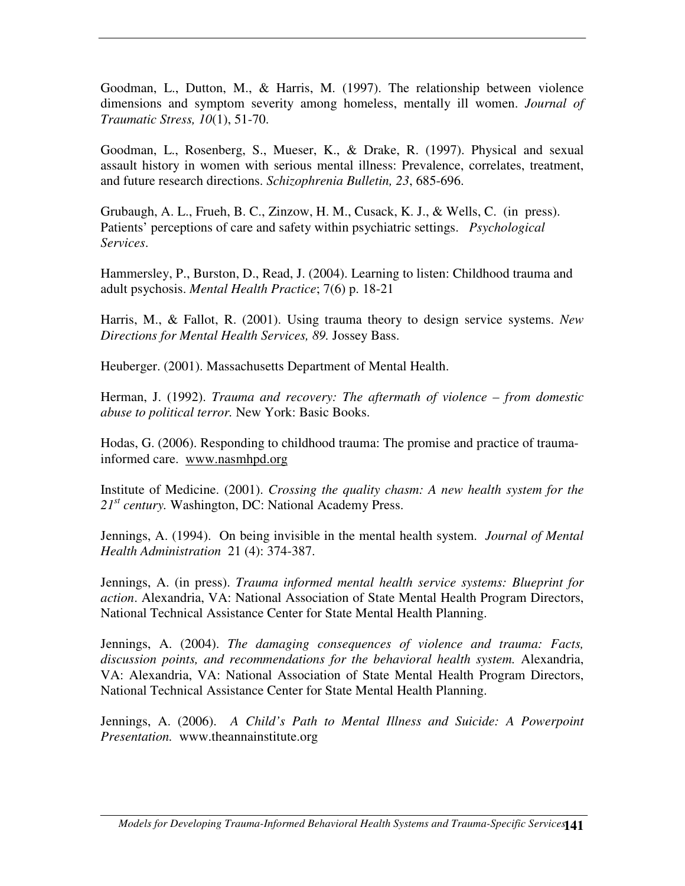Goodman, L., Dutton, M., & Harris, M. (1997). The relationship between violence dimensions and symptom severity among homeless, mentally ill women. *Journal of Traumatic Stress, 10*(1), 51-70.

Goodman, L., Rosenberg, S., Mueser, K., & Drake, R. (1997). Physical and sexual assault history in women with serious mental illness: Prevalence, correlates, treatment, and future research directions. *Schizophrenia Bulletin, 23*, 685-696.

Grubaugh, A. L., Frueh, B. C., Zinzow, H. M., Cusack, K. J., & Wells, C. (in press). Patients' perceptions of care and safety within psychiatric settings. *Psychological Services*.

Hammersley, P., Burston, D., Read, J. (2004). Learning to listen: Childhood trauma and adult psychosis. *Mental Health Practice*; 7(6) p. 18-21

Harris, M., & Fallot, R. (2001). Using trauma theory to design service systems. *New Directions for Mental Health Services, 89.* Jossey Bass.

Heuberger. (2001). Massachusetts Department of Mental Health.

Herman, J. (1992). *Trauma and recovery: The aftermath of violence – from domestic abuse to political terror.* New York: Basic Books.

Hodas, G. (2006). Responding to childhood trauma: The promise and practice of traumainformed care. www.nasmhpd.org

Institute of Medicine. (2001). *Crossing the quality chasm: A new health system for the* 21<sup>st</sup> century. Washington, DC: National Academy Press.

Jennings, A. (1994). On being invisible in the mental health system. *Journal of Mental Health Administration* 21 (4): 374-387.

Jennings, A. (in press). *Trauma informed mental health service systems: Blueprint for action*. Alexandria, VA: National Association of State Mental Health Program Directors, National Technical Assistance Center for State Mental Health Planning.

Jennings, A. (2004). *The damaging consequences of violence and trauma: Facts, discussion points, and recommendations for the behavioral health system.* Alexandria, VA: Alexandria, VA: National Association of State Mental Health Program Directors, National Technical Assistance Center for State Mental Health Planning.

Jennings, A. (2006). *A Child's Path to Mental Illness and Suicide: A Powerpoint Presentation.* www.theannainstitute.org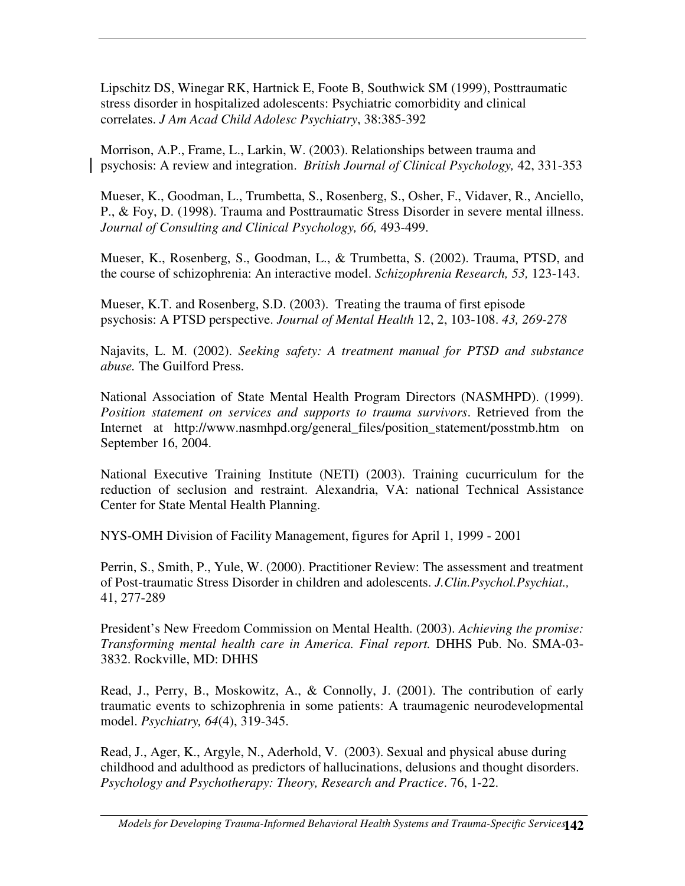Lipschitz DS, Winegar RK, Hartnick E, Foote B, Southwick SM (1999), Posttraumatic stress disorder in hospitalized adolescents: Psychiatric comorbidity and clinical correlates. *J Am Acad Child Adolesc Psychiatry*, 38:385-392

Morrison, A.P., Frame, L., Larkin, W. (2003). Relationships between trauma and psychosis: A review and integration. *British Journal of Clinical Psychology,* 42, 331-353

Mueser, K., Goodman, L., Trumbetta, S., Rosenberg, S., Osher, F., Vidaver, R., Anciello, P., & Foy, D. (1998). Trauma and Posttraumatic Stress Disorder in severe mental illness. *Journal of Consulting and Clinical Psychology, 66,* 493-499.

Mueser, K., Rosenberg, S., Goodman, L., & Trumbetta, S. (2002). Trauma, PTSD, and the course of schizophrenia: An interactive model. *Schizophrenia Research, 53,* 123-143.

Mueser, K.T. and Rosenberg, S.D. (2003). Treating the trauma of first episode psychosis: A PTSD perspective. *Journal of Mental Health* 12, 2, 103-108. *43, 269-278*

Najavits, L. M. (2002). *Seeking safety: A treatment manual for PTSD and substance abuse.* The Guilford Press.

National Association of State Mental Health Program Directors (NASMHPD). (1999). *Position statement on services and supports to trauma survivors*. Retrieved from the Internet at http://www.nasmhpd.org/general files/position statement/posstmb.htm on September 16, 2004.

National Executive Training Institute (NETI) (2003). Training cucurriculum for the reduction of seclusion and restraint. Alexandria, VA: national Technical Assistance Center for State Mental Health Planning.

NYS-OMH Division of Facility Management, figures for April 1, 1999 - 2001

Perrin, S., Smith, P., Yule, W. (2000). Practitioner Review: The assessment and treatment of Post-traumatic Stress Disorder in children and adolescents. *J.Clin.Psychol.Psychiat.,* 41, 277-289

President's New Freedom Commission on Mental Health. (2003). *Achieving the promise: Transforming mental health care in America. Final report.* DHHS Pub. No. SMA-03- 3832. Rockville, MD: DHHS

Read, J., Perry, B., Moskowitz, A., & Connolly, J. (2001). The contribution of early traumatic events to schizophrenia in some patients: A traumagenic neurodevelopmental model. *Psychiatry, 64*(4), 319-345.

Read, J., Ager, K., Argyle, N., Aderhold, V. (2003). Sexual and physical abuse during childhood and adulthood as predictors of hallucinations, delusions and thought disorders. *Psychology and Psychotherapy: Theory, Research and Practice*. 76, 1-22.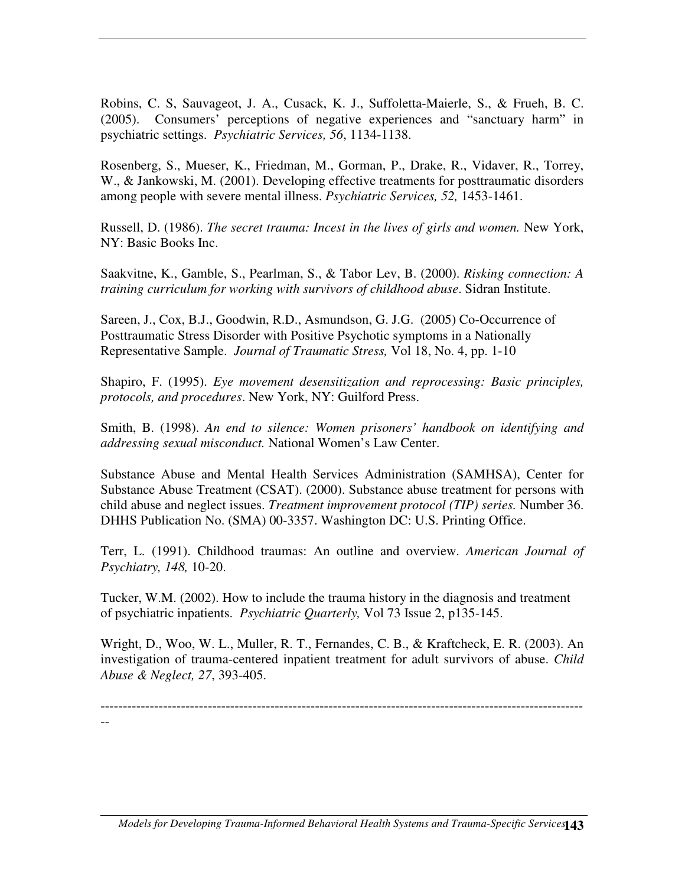Robins, C. S, Sauvageot, J. A., Cusack, K. J., Suffoletta-Maierle, S., & Frueh, B. C. (2005). Consumers' perceptions of negative experiences and "sanctuary harm" in psychiatric settings. *Psychiatric Services, 56*, 1134-1138.

Rosenberg, S., Mueser, K., Friedman, M., Gorman, P., Drake, R., Vidaver, R., Torrey, W., & Jankowski, M. (2001). Developing effective treatments for posttraumatic disorders among people with severe mental illness. *Psychiatric Services, 52,* 1453-1461.

Russell, D. (1986). *The secret trauma: Incest in the lives of girls and women.* New York, NY: Basic Books Inc.

Saakvitne, K., Gamble, S., Pearlman, S., & Tabor Lev, B. (2000). *Risking connection: A training curriculum for working with survivors of childhood abuse*. Sidran Institute.

Sareen, J., Cox, B.J., Goodwin, R.D., Asmundson, G. J.G. (2005) Co-Occurrence of Posttraumatic Stress Disorder with Positive Psychotic symptoms in a Nationally Representative Sample. *Journal of Traumatic Stress,* Vol 18, No. 4, pp. 1-10

Shapiro, F. (1995). *Eye movement desensitization and reprocessing: Basic principles, protocols, and procedures*. New York, NY: Guilford Press.

Smith, B. (1998). *An end to silence: Women prisoners' handbook on identifying and addressing sexual misconduct.* National Women's Law Center.

Substance Abuse and Mental Health Services Administration (SAMHSA), Center for Substance Abuse Treatment (CSAT). (2000). Substance abuse treatment for persons with child abuse and neglect issues. *Treatment improvement protocol (TIP) series.* Number 36. DHHS Publication No. (SMA) 00-3357. Washington DC: U.S. Printing Office.

Terr, L. (1991). Childhood traumas: An outline and overview. *American Journal of Psychiatry, 148,* 10-20.

Tucker, W.M. (2002). How to include the trauma history in the diagnosis and treatment of psychiatric inpatients. *Psychiatric Quarterly,* Vol 73 Issue 2, p135-145.

Wright, D., Woo, W. L., Muller, R. T., Fernandes, C. B., & Kraftcheck, E. R. (2003). An investigation of trauma-centered inpatient treatment for adult survivors of abuse. *Child Abuse & Neglect, 27*, 393-405.

------------------------------------------------------------------------------------------------------------

--